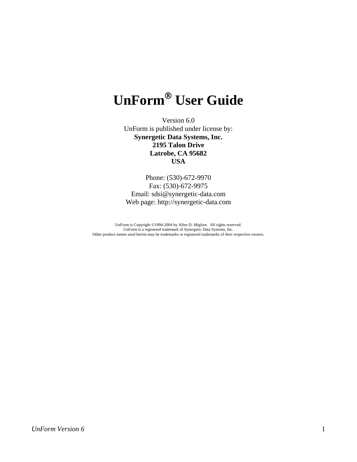# **UnForm**® **User Guide**

Version 6.0 UnForm is published under license by: **Synergetic Data Systems, Inc. 2195 Talon Drive Latrobe, CA 95682 USA** 

Phone: (530)-672-9970 Fax: (530)-672-9975 Email: sdsi@synergetic-data.com Web page: http://synergetic-data.com

UnForm is Copyright ©1994-2004 by Allen D. Miglore. All rights reserved. UnForm is a registered trademark of Synergetic Data Systems, Inc. Other product names used herein may be trademarks or registered trademarks of their respective owners.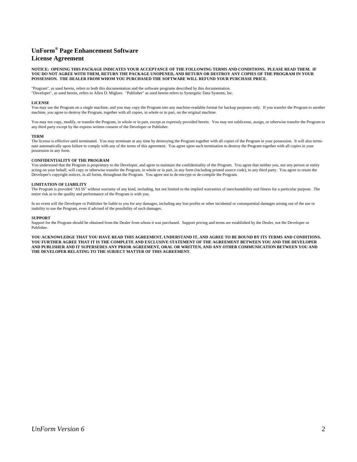#### **UnForm® Page Enhancement Software License Agreement**

#### **NOTICE: OPENING THIS PACKAGE INDICATES YOUR ACCEPTANCE OF THE FOLLOWING TERMS AND CONDITIONS. PLEASE READ THEM. IF YOU DO NOT AGREE WITH THEM, RETURN THE PACKAGE UNOPENED, AND RETURN OR DESTROY ANY COPIES OF THE PROGRAM IN YOUR POSSESSION. THE DEALER FROM WHOM YOU PURCHASED THE SOFTWARE WILL REFUND YOUR PURCHASE PRICE.**

"Program", as used herein, refers to both this documentation and the software programs described by this documentation. "Developer", as used herein, refers to Allen D. Miglore. "Publisher" as used herein refers to Synergetic Data Systems, Inc.

#### **LICENSE**

You may use the Program on a single machine, and you may copy the Program into any machine-readable format for backup purposes only. If you transfer the Program to another machine, you agree to destroy the Program, together with all copies, in whole or in part, on the original machine.

You may not copy, modify, or transfer the Program, in whole or in part, except as expressly provided herein. You may not sublicense, assign, or otherwise transfer the Program to any third party except by the express written consent of the Developer or Publisher.

#### **TERM**

The license is effective until terminated. You may terminate at any time by destroying the Program together with all copies of the Program in your possession. It will also terminate automatically upon failure to comply with any of the terms of this agreement. You agree upon such termination to destroy the Program together with all copies in your possession in any form.

#### **CONFIDENTIALITY OF THE PROGRAM**

You understand that the Program is proprietary to the Developer, and agree to maintain the confidentiality of the Program. You agree that neither you, nor any person or entity acting on your behalf, will copy or otherwise transfer the Program, in whole or in part, in any form (including printed source code), to any third party. You agree to retain the Developer's copyright notices, in all forms, throughout the Program. You agree not to de-encrypt or de-compile the Program.

#### **LIMITATION OF LIABILITY**

The Program is provided "AS IS" without warranty of any kind, including, but not limited to the implied warranties of merchantability and fitness for a particular purpose. The entire risk as to the quality and performance of the Program is with you.

In no event will the Developer or Publisher be liable to you for any damages, including any lost profits or other incidental or consequential damages arising out of the use or inability to use the Program, even if advised of the possibility of such damages.

#### **SUPPORT**

Support for the Program should be obtained from the Dealer from whom it was purchased. Support pricing and terms are established by the Dealer, not the Developer or Publisher.

**YOU ACKNOWLEDGE THAT YOU HAVE READ THIS AGREEMENT, UNDERSTAND IT, AND AGREE TO BE BOUND BY ITS TERMS AND CONDITIONS. YOU FURTHER AGREE THAT IT IS THE COMPLETE AND EXCLUSIVE STATEMENT OF THE AGREEMENT BETWEEN YOU AND THE DEVELOPER AND PUBLISHER AND IT SUPERSEDES ANY PRIOR AGREEMENT, ORAL OR WRITTEN, AND ANY OTHER COMMUNICATION BETWEEN YOU AND THE DEVELOPER RELATING TO THE SUBJECT MATTER OF THIS AGREEMENT.**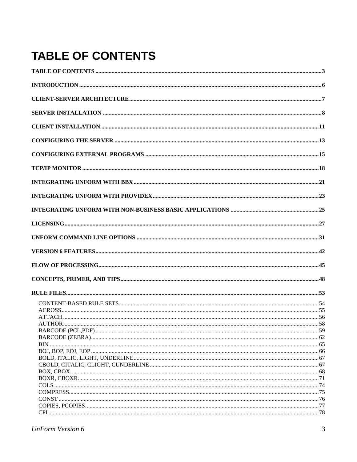# <span id="page-2-0"></span>**TABLE OF CONTENTS**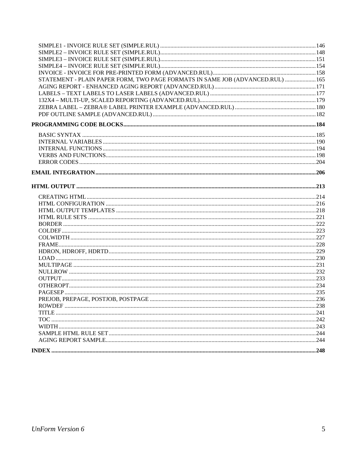| STATEMENT - PLAIN PAPER FORM, TWO PAGE FORMATS IN SAME JOB (ADVANCED.RUL)  165 |  |
|--------------------------------------------------------------------------------|--|
|                                                                                |  |
|                                                                                |  |
|                                                                                |  |
|                                                                                |  |
|                                                                                |  |
|                                                                                |  |
|                                                                                |  |
|                                                                                |  |
|                                                                                |  |
|                                                                                |  |
|                                                                                |  |
|                                                                                |  |
|                                                                                |  |
|                                                                                |  |
|                                                                                |  |
|                                                                                |  |
|                                                                                |  |
|                                                                                |  |
|                                                                                |  |
|                                                                                |  |
|                                                                                |  |
|                                                                                |  |
|                                                                                |  |
|                                                                                |  |
|                                                                                |  |
|                                                                                |  |
|                                                                                |  |
|                                                                                |  |
|                                                                                |  |
|                                                                                |  |
|                                                                                |  |
|                                                                                |  |
|                                                                                |  |
|                                                                                |  |
|                                                                                |  |
|                                                                                |  |
|                                                                                |  |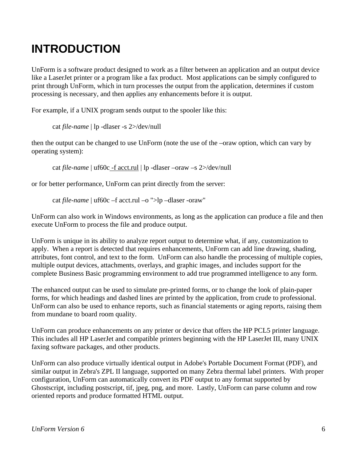## <span id="page-5-0"></span>**INTRODUCTION**

UnForm is a software product designed to work as a filter between an application and an output device like a LaserJet printer or a program like a fax product. Most applications can be simply configured to print through UnForm, which in turn processes the output from the application, determines if custom processing is necessary, and then applies any enhancements before it is output.

For example, if a UNIX program sends output to the spooler like this:

cat *file-name* | lp -dlaser -s 2>/dev/null

then the output can be changed to use UnForm (note the use of the –oraw option, which can vary by operating system):

cat *file-name* | uf60c -f acct.rul | lp -dlaser –oraw –s 2>/dev/null

or for better performance, UnForm can print directly from the server:

cat *file-name* | uf60c –f acct.rul –o ">lp –dlaser -oraw"

UnForm can also work in Windows environments, as long as the application can produce a file and then execute UnForm to process the file and produce output.

UnForm is unique in its ability to analyze report output to determine what, if any, customization to apply. When a report is detected that requires enhancements, UnForm can add line drawing, shading, attributes, font control, and text to the form. UnForm can also handle the processing of multiple copies, multiple output devices, attachments, overlays, and graphic images, and includes support for the complete Business Basic programming environment to add true programmed intelligence to any form.

The enhanced output can be used to simulate pre-printed forms, or to change the look of plain-paper forms, for which headings and dashed lines are printed by the application, from crude to professional. UnForm can also be used to enhance reports, such as financial statements or aging reports, raising them from mundane to board room quality.

UnForm can produce enhancements on any printer or device that offers the HP PCL5 printer language. This includes all HP LaserJet and compatible printers beginning with the HP LaserJet III, many UNIX faxing software packages, and other products.

UnForm can also produce virtually identical output in Adobe's Portable Document Format (PDF), and similar output in Zebra's ZPL II language, supported on many Zebra thermal label printers. With proper configuration, UnForm can automatically convert its PDF output to any format supported by Ghostscript, including postscript, tif, jpeg, png, and more. Lastly, UnForm can parse column and row oriented reports and produce formatted HTML output.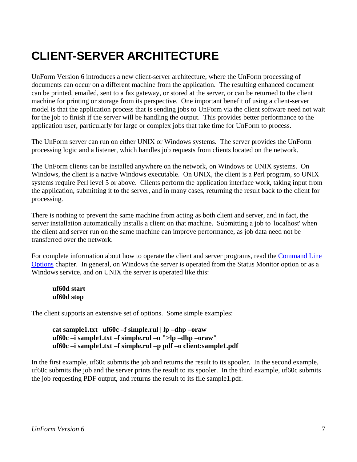# <span id="page-6-0"></span>**CLIENT-SERVER ARCHITECTURE**

UnForm Version 6 introduces a new client-server architecture, where the UnForm processing of documents can occur on a different machine from the application. The resulting enhanced document can be printed, emailed, sent to a fax gateway, or stored at the server, or can be returned to the client machine for printing or storage from its perspective. One important benefit of using a client-server model is that the application process that is sending jobs to UnForm via the client software need not wait for the job to finish if the server will be handling the output. This provides better performance to the application user, particularly for large or complex jobs that take time for UnForm to process.

The UnForm server can run on either UNIX or Windows systems. The server provides the UnForm processing logic and a listener, which handles job requests from clients located on the network.

The UnForm clients can be installed anywhere on the network, on Windows or UNIX systems. On Windows, the client is a native Windows executable. On UNIX, the client is a Perl program, so UNIX systems require Perl level 5 or above. Clients perform the application interface work, taking input from the application, submitting it to the server, and in many cases, returning the result back to the client for processing.

There is nothing to prevent the same machine from acting as both client and server, and in fact, the server installation automatically installs a client on that machine. Submitting a job to 'localhost' when the client and server run on the same machine can improve performance, as job data need not be transferred over the network.

For complete information about how to operate the client and server programs, read the Command Line Options chapter. In general, on Windows the server is operated from the Status Monitor option or as a Windows service, and on UNIX the server is operated like this:

**uf60d start uf60d stop** 

The client supports an extensive set of options. Some simple examples:

```
cat sample1.txt | uf60c –f simple.rul | lp –dhp –oraw 
 uf60c –i sample1.txt –f simple.rul –o ">lp –dhp –oraw" 
 uf60c –i sample1.txt –f simple.rul –p pdf –o client:sample1.pdf
```
In the first example, uf60c submits the job and returns the result to its spooler. In the second example, uf60c submits the job and the server prints the result to its spooler. In the third example, uf60c submits the job requesting PDF output, and returns the result to its file sample1.pdf.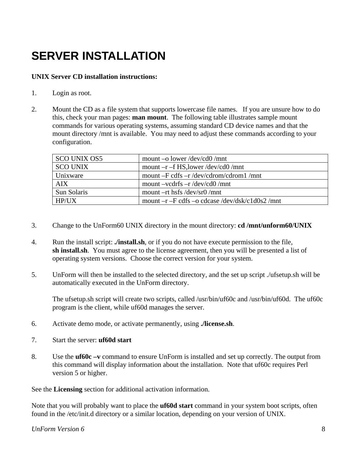# <span id="page-7-0"></span>**SERVER INSTALLATION**

### **UNIX Server CD installation instructions:**

- 1. Login as root.
- 2. Mount the CD as a file system that supports lowercase file names. If you are unsure how to do this, check your man pages: **man mount**. The following table illustrates sample mount commands for various operating systems, assuming standard CD device names and that the mount directory /mnt is available. You may need to adjust these commands according to your configuration.

| <b>SCO UNIX OS5</b> | mount –o lower/dev/cd0/mnt                        |
|---------------------|---------------------------------------------------|
| <b>SCO UNIX</b>     | mount $-r - f$ HS, lower /dev/cd0 /mnt            |
| Unixware            | mount $-F$ cdfs $-r$ /dev/cdrom/cdrom1 /mnt       |
| <b>AIX</b>          | mount $-vcdrfs - r/dev/cd0/mnt$                   |
| Sun Solaris         | mount $-rt$ hsfs /dev/sr0 /mnt                    |
| HP/IIX              | mount $-r$ –F cdfs –o cdcase /dev/dsk/c1d0s2 /mnt |

- 3. Change to the UnForm60 UNIX directory in the mount directory: **cd /mnt/unform60/UNIX**
- 4. Run the install script: **./install.sh**, or if you do not have execute permission to the file, **sh install.sh**. You must agree to the license agreement, then you will be presented a list of operating system versions. Choose the correct version for your system.
- 5. UnForm will then be installed to the selected directory, and the set up script ./ufsetup.sh will be automatically executed in the UnForm directory.

 The ufsetup.sh script will create two scripts, called /usr/bin/uf60c and /usr/bin/uf60d. The uf60c program is the client, while uf60d manages the server.

- 6. Activate demo mode, or activate permanently, using **./license.sh**.
- 7. Start the server: **uf60d start**
- 8. Use the **uf60c –v** command to ensure UnForm is installed and set up correctly. The output from this command will display information about the installation. Note that uf60c requires Perl version 5 or higher.

See the **Licensing** section for additional activation information.

Note that you will probably want to place the **uf60d start** command in your system boot scripts, often found in the /etc/init.d directory or a similar location, depending on your version of UNIX.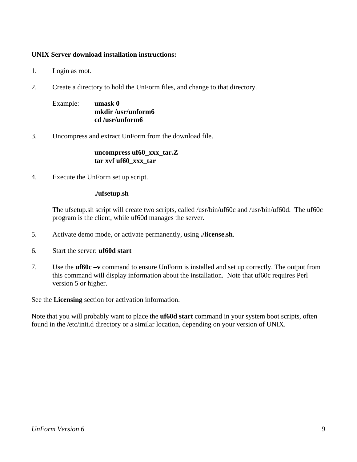#### **UNIX Server download installation instructions:**

- 1. Login as root.
- 2. Create a directory to hold the UnForm files, and change to that directory.

 Example: **umask 0 mkdir /usr/unform6 cd /usr/unform6**

3. Uncompress and extract UnForm from the download file.

#### **uncompress uf60\_xxx\_tar.Z tar xvf uf60\_xxx\_tar**

4. Execute the UnForm set up script.

#### **./ufsetup.sh**

 The ufsetup.sh script will create two scripts, called /usr/bin/uf60c and /usr/bin/uf60d. The uf60c program is the client, while uf60d manages the server.

- 5. Activate demo mode, or activate permanently, using **./license.sh**.
- 6. Start the server: **uf60d start**
- 7. Use the **uf60c –v** command to ensure UnForm is installed and set up correctly. The output from this command will display information about the installation. Note that uf60c requires Perl version 5 or higher.

See the **Licensing** section for activation information.

Note that you will probably want to place the **uf60d start** command in your system boot scripts, often found in the /etc/init.d directory or a similar location, depending on your version of UNIX.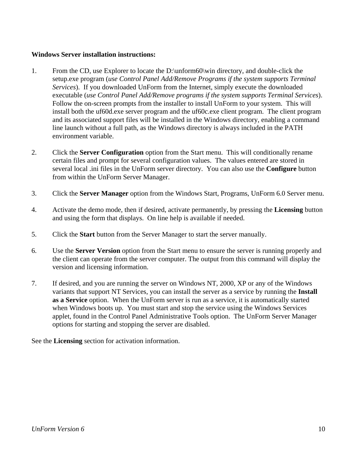#### **Windows Server installation instructions:**

- 1. From the CD, use Explorer to locate the D:\unform60\win directory, and double-click the setup.exe program (*use Control Panel Add/Remove Programs if the system supports Terminal Services*). If you downloaded UnForm from the Internet, simply execute the downloaded executable (*use Control Panel Add/Remove programs if the system supports Terminal Services*). Follow the on-screen prompts from the installer to install UnForm to your system. This will install both the uf60d.exe server program and the uf60c.exe client program. The client program and its associated support files will be installed in the Windows directory, enabling a command line launch without a full path, as the Windows directory is always included in the PATH environment variable.
- 2. Click the **Server Configuration** option from the Start menu. This will conditionally rename certain files and prompt for several configuration values. The values entered are stored in several local .ini files in the UnForm server directory. You can also use the **Configure** button from within the UnForm Server Manager.
- 3. Click the **Server Manager** option from the Windows Start, Programs, UnForm 6.0 Server menu.
- 4. Activate the demo mode, then if desired, activate permanently, by pressing the **Licensing** button and using the form that displays. On line help is available if needed.
- 5. Click the **Start** button from the Server Manager to start the server manually.
- 6. Use the **Server Version** option from the Start menu to ensure the server is running properly and the client can operate from the server computer. The output from this command will display the version and licensing information.
- 7. If desired, and you are running the server on Windows NT, 2000, XP or any of the Windows variants that support NT Services, you can install the server as a service by running the **Install as a Service** option. When the UnForm server is run as a service, it is automatically started when Windows boots up. You must start and stop the service using the Windows Services applet, found in the Control Panel Administrative Tools option. The UnForm Server Manager options for starting and stopping the server are disabled.

See the **Licensing** section for activation information.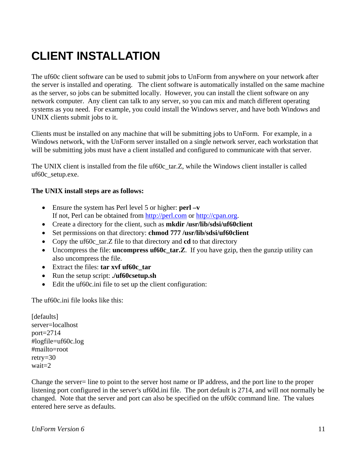## <span id="page-10-0"></span>**CLIENT INSTALLATION**

The uf60c client software can be used to submit jobs to UnForm from anywhere on your network after the server is installed and operating. The client software is automatically installed on the same machine as the server, so jobs can be submitted locally. However, you can install the client software on any network computer. Any client can talk to any server, so you can mix and match different operating systems as you need. For example, you could install the Windows server, and have both Windows and UNIX clients submit jobs to it.

Clients must be installed on any machine that will be submitting jobs to UnForm. For example, in a Windows network, with the UnForm server installed on a single network server, each workstation that will be submitting jobs must have a client installed and configured to communicate with that server.

The UNIX client is installed from the file uf60c\_tar.Z, while the Windows client installer is called uf60c\_setup.exe.

#### **The UNIX install steps are as follows:**

- Ensure the system has Perl level 5 or higher: **perl –v** If not, Perl can be obtained from http://perl.com or http://cpan.org.
- Create a directory for the client, such as **mkdir /usr/lib/sdsi/uf60client**
- Set permissions on that directory: **chmod 777 /usr/lib/sdsi/uf60client**
- Copy the uf60c tar.Z file to that directory and **cd** to that directory
- Uncompress the file: **uncompress uf60c\_tar.Z**. If you have gzip, then the gunzip utility can also uncompress the file.
- Extract the files: **tar xvf uf60c\_tar**
- Run the setup script: **./uf60csetup.sh**
- Edit the uford the to set up the client configuration:

The uf60c.ini file looks like this:

[defaults] server=localhost port=2714 #logfile=uf60c.log #mailto=root retry=30 wait=2

Change the server= line to point to the server host name or IP address, and the port line to the proper listening port configured in the server's uf60d.ini file. The port default is 2714, and will not normally be changed. Note that the server and port can also be specified on the uf60c command line. The values entered here serve as defaults.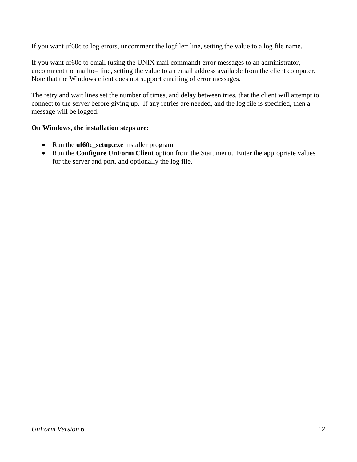If you want uf60c to log errors, uncomment the logfile= line, setting the value to a log file name.

If you want uf60c to email (using the UNIX mail command) error messages to an administrator, uncomment the mailto= line, setting the value to an email address available from the client computer. Note that the Windows client does not support emailing of error messages.

The retry and wait lines set the number of times, and delay between tries, that the client will attempt to connect to the server before giving up. If any retries are needed, and the log file is specified, then a message will be logged.

#### **On Windows, the installation steps are:**

- Run the **uf60c\_setup.exe** installer program.
- Run the **Configure UnForm Client** option from the Start menu. Enter the appropriate values for the server and port, and optionally the log file.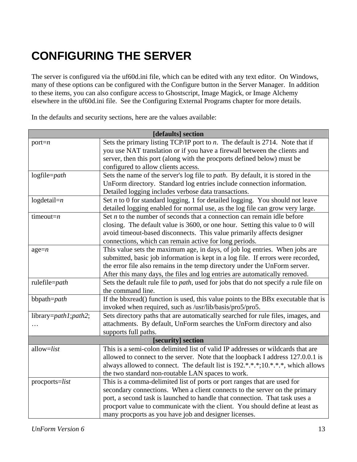# <span id="page-12-0"></span>**CONFIGURING THE SERVER**

The server is configured via the uf60d.ini file, which can be edited with any text editor. On Windows, many of these options can be configured with the Configure button in the Server Manager. In addition to these items, you can also configure access to Ghostscript, Image Magick, or Image Alchemy elsewhere in the uf60d.ini file. See the Configuring External Programs chapter for more details.

In the defaults and security sections, here are the values available:

| [defaults] section   |                                                                                              |  |
|----------------------|----------------------------------------------------------------------------------------------|--|
| port= $n$            | Sets the primary listing TCP/IP port to $n$ . The default is 2714. Note that if              |  |
|                      | you use NAT translation or if you have a firewall between the clients and                    |  |
|                      | server, then this port (along with the procports defined below) must be                      |  |
|                      | configured to allow clients access.                                                          |  |
| logfile=path         | Sets the name of the server's log file to <i>path</i> . By default, it is stored in the      |  |
|                      | UnForm directory. Standard log entries include connection information.                       |  |
|                      | Detailed logging includes verbose data transactions.                                         |  |
| $log detail = n$     | Set $n$ to 0 for standard logging, 1 for detailed logging. You should not leave              |  |
|                      | detailed logging enabled for normal use, as the log file can grow very large.                |  |
| timeout= $n$         | Set $n$ to the number of seconds that a connection can remain idle before                    |  |
|                      | closing. The default value is 3600, or one hour. Setting this value to 0 will                |  |
|                      | avoid timeout-based disconnects. This value primarily affects designer                       |  |
|                      | connections, which can remain active for long periods.                                       |  |
| $age=n$              | This value sets the maximum age, in days, of job log entries. When jobs are                  |  |
|                      | submitted, basic job information is kept in a log file. If errors were recorded,             |  |
|                      | the error file also remains in the temp directory under the UnForm server.                   |  |
|                      | After this many days, the files and log entries are automatically removed.                   |  |
| rulefile=path        | Sets the default rule file to <i>path</i> , used for jobs that do not specify a rule file on |  |
|                      | the command line.                                                                            |  |
| bbpath=path          | If the bbxread() function is used, this value points to the BBx executable that is           |  |
|                      | invoked when required, such as /usr/lib/basis/pro5/pro5.                                     |  |
| library=path1;path2; | Sets directory paths that are automatically searched for rule files, images, and             |  |
|                      | attachments. By default, UnForm searches the UnForm directory and also                       |  |
|                      | supports full paths.                                                                         |  |
| [security] section   |                                                                                              |  |
| allow=list           | This is a semi-colon delimited list of valid IP addresses or wildcards that are              |  |
|                      | allowed to connect to the server. Note that the loopback I address 127.0.0.1 is              |  |
|                      | always allowed to connect. The default list is 192.*.*.*;10.*.*.*, which allows              |  |
|                      | the two standard non-routable LAN spaces to work.                                            |  |
| $proceptors=list$    | This is a comma-delimited list of ports or port ranges that are used for                     |  |
|                      | secondary connections. When a client connects to the server on the primary                   |  |
|                      | port, a second task is launched to handle that connection. That task uses a                  |  |
|                      | procport value to communicate with the client. You should define at least as                 |  |
|                      | many procports as you have job and designer licenses.                                        |  |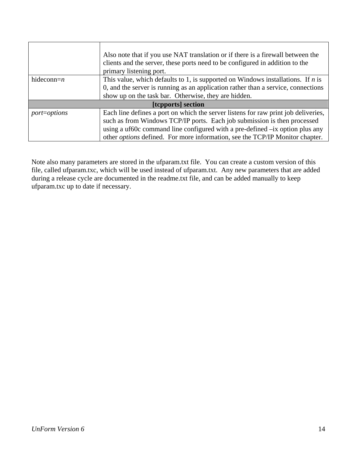|                     | Also note that if you use NAT translation or if there is a firewall between the<br>clients and the server, these ports need to be configured in addition to the<br>primary listening port. |  |
|---------------------|--------------------------------------------------------------------------------------------------------------------------------------------------------------------------------------------|--|
| hideconn= $n$       | This value, which defaults to 1, is supported on Windows installations. If $n$ is<br>0, and the server is running as an application rather than a service, connections                     |  |
|                     | show up on the task bar. Otherwise, they are hidden.                                                                                                                                       |  |
|                     |                                                                                                                                                                                            |  |
| [tepports] section  |                                                                                                                                                                                            |  |
| <i>port=options</i> | Each line defines a port on which the server listens for raw print job deliveries,                                                                                                         |  |
|                     | such as from Windows TCP/IP ports. Each job submission is then processed                                                                                                                   |  |
|                     | using a uf60c command line configured with a pre-defined -ix option plus any                                                                                                               |  |
|                     | other <i>options</i> defined. For more information, see the TCP/IP Monitor chapter.                                                                                                        |  |

Note also many parameters are stored in the ufparam.txt file. You can create a custom version of this file, called ufparam.txc, which will be used instead of ufparam.txt. Any new parameters that are added during a release cycle are documented in the readme.txt file, and can be added manually to keep ufparam.txc up to date if necessary.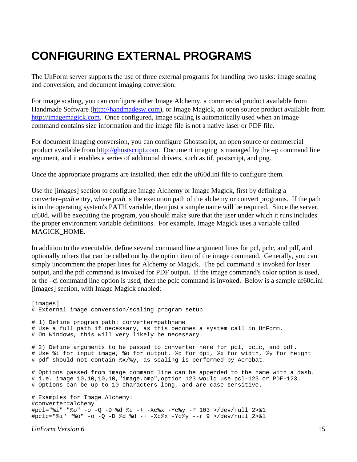### <span id="page-14-0"></span>**CONFIGURING EXTERNAL PROGRAMS**

The UnForm server supports the use of three external programs for handling two tasks: image scaling and conversion, and document imaging conversion.

For image scaling, you can configure either Image Alchemy, a commercial product available from Handmade Software (http://handmadesw.com), or Image Magick, an open source product available from http://imagemagick.com. Once configured, image scaling is automatically used when an image command contains size information and the image file is not a native laser or PDF file.

For document imaging conversion, you can configure Ghostscript, an open source or commercial product available from  $\frac{http://ghostscript.com}{http://ghostscript.com}$ . Document imaging is managed by the –p command line argument, and it enables a series of additional drivers, such as tif, postscript, and png.

Once the appropriate programs are installed, then edit the uf60d.ini file to configure them.

Use the [images] section to configure Image Alchemy or Image Magick, first by defining a converter=*path* entry, where *path* is the execution path of the alchemy or convert programs. If the path is in the operating system's PATH variable, then just a simple name will be required. Since the server, uf60d, will be executing the program, you should make sure that the user under which it runs includes the proper environment variable definitions. For example, Image Magick uses a variable called MAGICK\_HOME.

In addition to the executable, define several command line argument lines for pcl, pclc, and pdf, and optionally others that can be called out by the option item of the image command. Generally, you can simply uncomment the proper lines for Alchemy or Magick. The pcl command is invoked for laser output, and the pdf command is invoked for PDF output. If the image command's color option is used, or the –ci command line option is used, then the pclc command is invoked. Below is a sample uf60d.ini [images] section, with Image Magick enabled:

```
[images]
# External image conversion/scaling program setup 
# 1) Define program path: converter=pathname 
# Use a full path if necessary, as this becomes a system call in UnForm. 
# On Windows, this will very likely be necessary. 
# 2) Define arguments to be passed to converter here for pcl, pclc, and pdf.
# Use %i for input image, %o for output, %d for dpi, %x for width, %y for height 
# pdf should not contain %x/%y, as scaling is performed by Acrobat. 
# Options passed from image command line can be appended to the name with a dash. 
# i.e. image 10,10,10,10,"image.bmp",option 123 would use pcl-123 or PDF-123. 
# Options can be up to 10 characters long, and are case sensitive. 
# Examples for Image Alchemy: 
#converter=alchemy 
#pcl="%i" "%o" -o -Q -D %d %d -+ -Xc%x -Yc%y -P 103 >/dev/null 2>&1 
#pclc="%i" "%o" -o -Q -D %d %d -+ -Xc%x -Yc%y --r 9 >/dev/null 2>&1
```
*UnForm Version 6* 15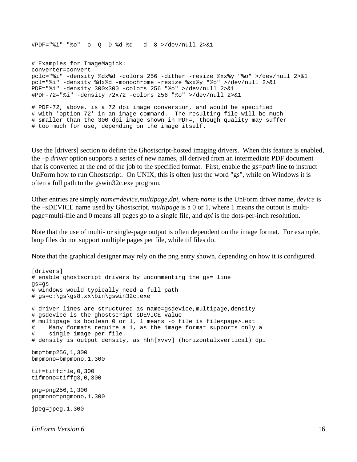#PDF="%i" "%o" -o -Q -D %d %d --d -8 >/dev/null 2>&1

# Examples for ImageMagick: converter=convert pclc="%i" -density %dx%d -colors 256 -dither -resize %xx%y "%o" >/dev/null 2>&1 pcl="%i" -density %dx%d -monochrome -resize %xx%y "%o" >/dev/null 2>&1 PDF="%i" -density 300x300 -colors 256 "%o" >/dev/null 2>&1 #PDF-72="%i" -density 72x72 -colors 256 "%o" >/dev/null 2>&1

# PDF-72, above, is a 72 dpi image conversion, and would be specified # with 'option 72' in an image command. The resulting file will be much # smaller than the 300 dpi image shown in PDF=, though quality may suffer # too much for use, depending on the image itself.

Use the [drivers] section to define the Ghostscript-hosted imaging drivers. When this feature is enabled, the –p *driver* option supports a series of new names, all derived from an intermediate PDF document that is converted at the end of the job to the specified format. First, enable the gs=*path* line to instruct UnForm how to run Ghostscript. On UNIX, this is often just the word "gs", while on Windows it is often a full path to the gswin32c.exe program.

Other entries are simply *name*=*device,multipage,dpi*, where *name* is the UnForm driver name, *device* is the –sDEVICE name used by Ghostscript, *multipage* is a 0 or 1, where 1 means the output is multipage=multi-file and 0 means all pages go to a single file, and *dpi* is the dots-per-inch resolution.

Note that the use of multi- or single-page output is often dependent on the image format. For example, bmp files do not support multiple pages per file, while tif files do.

Note that the graphical designer may rely on the png entry shown, depending on how it is configured.

```
[drivers]
# enable ghostscript drivers by uncommenting the gs= line 
gs=gs 
# windows would typically need a full path 
# gs=c:\gs\gs8.xx\bin\gswin32c.exe 
# driver lines are structured as name=gsdevice,multipage,density 
# gsdevice is the ghostscript sDEVICE value 
# multipage is boolean 0 or 1, 1 means -o file is file<page>.ext
# Many formats require a 1, as the image format supports only a 
# single image per file. 
# density is output density, as hhh[xvvv] (horizontalxvertical) dpi 
bmp=bmp256,1,300 
bmpmono=bmpmono,1,300 
tif=tiffcrle,0,300 
tifmono=tiffg3,0,300 
png=png256,1,300 
pngmono=pngmono,1,300 
jpeq=jpeq,1,300
```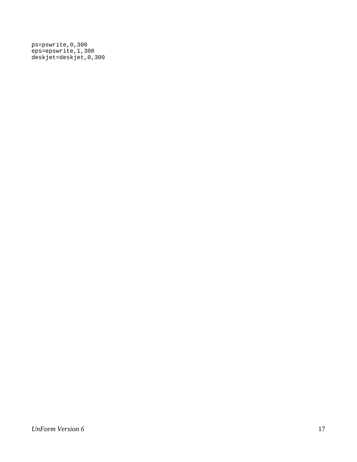ps=pswrite,0,300 eps=epswrite,1,300 deskjet=deskjet,0,300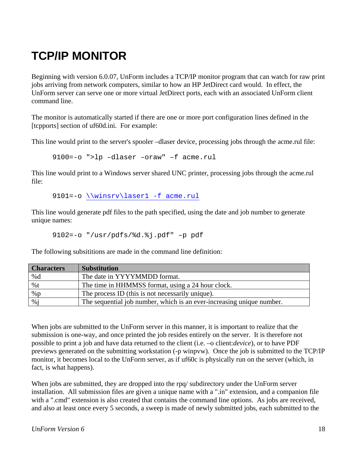# <span id="page-17-0"></span>**TCP/IP MONITOR**

Beginning with version 6.0.07, UnForm includes a TCP/IP monitor program that can watch for raw print jobs arriving from network computers, similar to how an HP JetDirect card would. In effect, the UnForm server can serve one or more virtual JetDirect ports, each with an associated UnForm client command line.

The monitor is automatically started if there are one or more port configuration lines defined in the [tcpports] section of uf60d.ini. For example:

This line would print to the server's spooler –dlaser device, processing jobs through the acme.rul file:

9100=-o ">lp –dlaser –oraw" –f acme.rul

This line would print to a Windows server shared UNC printer, processing jobs through the acme.rul file:

9101=-o \\winsrv\laser1 -f acme.rul

This line would generate pdf files to the path specified, using the date and job number to generate unique names:

```
 9102=-o "/usr/pdfs/%d.%j.pdf" –p pdf
```
The following subsititions are made in the command line definition:

| <b>Characters</b> | <b>Substitution</b>                                                   |
|-------------------|-----------------------------------------------------------------------|
| %d                | The date in YYYYMMDD format.                                          |
| %t                | The time in HHMMSS format, using a 24 hour clock.                     |
| %p                | The process ID (this is not necessarily unique).                      |
| %                 | The sequential job number, which is an ever-increasing unique number. |

When jobs are submitted to the UnForm server in this manner, it is important to realize that the submission is one-way, and once printed the job resides entirely on the server. It is therefore not possible to print a job and have data returned to the client (i.e. –o client:*device*), or to have PDF previews generated on the submitting workstation (-p winpvw). Once the job is submitted to the TCP/IP monitor, it becomes local to the UnForm server, as if uf60c is physically run on the server (which, in fact, is what happens).

When jobs are submitted, they are dropped into the rpq/ subdirectory under the UnForm server installation. All submission files are given a unique name with a ".in" extension, and a companion file with a ".cmd" extension is also created that contains the command line options. As jobs are received, and also at least once every 5 seconds, a sweep is made of newly submitted jobs, each submitted to the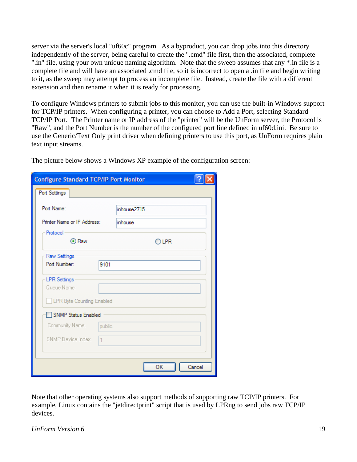server via the server's local "uf60c" program. As a byproduct, you can drop jobs into this directory independently of the server, being careful to create the ".cmd" file first, then the associated, complete ".in" file, using your own unique naming algorithm. Note that the sweep assumes that any \*.in file is a complete file and will have an associated .cmd file, so it is incorrect to open a .in file and begin writing to it, as the sweep may attempt to process an incomplete file. Instead, create the file with a different extension and then rename it when it is ready for processing.

To configure Windows printers to submit jobs to this monitor, you can use the built-in Windows support for TCP/IP printers. When configuring a printer, you can choose to Add a Port, selecting Standard TCP/IP Port. The Printer name or IP address of the "printer" will be the UnForm server, the Protocol is "Raw", and the Port Number is the number of the configured port line defined in uf60d.ini. Be sure to use the Generic/Text Only print driver when defining printers to use this port, as UnForm requires plain text input streams.

| <b>Configure Standard TCP/IP Port Monitor</b>                          |                |  |
|------------------------------------------------------------------------|----------------|--|
| Port Settings                                                          |                |  |
| Port Name:                                                             | inhouse2715    |  |
| Printer Name or IP Address:                                            | inhouse        |  |
| Protocol<br>⊙ Raw                                                      | $\bigcirc$ lpr |  |
| Raw Settings                                                           |                |  |
| Port Number:<br>9101                                                   |                |  |
| <b>LPR</b> Settings<br>Queue Name:<br><b>LPR Byte Counting Enabled</b> |                |  |
| SNMP Status Enabled                                                    |                |  |
| Community Name:<br>public                                              |                |  |
| SNMP Device Index:<br>$\mathbf{1}$                                     |                |  |
|                                                                        | OK<br>Cancel   |  |

The picture below shows a Windows XP example of the configuration screen:

Note that other operating systems also support methods of supporting raw TCP/IP printers. For example, Linux contains the "jetdirectprint" script that is used by LPRng to send jobs raw TCP/IP devices.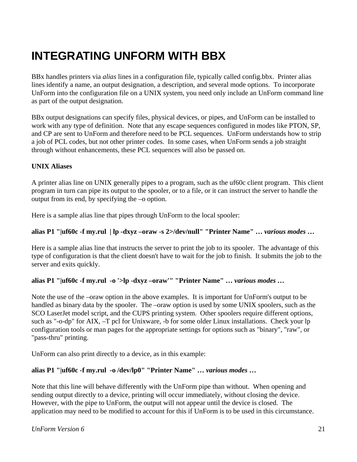## <span id="page-20-0"></span>**INTEGRATING UNFORM WITH BBX**

BBx handles printers via *alias* lines in a configuration file, typically called config.bbx. Printer alias lines identify a name, an output designation, a description, and several mode options. To incorporate UnForm into the configuration file on a UNIX system, you need only include an UnForm command line as part of the output designation.

BBx output designations can specify files, physical devices, or pipes, and UnForm can be installed to work with any type of definition. Note that any escape sequences configured in modes like PTON, SP, and CP are sent to UnForm and therefore need to be PCL sequences. UnForm understands how to strip a job of PCL codes, but not other printer codes. In some cases, when UnForm sends a job straight through without enhancements, these PCL sequences will also be passed on.

### **UNIX Aliases**

A printer alias line on UNIX generally pipes to a program, such as the uf60c client program. This client program in turn can pipe its output to the spooler, or to a file, or it can instruct the server to handle the output from its end, by specifying the –o option.

Here is a sample alias line that pipes through UnForm to the local spooler:

#### **alias P1 "|uf60c -f my.rul | lp -dxyz –oraw -s 2>/dev/null" "Printer Name" …** *various modes* **…**

Here is a sample alias line that instructs the server to print the job to its spooler. The advantage of this type of configuration is that the client doesn't have to wait for the job to finish. It submits the job to the server and exits quickly.

#### **alias P1 "|uf60c -f my.rul -o '>lp -dxyz –oraw'" "Printer Name" …** *various modes …*

Note the use of the –oraw option in the above examples. It is important for UnForm's output to be handled as binary data by the spooler. The –oraw option is used by some UNIX spoolers, such as the SCO LaserJet model script, and the CUPS printing system. Other spoolers require different options, such as "-o-dp" for AIX, –T pcl for Unixware, -b for some older Linux installations. Check your lp configuration tools or man pages for the appropriate settings for options such as "binary", "raw", or "pass-thru" printing.

UnForm can also print directly to a device, as in this example:

#### **alias P1 "|uf60c -f my.rul -o /dev/lp0" "Printer Name" …** *various modes* **…**

Note that this line will behave differently with the UnForm pipe than without. When opening and sending output directly to a device, printing will occur immediately, without closing the device. However, with the pipe to UnForm, the output will not appear until the device is closed. The application may need to be modified to account for this if UnForm is to be used in this circumstance.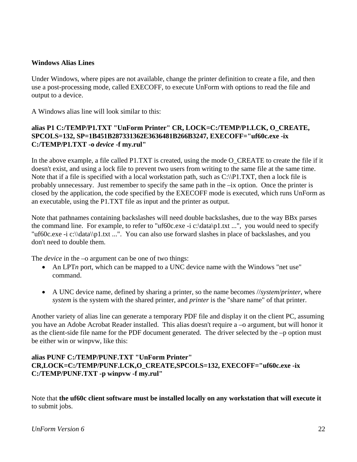#### **Windows Alias Lines**

Under Windows, where pipes are not available, change the printer definition to create a file, and then use a post-processing mode, called EXECOFF, to execute UnForm with options to read the file and output to a device.

A Windows alias line will look similar to this:

### **alias P1 C:/TEMP/P1.TXT "UnForm Printer" CR, LOCK=C:/TEMP/P1.LCK, O\_CREATE, SPCOLS=132, SP=1B451B287331362E3636481B266B3247, EXECOFF="uf60c.exe -ix C:/TEMP/P1.TXT -o** *device* **-f my.rul"**

In the above example, a file called P1.TXT is created, using the mode O\_CREATE to create the file if it doesn't exist, and using a lock file to prevent two users from writing to the same file at the same time. Note that if a file is specified with a local workstation path, such as  $C:\P1.TXT$ , then a lock file is probably unnecessary. Just remember to specify the same path in the –ix option. Once the printer is closed by the application, the code specified by the EXECOFF mode is executed, which runs UnForm as an executable, using the P1.TXT file as input and the printer as output.

Note that pathnames containing backslashes will need double backslashes, due to the way BBx parses the command line. For example, to refer to "uf60c.exe -i c:\data\p1.txt ...", you would need to specify "uf60c.exe -i c:\\data\\p1.txt ...". You can also use forward slashes in place of backslashes, and you don't need to double them.

The *device* in the –o argument can be one of two things:

- An LPT*n* port, which can be mapped to a UNC device name with the Windows "net use" command.
- A UNC device name, defined by sharing a printer, so the name becomes //*system*/*printer*, where *system* is the system with the shared printer, and *printer* is the "share name" of that printer.

Another variety of alias line can generate a temporary PDF file and display it on the client PC, assuming you have an Adobe Acrobat Reader installed. This alias doesn't require a –o argument, but will honor it as the client-side file name for the PDF document generated. The driver selected by the –p option must be either win or winpvw, like this:

### **alias PUNF C:/TEMP/PUNF.TXT "UnForm Printer" CR,LOCK=C:/TEMP/PUNF.LCK,O\_CREATE,SPCOLS=132, EXECOFF="uf60c.exe -ix C:/TEMP/PUNF.TXT -p winpvw -f my.rul"**

Note that **the uf60c client software must be installed locally on any workstation that will execute it** to submit jobs.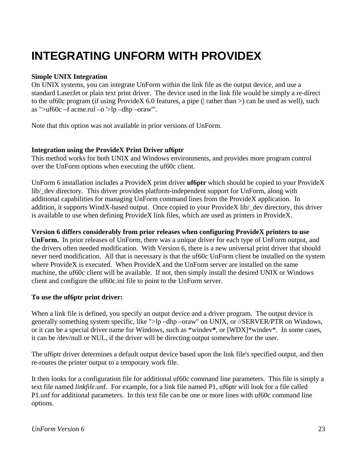## <span id="page-22-0"></span>**INTEGRATING UNFORM WITH PROVIDEX**

#### **Simple UNIX Integration**

On UNIX systems, you can integrate UnForm within the link file as the output device, and use a standard LaserJet or plain text print driver. The device used in the link file would be simply a re-direct to the uf60c program (if using ProvideX 6.0 features, a pipe ( $|$  rather than  $|$ ) can be used as well), such as " $>$ uf60c –f acme.rul –o ' $>$ lp –dhp –oraw'".

Note that this option was not available in prior versions of UnForm.

#### **Integration using the ProvideX Print Driver uf6ptr**

This method works for both UNIX and Windows environments, and provides more program control over the UnForm options when executing the uf60c client.

UnForm 6 installation includes a ProvideX print driver **uf6ptr** which should be copied to your ProvideX lib/\_dev directory. This driver provides platform-independent support for UnForm, along with additional capabilities for managing UnForm command lines from the ProvideX application. In addition, it supports WindX-based output. Once copied to your ProvideX lib/\_dev directory, this driver is available to use when defining ProvideX link files, which are used as printers in ProvideX.

**Version 6 differs considerably from prior releases when configuring ProvideX printers to use UnForm.** In prior releases of UnForm, there was a unique driver for each type of UnForm output, and the drivers often needed modification. With Version 6, there is a new universal print driver that should never need modification. All that is necessary is that the uf60c UnForm client be installed on the system where ProvideX is executed. When ProvideX and the UnForm server are installed on the same machine, the uf60c client will be available. If not, then simply install the desired UNIX or Windows client and configure the uf60c.ini file to point to the UnForm server.

#### **To use the uf6ptr print driver:**

When a link file is defined, you specify an output device and a driver program. The output device is generally something system specific, like ">lp –dhp –oraw" on UNIX, or //SERVER/PTR on Windows, or it can be a special driver name for Windows, such as \*windev**\***, or [WDX]\*windev\*. In some cases, it can be /dev/null or NUL, if the driver will be directing output somewhere for the user.

The uf6ptr driver determines a default output device based upon the link file's specified output, and then re-routes the printer output to a temporary work file.

It then looks for a configuration file for additional uf60c command line parameters. This file is simply a text file named *linkfile*.unf. For example, for a link file named P1, uf6ptr will look for a file called P1.unf for additional parameters. In this text file can be one or more lines with uf60c command line options.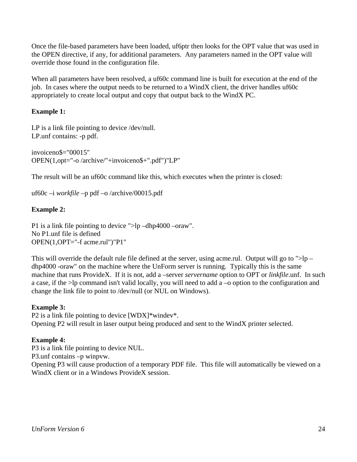Once the file-based parameters have been loaded, uf6ptr then looks for the OPT value that was used in the OPEN directive, if any, for additional parameters. Any parameters named in the OPT value will override those found in the configuration file.

When all parameters have been resolved, a uf60c command line is built for execution at the end of the job. In cases where the output needs to be returned to a WindX client, the driver handles uf60c appropriately to create local output and copy that output back to the WindX PC.

### **Example 1:**

LP is a link file pointing to device /dev/null. LP.unf contains: -p pdf.

```
invoiceno$="00015" 
OPEN(1,opt="-o /archive/"+invoiceno$+".pdf")"LP"
```
The result will be an uf60c command like this, which executes when the printer is closed:

uf60c –i *workfile* –p pdf –o /archive/00015.pdf

### **Example 2:**

P1 is a link file pointing to device ">lp –dhp4000 –oraw". No P1.unf file is defined OPEN(1,OPT="-f acme.rul")"P1"

This will override the default rule file defined at the server, using acme.rul. Output will go to  $\frac{1}{2}$  dhp4000 -oraw" on the machine where the UnForm server is running. Typically this is the same machine that runs ProvideX. If it is not, add a –server *servername* option to OPT or *linkfile*.unf. In such a case, if the >lp command isn't valid locally, you will need to add a –o option to the configuration and change the link file to point to /dev/null (or NUL on Windows).

#### **Example 3:**

P2 is a link file pointing to device [WDX]\*windev\*. Opening P2 will result in laser output being produced and sent to the WindX printer selected.

#### **Example 4:**

P3 is a link file pointing to device NUL.

P3.unf contains –p winpvw.

Opening P3 will cause production of a temporary PDF file. This file will automatically be viewed on a WindX client or in a Windows ProvideX session.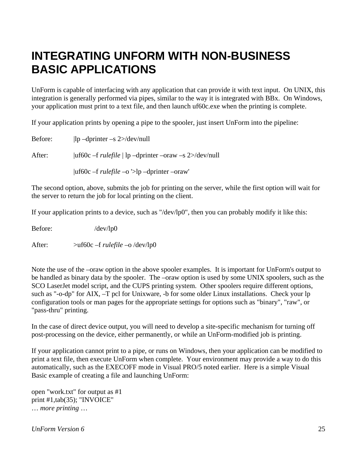### <span id="page-24-0"></span>**INTEGRATING UNFORM WITH NON-BUSINESS BASIC APPLICATIONS**

UnForm is capable of interfacing with any application that can provide it with text input. On UNIX, this integration is generally performed via pipes, similar to the way it is integrated with BBx. On Windows, your application must print to a text file, and then launch uf60c.exe when the printing is complete.

If your application prints by opening a pipe to the spooler, just insert UnForm into the pipeline:

Before:  $\qquad$   $\qquad$   $\qquad$   $\qquad$   $\qquad$   $\qquad$   $\qquad$   $\qquad$   $\qquad$   $\qquad$   $\qquad$   $\qquad$   $\qquad$   $\qquad$   $\qquad$   $\qquad$   $\qquad$   $\qquad$   $\qquad$   $\qquad$   $\qquad$   $\qquad$   $\qquad$   $\qquad$   $\qquad$   $\qquad$   $\qquad$   $\qquad$   $\qquad$   $\qquad$   $\qquad$   $\qquad$   $\qquad$   $\qquad$   $\qquad$   $\qquad$ After:  $|uf60c -f rulefile|$   $lp$  –dprinter –oraw –s 2>/dev/null |uf60c –f *rulefile* –o '>lp –dprinter –oraw'

The second option, above, submits the job for printing on the server, while the first option will wait for the server to return the job for local printing on the client.

If your application prints to a device, such as "/dev/lp0", then you can probably modify it like this:

Before: /dev/lp0

After:  $>$ uf60c –f *rulefile* –o /dev/lp0

Note the use of the –oraw option in the above spooler examples. It is important for UnForm's output to be handled as binary data by the spooler. The –oraw option is used by some UNIX spoolers, such as the SCO LaserJet model script, and the CUPS printing system. Other spoolers require different options, such as "-o-dp" for AIX, –T pcl for Unixware, -b for some older Linux installations. Check your lp configuration tools or man pages for the appropriate settings for options such as "binary", "raw", or "pass-thru" printing.

In the case of direct device output, you will need to develop a site-specific mechanism for turning off post-processing on the device, either permanently, or while an UnForm-modified job is printing.

If your application cannot print to a pipe, or runs on Windows, then your application can be modified to print a text file, then execute UnForm when complete. Your environment may provide a way to do this automatically, such as the EXECOFF mode in Visual PRO/5 noted earlier. Here is a simple Visual Basic example of creating a file and launching UnForm:

open "work.txt" for output as #1 print #1,tab(35); "INVOICE" … *more printing* …

*UnForm Version 6* 25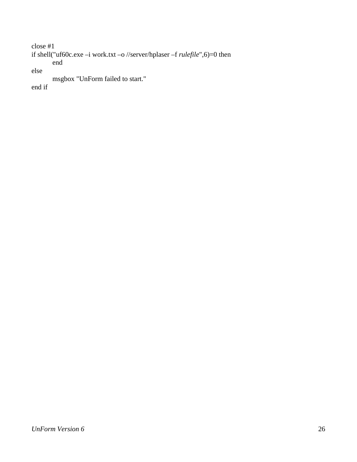```
close #1 
if shell("uf60c.exe –i work.txt –o //server/hplaser –f rulefile",6)=0 then 
       end 
else 
       msgbox "UnForm failed to start." 
end if
```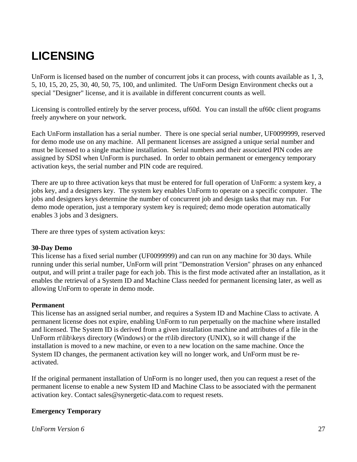# <span id="page-26-0"></span>**LICENSING**

UnForm is licensed based on the number of concurrent jobs it can process, with counts available as 1, 3, 5, 10, 15, 20, 25, 30, 40, 50, 75, 100, and unlimited. The UnForm Design Environment checks out a special "Designer" license, and it is available in different concurrent counts as well.

Licensing is controlled entirely by the server process, uf60d. You can install the uf60c client programs freely anywhere on your network.

Each UnForm installation has a serial number. There is one special serial number, UF0099999, reserved for demo mode use on any machine. All permanent licenses are assigned a unique serial number and must be licensed to a single machine installation. Serial numbers and their associated PIN codes are assigned by SDSI when UnForm is purchased. In order to obtain permanent or emergency temporary activation keys, the serial number and PIN code are required.

There are up to three activation keys that must be entered for full operation of UnForm: a system key, a jobs key, and a designers key. The system key enables UnForm to operate on a specific computer. The jobs and designers keys determine the number of concurrent job and design tasks that may run. For demo mode operation, just a temporary system key is required; demo mode operation automatically enables 3 jobs and 3 designers.

There are three types of system activation keys:

#### **30-Day Demo**

This license has a fixed serial number (UF0099999) and can run on any machine for 30 days. While running under this serial number, UnForm will print "Demonstration Version" phrases on any enhanced output, and will print a trailer page for each job. This is the first mode activated after an installation, as it enables the retrieval of a System ID and Machine Class needed for permanent licensing later, as well as allowing UnForm to operate in demo mode.

#### **Permanent**

This license has an assigned serial number, and requires a System ID and Machine Class to activate. A permanent license does not expire, enabling UnForm to run perpetually on the machine where installed and licensed. The System ID is derived from a given installation machine and attributes of a file in the UnForm rt\lib\keys directory (Windows) or the rt\lib directory (UNIX), so it will change if the installation is moved to a new machine, or even to a new location on the same machine. Once the System ID changes, the permanent activation key will no longer work, and UnForm must be reactivated.

If the original permanent installation of UnForm is no longer used, then you can request a reset of the permanent license to enable a new System ID and Machine Class to be associated with the permanent activation key. Contact sales@synergetic-data.com to request resets.

#### **Emergency Temporary**

*UnForm Version 6* 27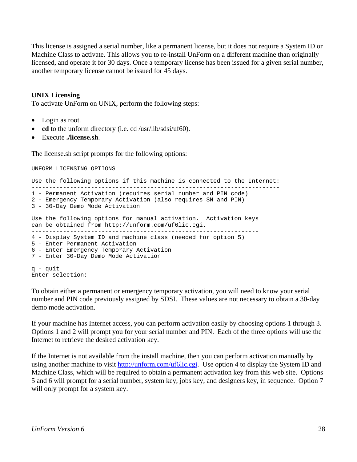This license is assigned a serial number, like a permanent license, but it does not require a System ID or Machine Class to activate. This allows you to re-install UnForm on a different machine than originally licensed, and operate it for 30 days. Once a temporary license has been issued for a given serial number, another temporary license cannot be issued for 45 days.

#### **UNIX Licensing**

To activate UnForm on UNIX, perform the following steps:

- Login as root.
- **cd** to the unform directory (i.e. cd /usr/lib/sdsi/uf60).
- Execute **./license.sh**.

The license.sh script prompts for the following options:

```
UNFORM LICENSING OPTIONS 
Use the following options if this machine is connected to the Internet: 
----------------------------------------------------------------------- 
1 - Permanent Activation (requires serial number and PIN code) 
2 - Emergency Temporary Activation (also requires SN and PIN) 
3 - 30-Day Demo Mode Activation 
Use the following options for manual activation. Activation keys 
can be obtained from http://unform.com/uf6lic.cgi. 
----------------------------------------------------------------- 
4 - Display System ID and machine class (needed for option 5) 
5 - Enter Permanent Activation 
6 - Enter Emergency Temporary Activation 
7 - Enter 30-Day Demo Mode Activation 
q - quit 
Enter selection:
```
To obtain either a permanent or emergency temporary activation, you will need to know your serial number and PIN code previously assigned by SDSI. These values are not necessary to obtain a 30-day demo mode activation.

If your machine has Internet access, you can perform activation easily by choosing options 1 through 3. Options 1 and 2 will prompt you for your serial number and PIN. Each of the three options will use the Internet to retrieve the desired activation key.

If the Internet is not available from the install machine, then you can perform activation manually by using another machine to visit http://unform.com/uf6lic.cgi. Use option 4 to display the System ID and Machine Class, which will be required to obtain a permanent activation key from this web site. Options 5 and 6 will prompt for a serial number, system key, jobs key, and designers key, in sequence. Option 7 will only prompt for a system key.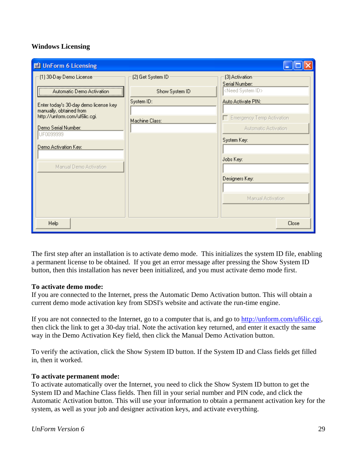### **Windows Licensing**

| <b>di</b> UnForm 6 Licensing                             |                   |                                   |
|----------------------------------------------------------|-------------------|-----------------------------------|
| (1) 30-Day Demo License                                  | (2) Get System ID | (3) Activation:<br>Serial Number: |
| Automatic Demo Activation                                | Show System ID    | <need id="" system=""></need>     |
| Enter today's 30-day demo license key                    | System ID:        | Auto Activate PIN:                |
| manually, obtained from<br>http://unform.com/uf6lic.cgi. | Machine Class:    | Emergency Temp Activation         |
| Demo Serial Number:<br>UF0099999                         |                   | Automatic Activation              |
| Demo Activation Key:                                     |                   | System Key:                       |
|                                                          |                   | Jobs Key:                         |
| Manual Demo Activation                                   |                   |                                   |
|                                                          |                   | Designers Key:                    |
|                                                          |                   | Manual Activation                 |
|                                                          |                   |                                   |
| Help                                                     |                   | Close                             |

The first step after an installation is to activate demo mode. This initializes the system ID file, enabling a permanent license to be obtained. If you get an error message after pressing the Show System ID button, then this installation has never been initialized, and you must activate demo mode first.

#### **To activate demo mode:**

If you are connected to the Internet, press the Automatic Demo Activation button. This will obtain a current demo mode activation key from SDSI's website and activate the run-time engine.

If you are not connected to the Internet, go to a computer that is, and go to http://unform.com/uf6lic.cgi, then click the link to get a 30-day trial. Note the activation key returned, and enter it exactly the same way in the Demo Activation Key field, then click the Manual Demo Activation button.

To verify the activation, click the Show System ID button. If the System ID and Class fields get filled in, then it worked.

#### **To activate permanent mode:**

To activate automatically over the Internet, you need to click the Show System ID button to get the System ID and Machine Class fields. Then fill in your serial number and PIN code, and click the Automatic Activation button. This will use your information to obtain a permanent activation key for the system, as well as your job and designer activation keys, and activate everything.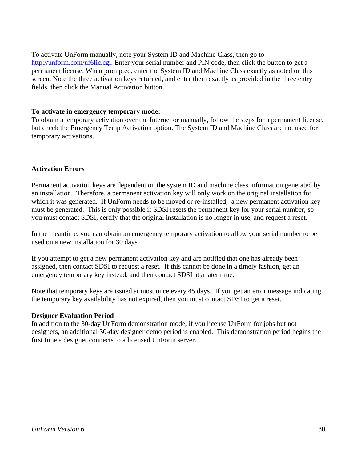To activate UnForm manually, note your System ID and Machine Class, then go to http://unform.com/uf6lic.cgi. Enter your serial number and PIN code, then click the button to get a permanent license. When prompted, enter the System ID and Machine Class exactly as noted on this screen. Note the three activation keys returned, and enter them exactly as provided in the three entry fields, then click the Manual Activation button.

#### **To activate in emergency temporary mode:**

To obtain a temporary activation over the Internet or manually, follow the steps for a permanent license, but check the Emergency Temp Activation option. The System ID and Machine Class are not used for temporary activations.

#### **Activation Errors**

Permanent activation keys are dependent on the system ID and machine class information generated by an installation. Therefore, a permanent activation key will only work on the original installation for which it was generated. If UnForm needs to be moved or re-installed, a new permanent activation key must be generated. This is only possible if SDSI resets the permanent key for your serial number, so you must contact SDSI, certify that the original installation is no longer in use, and request a reset.

In the meantime, you can obtain an emergency temporary activation to allow your serial number to be used on a new installation for 30 days.

If you attempt to get a new permanent activation key and are notified that one has already been assigned, then contact SDSI to request a reset. If this cannot be done in a timely fashion, get an emergency temporary key instead, and then contact SDSI at a later time.

Note that temporary keys are issued at most once every 45 days. If you get an error message indicating the temporary key availability has not expired, then you must contact SDSI to get a reset.

#### **Designer Evaluation Period**

In addition to the 30-day UnForm demonstration mode, if you license UnForm for jobs but not designers, an additional 30-day designer demo period is enabled. This demonstration period begins the first time a designer connects to a licensed UnForm server.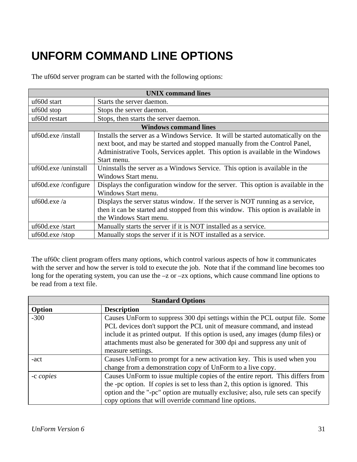# <span id="page-30-0"></span>**UNFORM COMMAND LINE OPTIONS**

The uf60d server program can be started with the following options:

| <b>UNIX</b> command lines |                                                                                                                                                                                                                                                                  |
|---------------------------|------------------------------------------------------------------------------------------------------------------------------------------------------------------------------------------------------------------------------------------------------------------|
| uf60d start               | Starts the server daemon.                                                                                                                                                                                                                                        |
| uf <sub>60</sub> d stop   | Stops the server daemon.                                                                                                                                                                                                                                         |
| uf60d restart             | Stops, then starts the server daemon.                                                                                                                                                                                                                            |
|                           | <b>Windows command lines</b>                                                                                                                                                                                                                                     |
| uf60d.exe/install         | Installs the server as a Windows Service. It will be started automatically on the<br>next boot, and may be started and stopped manually from the Control Panel,<br>Administrative Tools, Services applet. This option is available in the Windows<br>Start menu. |
| uf60d.exe/uninstall       | Uninstalls the server as a Windows Service. This option is available in the<br>Windows Start menu.                                                                                                                                                               |
| uf60d.exe /configure      | Displays the configuration window for the server. This option is available in the<br>Windows Start menu.                                                                                                                                                         |
| uf <sub>60d.exe</sub> /a  | Displays the server status window. If the server is NOT running as a service,<br>then it can be started and stopped from this window. This option is available in<br>the Windows Start menu.                                                                     |
| uf60d.exe/start           | Manually starts the server if it is NOT installed as a service.                                                                                                                                                                                                  |
| $\mu$ f60d.exe/stop       | Manually stops the server if it is NOT installed as a service.                                                                                                                                                                                                   |

The uf60c client program offers many options, which control various aspects of how it communicates with the server and how the server is told to execute the job. Note that if the command line becomes too long for the operating system, you can use the –z or –zx options, which cause command line options to be read from a text file.

| <b>Standard Options</b> |                                                                                      |
|-------------------------|--------------------------------------------------------------------------------------|
| Option                  | <b>Description</b>                                                                   |
| $-300$                  | Causes UnForm to suppress 300 dpi settings within the PCL output file. Some          |
|                         | PCL devices don't support the PCL unit of measure command, and instead               |
|                         | include it as printed output. If this option is used, any images (dump files) or     |
|                         | attachments must also be generated for 300 dpi and suppress any unit of              |
|                         | measure settings.                                                                    |
| -act                    | Causes UnForm to prompt for a new activation key. This is used when you              |
|                         | change from a demonstration copy of UnForm to a live copy.                           |
| -c copies               | Causes UnForm to issue multiple copies of the entire report. This differs from       |
|                         | the -pc option. If <i>copies</i> is set to less than 2, this option is ignored. This |
|                         | option and the "-pc" option are mutually exclusive; also, rule sets can specify      |
|                         | copy options that will override command line options.                                |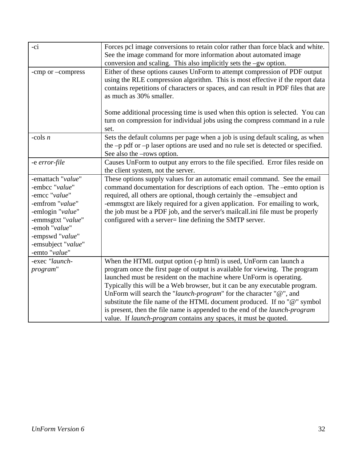| -ci                                                                                                                                                                                         | Forces pcl image conversions to retain color rather than force black and white.<br>See the image command for more information about automated image<br>conversion and scaling. This also implicitly sets the -gw option.                                                                                                                                                                                                                                                                                                                                                                                                |
|---------------------------------------------------------------------------------------------------------------------------------------------------------------------------------------------|-------------------------------------------------------------------------------------------------------------------------------------------------------------------------------------------------------------------------------------------------------------------------------------------------------------------------------------------------------------------------------------------------------------------------------------------------------------------------------------------------------------------------------------------------------------------------------------------------------------------------|
| -cmp or -compress                                                                                                                                                                           | Either of these options causes UnForm to attempt compression of PDF output<br>using the RLE compression algorithm. This is most effective if the report data<br>contains repetitions of characters or spaces, and can result in PDF files that are<br>as much as 30% smaller.                                                                                                                                                                                                                                                                                                                                           |
|                                                                                                                                                                                             | Some additional processing time is used when this option is selected. You can<br>turn on compression for individual jobs using the compress command in a rule<br>set.                                                                                                                                                                                                                                                                                                                                                                                                                                                   |
| -cols $n$                                                                                                                                                                                   | Sets the default columns per page when a job is using default scaling, as when<br>the -p pdf or -p laser options are used and no rule set is detected or specified.<br>See also the –rows option.                                                                                                                                                                                                                                                                                                                                                                                                                       |
| -e error-file                                                                                                                                                                               | Causes UnForm to output any errors to the file specified. Error files reside on<br>the client system, not the server.                                                                                                                                                                                                                                                                                                                                                                                                                                                                                                   |
| -emattach "value"<br>-embcc "value"<br>-emcc "value"<br>-emfrom "value"<br>-emlogin "value"<br>-emmsgtxt "value"<br>-emoh "value"<br>-empswd "value"<br>-emsubject "value"<br>-emto "value" | These options supply values for an automatic email command. See the email<br>command documentation for descriptions of each option. The -emto option is<br>required, all others are optional, though certainly the -emsubject and<br>-emmsgtxt are likely required for a given application. For emailing to work,<br>the job must be a PDF job, and the server's mailcall.ini file must be properly<br>configured with a server= line defining the SMTP server.                                                                                                                                                         |
| -exec "launch-<br>program"                                                                                                                                                                  | When the HTML output option (-p html) is used, UnForm can launch a<br>program once the first page of output is available for viewing. The program<br>launched must be resident on the machine where UnForm is operating.<br>Typically this will be a Web browser, but it can be any executable program.<br>UnForm will search the "launch-program" for the character " $@$ ", and<br>substitute the file name of the HTML document produced. If no "@" symbol<br>is present, then the file name is appended to the end of the <i>launch-program</i><br>value. If launch-program contains any spaces, it must be quoted. |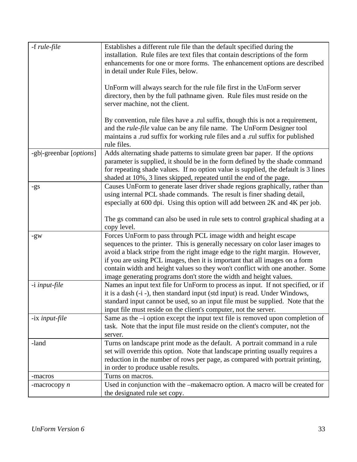| -f rule-file            | Establishes a different rule file than the default specified during the<br>installation. Rule files are text files that contain descriptions of the form<br>enhancements for one or more forms. The enhancement options are described<br>in detail under Rule Files, below.<br>UnForm will always search for the rule file first in the UnForm server<br>directory, then by the full pathname given. Rule files must reside on the<br>server machine, not the client.   |
|-------------------------|-------------------------------------------------------------------------------------------------------------------------------------------------------------------------------------------------------------------------------------------------------------------------------------------------------------------------------------------------------------------------------------------------------------------------------------------------------------------------|
|                         | By convention, rule files have a .rul suffix, though this is not a requirement,<br>and the <i>rule-file</i> value can be any file name. The UnForm Designer tool<br>maintains a .rud suffix for working rule files and a .rul suffix for published<br>rule files.                                                                                                                                                                                                       |
| -gb -greenbar [options] | Adds alternating shade patterns to simulate green bar paper. If the options<br>parameter is supplied, it should be in the form defined by the shade command<br>for repeating shade values. If no option value is supplied, the default is 3 lines<br>shaded at 10%, 3 lines skipped, repeated until the end of the page.                                                                                                                                                |
| -gs                     | Causes UnForm to generate laser driver shade regions graphically, rather than<br>using internal PCL shade commands. The result is finer shading detail,<br>especially at 600 dpi. Using this option will add between 2K and 4K per job.<br>The gs command can also be used in rule sets to control graphical shading at a<br>copy level.                                                                                                                                |
| -gw                     | Forces UnForm to pass through PCL image width and height escape<br>sequences to the printer. This is generally necessary on color laser images to<br>avoid a black stripe from the right image edge to the right margin. However,<br>if you are using PCL images, then it is important that all images on a form<br>contain width and height values so they won't conflict with one another. Some<br>image generating programs don't store the width and height values. |
| -i input-file           | Names an input text file for UnForm to process as input. If not specified, or if<br>it is a dash (-i -), then standard input (std input) is read. Under Windows,<br>standard input cannot be used, so an input file must be supplied. Note that the<br>input file must reside on the client's computer, not the server.                                                                                                                                                 |
| -ix <i>input-file</i>   | Same as the $-i$ option except the input text file is removed upon completion of<br>task. Note that the input file must reside on the client's computer, not the<br>server.                                                                                                                                                                                                                                                                                             |
| -land                   | Turns on landscape print mode as the default. A portrait command in a rule<br>set will override this option. Note that landscape printing usually requires a<br>reduction in the number of rows per page, as compared with portrait printing,<br>in order to produce usable results.                                                                                                                                                                                    |
| -macros                 | Turns on macros.                                                                                                                                                                                                                                                                                                                                                                                                                                                        |
| -macrocopy $n$          | Used in conjunction with the -makemacro option. A macro will be created for<br>the designated rule set copy.                                                                                                                                                                                                                                                                                                                                                            |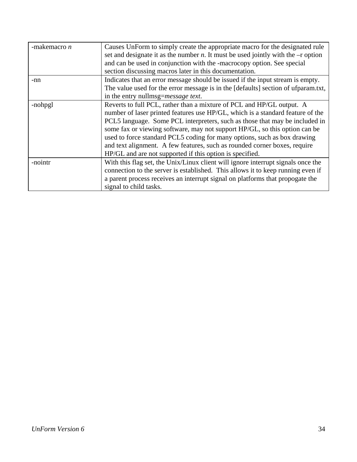| -makemacro $n$ | Causes UnForm to simply create the appropriate macro for the designated rule<br>set and designate it as the number <i>n</i> . It must be used jointly with the $-$ r option<br>and can be used in conjunction with the -macrocopy option. See special |
|----------------|-------------------------------------------------------------------------------------------------------------------------------------------------------------------------------------------------------------------------------------------------------|
|                | section discussing macros later in this documentation.                                                                                                                                                                                                |
| -nn            | Indicates that an error message should be issued if the input stream is empty.                                                                                                                                                                        |
|                | The value used for the error message is in the [defaults] section of ufparam.txt,                                                                                                                                                                     |
|                | in the entry nullmsg=message text.                                                                                                                                                                                                                    |
| -nohpgl        | Reverts to full PCL, rather than a mixture of PCL and HP/GL output. A                                                                                                                                                                                 |
|                | number of laser printed features use HP/GL, which is a standard feature of the                                                                                                                                                                        |
|                | PCL5 language. Some PCL interpreters, such as those that may be included in                                                                                                                                                                           |
|                | some fax or viewing software, may not support HP/GL, so this option can be                                                                                                                                                                            |
|                | used to force standard PCL5 coding for many options, such as box drawing                                                                                                                                                                              |
|                | and text alignment. A few features, such as rounded corner boxes, require                                                                                                                                                                             |
|                | HP/GL and are not supported if this option is specified.                                                                                                                                                                                              |
| -nointr        | With this flag set, the Unix/Linux client will ignore interrupt signals once the                                                                                                                                                                      |
|                | connection to the server is established. This allows it to keep running even if                                                                                                                                                                       |
|                | a parent process receives an interrupt signal on platforms that propogate the                                                                                                                                                                         |
|                | signal to child tasks.                                                                                                                                                                                                                                |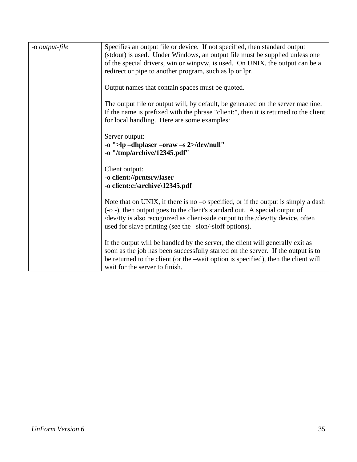| -o <i>output-file</i> | Specifies an output file or device. If not specified, then standard output<br>(stdout) is used. Under Windows, an output file must be supplied unless one<br>of the special drivers, win or winpvw, is used. On UNIX, the output can be a<br>redirect or pipe to another program, such as lp or lpr.             |
|-----------------------|------------------------------------------------------------------------------------------------------------------------------------------------------------------------------------------------------------------------------------------------------------------------------------------------------------------|
|                       | Output names that contain spaces must be quoted.                                                                                                                                                                                                                                                                 |
|                       | The output file or output will, by default, be generated on the server machine.<br>If the name is prefixed with the phrase "client:", then it is returned to the client<br>for local handling. Here are some examples:                                                                                           |
|                       | Server output:<br>-o ">lp -dhplaser -oraw -s 2>/dev/null"<br>-o "/tmp/archive/12345.pdf"                                                                                                                                                                                                                         |
|                       | Client output:<br>-o client://prntsrv/laser<br>-o client:c:\archive\12345.pdf                                                                                                                                                                                                                                    |
|                       | Note that on UNIX, if there is no $-$ o specified, or if the output is simply a dash<br>(-o -), then output goes to the client's standard out. A special output of<br>/dev/tty is also recognized as client-side output to the /dev/tty device, often<br>used for slave printing (see the -slon/-sloff options). |
|                       | If the output will be handled by the server, the client will generally exit as<br>soon as the job has been successfully started on the server. If the output is to<br>be returned to the client (or the –wait option is specified), then the client will<br>wait for the server to finish.                       |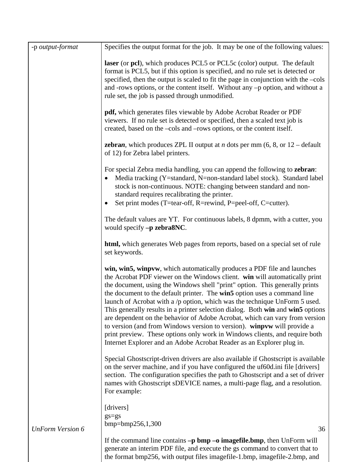| -p output-format        | Specifies the output format for the job. It may be one of the following values:                                                                                                                                                                                                                                                                                                                                                                                                                                                                                                                                                                                                                                                                                                                       |
|-------------------------|-------------------------------------------------------------------------------------------------------------------------------------------------------------------------------------------------------------------------------------------------------------------------------------------------------------------------------------------------------------------------------------------------------------------------------------------------------------------------------------------------------------------------------------------------------------------------------------------------------------------------------------------------------------------------------------------------------------------------------------------------------------------------------------------------------|
|                         | laser (or pcl), which produces PCL5 or PCL5c (color) output. The default<br>format is PCL5, but if this option is specified, and no rule set is detected or<br>specified, then the output is scaled to fit the page in conjunction with the –cols<br>and -rows options, or the content itself. Without any -p option, and without a<br>rule set, the job is passed through unmodified.                                                                                                                                                                                                                                                                                                                                                                                                                |
|                         | pdf, which generates files viewable by Adobe Acrobat Reader or PDF<br>viewers. If no rule set is detected or specified, then a scaled text job is<br>created, based on the –cols and –rows options, or the content itself.                                                                                                                                                                                                                                                                                                                                                                                                                                                                                                                                                                            |
|                         | <b>zebran</b> , which produces ZPL II output at <i>n</i> dots per mm $(6, 8, \text{ or } 12 - \text{default})$<br>of 12) for Zebra label printers.                                                                                                                                                                                                                                                                                                                                                                                                                                                                                                                                                                                                                                                    |
|                         | For special Zebra media handling, you can append the following to <b>zebran</b> :<br>Media tracking (Y=standard, N=non-standard label stock). Standard label<br>stock is non-continuous. NOTE: changing between standard and non-<br>standard requires recalibrating the printer.<br>Set print modes (T=tear-off, R=rewind, P=peel-off, C=cutter).                                                                                                                                                                                                                                                                                                                                                                                                                                                    |
|                         | The default values are YT. For continuous labels, 8 dpmm, with a cutter, you<br>would specify -p zebra8NC.                                                                                                                                                                                                                                                                                                                                                                                                                                                                                                                                                                                                                                                                                            |
|                         | <b>html</b> , which generates Web pages from reports, based on a special set of rule<br>set keywords.                                                                                                                                                                                                                                                                                                                                                                                                                                                                                                                                                                                                                                                                                                 |
|                         | win, win5, winpvw, which automatically produces a PDF file and launches<br>the Acrobat PDF viewer on the Windows client. win will automatically print<br>the document, using the Windows shell "print" option. This generally prints<br>the document to the default printer. The win5 option uses a command line<br>launch of Acrobat with a $/p$ option, which was the technique UnForm 5 used.<br>This generally results in a printer selection dialog. Both win and win5 options<br>are dependent on the behavior of Adobe Acrobat, which can vary from version<br>to version (and from Windows version to version). winpvw will provide a<br>print preview. These options only work in Windows clients, and require both<br>Internet Explorer and an Adobe Acrobat Reader as an Explorer plug in. |
|                         | Special Ghostscript-driven drivers are also available if Ghostscript is available<br>on the server machine, and if you have configured the uf60d.ini file [drivers]<br>section. The configuration specifies the path to Ghostscript and a set of driver<br>names with Ghostscript sDEVICE names, a multi-page flag, and a resolution.<br>For example:                                                                                                                                                                                                                                                                                                                                                                                                                                                 |
| <b>UnForm Version 6</b> | [drivers]<br>$gs = gs$<br>$bmp=bmp256,1,300$<br>36                                                                                                                                                                                                                                                                                                                                                                                                                                                                                                                                                                                                                                                                                                                                                    |
|                         | If the command line contains $-p$ bmp $-o$ imagefile.bmp, then UnForm will<br>generate an interim PDF file, and execute the gs command to convert that to<br>the format bmp256, with output files imagefile-1.bmp, imagefile-2.bmp, and                                                                                                                                                                                                                                                                                                                                                                                                                                                                                                                                                               |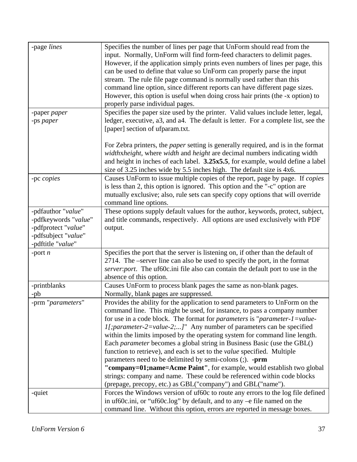| -page lines          | Specifies the number of lines per page that UnForm should read from the                  |
|----------------------|------------------------------------------------------------------------------------------|
|                      | input. Normally, UnForm will find form-feed characters to delimit pages.                 |
|                      | However, if the application simply prints even numbers of lines per page, this           |
|                      | can be used to define that value so UnForm can properly parse the input                  |
|                      | stream. The rule file page command is normally used rather than this                     |
|                      | command line option, since different reports can have different page sizes.              |
|                      | However, this option is useful when doing cross hair prints (the -x option) to           |
|                      | properly parse individual pages.                                                         |
| -paper paper         | Specifies the paper size used by the printer. Valid values include letter, legal,        |
|                      | ledger, executive, a3, and a4. The default is letter. For a complete list, see the       |
| -ps paper            | [paper] section of ufparam.txt.                                                          |
|                      |                                                                                          |
|                      | For Zebra printers, the <i>paper</i> setting is generally required, and is in the format |
|                      | widthxheight, where width and height are decimal numbers indicating width                |
|                      | and height in inches of each label. 3.25x5.5, for example, would define a label          |
|                      |                                                                                          |
|                      | size of 3.25 inches wide by 5.5 inches high. The default size is 4x6.                    |
| -pc copies           | Causes UnForm to issue multiple copies of the report, page by page. If <i>copies</i>     |
|                      | is less than 2, this option is ignored. This option and the "-c" option are              |
|                      | mutually exclusive; also, rule sets can specify copy options that will override          |
|                      | command line options.                                                                    |
| -pdfauthor "value"   | These options supply default values for the author, keywords, protect, subject,          |
| -pdfkeywords "value" | and title commands, respectively. All options are used exclusively with PDF              |
| -pdfprotect "value"  | output.                                                                                  |
| -pdfsubject "value"  |                                                                                          |
| -pdftitle "value"    |                                                                                          |
| -port $n$            | Specifies the port that the server is listening on, if other than the default of         |
|                      | 2714. The –server line can also be used to specify the port, in the format               |
|                      | server: port. The uf60c.ini file also can contain the default port to use in the         |
|                      | absence of this option.                                                                  |
| -printblanks         | Causes UnForm to process blank pages the same as non-blank pages.                        |
| -pb                  | Normally, blank pages are suppressed.                                                    |
| prm "parameters"     | Provides the ability for the application to send parameters to UnForm on the             |
|                      | command line. This might be used, for instance, to pass a company number                 |
|                      | for use in a code block. The format for <i>parameters</i> is " <i>parameter-1=value-</i> |
|                      | <i>I</i> [; parameter-2=value-2;]" Any number of parameters can be specified             |
|                      | within the limits imposed by the operating system for command line length.               |
|                      | Each <i>parameter</i> becomes a global string in Business Basic (use the GBL()           |
|                      | function to retrieve), and each is set to the <i>value</i> specified. Multiple           |
|                      | parameters need to be delimited by semi-colons (;). -prm                                 |
|                      | "company=01;name=Acme Paint", for example, would establish two global                    |
|                      | strings: company and name. These could be referenced within code blocks                  |
|                      | (prepage, precopy, etc.) as GBL("company") and GBL("name").                              |
| -quiet               | Forces the Windows version of uf60c to route any errors to the log file defined          |
|                      | in uf60c.ini, or "uf60c.log" by default, and to any -e file named on the                 |
|                      | command line. Without this option, errors are reported in message boxes.                 |
|                      |                                                                                          |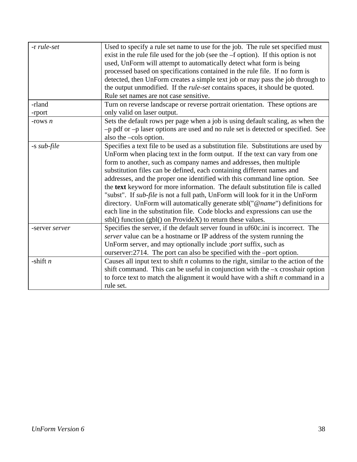| -r rule-set    | Used to specify a rule set name to use for the job. The rule set specified must<br>exist in the rule file used for the job (see the $-$ f option). If this option is not<br>used, UnForm will attempt to automatically detect what form is being<br>processed based on specifications contained in the rule file. If no form is<br>detected, then UnForm creates a simple text job or may pass the job through to<br>the output unmodified. If the <i>rule-set</i> contains spaces, it should be quoted.<br>Rule set names are not case sensitive.                                                                                                                                                                                                                                                       |
|----------------|----------------------------------------------------------------------------------------------------------------------------------------------------------------------------------------------------------------------------------------------------------------------------------------------------------------------------------------------------------------------------------------------------------------------------------------------------------------------------------------------------------------------------------------------------------------------------------------------------------------------------------------------------------------------------------------------------------------------------------------------------------------------------------------------------------|
| -rland         | Turn on reverse landscape or reverse portrait orientation. These options are                                                                                                                                                                                                                                                                                                                                                                                                                                                                                                                                                                                                                                                                                                                             |
| -rport         | only valid on laser output.                                                                                                                                                                                                                                                                                                                                                                                                                                                                                                                                                                                                                                                                                                                                                                              |
| -rows $n$      | Sets the default rows per page when a job is using default scaling, as when the<br>-p pdf or -p laser options are used and no rule set is detected or specified. See<br>also the –cols option.                                                                                                                                                                                                                                                                                                                                                                                                                                                                                                                                                                                                           |
| -s sub-file    | Specifies a text file to be used as a substitution file. Substitutions are used by<br>UnForm when placing text in the form output. If the text can vary from one<br>form to another, such as company names and addresses, then multiple<br>substitution files can be defined, each containing different names and<br>addresses, and the proper one identified with this command line option. See<br>the text keyword for more information. The default substitution file is called<br>"subst". If <i>sub-file</i> is not a full path, UnForm will look for it in the UnForm<br>directory. UnForm will automatically generate stbl("@name") definitions for<br>each line in the substitution file. Code blocks and expressions can use the<br>stbl() function (gbl() on ProvideX) to return these values. |
| -server server | Specifies the server, if the default server found in uf60c.ini is incorrect. The<br><i>server</i> value can be a hostname or IP address of the system running the<br>UnForm server, and may optionally include : <i>port</i> suffix, such as<br>ourserver: 2714. The port can also be specified with the -port option.                                                                                                                                                                                                                                                                                                                                                                                                                                                                                   |
| -shift $n$     | Causes all input text to shift $n$ columns to the right, similar to the action of the<br>shift command. This can be useful in conjunction with the $-x$ crosshair option<br>to force text to match the alignment it would have with a shift $n$ command in a<br>rule set.                                                                                                                                                                                                                                                                                                                                                                                                                                                                                                                                |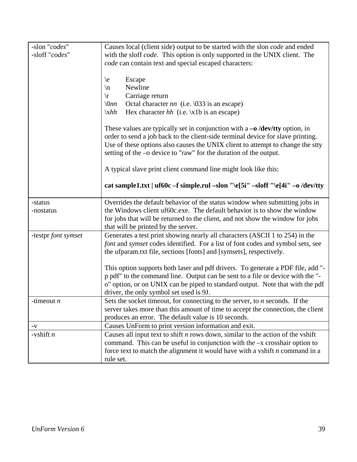| -slon "codes"<br>-sloff "codes" | Causes local (client side) output to be started with the slon <i>code</i> and ended<br>with the sloff code. This option is only supported in the UNIX client. The<br>code can contain text and special escaped characters:                                                                                                                                                                                                                                                                                                                                                |
|---------------------------------|---------------------------------------------------------------------------------------------------------------------------------------------------------------------------------------------------------------------------------------------------------------------------------------------------------------------------------------------------------------------------------------------------------------------------------------------------------------------------------------------------------------------------------------------------------------------------|
|                                 | Escape<br>$\setminus e$<br>Newline<br>$\ln$<br>Carriage return<br>$\sqrt{r}$<br>$\setminus 0$ nn<br>Octal character <i>nn</i> (i.e. $\setminus$ 033 is an escape)<br>Hex character $hh$ (i.e. \x1b is an escape)<br>$\xhh$<br>These values are typically set in conjunction with $a \rightarrow o$ /dev/tty option, in<br>order to send a job back to the client-side terminal device for slave printing.<br>Use of these options also causes the UNIX client to attempt to change the stty<br>setting of the $-\text{o}$ device to "raw" for the duration of the output. |
|                                 | A typical slave print client command line might look like this:<br>cat sample1.txt   uf60c -f simple.rul -slon "\e[5i" -sloff "\e[4i" -o /dev/tty                                                                                                                                                                                                                                                                                                                                                                                                                         |
| -status<br>-nostatus            | Overrides the default behavior of the status window when submitting jobs in<br>the Windows client uf60c.exe. The default behavior is to show the window<br>for jobs that will be returned to the client, and not show the window for jobs<br>that will be printed by the server.                                                                                                                                                                                                                                                                                          |
| -testpr font symset             | Generates a test print showing nearly all characters (ASCII 1 to 254) in the<br>font and symset codes identified. For a list of font codes and symbol sets, see<br>the ufparam.txt file, sections [fonts] and [symsets], respectively.                                                                                                                                                                                                                                                                                                                                    |
|                                 | This option supports both laser and pdf drivers. To generate a PDF file, add "-<br>p pdf" to the command line. Output can be sent to a file or device with the "-<br>o" option, or on UNIX can be piped to standard output. Note that with the pdf<br>driver, the only symbol set used is 9J.                                                                                                                                                                                                                                                                             |
| -timeout <i>n</i>               | Sets the socket timeout, for connecting to the server, to $n$ seconds. If the<br>server takes more than this amount of time to accept the connection, the client<br>produces an error. The default value is 10 seconds.                                                                                                                                                                                                                                                                                                                                                   |
| $-V$                            | Causes UnForm to print version information and exit.                                                                                                                                                                                                                                                                                                                                                                                                                                                                                                                      |
| -vshift $n$                     | Causes all input text to shift $n$ rows down, similar to the action of the vshift<br>command. This can be useful in conjunction with the $-x$ crosshair option to<br>force text to match the alignment it would have with a vshift $n$ command in a<br>rule set.                                                                                                                                                                                                                                                                                                          |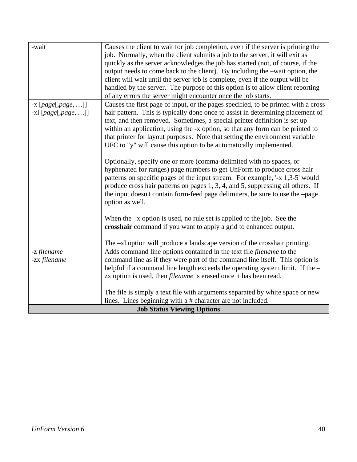| -wait                                         | Causes the client to wait for job completion, even if the server is printing the<br>job. Normally, when the client submits a job to the server, it will exit as<br>quickly as the server acknowledges the job has started (not, of course, if the<br>output needs to come back to the client). By including the -wait option, the<br>client will wait until the server job is complete, even if the output will be<br>handled by the server. The purpose of this option is to allow client reporting<br>of any errors the server might encounter once the job starts.                                                                                                                                                                                                                                                                                                                                                                                                                                                                                                                                                                               |
|-----------------------------------------------|-----------------------------------------------------------------------------------------------------------------------------------------------------------------------------------------------------------------------------------------------------------------------------------------------------------------------------------------------------------------------------------------------------------------------------------------------------------------------------------------------------------------------------------------------------------------------------------------------------------------------------------------------------------------------------------------------------------------------------------------------------------------------------------------------------------------------------------------------------------------------------------------------------------------------------------------------------------------------------------------------------------------------------------------------------------------------------------------------------------------------------------------------------|
| $-x$ [page[,page, ]]<br>$-xl$ [page[,page, ]] | Causes the first page of input, or the pages specified, to be printed with a cross<br>hair pattern. This is typically done once to assist in determining placement of<br>text, and then removed. Sometimes, a special printer definition is set up<br>within an application, using the -x option, so that any form can be printed to<br>that printer for layout purposes. Note that setting the environment variable<br>UFC to "y" will cause this option to be automatically implemented.<br>Optionally, specify one or more (comma-delimited with no spaces, or<br>hyphenated for ranges) page numbers to get UnForm to produce cross hair<br>patterns on specific pages of the input stream. For example, '-x 1,3-5' would<br>produce cross hair patterns on pages 1, 3, 4, and 5, suppressing all others. If<br>the input doesn't contain form-feed page delimiters, be sure to use the -page<br>option as well.<br>When the $-x$ option is used, no rule set is applied to the job. See the<br>crosshair command if you want to apply a grid to enhanced output.<br>The -xl option will produce a landscape version of the crosshair printing. |
| -z filename<br>-zx filename                   | Adds command line options contained in the text file <i>filename</i> to the<br>command line as if they were part of the command line itself. This option is<br>helpful if a command line length exceeds the operating system limit. If the -<br>zx option is used, then <i>filename</i> is erased once it has been read.                                                                                                                                                                                                                                                                                                                                                                                                                                                                                                                                                                                                                                                                                                                                                                                                                            |
|                                               | The file is simply a text file with arguments separated by white space or new<br>lines. Lines beginning with a # character are not included.                                                                                                                                                                                                                                                                                                                                                                                                                                                                                                                                                                                                                                                                                                                                                                                                                                                                                                                                                                                                        |
| <b>Job Status Viewing Options</b>             |                                                                                                                                                                                                                                                                                                                                                                                                                                                                                                                                                                                                                                                                                                                                                                                                                                                                                                                                                                                                                                                                                                                                                     |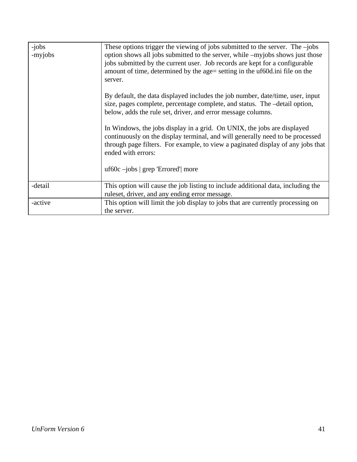| -jobs<br>-myjobs | These options trigger the viewing of jobs submitted to the server. The $-$ jobs<br>option shows all jobs submitted to the server, while -myjobs shows just those<br>jobs submitted by the current user. Job records are kept for a configurable<br>amount of time, determined by the age= setting in the uf60d in file on the<br>server.<br>By default, the data displayed includes the job number, date/time, user, input<br>size, pages complete, percentage complete, and status. The -detail option,<br>below, adds the rule set, driver, and error message columns.<br>In Windows, the jobs display in a grid. On UNIX, the jobs are displayed<br>continuously on the display terminal, and will generally need to be processed<br>through page filters. For example, to view a paginated display of any jobs that<br>ended with errors:<br>uf60c $-$ jobs   grep 'Errored'  more |
|------------------|----------------------------------------------------------------------------------------------------------------------------------------------------------------------------------------------------------------------------------------------------------------------------------------------------------------------------------------------------------------------------------------------------------------------------------------------------------------------------------------------------------------------------------------------------------------------------------------------------------------------------------------------------------------------------------------------------------------------------------------------------------------------------------------------------------------------------------------------------------------------------------------|
| -detail          | This option will cause the job listing to include additional data, including the<br>ruleset, driver, and any ending error message.                                                                                                                                                                                                                                                                                                                                                                                                                                                                                                                                                                                                                                                                                                                                                     |
| -active          | This option will limit the job display to jobs that are currently processing on<br>the server.                                                                                                                                                                                                                                                                                                                                                                                                                                                                                                                                                                                                                                                                                                                                                                                         |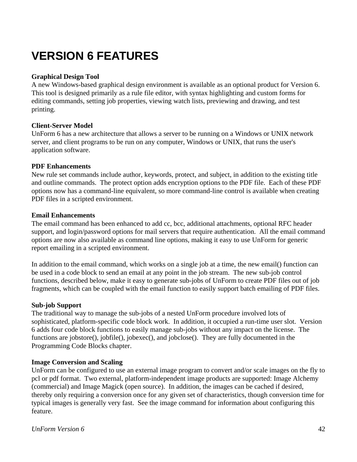# **VERSION 6 FEATURES**

#### **Graphical Design Tool**

A new Windows-based graphical design environment is available as an optional product for Version 6. This tool is designed primarily as a rule file editor, with syntax highlighting and custom forms for editing commands, setting job properties, viewing watch lists, previewing and drawing, and test printing.

#### **Client-Server Model**

UnForm 6 has a new architecture that allows a server to be running on a Windows or UNIX network server, and client programs to be run on any computer, Windows or UNIX, that runs the user's application software.

#### **PDF Enhancements**

New rule set commands include author, keywords, protect, and subject, in addition to the existing title and outline commands. The protect option adds encryption options to the PDF file. Each of these PDF options now has a command-line equivalent, so more command-line control is available when creating PDF files in a scripted environment.

#### **Email Enhancements**

The email command has been enhanced to add cc, bcc, additional attachments, optional RFC header support, and login/password options for mail servers that require authentication. All the email command options are now also available as command line options, making it easy to use UnForm for generic report emailing in a scripted environment.

In addition to the email command, which works on a single job at a time, the new email() function can be used in a code block to send an email at any point in the job stream. The new sub-job control functions, described below, make it easy to generate sub-jobs of UnForm to create PDF files out of job fragments, which can be coupled with the email function to easily support batch emailing of PDF files.

#### **Sub-job Support**

The traditional way to manage the sub-jobs of a nested UnForm procedure involved lots of sophisticated, platform-specific code block work. In addition, it occupied a run-time user slot. Version 6 adds four code block functions to easily manage sub-jobs without any impact on the license. The functions are jobstore(), jobfile(), jobexec(), and jobclose(). They are fully documented in the Programming Code Blocks chapter.

#### **Image Conversion and Scaling**

UnForm can be configured to use an external image program to convert and/or scale images on the fly to pcl or pdf format. Two external, platform-independent image products are supported: Image Alchemy (commercial) and Image Magick (open source). In addition, the images can be cached if desired, thereby only requiring a conversion once for any given set of characteristics, though conversion time for typical images is generally very fast. See the image command for information about configuring this feature.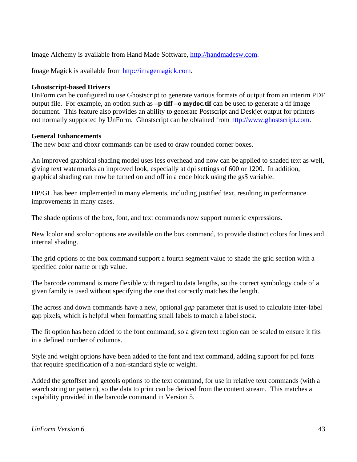Image Alchemy is available from Hand Made Software, http://handmadesw.com.

Image Magick is available from http://imagemagick.com.

#### **Ghostscript-based Drivers**

UnForm can be configured to use Ghostscript to generate various formats of output from an interim PDF output file. For example, an option such as **–p tiff –o mydoc.tif** can be used to generate a tif image document. This feature also provides an ability to generate Postscript and Deskjet output for printers not normally supported by UnForm. Ghostscript can be obtained from http://www.ghostscript.com.

#### **General Enhancements**

The new boxr and cboxr commands can be used to draw rounded corner boxes.

An improved graphical shading model uses less overhead and now can be applied to shaded text as well, giving text watermarks an improved look, especially at dpi settings of 600 or 1200. In addition, graphical shading can now be turned on and off in a code block using the gs\$ variable.

HP/GL has been implemented in many elements, including justified text, resulting in performance improvements in many cases.

The shade options of the box, font, and text commands now support numeric expressions.

New lcolor and scolor options are available on the box command, to provide distinct colors for lines and internal shading.

The grid options of the box command support a fourth segment value to shade the grid section with a specified color name or rgb value.

The barcode command is more flexible with regard to data lengths, so the correct symbology code of a given family is used without specifying the one that correctly matches the length.

The across and down commands have a new, optional *gap* parameter that is used to calculate inter-label gap pixels, which is helpful when formatting small labels to match a label stock.

The fit option has been added to the font command, so a given text region can be scaled to ensure it fits in a defined number of columns.

Style and weight options have been added to the font and text command, adding support for pcl fonts that require specification of a non-standard style or weight.

Added the getoffset and getcols options to the text command, for use in relative text commands (with a search string or pattern), so the data to print can be derived from the content stream. This matches a capability provided in the barcode command in Version 5.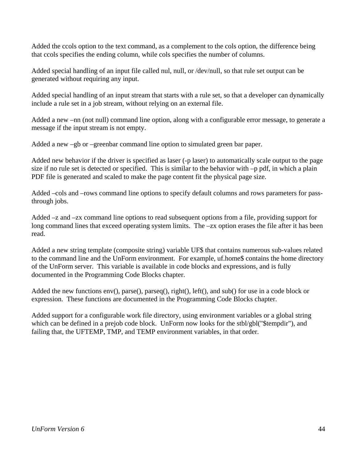Added the ccols option to the text command, as a complement to the cols option, the difference being that ccols specifies the ending column, while cols specifies the number of columns.

Added special handling of an input file called nul, null, or /dev/null, so that rule set output can be generated without requiring any input.

Added special handling of an input stream that starts with a rule set, so that a developer can dynamically include a rule set in a job stream, without relying on an external file.

Added a new –nn (not null) command line option, along with a configurable error message, to generate a message if the input stream is not empty.

Added a new –gb or –greenbar command line option to simulated green bar paper.

Added new behavior if the driver is specified as laser (-p laser) to automatically scale output to the page size if no rule set is detected or specified. This is similar to the behavior with –p pdf, in which a plain PDF file is generated and scaled to make the page content fit the physical page size.

Added –cols and –rows command line options to specify default columns and rows parameters for passthrough jobs.

Added –z and –zx command line options to read subsequent options from a file, providing support for long command lines that exceed operating system limits. The –zx option erases the file after it has been read.

Added a new string template (composite string) variable UF\$ that contains numerous sub-values related to the command line and the UnForm environment. For example, uf.home\$ contains the home directory of the UnForm server. This variable is available in code blocks and expressions, and is fully documented in the Programming Code Blocks chapter.

Added the new functions env(), parse(), parseq(), right(), left(), and sub() for use in a code block or expression. These functions are documented in the Programming Code Blocks chapter.

Added support for a configurable work file directory, using environment variables or a global string which can be defined in a prejob code block. UnForm now looks for the stbl/gbl("\$tempdir"), and failing that, the UFTEMP, TMP, and TEMP environment variables, in that order.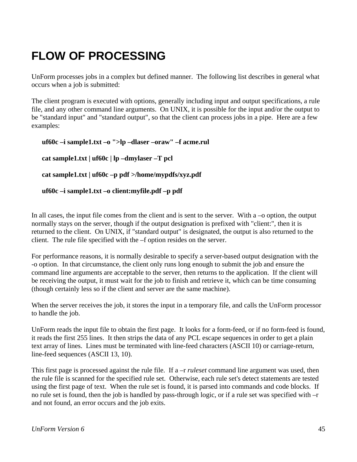# **FLOW OF PROCESSING**

UnForm processes jobs in a complex but defined manner. The following list describes in general what occurs when a job is submitted:

The client program is executed with options, generally including input and output specifications, a rule file, and any other command line arguments. On UNIX, it is possible for the input and/or the output to be "standard input" and "standard output", so that the client can process jobs in a pipe. Here are a few examples:

```
uf60c –i sample1.txt –o ">lp –dlaser –oraw" –f acme.rul 
cat sample1.txt | uf60c | lp –dmylaser –T pcl
cat sample1.txt | uf60c –p pdf >/home/mypdfs/xyz.pdf
uf60c –i sample1.txt –o client:myfile.pdf –p pdf
```
In all cases, the input file comes from the client and is sent to the server. With a –o option, the output normally stays on the server, though if the output designation is prefixed with "client:", then it is returned to the client. On UNIX, if "standard output" is designated, the output is also returned to the client. The rule file specified with the –f option resides on the server.

For performance reasons, it is normally desirable to specify a server-based output designation with the -o option. In that circumstance, the client only runs long enough to submit the job and ensure the command line arguments are acceptable to the server, then returns to the application. If the client will be receiving the output, it must wait for the job to finish and retrieve it, which can be time consuming (though certainly less so if the client and server are the same machine).

When the server receives the job, it stores the input in a temporary file, and calls the UnForm processor to handle the job.

UnForm reads the input file to obtain the first page. It looks for a form-feed, or if no form-feed is found, it reads the first 255 lines. It then strips the data of any PCL escape sequences in order to get a plain text array of lines. Lines must be terminated with line-feed characters (ASCII 10) or carriage-return, line-feed sequences (ASCII 13, 10).

This first page is processed against the rule file. If a –r *ruleset* command line argument was used, then the rule file is scanned for the specified rule set. Otherwise, each rule set's detect statements are tested using the first page of text. When the rule set is found, it is parsed into commands and code blocks. If no rule set is found, then the job is handled by pass-through logic, or if a rule set was specified with –r and not found, an error occurs and the job exits.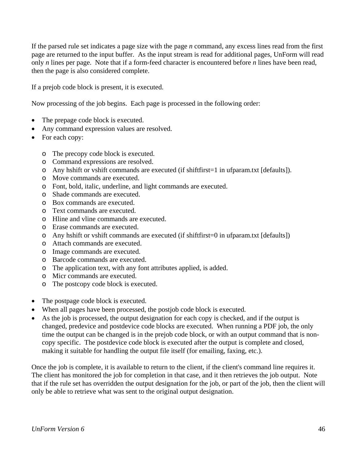If the parsed rule set indicates a page size with the page *n* command, any excess lines read from the first page are returned to the input buffer. As the input stream is read for additional pages, UnForm will read only *n* lines per page. Note that if a form-feed character is encountered before *n* lines have been read, then the page is also considered complete.

If a prejob code block is present, it is executed.

Now processing of the job begins. Each page is processed in the following order:

- The prepage code block is executed.
- Any command expression values are resolved.
- For each copy:
	- o The precopy code block is executed.
	- o Command expressions are resolved.
	- o Any hshift or vshift commands are executed (if shiftfirst=1 in ufparam.txt [defaults]).
	- o Move commands are executed.
	- o Font, bold, italic, underline, and light commands are executed.
	- o Shade commands are executed.
	- o Box commands are executed.
	- o Text commands are executed.
	- o Hline and vline commands are executed.
	- o Erase commands are executed.
	- o Any hshift or vshift commands are executed (if shiftfirst=0 in ufparam.txt [defaults])
	- o Attach commands are executed.
	- o Image commands are executed.
	- o Barcode commands are executed.
	- o The application text, with any font attributes applied, is added.
	- o Micr commands are executed.
	- o The postcopy code block is executed.
- The postpage code block is executed.
- When all pages have been processed, the postjob code block is executed.
- As the job is processed, the output designation for each copy is checked, and if the output is changed, predevice and postdevice code blocks are executed. When running a PDF job, the only time the output can be changed is in the prejob code block, or with an output command that is noncopy specific. The postdevice code block is executed after the output is complete and closed, making it suitable for handling the output file itself (for emailing, faxing, etc.).

Once the job is complete, it is available to return to the client, if the client's command line requires it. The client has monitored the job for completion in that case, and it then retrieves the job output. Note that if the rule set has overridden the output designation for the job, or part of the job, then the client will only be able to retrieve what was sent to the original output designation.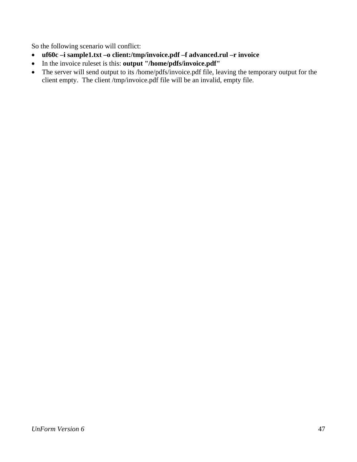So the following scenario will conflict:

- **uf60c –i sample1.txt –o client:/tmp/invoice.pdf –f advanced.rul –r invoice**
- In the invoice ruleset is this: **output "/home/pdfs/invoice.pdf"**
- The server will send output to its /home/pdfs/invoice.pdf file, leaving the temporary output for the client empty. The client /tmp/invoice.pdf file will be an invalid, empty file.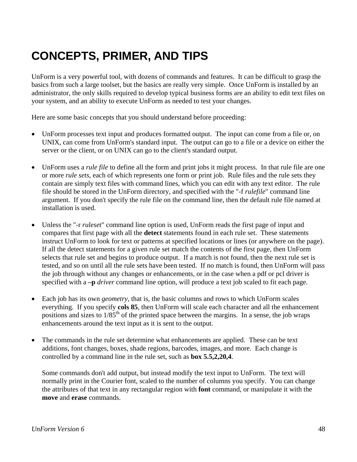# **CONCEPTS, PRIMER, AND TIPS**

UnForm is a very powerful tool, with dozens of commands and features. It can be difficult to grasp the basics from such a large toolset, but the basics are really very simple. Once UnForm is installed by an administrator, the only skills required to develop typical business forms are an ability to edit text files on your system, and an ability to execute UnForm as needed to test your changes.

Here are some basic concepts that you should understand before proceeding:

- UnForm processes text input and produces formatted output. The input can come from a file or, on UNIX, can come from UnForm's standard input. The output can go to a file or a device on either the server or the client, or on UNIX can go to the client's standard output.
- UnForm uses a *rule file* to define all the form and print jobs it might process. In that rule file are one or more *rule sets*, each of which represents one form or print job. Rule files and the rule sets they contain are simply text files with command lines, which you can edit with any text editor. The rule file should be stored in the UnForm directory, and specified with the "-f *rulefile*" command line argument. If you don't specify the rule file on the command line, then the default rule file named at installation is used.
- Unless the "-r *ruleset*" command line option is used, UnForm reads the first page of input and compares that first page with all the **detect** statements found in each rule set. These statements instruct UnForm to look for text or patterns at specified locations or lines (or anywhere on the page). If all the detect statements for a given rule set match the contents of the first page, then UnForm selects that rule set and begins to produce output. If a match is not found, then the next rule set is tested, and so on until all the rule sets have been tested. If no match is found, then UnForm will pass the job through without any changes or enhancements, or in the case when a pdf or pcl driver is specified with a **–p** *driver* command line option, will produce a text job scaled to fit each page.
- Each job has its own *geometry*, that is, the basic columns and rows to which UnForm scales everything. If you specify **cols 85**, then UnForm will scale each character and all the enhancement positions and sizes to  $1/85<sup>th</sup>$  of the printed space between the margins. In a sense, the job wraps enhancements around the text input as it is sent to the output.
- The commands in the rule set determine what enhancements are applied. These can be text additions, font changes, boxes, shade regions, barcodes, images, and more. Each change is controlled by a command line in the rule set, such as **box 5.5,2,20,4**.

Some commands don't add output, but instead modify the text input to UnForm. The text will normally print in the Courier font, scaled to the number of columns you specify. You can change the attributes of that text in any rectangular region with **font** command, or manipulate it with the **move** and **erase** commands.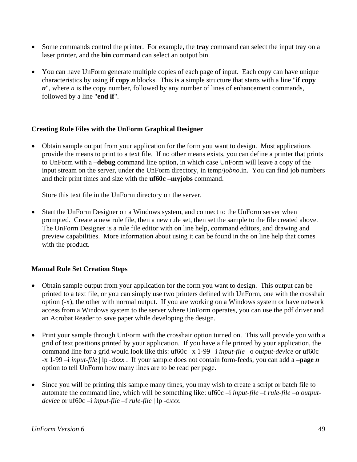- Some commands control the printer. For example, the **tray** command can select the input tray on a laser printer, and the **bin** command can select an output bin.
- You can have UnForm generate multiple copies of each page of input. Each copy can have unique characteristics by using **if copy** *n* blocks. This is a simple structure that starts with a line "**if copy**  *n*", where *n* is the copy number, followed by any number of lines of enhancement commands, followed by a line "**end if**".

### **Creating Rule Files with the UnForm Graphical Designer**

• Obtain sample output from your application for the form you want to design. Most applications provide the means to print to a text file. If no other means exists, you can define a printer that prints to UnForm with a **–debug** command line option, in which case UnForm will leave a copy of the input stream on the server, under the UnForm directory, in temp/*jobno*.in. You can find job numbers and their print times and size with the **uf60c –myjobs** command.

Store this text file in the UnForm directory on the server.

• Start the UnForm Designer on a Windows system, and connect to the UnForm server when prompted. Create a new rule file, then a new rule set, then set the sample to the file created above. The UnForm Designer is a rule file editor with on line help, command editors, and drawing and preview capabilities. More information about using it can be found in the on line help that comes with the product.

### **Manual Rule Set Creation Steps**

- Obtain sample output from your application for the form you want to design. This output can be printed to a text file, or you can simply use two printers defined with UnForm, one with the crosshair option (-x), the other with normal output. If you are working on a Windows system or have network access from a Windows system to the server where UnForm operates, you can use the pdf driver and an Acrobat Reader to save paper while developing the design.
- Print your sample through UnForm with the crosshair option turned on. This will provide you with a grid of text positions printed by your application. If you have a file printed by your application, the command line for a grid would look like this: uf60c –x 1-99 –i *input-file* –o *output-device* or uf60c -x 1-99 –i *input-file* | lp -d*xxx* . If your sample does not contain form-feeds, you can add a **–page** *n* option to tell UnForm how many lines are to be read per page.
- Since you will be printing this sample many times, you may wish to create a script or batch file to automate the command line, which will be something like: uf60c -i *input-file* -f *rule-file* -o *outputdevice* or uf60c –i *input-file* –f *rule-file* | lp -d*xxx*.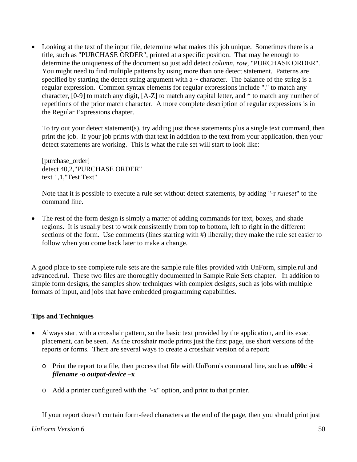• Looking at the text of the input file, determine what makes this job unique. Sometimes there is a title, such as "PURCHASE ORDER", printed at a specific position. That may be enough to determine the uniqueness of the document so just add detect *column*, *row*, "PURCHASE ORDER". You might need to find multiple patterns by using more than one detect statement. Patterns are specified by starting the detect string argument with a  $\sim$  character. The balance of the string is a regular expression. Common syntax elements for regular expressions include "." to match any character, [0-9] to match any digit, [A-Z] to match any capital letter, and \* to match any number of repetitions of the prior match character. A more complete description of regular expressions is in the Regular Expressions chapter.

To try out your detect statement(s), try adding just those statements plus a single text command, then print the job. If your job prints with that text in addition to the text from your application, then your detect statements are working. This is what the rule set will start to look like:

[purchase\_order] detect 40,2,"PURCHASE ORDER" text 1,1,"Test Text"

Note that it is possible to execute a rule set without detect statements, by adding "-r *ruleset*" to the command line.

• The rest of the form design is simply a matter of adding commands for text, boxes, and shade regions. It is usually best to work consistently from top to bottom, left to right in the different sections of the form. Use comments (lines starting with #) liberally; they make the rule set easier to follow when you come back later to make a change.

A good place to see complete rule sets are the sample rule files provided with UnForm, simple.rul and advanced.rul. These two files are thoroughly documented in Sample Rule Sets chapter. In addition to simple form designs, the samples show techniques with complex designs, such as jobs with multiple formats of input, and jobs that have embedded programming capabilities.

### **Tips and Techniques**

- Always start with a crosshair pattern, so the basic text provided by the application, and its exact placement, can be seen. As the crosshair mode prints just the first page, use short versions of the reports or forms. There are several ways to create a crosshair version of a report:
	- o Print the report to a file, then process that file with UnForm's command line, such as **uf60c -i**  *filename* **-o** *output-device* **–x**
	- o Add a printer configured with the "-x" option, and print to that printer.

If your report doesn't contain form-feed characters at the end of the page, then you should print just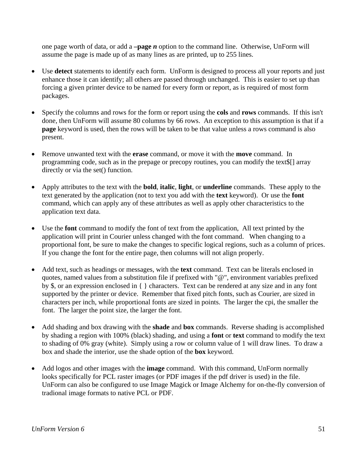one page worth of data, or add a **–page** *n* option to the command line. Otherwise, UnForm will assume the page is made up of as many lines as are printed, up to 255 lines.

- Use **detect** statements to identify each form. UnForm is designed to process all your reports and just enhance those it can identify; all others are passed through unchanged. This is easier to set up than forcing a given printer device to be named for every form or report, as is required of most form packages.
- Specify the columns and rows for the form or report using the **cols** and **rows** commands. If this isn't done, then UnForm will assume 80 columns by 66 rows. An exception to this assumption is that if a **page** keyword is used, then the rows will be taken to be that value unless a rows command is also present.
- Remove unwanted text with the **erase** command, or move it with the **move** command. In programming code, such as in the prepage or precopy routines, you can modify the text\$[] array directly or via the set() function.
- Apply attributes to the text with the **bold**, **italic**, **light**, or **underline** commands. These apply to the text generated by the application (not to text you add with the **text** keyword). Or use the **font** command, which can apply any of these attributes as well as apply other characteristics to the application text data.
- Use the **font** command to modify the font of text from the application, All text printed by the application will print in Courier unless changed with the font command. When changing to a proportional font, be sure to make the changes to specific logical regions, such as a column of prices. If you change the font for the entire page, then columns will not align properly.
- Add text, such as headings or messages, with the **text** command. Text can be literals enclosed in quotes, named values from a substitution file if prefixed with "@", environment variables prefixed by \$, or an expression enclosed in { } characters. Text can be rendered at any size and in any font supported by the printer or device. Remember that fixed pitch fonts, such as Courier, are sized in characters per inch, while proportional fonts are sized in points. The larger the cpi, the smaller the font. The larger the point size, the larger the font.
- Add shading and box drawing with the **shade** and **box** commands. Reverse shading is accomplished by shading a region with 100% (black) shading, and using a **font** or **text** command to modify the text to shading of 0% gray (white). Simply using a row or column value of 1 will draw lines. To draw a box and shade the interior, use the shade option of the **box** keyword.
- Add logos and other images with the **image** command. With this command, UnForm normally looks specifically for PCL raster images (or PDF images if the pdf driver is used) in the file. UnForm can also be configured to use Image Magick or Image Alchemy for on-the-fly conversion of tradional image formats to native PCL or PDF.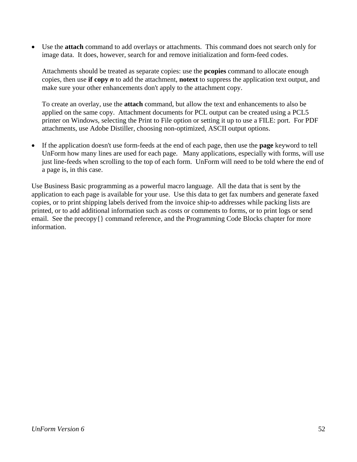• Use the **attach** command to add overlays or attachments. This command does not search only for image data. It does, however, search for and remove initialization and form-feed codes.

Attachments should be treated as separate copies: use the **pcopies** command to allocate enough copies, then use **if copy** *n* to add the attachment, **notext** to suppress the application text output, and make sure your other enhancements don't apply to the attachment copy.

To create an overlay, use the **attach** command, but allow the text and enhancements to also be applied on the same copy. Attachment documents for PCL output can be created using a PCL5 printer on Windows, selecting the Print to File option or setting it up to use a FILE: port. For PDF attachments, use Adobe Distiller, choosing non-optimized, ASCII output options.

• If the application doesn't use form-feeds at the end of each page, then use the **page** keyword to tell UnForm how many lines are used for each page. Many applications, especially with forms, will use just line-feeds when scrolling to the top of each form. UnForm will need to be told where the end of a page is, in this case.

Use Business Basic programming as a powerful macro language. All the data that is sent by the application to each page is available for your use. Use this data to get fax numbers and generate faxed copies, or to print shipping labels derived from the invoice ship-to addresses while packing lists are printed, or to add additional information such as costs or comments to forms, or to print logs or send email. See the precopy{} command reference, and the Programming Code Blocks chapter for more information.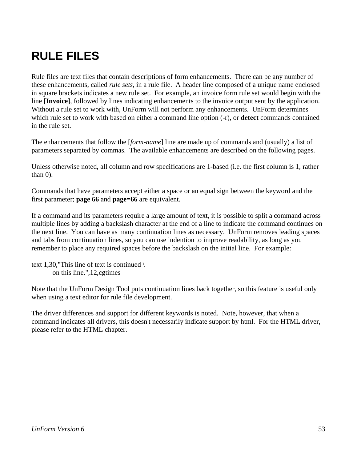# **RULE FILES**

Rule files are text files that contain descriptions of form enhancements. There can be any number of these enhancements, called *rule sets*, in a rule file. A header line composed of a unique name enclosed in square brackets indicates a new rule set. For example, an invoice form rule set would begin with the line **[Invoice]**, followed by lines indicating enhancements to the invoice output sent by the application. Without a rule set to work with, UnForm will not perform any enhancements. UnForm determines which rule set to work with based on either a command line option (-r), or **detect** commands contained in the rule set.

The enhancements that follow the [*form-name*] line are made up of commands and (usually) a list of parameters separated by commas. The available enhancements are described on the following pages.

Unless otherwise noted, all column and row specifications are 1-based (i.e. the first column is 1, rather than 0).

Commands that have parameters accept either a space or an equal sign between the keyword and the first parameter; **page 66** and **page=66** are equivalent.

If a command and its parameters require a large amount of text, it is possible to split a command across multiple lines by adding a backslash character at the end of a line to indicate the command continues on the next line. You can have as many continuation lines as necessary. UnForm removes leading spaces and tabs from continuation lines, so you can use indention to improve readability, as long as you remember to place any required spaces before the backslash on the initial line. For example:

```
text 1,30,"This line of text is continued \setminus on this line.",12,cgtimes
```
Note that the UnForm Design Tool puts continuation lines back together, so this feature is useful only when using a text editor for rule file development.

The driver differences and support for different keywords is noted. Note, however, that when a command indicates all drivers, this doesn't necessarily indicate support by html. For the HTML driver, please refer to the HTML chapter.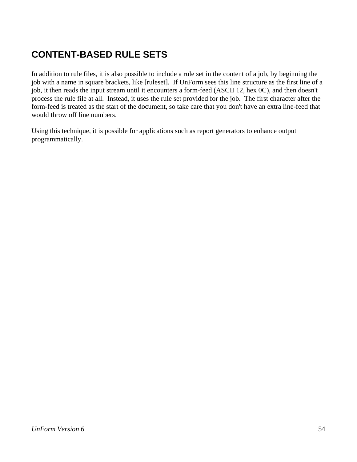## **CONTENT-BASED RULE SETS**

In addition to rule files, it is also possible to include a rule set in the content of a job, by beginning the job with a name in square brackets, like [ruleset]. If UnForm sees this line structure as the first line of a job, it then reads the input stream until it encounters a form-feed (ASCII 12, hex 0C), and then doesn't process the rule file at all. Instead, it uses the rule set provided for the job. The first character after the form-feed is treated as the start of the document, so take care that you don't have an extra line-feed that would throw off line numbers.

Using this technique, it is possible for applications such as report generators to enhance output programmatically.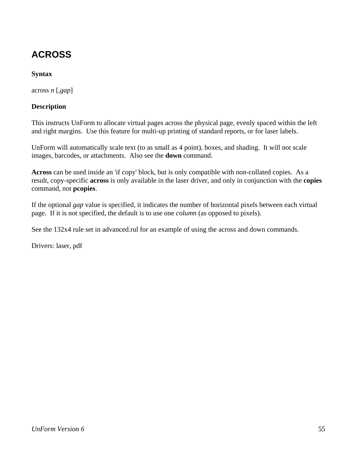## **ACROSS**

## **Syntax**

across *n* [,*gap*]

### **Description**

This instructs UnForm to allocate virtual pages across the physical page, evenly spaced within the left and right margins. Use this feature for multi-up printing of standard reports, or for laser labels.

UnForm will automatically scale text (to as small as 4 point), boxes, and shading. It will not scale images, barcodes, or attachments. Also see the **down** command.

**Across** can be used inside an 'if copy' block, but is only compatible with non-collated copies. As a result, copy-specific **across** is only available in the laser driver, and only in conjunction with the **copies** command, not **pcopies**.

If the optional *gap* value is specified, it indicates the number of horizontal pixels between each virtual page. If it is not specified, the default is to use one *column* (as opposed to pixels).

See the 132x4 rule set in advanced.rul for an example of using the across and down commands.

Drivers: laser, pdf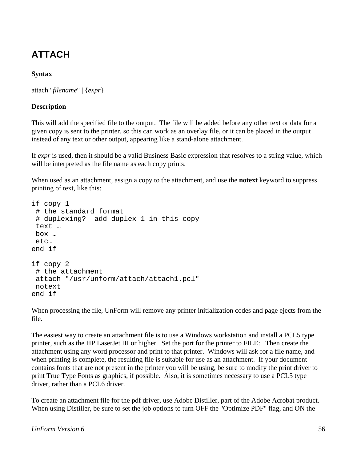## **ATTACH**

## **Syntax**

```
attach "filename" | {expr}
```
## **Description**

This will add the specified file to the output. The file will be added before any other text or data for a given copy is sent to the printer, so this can work as an overlay file, or it can be placed in the output instead of any text or other output, appearing like a stand-alone attachment.

If *expr* is used, then it should be a valid Business Basic expression that resolves to a string value, which will be interpreted as the file name as each copy prints.

When used as an attachment, assign a copy to the attachment, and use the **notext** keyword to suppress printing of text, like this:

```
if copy 1 
  # the standard format 
  # duplexing? add duplex 1 in this copy 
 text … 
 box … 
  etc… 
end if 
if copy 2 
  # the attachment 
 attach "/usr/unform/attach/attach1.pcl" 
 notext 
end if
```
When processing the file, UnForm will remove any printer initialization codes and page ejects from the file.

The easiest way to create an attachment file is to use a Windows workstation and install a PCL5 type printer, such as the HP LaserJet III or higher. Set the port for the printer to FILE:. Then create the attachment using any word processor and print to that printer. Windows will ask for a file name, and when printing is complete, the resulting file is suitable for use as an attachment. If your document contains fonts that are not present in the printer you will be using, be sure to modify the print driver to print True Type Fonts as graphics, if possible. Also, it is sometimes necessary to use a PCL5 type driver, rather than a PCL6 driver.

To create an attachment file for the pdf driver, use Adobe Distiller, part of the Adobe Acrobat product. When using Distiller, be sure to set the job options to turn OFF the "Optimize PDF" flag, and ON the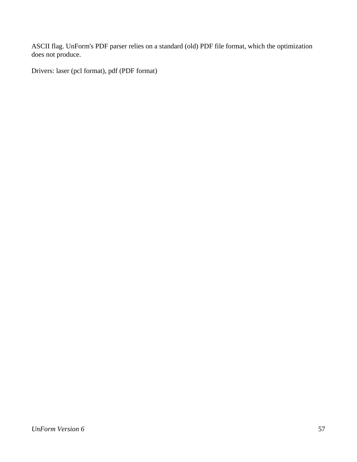ASCII flag. UnForm's PDF parser relies on a standard (old) PDF file format, which the optimization does not produce.

Drivers: laser (pcl format), pdf (PDF format)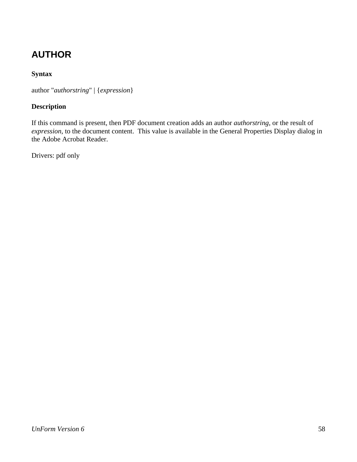## **AUTHOR**

## **Syntax**

author "*authorstring*" | {*expression*}

## **Description**

If this command is present, then PDF document creation adds an author *authorstring*, or the result of *expression*, to the document content. This value is available in the General Properties Display dialog in the Adobe Acrobat Reader.

Drivers: pdf only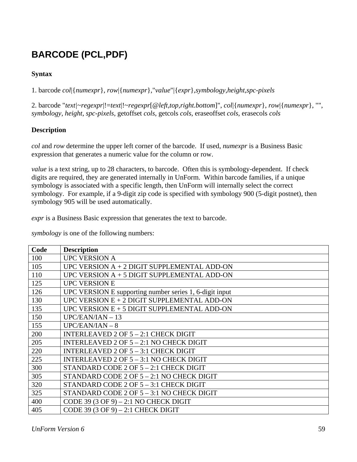## **BARCODE (PCL,PDF)**

## **Syntax**

1. barcode *col*|{*numexpr*}, *row*|{*numexpr*},"*value*"|{*expr*},*symbology*,*height*,*spc-pixels*

2. barcode "*text|~regexpr*|!=*text*|!~*regexpr*[@*left,top,right.bottom*]", *col*|{*numexpr*}, *row*|{*numexpr*}, "", *symbology*, *height*, *spc-pixels*, getoffset *cols*, getcols *cols*, eraseoffset *cols*, erasecols *cols* 

## **Description**

*col* and *row* determine the upper left corner of the barcode. If used, *numexpr* is a Business Basic expression that generates a numeric value for the column or row.

*value* is a text string, up to 28 characters, to barcode. Often this is symbology-dependent. If check digits are required, they are generated internally in UnForm. Within barcode families, if a unique symbology is associated with a specific length, then UnForm will internally select the correct symbology. For example, if a 9-digit zip code is specified with symbology 900 (5-digit postnet), then symbology 905 will be used automatically.

*expr* is a Business Basic expression that generates the text to barcode.

*symbology* is one of the following numbers:

| Code | <b>Description</b>                                      |
|------|---------------------------------------------------------|
| 100  | <b>UPC VERSION A</b>                                    |
| 105  | UPC VERSION $A + 2$ DIGIT SUPPLEMENTAL ADD-ON           |
| 110  | UPC VERSION $A + 5$ DIGIT SUPPLEMENTAL ADD-ON           |
| 125  | <b>UPC VERSION E</b>                                    |
| 126  | UPC VERSION E supporting number series 1, 6-digit input |
| 130  | UPC VERSION $E + 2$ DIGIT SUPPLEMENTAL ADD-ON           |
| 135  | UPC VERSION $E + 5$ DIGIT SUPPLEMENTAL ADD-ON           |
| 150  | $UPC/EAN/IAN - 13$                                      |
| 155  | $UPC/EAN/IAN-8$                                         |
| 200  | INTERLEAVED 2 OF $5 - 2:1$ CHECK DIGIT                  |
| 205  | INTERLEAVED 2 OF $5 - 2:1$ NO CHECK DIGIT               |
| 220  | INTERLEAVED 2 OF $5 - 3:1$ CHECK DIGIT                  |
| 225  | INTERLEAVED 2 OF $5 - 3:1$ NO CHECK DIGIT               |
| 300  | STANDARD CODE 2 OF 5 - 2:1 CHECK DIGIT                  |
| 305  | STANDARD CODE 2 OF 5 - 2:1 NO CHECK DIGIT               |
| 320  | STANDARD CODE 2 OF 5 - 3:1 CHECK DIGIT                  |
| 325  | STANDARD CODE 2 OF 5 - 3:1 NO CHECK DIGIT               |
| 400  | CODE 39 (3 OF 9) $-2:1$ NO CHECK DIGIT                  |
| 405  | CODE 39 (3 OF 9) $-2:1$ CHECK DIGIT                     |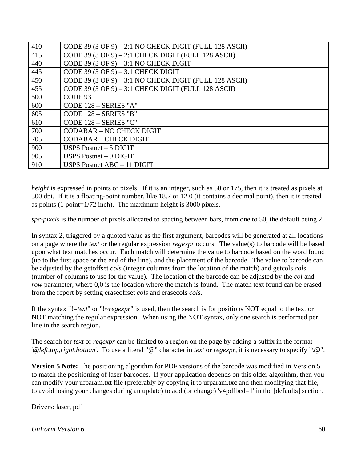| 410 | CODE 39 (3 OF 9) $-2:1$ NO CHECK DIGIT (FULL 128 ASCII) |
|-----|---------------------------------------------------------|
| 415 | CODE 39 (3 OF 9) $- 2:1$ CHECK DIGIT (FULL 128 ASCII)   |
| 440 | CODE 39 (3 OF 9) $-3:1$ NO CHECK DIGIT                  |
| 445 | CODE 39 (3 OF 9) $-3:1$ CHECK DIGIT                     |
| 450 | CODE 39 (3 OF 9) $-3:1$ NO CHECK DIGIT (FULL 128 ASCII) |
| 455 | CODE 39 (3 OF 9) $-3:1$ CHECK DIGIT (FULL 128 ASCII)    |
| 500 | CODE 93                                                 |
| 600 | CODE 128 - SERIES "A"                                   |
| 605 | CODE 128 - SERIES "B"                                   |
| 610 | CODE 128 - SERIES "C"                                   |
| 700 | <b>CODABAR - NO CHECK DIGIT</b>                         |
| 705 | <b>CODABAR – CHECK DIGIT</b>                            |
| 900 | USPS Postnet $-5$ DIGIT                                 |
| 905 | USPS Postnet $-9$ DIGIT                                 |
| 910 | USPS Postnet $ABC - 11$ DIGIT                           |

*height* is expressed in points or pixels. If it is an integer, such as 50 or 175, then it is treated as pixels at 300 dpi. If it is a floating-point number, like 18.7 or 12.0 (it contains a decimal point), then it is treated as points (1 point=1/72 inch). The maximum height is 3000 pixels.

*spc-pixels* is the number of pixels allocated to spacing between bars, from one to 50, the default being 2.

In syntax 2, triggered by a quoted value as the first argument, barcodes will be generated at all locations on a page where the *text* or the regular expression *regexpr* occurs. The value(s) to barcode will be based upon what text matches occur. Each match will determine the value to barcode based on the word found (up to the first space or the end of the line), and the placement of the barcode. The value to barcode can be adjusted by the getoffset *cols* (integer columns from the location of the match) and getcols *cols* (number of columns to use for the value). The location of the barcode can be adjusted by the *col* and *row* parameter, where 0,0 is the location where the match is found. The match text found can be erased from the report by setting eraseoffset *cols* and erasecols *cols*.

If the syntax "!=*text*" or "!~*regexpr*" is used, then the search is for positions NOT equal to the text or NOT matching the regular expression. When using the NOT syntax, only one search is performed per line in the search region.

The search for *text* or *regexpr* can be limited to a region on the page by adding a suffix in the format '@*left,top,right,bottom*'. To use a literal "@" character in *text* or *regexpr*, it is necessary to specify "\@".

**Version 5 Note:** The positioning algorithm for PDF versions of the barcode was modified in Version 5 to match the positioning of laser barcodes. If your application depends on this older algorithm, then you can modify your ufparam.txt file (preferably by copying it to ufparam.txc and then modifying that file, to avoid losing your changes during an update) to add (or change) 'v4pdfbcd=1' in the [defaults] section.

Drivers: laser, pdf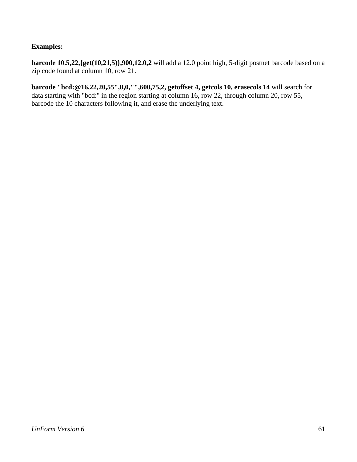## **Examples:**

**barcode 10.5,22,{get(10,21,5)},900,12.0,2** will add a 12.0 point high, 5-digit postnet barcode based on a zip code found at column 10, row 21.

**barcode "bcd:@16,22,20,55",0,0,"",600,75,2, getoffset 4, getcols 10, erasecols 14** will search for data starting with "bcd:" in the region starting at column 16, row 22, through column 20, row 55, barcode the 10 characters following it, and erase the underlying text.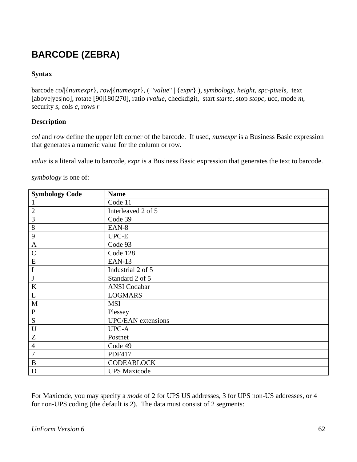## **BARCODE (ZEBRA)**

## **Syntax**

barcode *col*|{*numexpr*}, *row*|{*numexpr*}, ( "*value*" | {*expr*} ), *symbology*, *height*, *spc-pixel*s, text [above|yes|no], rotate [90|180|270], ratio *rvalue*, checkdigit, start *startc*, stop *stopc*, ucc, mode *m*, security *s*, cols *c*, rows *r*

### **Description**

*col* and *row* define the upper left corner of the barcode. If used, *numexpr* is a Business Basic expression that generates a numeric value for the column or row.

*value* is a literal value to barcode, *expr* is a Business Basic expression that generates the text to barcode.

*symbology* is one of:

| <b>Symbology Code</b> | <b>Name</b>               |
|-----------------------|---------------------------|
|                       | Code 11                   |
| $\mathbf{2}$          | Interleaved 2 of 5        |
| 3                     | Code 39                   |
| $8\,$                 | EAN-8                     |
| 9                     | $UPC-E$                   |
| $\mathbf{A}$          | Code 93                   |
| $\mathsf{C}$          | Code 128                  |
| E                     | <b>EAN-13</b>             |
| $\bf I$               | Industrial 2 of 5         |
| J                     | Standard 2 of 5           |
| $\bf K$               | <b>ANSI</b> Codabar       |
| L                     | <b>LOGMARS</b>            |
| $\mathbf M$           | <b>MSI</b>                |
| ${\bf P}$             | Plessey                   |
| ${\bf S}$             | <b>UPC/EAN</b> extensions |
| $\mathbf U$           | UPC-A                     |
| Z                     | Postnet                   |
| $\overline{4}$        | Code 49                   |
| $\overline{7}$        | <b>PDF417</b>             |
| $\bf{B}$              | <b>CODEABLOCK</b>         |
| D                     | <b>UPS Maxicode</b>       |

For Maxicode, you may specify a *mode* of 2 for UPS US addresses, 3 for UPS non-US addresses, or 4 for non-UPS coding (the default is 2). The data must consist of 2 segments: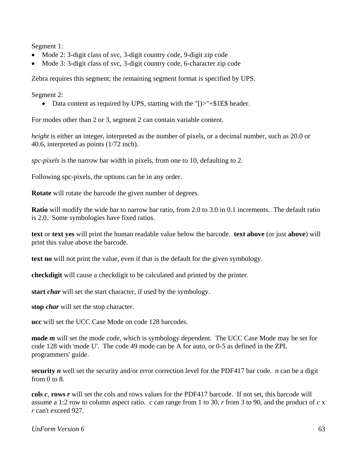Segment 1:

- Mode 2: 3-digit class of svc, 3-digit country code, 9-digit zip code
- Mode 3: 3-digit class of svc, 3-digit country code, 6-character zip code

Zebra requires this segment; the remaining segment format is specified by UPS.

Segment 2:

• Data content as required by UPS, starting with the "[ $\ge$ "+\$1E\$ header.

For modes other than 2 or 3, segment 2 can contain variable content.

*height* is either an integer, interpreted as the number of pixels, or a decimal number, such as 20.0 or 40.6, interpreted as points (1/72 inch).

*spc-pixels* is the narrow bar width in pixels, from one to 10, defaulting to 2.

Following spc-pixels, the options can be in any order.

**Rotate** will rotate the barcode the given number of degrees.

**Ratio** will modify the wide bar to narrow bar ratio, from 2.0 to 3.0 in 0.1 increments. The default ratio is 2.0. Some symbologies have fixed ratios.

**text** or **text yes** will print the human readable value below the barcode. **text above** (or just **above**) will print this value above the barcode.

**text no** will not print the value, even if that is the default for the given symbology.

**checkdigit** will cause a checkdigit to be calculated and printed by the printer.

**start** *char* will set the start character, if used by the symbology.

**stop** *char* will set the stop character.

**ucc** will set the UCC Case Mode on code 128 barcodes.

**mode** *m* will set the mode code, which is symbology dependent. The UCC Case Mode may be set for code 128 with 'mode U'. The code 49 mode can be A for auto, or 0-5 as defined in the ZPL programmers' guide.

**security** *n* well set the security and/or error correction level for the PDF417 bar code. *n* can be a digit from 0 to 8.

**cols** *c*, **rows** *r* will set the cols and rows values for the PDF417 barcode. If not set, this barcode will assume a 1:2 row to column aspect ratio. *c* can range from 1 to 30, *r* from 3 to 90, and the product of *c* x *r* can't exceed 927.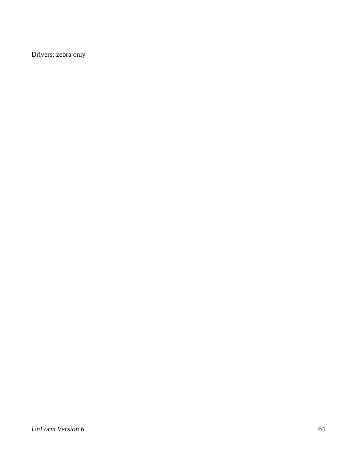Drivers: zebra only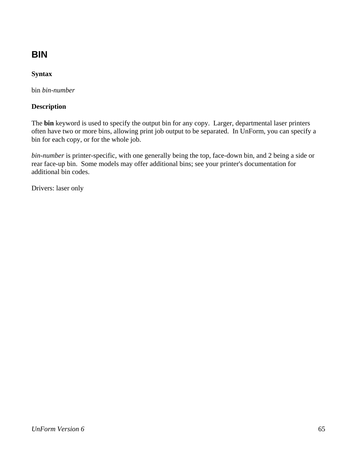## **BIN**

## **Syntax**

bin *bin-number*

## **Description**

The **bin** keyword is used to specify the output bin for any copy. Larger, departmental laser printers often have two or more bins, allowing print job output to be separated. In UnForm, you can specify a bin for each copy, or for the whole job.

*bin-number* is printer-specific, with one generally being the top, face-down bin, and 2 being a side or rear face-up bin. Some models may offer additional bins; see your printer's documentation for additional bin codes.

Drivers: laser only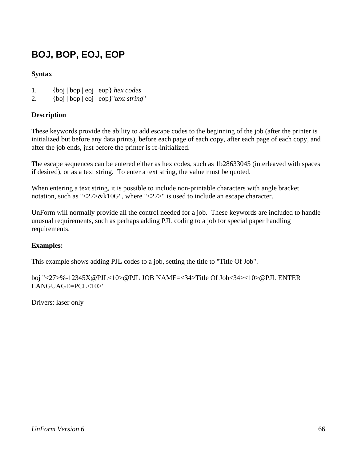## **BOJ, BOP, EOJ, EOP**

## **Syntax**

- 1. {boj | bop | eoj | eop} *hex codes*
- 2. {boj | bop | eoj | eop}"*text string*"

### **Description**

These keywords provide the ability to add escape codes to the beginning of the job (after the printer is initialized but before any data prints), before each page of each copy, after each page of each copy, and after the job ends, just before the printer is re-initialized.

The escape sequences can be entered either as hex codes, such as 1b28633045 (interleaved with spaces if desired), or as a text string. To enter a text string, the value must be quoted.

When entering a text string, it is possible to include non-printable characters with angle bracket notation, such as "<27>&k10G", where "<27>" is used to include an escape character.

UnForm will normally provide all the control needed for a job. These keywords are included to handle unusual requirements, such as perhaps adding PJL coding to a job for special paper handling requirements.

## **Examples:**

This example shows adding PJL codes to a job, setting the title to "Title Of Job".

boj "<27>%-12345X@PJL<10>@PJL JOB NAME=<34>Title Of Job<34><10>@PJL ENTER LANGUAGE=PCL<10>"

Drivers: laser only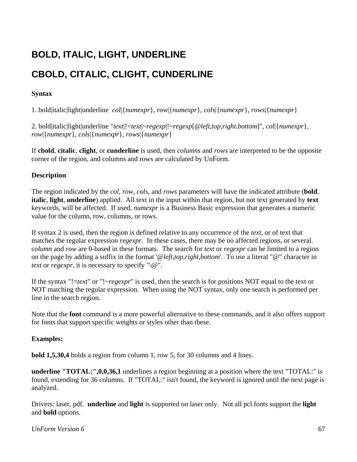## **BOLD, ITALIC, LIGHT, UNDERLINE**

## **CBOLD, CITALIC, CLIGHT, CUNDERLINE**

### **Syntax**

1. bold|italic|light|underline *col*|{*numexpr*}, *row*|{*numexpr*}, *cols*|{*numexpr*}, *rows*|{*numexpr*}

2. bold|italic|light|underline "*text*|!=*text*|~*regexp*|!~*regexp*[@*left,top,right.bottom*]", *col*|{*numexpr*}, *row*|{*numexpr*}, *cols*|{*numexpr*}, *rows*|{*numexpr*}

If **cbold**, **citalic**, **clight**, or **cunderline** is used, then *columns* and *rows* are interpreted to be the opposite corner of the region, and columns and rows are calculated by UnForm.

### **Description**

The region indicated by the *col*, *row*, *cols*, and *rows* parameters will have the indicated attribute (**bold**, **italic**, **light**, **underline**) applied. All text in the input within that region, but not text generated by **text** keywords, will be affected. If used, *numexpr* is a Business Basic expression that generates a numeric value for the column, row, columns, or rows.

If syntax 2 is used, then the region is defined relative to any occurrence of the *text*, or of text that matches the regular expression *regexpr*. In these cases, there may be no affected regions, or several. c*olumn* and *row* are 0-based in these formats. The search for *text* or *regexpr* can be limited to a region on the page by adding a suffix in the format '@*left,top,right,bottom*'. To use a literal "@" character in *text* or *regexpr*, it is necessary to specify " $\langle \omega \rangle$ ".

If the syntax "!=*text*" or "!~*regexpr*" is used, then the search is for positions NOT equal to the text or NOT matching the regular expression. When using the NOT syntax, only one search is performed per line in the search region.

Note that the **font** command is a more powerful alternative to these commands, and it also offers support for fonts that support specific weights or styles other than these.

### **Examples:**

**bold 1,5,30,4** bolds a region from column 1, row 5, for 30 columns and 4 lines.

**underline "TOTAL:",0,0,36,1** underlines a region beginning at a position where the text "TOTAL:" is found, extending for 36 columns. If "TOTAL:" isn't found, the keyword is ignored until the next page is analyzed.

Drivers: laser, pdf. **underline** and **light** is supported on laser only. Not all pcl fonts support the **light** and **bold** options.

### *UnForm Version 6* 67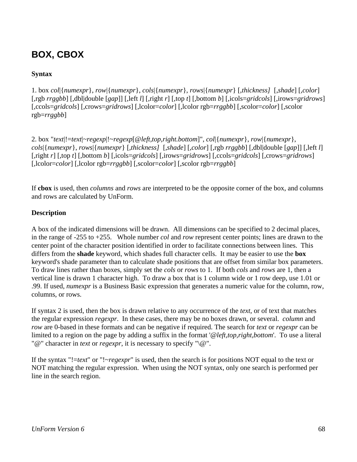## **BOX, CBOX**

## **Syntax**

1. box *col*|{*numexpr*}, *row*|{*numexpr*}, *cols*|{*numexpr*}, *rows*|{*numexpr*} [,*thickness]* [,*shade*] [,*color*] [,rgb *rrggbb*] [,dbl|double [*gap*]] [,left *l*] [,right *r*] [,top *t*] [,bottom *b*] [,icols=*gridcols*] [,irows=*gridrows*] [,ccols=*gridcols*] [,crows=*gridrows*] [,lcolor=*color*] [,lcolor rgb=*rrggbb*] [,scolor=*color*] [,scolor rgb=*rrggbb*]

2. box "*text*|!=*text*|~*regexp*|!~*regexp*[@*left,top,right.bottom*]", *col*|{*numexpr*}, *row*|{*numexpr*}, *cols*|{*numexpr*}, *rows*|{*numexpr*} [*,thickness]* [,*shade*] [,*color*] [,rgb *rrggbb*] [,dbl|double [*gap*]] [,left *l*] [,right *r*] [,top *t*] [,bottom *b*] [,icols=*gridcols*] [,irows=*gridrows*] [,ccols=*gridcols*] [,crows=*gridrows*] [,lcolor=*color*] [,lcolor rgb=*rrggbb*] [,scolor=*color*] [,scolor rgb=*rrggbb*]

If **cbox** is used, then *columns* and *rows* are interpreted to be the opposite corner of the box, and columns and rows are calculated by UnForm.

## **Description**

A box of the indicated dimensions will be drawn. All dimensions can be specified to 2 decimal places, in the range of -255 to +255. Whole number *col* and *row* represent center points; lines are drawn to the center point of the character position identified in order to facilitate connections between lines. This differs from the **shade** keyword, which shades full character cells. It may be easier to use the **box** keyword's shade parameter than to calculate shade positions that are offset from similar box parameters. To draw lines rather than boxes, simply set the *cols* or *rows* to 1. If both *cols* and *rows* are 1, then a vertical line is drawn 1 character high. To draw a box that is 1 column wide or 1 row deep, use 1.01 or .99. If used, *numexpr* is a Business Basic expression that generates a numeric value for the column, row, columns, or rows.

If syntax 2 is used, then the box is drawn relative to any occurrence of the *text*, or of text that matches the regular expression *regexpr*. In these cases, there may be no boxes drawn, or several. *column* and *row* are 0-based in these formats and can be negative if required. The search for *text* or *regexpr* can be limited to a region on the page by adding a suffix in the format '@*left,top,right,bottom*'. To use a literal "@" character in *text* or *regexpr*, it is necessary to specify "\@".

If the syntax "!=*text*" or "!~*regexpr*" is used, then the search is for positions NOT equal to the text or NOT matching the regular expression. When using the NOT syntax, only one search is performed per line in the search region.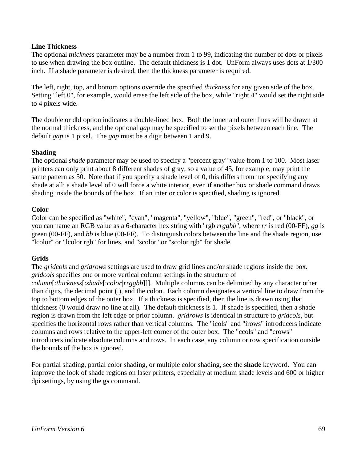### **Line Thickness**

The optional *thickness* parameter may be a number from 1 to 99, indicating the number of dots or pixels to use when drawing the box outline. The default thickness is 1 dot. UnForm always uses dots at 1/300 inch. If a shade parameter is desired, then the thickness parameter is required.

The left, right, top, and bottom options override the specified *thickness* for any given side of the box. Setting "left 0", for example, would erase the left side of the box, while "right 4" would set the right side to 4 pixels wide.

The double or dbl option indicates a double-lined box. Both the inner and outer lines will be drawn at the normal thickness, and the optional *gap* may be specified to set the pixels between each line. The default *gap* is 1 pixel. The *gap* must be a digit between 1 and 9.

#### **Shading**

The optional *shade* parameter may be used to specify a "percent gray" value from 1 to 100. Most laser printers can only print about 8 different shades of gray, so a value of 45, for example, may print the same pattern as 50. Note that if you specify a shade level of 0, this differs from not specifying any shade at all: a shade level of 0 will force a white interior, even if another box or shade command draws shading inside the bounds of the box. If an interior color is specified, shading is ignored.

#### **Color**

Color can be specified as "white", "cyan", "magenta", "yellow", "blue", "green", "red", or "black", or you can name an RGB value as a 6-character hex string with "rgb *rrggbb*", where *rr* is red (00-FF), *gg* is green (00-FF), and *bb* is blue (00-FF). To distinguish colors between the line and the shade region, use "lcolor" or "lcolor rgb" for lines, and "scolor" or "scolor rgb" for shade.

#### **Grids**

The *gridcols* and *gridrows* settings are used to draw grid lines and/or shade regions inside the box. *gridcols* specifies one or more vertical column settings in the structure of *column*[:*thickness*[:*shade*[:*color|rrggbb*]]]. Multiple columns can be delimited by any character other than digits, the decimal point (.), and the colon. Each column designates a vertical line to draw from the top to bottom edges of the outer box. If a thickness is specified, then the line is drawn using that thickness (0 would draw no line at all). The default thickness is 1. If shade is specified, then a shade region is drawn from the left edge or prior column. *gridrows* is identical in structure to *gridcols*, but specifies the horizontal rows rather than vertical columns. The "icols" and "irows" introducers indicate columns and rows relative to the upper-left corner of the outer box. The "ccols" and "crows" introducers indicate absolute columns and rows. In each case, any column or row specification outside the bounds of the box is ignored.

For partial shading, partial color shading, or multiple color shading, see the **shade** keyword. You can improve the look of shade regions on laser printers, especially at medium shade levels and 600 or higher dpi settings, by using the **gs** command.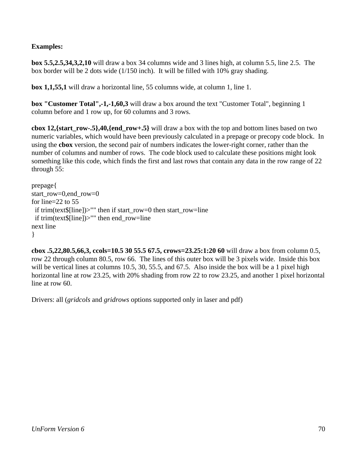## **Examples:**

**box 5.5,2.5,34,3,2,10** will draw a box 34 columns wide and 3 lines high, at column 5.5, line 2.5. The box border will be 2 dots wide (1/150 inch). It will be filled with 10% gray shading.

**box 1,1,55,1** will draw a horizontal line, 55 columns wide, at column 1, line 1.

**box "Customer Total",-1,-1,60,3** will draw a box around the text "Customer Total", beginning 1 column before and 1 row up, for 60 columns and 3 rows.

**cbox 12,{start\_row-.5},40,{end\_row+.5}** will draw a box with the top and bottom lines based on two numeric variables, which would have been previously calculated in a prepage or precopy code block. In using the **cbox** version, the second pair of numbers indicates the lower-right corner, rather than the number of columns and number of rows. The code block used to calculate these positions might look something like this code, which finds the first and last rows that contain any data in the row range of 22 through 55:

```
prepage{ 
start_row=0,end_row=0
for line=22 to 55 
  if trim(text$[line])>"" then if start_row=0 then start_row=line 
  if trim(text$[line])>"" then end_row=line 
next line 
}
```
**cbox .5,22,80.5,66,3, ccols=10.5 30 55.5 67.5, crows=23.25:1:20 60** will draw a box from column 0.5, row 22 through column 80.5, row 66. The lines of this outer box will be 3 pixels wide. Inside this box will be vertical lines at columns 10.5, 30, 55.5, and 67.5. Also inside the box will be a 1 pixel high horizontal line at row 23.25, with 20% shading from row 22 to row 23.25, and another 1 pixel horizontal line at row 60.

Drivers: all (*gridcols* and *gridrows* options supported only in laser and pdf)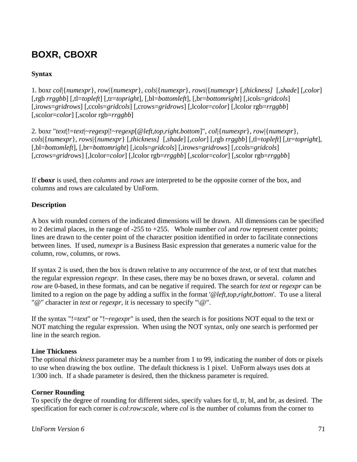## **BOXR, CBOXR**

## **Syntax**

1. boxr *col*|{*numexpr*}, *row*|{*numexpr*}, *cols*|{*numexpr*}, *rows*|{*numexpr*} [,*thickness]* [,*shade*] [,*color*] [,rgb *rrggbb*] [,tl=*topleft*] [,tr=*topright*], [,bl=*bottomleft*], [,br=*bottomright*] [,icols=*gridcols*] [,irows=*gridrows*] [,ccols=*gridcols*] [,crows=*gridrows*] [,lcolor=*color*] [,lcolor rgb=*rrggbb*] [,scolor=*color*] [,scolor rgb=*rrggbb*]

2. boxr "*text*|!=*text*|~*regexp*|!~*regexp*[@*left,top,right.bottom*]", *col*|{*numexpr*}, *row*|{*numexpr*}, *cols*|{*numexpr*}, *rows*|{*numexpr*} [*,thickness]* [,*shade*] [,*color*] [,rgb *rrggbb*] [,tl=*topleft*] [,tr=*topright*], [,bl=*bottomleft*], [,br=*bottomright*] [,icols=*gridcols*] [,irows=*gridrows*] [,ccols=*gridcols*] [,crows=*gridrows*] [,lcolor=*color*] [,lcolor rgb=*rrggbb*] [,scolor=*color*] [,scolor rgb=*rrggbb*]

If **cboxr** is used, then *columns* and *rows* are interpreted to be the opposite corner of the box, and columns and rows are calculated by UnForm.

### **Description**

A box with rounded corners of the indicated dimensions will be drawn. All dimensions can be specified to 2 decimal places, in the range of -255 to +255. Whole number *col* and *row* represent center points; lines are drawn to the center point of the character position identified in order to facilitate connections between lines. If used, *numexpr* is a Business Basic expression that generates a numeric value for the column, row, columns, or rows.

If syntax 2 is used, then the box is drawn relative to any occurrence of the *text*, or of text that matches the regular expression *regexpr*. In these cases, there may be no boxes drawn, or several. *column* and *row* are 0-based, in these formats, and can be negative if required. The search for *text* or *regexpr* can be limited to a region on the page by adding a suffix in the format '@*left,top,right,bottom*'. To use a literal "@" character in *text* or *regexpr*, it is necessary to specify "\@".

If the syntax "!=*text*" or "!~*regexpr*" is used, then the search is for positions NOT equal to the text or NOT matching the regular expression. When using the NOT syntax, only one search is performed per line in the search region.

### **Line Thickness**

The optional *thickness* parameter may be a number from 1 to 99, indicating the number of dots or pixels to use when drawing the box outline. The default thickness is 1 pixel. UnForm always uses dots at 1/300 inch. If a shade parameter is desired, then the thickness parameter is required.

### **Corner Rounding**

To specify the degree of rounding for different sides, specify values for tl, tr, bl, and br, as desired. The specification for each corner is *col*:*row*:*scale*, where *col* is the number of columns from the corner to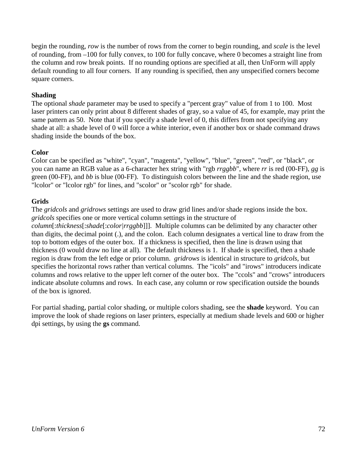begin the rounding, *row* is the number of rows from the corner to begin rounding, and *scale* is the level of rounding, from –100 for fully convex, to 100 for fully concave, where 0 becomes a straight line from the column and row break points. If no rounding options are specified at all, then UnForm will apply default rounding to all four corners. If any rounding is specified, then any unspecified corners become square corners.

### **Shading**

The optional *shade* parameter may be used to specify a "percent gray" value of from 1 to 100. Most laser printers can only print about 8 different shades of gray, so a value of 45, for example, may print the same pattern as 50. Note that if you specify a shade level of 0, this differs from not specifying any shade at all: a shade level of 0 will force a white interior, even if another box or shade command draws shading inside the bounds of the box.

### **Color**

Color can be specified as "white", "cyan", "magenta", "yellow", "blue", "green", "red", or "black", or you can name an RGB value as a 6-character hex string with "rgb *rrggbb*", where *rr* is red (00-FF), *gg* is green (00-FF), and *bb* is blue (00-FF). To distinguish colors between the line and the shade region, use "lcolor" or "lcolor rgb" for lines, and "scolor" or "scolor rgb" for shade.

### **Grids**

The *gridcols* and *gridrows* settings are used to draw grid lines and/or shade regions inside the box. *gridcols* specifies one or more vertical column settings in the structure of *column*[:*thickness*[:*shade*[:*color|rrggbb*]]]. Multiple columns can be delimited by any character other than digits, the decimal point (.), and the colon. Each column designates a vertical line to draw from the top to bottom edges of the outer box. If a thickness is specified, then the line is drawn using that thickness (0 would draw no line at all). The default thickness is 1. If shade is specified, then a shade region is draw from the left edge or prior column. *gridrows* is identical in structure to *gridcols*, but specifies the horizontal rows rather than vertical columns. The "icols" and "irows" introducers indicate columns and rows relative to the upper left corner of the outer box. The "ccols" and "crows" introducers indicate absolute columns and rows. In each case, any column or row specification outside the bounds of the box is ignored.

For partial shading, partial color shading, or multiple colors shading, see the **shade** keyword. You can improve the look of shade regions on laser printers, especially at medium shade levels and 600 or higher dpi settings, by using the **gs** command.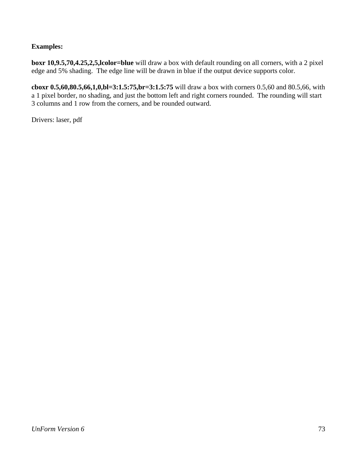## **Examples:**

**boxr 10,9.5,70,4.25,2,5,lcolor=blue** will draw a box with default rounding on all corners, with a 2 pixel edge and 5% shading. The edge line will be drawn in blue if the output device supports color.

**cboxr 0.5,60,80.5,66,1,0,bl=3:1.5:75,br=3:1.5:75** will draw a box with corners 0.5,60 and 80.5,66, with a 1 pixel border, no shading, and just the bottom left and right corners rounded. The rounding will start 3 columns and 1 row from the corners, and be rounded outward.

Drivers: laser, pdf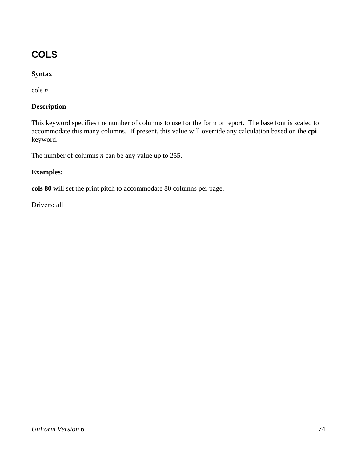# **COLS**

## **Syntax**

cols *n*

## **Description**

This keyword specifies the number of columns to use for the form or report. The base font is scaled to accommodate this many columns. If present, this value will override any calculation based on the **cpi** keyword.

The number of columns *n* can be any value up to 255.

### **Examples:**

**cols 80** will set the print pitch to accommodate 80 columns per page.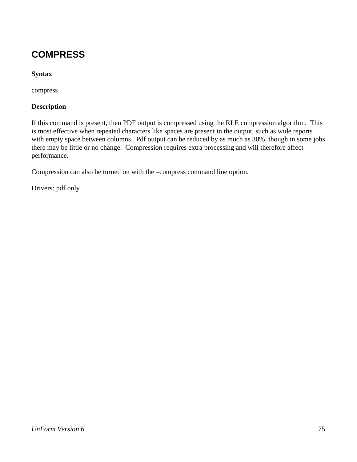## **COMPRESS**

## **Syntax**

compress

### **Description**

If this command is present, then PDF output is compressed using the RLE compression algorithm. This is most effective when repeated characters like spaces are present in the output, such as wide reports with empty space between columns. Pdf output can be reduced by as much as 30%, though in some jobs there may be little or no change. Compression requires extra processing and will therefore affect performance.

Compression can also be turned on with the –compress command line option.

Drivers: pdf only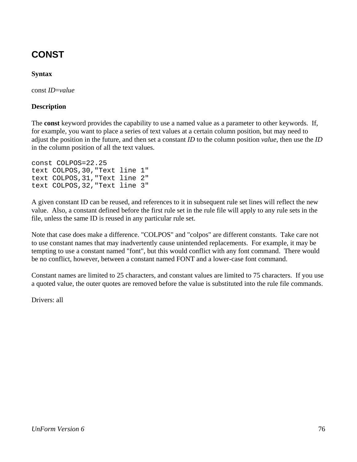## **CONST**

## **Syntax**

const *ID*=*value*

### **Description**

The **const** keyword provides the capability to use a named value as a parameter to other keywords. If, for example, you want to place a series of text values at a certain column position, but may need to adjust the position in the future, and then set a constant *ID* to the column position *value*, then use the *ID* in the column position of all the text values.

```
const COLPOS=22.25 
text COLPOS,30,"Text line 1" 
text COLPOS,31,"Text line 2" 
text COLPOS,32,"Text line 3"
```
A given constant ID can be reused, and references to it in subsequent rule set lines will reflect the new value. Also, a constant defined before the first rule set in the rule file will apply to any rule sets in the file, unless the same ID is reused in any particular rule set.

Note that case does make a difference. "COLPOS" and "colpos" are different constants. Take care not to use constant names that may inadvertently cause unintended replacements. For example, it may be tempting to use a constant named "font", but this would conflict with any font command. There would be no conflict, however, between a constant named FONT and a lower-case font command.

Constant names are limited to 25 characters, and constant values are limited to 75 characters. If you use a quoted value, the outer quotes are removed before the value is substituted into the rule file commands.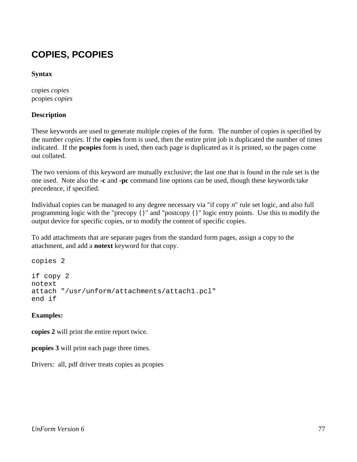## **COPIES, PCOPIES**

### **Syntax**

copies *copies* pcopies *copies*

### **Description**

These keywords are used to generate multiple copies of the form. The number of copies is specified by the number *copies*. If the **copies** form is used, then the entire print job is duplicated the number of times indicated. If the **pcopies** form is used, then each page is duplicated as it is printed, so the pages come out collated.

The two versions of this keyword are mutually exclusive; the last one that is found in the rule set is the one used. Note also the **-c** and **-pc** command line options can be used, though these keywords take precedence, if specified.

Individual copies can be managed to any degree necessary via "if copy *n*" rule set logic, and also full programming logic with the "precopy {}" and "postcopy {}" logic entry points. Use this to modify the output device for specific copies, or to modify the content of specific copies.

To add attachments that are separate pages from the standard form pages, assign a copy to the attachment, and add a **notext** keyword for that copy.

```
copies 2 
if copy 2 
notext 
attach "/usr/unform/attachments/attach1.pcl" 
end if
```
## **Examples:**

**copies 2** will print the entire report twice.

**pcopies 3** will print each page three times.

Drivers: all, pdf driver treats copies as pcopies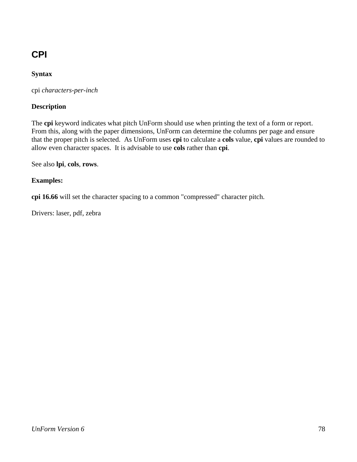# **CPI**

## **Syntax**

cpi *characters-per-inch*

## **Description**

The **cpi** keyword indicates what pitch UnForm should use when printing the text of a form or report. From this, along with the paper dimensions, UnForm can determine the columns per page and ensure that the proper pitch is selected. As UnForm uses **cpi** to calculate a **cols** value, **cpi** values are rounded to allow even character spaces. It is advisable to use **cols** rather than **cpi**.

See also **lpi**, **cols**, **rows**.

## **Examples:**

**cpi 16.66** will set the character spacing to a common "compressed" character pitch.

Drivers: laser, pdf, zebra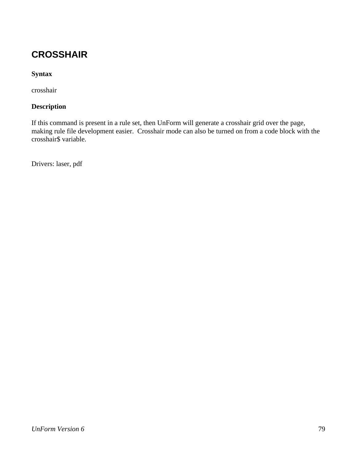## **CROSSHAIR**

## **Syntax**

crosshair

## **Description**

If this command is present in a rule set, then UnForm will generate a crosshair grid over the page, making rule file development easier. Crosshair mode can also be turned on from a code block with the crosshair\$ variable.

Drivers: laser, pdf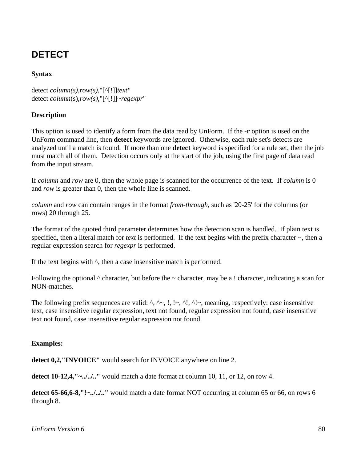## **DETECT**

### **Syntax**

detect *column(s)*,*row(s)*,"[^[!]]*text"*  detect *column*(s),*row(s)*,"[^[!]]~*regexpr*"

#### **Description**

This option is used to identify a form from the data read by UnForm. If the **-r** option is used on the UnForm command line, then **detect** keywords are ignored. Otherwise, each rule set's detects are analyzed until a match is found. If more than one **detect** keyword is specified for a rule set, then the job must match all of them. Detection occurs only at the start of the job, using the first page of data read from the input stream.

If *column* and *row* are 0, then the whole page is scanned for the occurrence of the text. If *column* is 0 and *row* is greater than 0, then the whole line is scanned.

*column* and *row* can contain ranges in the format *from*-*through*, such as '20-25' for the columns (or rows) 20 through 25.

The format of the quoted third parameter determines how the detection scan is handled. If plain text is specified, then a literal match for *text* is performed. If the text begins with the prefix character  $\sim$ , then a regular expression search for *regexpr* is performed.

If the text begins with  $\land$ , then a case insensitive match is performed.

Following the optional  $\wedge$  character, but before the  $\sim$  character, may be a ! character, indicating a scan for NON-matches.

The following prefix sequences are valid:  $\land$ ,  $\land \sim$ ,  $\land$ ,  $\land \lor$ ,  $\land \land \lor$ , meaning, respectively: case insensitive text, case insensitive regular expression, text not found, regular expression not found, case insensitive text not found, case insensitive regular expression not found.

#### **Examples:**

**detect 0,2,"INVOICE"** would search for INVOICE anywhere on line 2.

**detect 10-12,4,"~../../.."** would match a date format at column 10, 11, or 12, on row 4.

**detect 65-66,6-8,"!~../../.."** would match a date format NOT occurring at column 65 or 66, on rows 6 through 8.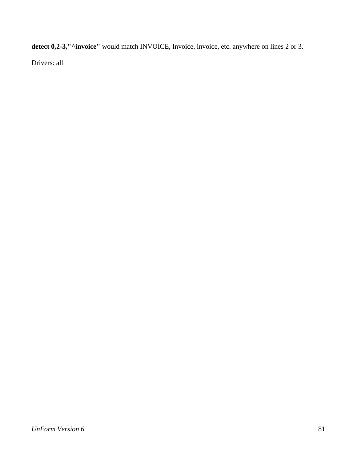detect 0,2-3,"^invoice" would match INVOICE, Invoice, invoice, etc. anywhere on lines 2 or 3.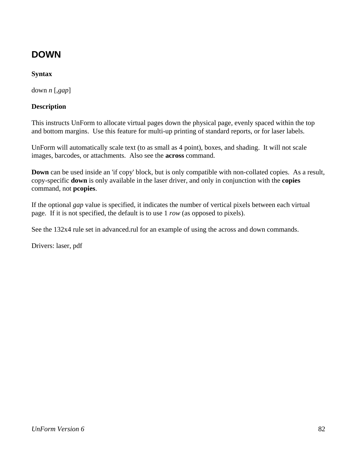## **DOWN**

## **Syntax**

down *n* [,*gap*]

### **Description**

This instructs UnForm to allocate virtual pages down the physical page, evenly spaced within the top and bottom margins. Use this feature for multi-up printing of standard reports, or for laser labels.

UnForm will automatically scale text (to as small as 4 point), boxes, and shading. It will not scale images, barcodes, or attachments. Also see the **across** command.

**Down** can be used inside an 'if copy' block, but is only compatible with non-collated copies. As a result, copy-specific **down** is only available in the laser driver, and only in conjunction with the **copies** command, not **pcopies**.

If the optional *gap* value is specified, it indicates the number of vertical pixels between each virtual page. If it is not specified, the default is to use 1 *row* (as opposed to pixels).

See the 132x4 rule set in advanced.rul for an example of using the across and down commands.

Drivers: laser, pdf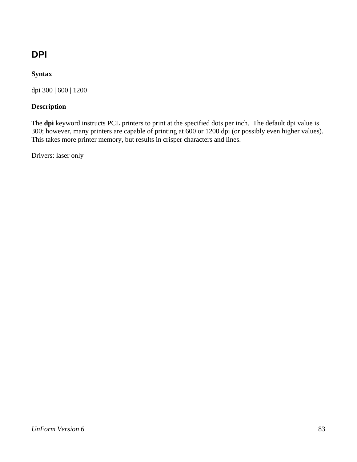## **DPI**

## **Syntax**

dpi 300 | 600 | 1200

## **Description**

The **dpi** keyword instructs PCL printers to print at the specified dots per inch. The default dpi value is 300; however, many printers are capable of printing at 600 or 1200 dpi (or possibly even higher values). This takes more printer memory, but results in crisper characters and lines.

Drivers: laser only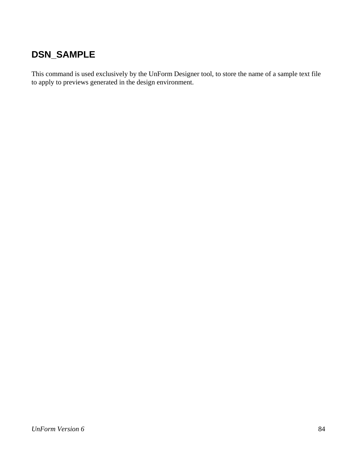## **DSN\_SAMPLE**

This command is used exclusively by the UnForm Designer tool, to store the name of a sample text file to apply to previews generated in the design environment.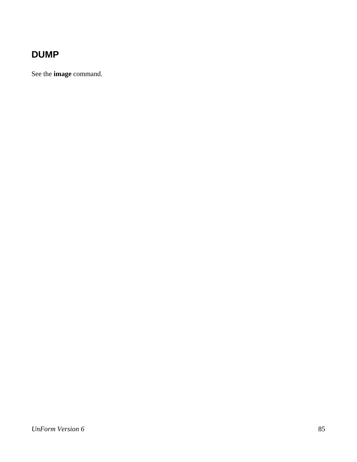## **DUMP**

See the **image** command.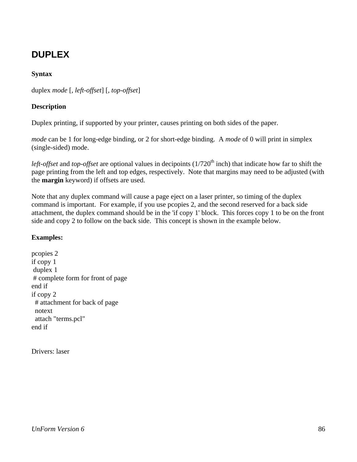## **DUPLEX**

### **Syntax**

duplex *mode* [, *left-offset*] [, *top-offset*]

### **Description**

Duplex printing, if supported by your printer, causes printing on both sides of the paper.

*mode* can be 1 for long-edge binding, or 2 for short-edge binding. A *mode* of 0 will print in simplex (single-sided) mode.

*left-offset* and *top-offset* are optional values in decipoints (1/720<sup>th</sup> inch) that indicate how far to shift the page printing from the left and top edges, respectively. Note that margins may need to be adjusted (with the **margin** keyword) if offsets are used.

Note that any duplex command will cause a page eject on a laser printer, so timing of the duplex command is important. For example, if you use pcopies 2, and the second reserved for a back side attachment, the duplex command should be in the 'if copy 1' block. This forces copy 1 to be on the front side and copy 2 to follow on the back side. This concept is shown in the example below.

## **Examples:**

pcopies 2 if copy 1 duplex 1 # complete form for front of page end if if copy 2 # attachment for back of page notext attach "terms.pcl" end if

Drivers: laser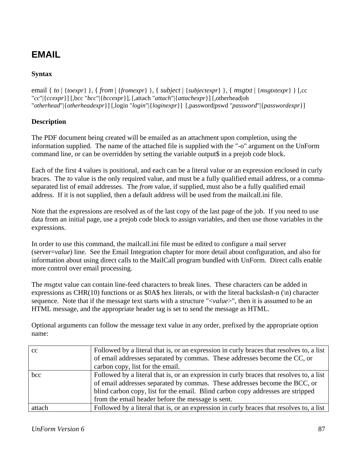## **EMAIL**

## **Syntax**

email { *to* | {*toexpr*} }, { *from* | {*fromexpr*} }, { *subject* | {*subjectexpr*} }, { *msgtxt* | {*msgtxtexpr*} } [,cc "*cc*"|{*ccexpr*}] [,bcc "*bcc*"|{*bccexpr*}], [,attach "*attach*"|{*attachexpr*}] [,otherhead|oh "*otherhead*"|{*otherheadexpr*}] [,login "*login*"|{*loginexpr*}] [,password|pswd "*password*"|{*passwordexpr*}]

### **Description**

The PDF document being created will be emailed as an attachment upon completion, using the information supplied. The name of the attached file is supplied with the "-o" argument on the UnForm command line, or can be overridden by setting the variable output\$ in a prejob code block.

Each of the first 4 values is positional, and each can be a literal value or an expression enclosed in curly braces. The *to* value is the only required value, and must be a fully qualified email address, or a commaseparated list of email addresses. The *from* value, if supplied, must also be a fully qualified email address. If it is not supplied, then a default address will be used from the mailcall.ini file.

Note that the expressions are resolved as of the last copy of the last page of the job. If you need to use data from an initial page, use a prejob code block to assign variables, and then use those variables in the expressions.

In order to use this command, the mailcall.ini file must be edited to configure a mail server (server=*value*) line. See the Email Integration chapter for more detail about configuration, and also for information about using direct calls to the MailCall program bundled with UnForm. Direct calls enable more control over email processing.

The *msgtxt* value can contain line-feed characters to break lines. These characters can be added in expressions as CHR(10) functions or as \$0A\$ hex literals, or with the literal backslash-n  $(\n)$  character sequence. Note that if the message text starts with a structure "<*value*>", then it is assumed to be an HTML message, and the appropriate header tag is set to send the message as HTML.

| cc     | Followed by a literal that is, or an expression in curly braces that resolves to, a list |
|--------|------------------------------------------------------------------------------------------|
|        | of email addresses separated by commas. These addresses become the CC, or                |
|        | carbon copy, list for the email.                                                         |
| bcc    | Followed by a literal that is, or an expression in curly braces that resolves to, a list |
|        | of email addresses separated by commas. These addresses become the BCC, or               |
|        | blind carbon copy, list for the email. Blind carbon copy addresses are stripped          |
|        | from the email header before the message is sent.                                        |
| attach | Followed by a literal that is, or an expression in curly braces that resolves to, a list |

Optional arguments can follow the message text value in any order, prefixed by the appropriate option name: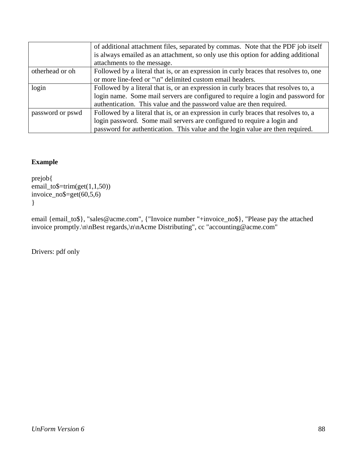|                  | of additional attachment files, separated by commas. Note that the PDF job itself     |
|------------------|---------------------------------------------------------------------------------------|
|                  | is always emailed as an attachment, so only use this option for adding additional     |
|                  | attachments to the message.                                                           |
| otherhead or oh  | Followed by a literal that is, or an expression in curly braces that resolves to, one |
|                  | or more line-feed or "\n" delimited custom email headers.                             |
| login            | Followed by a literal that is, or an expression in curly braces that resolves to, a   |
|                  | login name. Some mail servers are configured to require a login and password for      |
|                  | authentication. This value and the password value are then required.                  |
| password or pswd | Followed by a literal that is, or an expression in curly braces that resolves to, a   |
|                  | login password. Some mail servers are configured to require a login and               |
|                  | password for authentication. This value and the login value are then required.        |

## **Example**

```
prejob{ 
email_to$=trim(get(1,1,50))
invoice-no\=get(60,5,6)
}
```
email {email\_to\$}, "sales@acme.com", {"Invoice number "+invoice\_no\$}, "Please pay the attached invoice promptly.\n\nBest regards,\n\nAcme Distributing", cc "accounting@acme.com"

Drivers: pdf only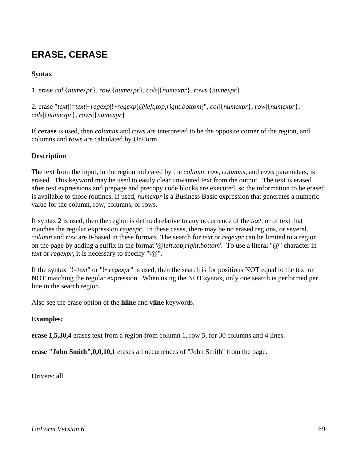## **ERASE, CERASE**

## **Syntax**

1. erase *col*|{*numexpr*}, *row*|{*numexpr*}, *cols*|{*numexpr*}, *rows*|{*numexpr*}

2. erase "*text*|!=*text*|~*regexp*|!~*regexp*[@*left,top,right.bottom*]", *col*|{*numexpr*}, *row*|{*numexpr*}, *cols*|{*numexpr*}, *rows*|{*numexpr*}

If **cerase** is used, then *columns* and *rows* are interpreted to be the opposite corner of the region, and columns and rows are calculated by UnForm.

## **Description**

The text from the input, in the region indicated by the *column*, *row*, *columns*, and *rows* parameters, is erased. This keyword may be used to easily clear unwanted text from the output. The text is erased after text expressions and prepage and precopy code blocks are executed, so the information to be erased is available to those routines. If used, *numexpr* is a Business Basic expression that generates a numeric value for the column, row, columns, or rows.

If syntax 2 is used, then the region is defined relative to any occurrence of the *text*, or of text that matches the regular expression *regexpr*. In these cases, there may be no erased regions, or several. *column* and *row* are 0-based in these formats. The search for *text* or *regexpr* can be limited to a region on the page by adding a suffix in the format '@*left,top,right,bottom*'. To use a literal "@" character in *text* or *regexpr*, it is necessary to specify " $\mathbb{Q}$ ".

If the syntax "!=*text*" or "!~*regexpr*" is used, then the search is for positions NOT equal to the text or NOT matching the regular expression. When using the NOT syntax, only one search is performed per line in the search region.

Also see the erase option of the **hline** and **vline** keywords.

#### **Examples:**

**erase 1,5,30,4** erases text from a region from column 1, row 5, for 30 columns and 4 lines.

**erase "John Smith",0,0,10,1** erases all occurrences of "John Smith" from the page.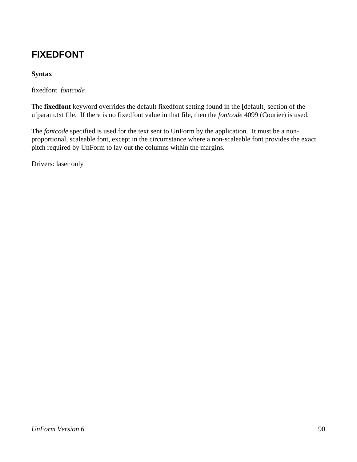## **FIXEDFONT**

## **Syntax**

fixedfont *fontcode* 

The **fixedfont** keyword overrides the default fixedfont setting found in the [default] section of the ufparam.txt file. If there is no fixedfont value in that file, then the *fontcode* 4099 (Courier) is used.

The *fontcode* specified is used for the text sent to UnForm by the application. It must be a nonproportional, scaleable font, except in the circumstance where a non-scaleable font provides the exact pitch required by UnForm to lay out the columns within the margins.

Drivers: laser only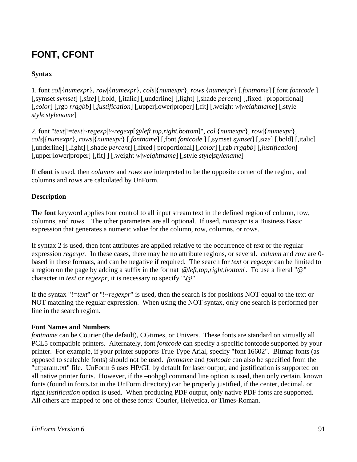## **FONT, CFONT**

## **Syntax**

1. font *col*|{*numexpr*}, *row*|{*numexpr*}, *cols*|{*numexpr*}, *rows*|{*numexpr*} [*,fontname*] [,font *fontcode* ] [*,*symset *symset*] [*,size*] [*,*bold] [,italic] [,underline] [,light] [,shade *percent*] [,fixed | proportional] [,*color*] [,rgb *rrggbb*] [,*justification*] [,upper|lower|proper] [,fit] [,weight *w*|*weightname*] [,style *style*|*stylename*]

2. font "*text*|!=*text*|~*regexp*|!~*regexp*[@*left,top,right.bottom*]"*, col*|{*numexpr*}, *row*|{*numexpr*}, *cols*|{*numexpr*}, *rows*|{*numexpr*} [*,fontname*] [,font *fontcode* ] [*,*symset *symset*] [*,size*] [*,*bold] [,italic] [,underline] [,light] [,shade *percent*] [,fixed | proportional] [,*color*] [,rgb *rrggbb*] [,*justification*] [,upper|lower|proper] [,fit] ] [,weight *w*|*weightname*] [,style *style*|*stylename*]

If **cfont** is used, then *columns* and *rows* are interpreted to be the opposite corner of the region, and columns and rows are calculated by UnForm.

### **Description**

The **font** keyword applies font control to all input stream text in the defined region of column, row, columns, and rows. The other parameters are all optional. If used, *numexpr* is a Business Basic expression that generates a numeric value for the column, row, columns, or rows.

If syntax 2 is used, then font attributes are applied relative to the occurrence of *text* or the regular expression *regexpr*. In these cases, there may be no attribute regions, or several. *column* and *row* are 0 based in these formats, and can be negative if required. The search for *text* or *regexpr* can be limited to a region on the page by adding a suffix in the format '@*left,top,right,bottom*'. To use a literal "@" character in *text* or *regexpr*, it is necessary to specify " $\langle \omega \rangle$ ".

If the syntax "!=*text*" or "!~*regexpr*" is used, then the search is for positions NOT equal to the text or NOT matching the regular expression. When using the NOT syntax, only one search is performed per line in the search region.

#### **Font Names and Numbers**

*fontname* can be Courier (the default), CGtimes, or Univers. These fonts are standard on virtually all PCL5 compatible printers. Alternately, font *fontcode* can specify a specific fontcode supported by your printer. For example, if your printer supports True Type Arial, specify "font 16602". Bitmap fonts (as opposed to scaleable fonts) should not be used. *fontname* and *fontcode* can also be specified from the "ufparam.txt" file. UnForm 6 uses HP/GL by default for laser output, and justification is supported on all native printer fonts. However, if the –nohpgl command line option is used, then only certain, known fonts (found in fonts.txt in the UnForm directory) can be properly justified, if the center, decimal, or right *justification* option is used. When producing PDF output, only native PDF fonts are supported. All others are mapped to one of these fonts: Courier, Helvetica, or Times-Roman.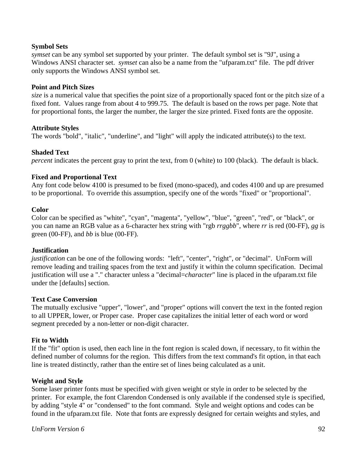#### **Symbol Sets**

*symset* can be any symbol set supported by your printer. The default symbol set is "9J", using a Windows ANSI character set. *symset* can also be a name from the "ufparam.txt" file. The pdf driver only supports the Windows ANSI symbol set.

#### **Point and Pitch Sizes**

*size* is a numerical value that specifies the point size of a proportionally spaced font or the pitch size of a fixed font. Values range from about 4 to 999.75. The default is based on the rows per page. Note that for proportional fonts, the larger the number, the larger the size printed. Fixed fonts are the opposite.

#### **Attribute Styles**

The words "bold", "italic", "underline", and "light" will apply the indicated attribute(s) to the text.

#### **Shaded Text**

*percent* indicates the percent gray to print the text, from 0 (white) to 100 (black). The default is black.

#### **Fixed and Proportional Text**

Any font code below 4100 is presumed to be fixed (mono-spaced), and codes 4100 and up are presumed to be proportional. To override this assumption, specify one of the words "fixed" or "proportional".

#### **Color**

Color can be specified as "white", "cyan", "magenta", "yellow", "blue", "green", "red", or "black", or you can name an RGB value as a 6-character hex string with "rgb *rrggbb*", where *rr* is red (00-FF), *gg* is green (00-FF), and *bb* is blue (00-FF).

#### **Justification**

*justification* can be one of the following words: "left", "center", "right", or "decimal". UnForm will remove leading and trailing spaces from the text and justify it within the column specification. Decimal justification will use a "." character unless a "decimal=*character*" line is placed in the ufparam.txt file under the [defaults] section.

#### **Text Case Conversion**

The mutually exclusive "upper", "lower", and "proper" options will convert the text in the fonted region to all UPPER, lower, or Proper case. Proper case capitalizes the initial letter of each word or word segment preceded by a non-letter or non-digit character.

#### **Fit to Width**

If the "fit" option is used, then each line in the font region is scaled down, if necessary, to fit within the defined number of columns for the region. This differs from the text command's fit option, in that each line is treated distinctly, rather than the entire set of lines being calculated as a unit.

#### **Weight and Style**

Some laser printer fonts must be specified with given weight or style in order to be selected by the printer. For example, the font Clarendon Condensed is only available if the condensed style is specified, by adding "style 4" or "condensed" to the font command. Style and weight options and codes can be found in the ufparam.txt file. Note that fonts are expressly designed for certain weights and styles, and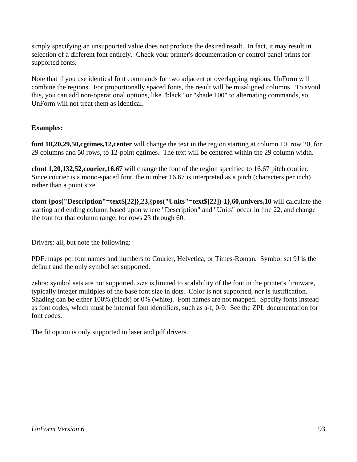simply specifying an unsupported value does not produce the desired result. In fact, it may result in selection of a different font entirely. Check your printer's documentation or control panel prints for supported fonts.

Note that if you use identical font commands for two adjacent or overlapping regions, UnForm will combine the regions. For proportionally spaced fonts, the result will be misaligned columns. To avoid this, you can add non-operational options, like "black" or "shade 100" to alternating commands, so UnForm will not treat them as identical.

## **Examples:**

**font 10,20,29,50,cgtimes,12,center** will change the text in the region starting at column 10, row 20, for 29 columns and 50 rows, to 12-point cgtimes. The text will be centered within the 29 column width.

**cfont 1,20,132,52,courier,16.67** will change the font of the region specified to 16.67 pitch courier. Since courier is a mono-spaced font, the number 16.67 is interpreted as a pitch (characters per inch) rather than a point size.

**cfont {pos("Description"=text\$[22]},23,{pos("Units"=text\$[22])-1},60,univers,10** will calculate the starting and ending column based upon where "Description" and "Units" occur in line 22, and change the font for that column range, for rows 23 through 60.

Drivers: all, but note the following:

PDF: maps pcl font names and numbers to Courier, Helvetica, or Times-Roman. Symbol set 9J is the default and the only symbol set supported.

zebra: symbol sets are not supported. *size* is limited to scalability of the font in the printer's firmware, typically integer multiples of the base font size in dots. Color is not supported, nor is justification. Shading can be either 100% (black) or 0% (white). Font names are not mapped. Specify fonts instead as font codes, which must be internal font identifiers, such as a-f, 0-9. See the ZPL documentation for font codes.

The fit option is only supported in laser and pdf drivers.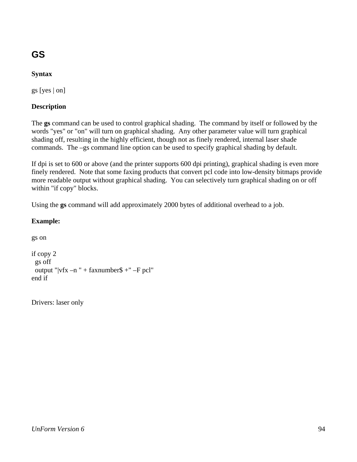# **GS**

## **Syntax**

gs [yes | on]

### **Description**

The **gs** command can be used to control graphical shading. The command by itself or followed by the words "yes" or "on" will turn on graphical shading. Any other parameter value will turn graphical shading off, resulting in the highly efficient, though not as finely rendered, internal laser shade commands. The –gs command line option can be used to specify graphical shading by default.

If dpi is set to 600 or above (and the printer supports 600 dpi printing), graphical shading is even more finely rendered. Note that some faxing products that convert pcl code into low-density bitmaps provide more readable output without graphical shading. You can selectively turn graphical shading on or off within "if copy" blocks.

Using the **gs** command will add approximately 2000 bytes of additional overhead to a job.

### **Example:**

```
gs on 
if copy 2 
  gs off 
 output "vfx -n" + faxnumber$ +" –F pcl"
end if
```
Drivers: laser only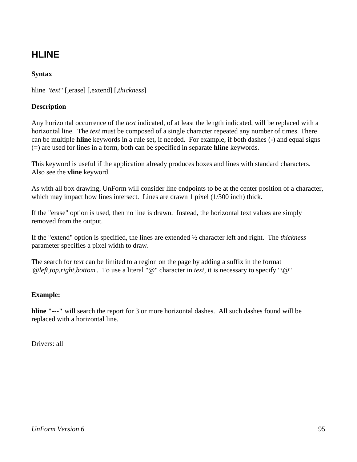## **HLINE**

## **Syntax**

hline "*text*" [,erase] [,extend] [,*thickness*]

### **Description**

Any horizontal occurrence of the *text* indicated, of at least the length indicated, will be replaced with a horizontal line. The *text* must be composed of a single character repeated any number of times. There can be multiple **hline** keywords in a rule set, if needed. For example, if both dashes (-) and equal signs (=) are used for lines in a form, both can be specified in separate **hline** keywords.

This keyword is useful if the application already produces boxes and lines with standard characters. Also see the **vline** keyword.

As with all box drawing, UnForm will consider line endpoints to be at the center position of a character, which may impact how lines intersect. Lines are drawn 1 pixel (1/300 inch) thick.

If the "erase" option is used, then no line is drawn. Instead, the horizontal text values are simply removed from the output.

If the "extend" option is specified, the lines are extended ½ character left and right. The *thickness* parameter specifies a pixel width to draw.

The search for *text* can be limited to a region on the page by adding a suffix in the format '@*left,top,right,bottom*'. To use a literal "@" character in *text*, it is necessary to specify "\@".

## **Example:**

**hline "---"** will search the report for 3 or more horizontal dashes. All such dashes found will be replaced with a horizontal line.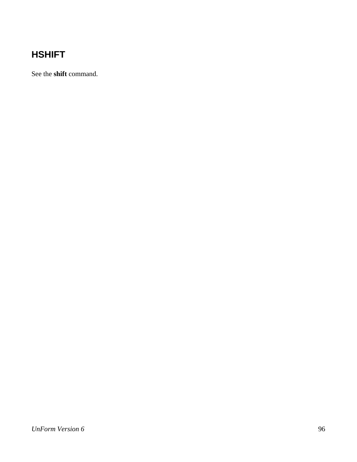## **HSHIFT**

See the **shift** command.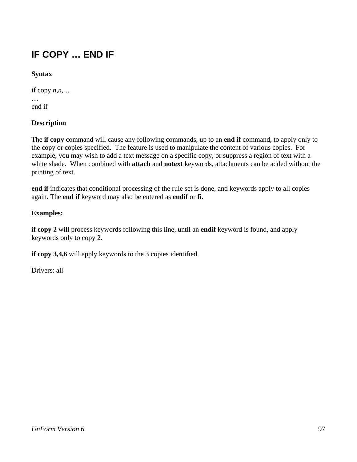## **IF COPY … END IF**

## **Syntax**

if copy *n,n,…* 

… end if

## **Description**

The **if copy** command will cause any following commands, up to an **end if** command, to apply only to the copy or copies specified. The feature is used to manipulate the content of various copies. For example, you may wish to add a text message on a specific copy, or suppress a region of text with a white shade. When combined with **attach** and **notext** keywords, attachments can be added without the printing of text.

**end if** indicates that conditional processing of the rule set is done, and keywords apply to all copies again. The **end if** keyword may also be entered as **endif** or **fi**.

## **Examples:**

**if copy 2** will process keywords following this line, until an **endif** keyword is found, and apply keywords only to copy 2.

**if copy 3,4,6** will apply keywords to the 3 copies identified.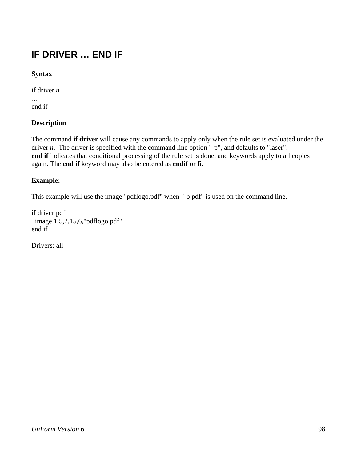## **IF DRIVER … END IF**

## **Syntax**

if driver *n* 

*…*  end if

### **Description**

The command **if driver** will cause any commands to apply only when the rule set is evaluated under the driver *n*. The driver is specified with the command line option "-p", and defaults to "laser". **end if** indicates that conditional processing of the rule set is done, and keywords apply to all copies again. The **end if** keyword may also be entered as **endif** or **fi**.

### **Example:**

This example will use the image "pdflogo.pdf" when "-p pdf" is used on the command line.

if driver pdf image 1.5,2,15,6,"pdflogo.pdf" end if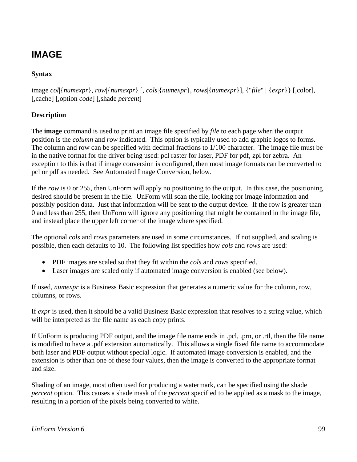## **IMAGE**

## **Syntax**

image *col*|{*numexpr*}, *row*|{*numexpr*} [, *cols*|{*numexpr*}, *rows*|{*numexpr*}], {"*file*" | {*expr*}} [,color], [,cache] [,option *code*] [,shade *percent*]

## **Description**

The **image** command is used to print an image file specified by *file* to each page when the output position is the *column* and *row* indicated. This option is typically used to add graphic logos to forms. The column and row can be specified with decimal fractions to 1/100 character. The image file must be in the native format for the driver being used: pcl raster for laser, PDF for pdf, zpl for zebra. An exception to this is that if image conversion is configured, then most image formats can be converted to pcl or pdf as needed. See Automated Image Conversion, below.

If the *row* is 0 or 255, then UnForm will apply no positioning to the output. In this case, the positioning desired should be present in the file. UnForm will scan the file, looking for image information and possibly position data. Just that information will be sent to the output device. If the row is greater than 0 and less than 255, then UnForm will ignore any positioning that might be contained in the image file, and instead place the upper left corner of the image where specified.

The optional *cols* and *rows* parameters are used in some circumstances. If not supplied, and scaling is possible, then each defaults to 10. The following list specifies how *cols* and *rows* are used:

- PDF images are scaled so that they fit within the *cols* and *rows* specified.
- Laser images are scaled only if automated image conversion is enabled (see below).

If used, *numexpr* is a Business Basic expression that generates a numeric value for the column, row, columns, or rows.

If *expr* is used, then it should be a valid Business Basic expression that resolves to a string value, which will be interpreted as the file name as each copy prints.

If UnForm is producing PDF output, and the image file name ends in .pcl, .prn, or .rtl, then the file name is modified to have a .pdf extension automatically. This allows a single fixed file name to accommodate both laser and PDF output without special logic. If automated image conversion is enabled, and the extension is other than one of these four values, then the image is converted to the appropriate format and size.

Shading of an image, most often used for producing a watermark, can be specified using the shade *percent* option. This causes a shade mask of the *percent* specified to be applied as a mask to the image, resulting in a portion of the pixels being converted to white.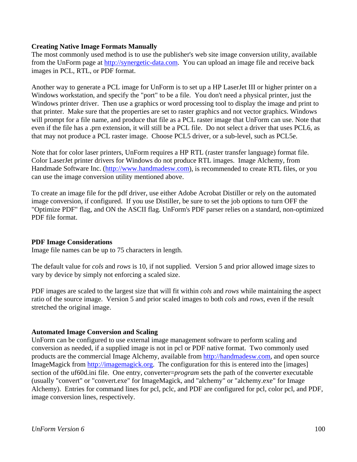#### **Creating Native Image Formats Manually**

The most commonly used method is to use the publisher's web site image conversion utility, available from the UnForm page at http://synergetic-data.com. You can upload an image file and receive back images in PCL, RTL, or PDF format.

Another way to generate a PCL image for UnForm is to set up a HP LaserJet III or higher printer on a Windows workstation, and specify the "port" to be a file. You don't need a physical printer, just the Windows printer driver. Then use a graphics or word processing tool to display the image and print to that printer. Make sure that the properties are set to raster graphics and not vector graphics. Windows will prompt for a file name, and produce that file as a PCL raster image that UnForm can use. Note that even if the file has a .prn extension, it will still be a PCL file. Do not select a driver that uses PCL6, as that may not produce a PCL raster image. Choose PCL5 driver, or a sub-level, such as PCL5e.

Note that for color laser printers, UnForm requires a HP RTL (raster transfer language) format file. Color LaserJet printer drivers for Windows do not produce RTL images. Image Alchemy, from Handmade Software Inc. (http://www.handmadesw.com), is recommended to create RTL files, or you can use the image conversion utility mentioned above.

To create an image file for the pdf driver, use either Adobe Acrobat Distiller or rely on the automated image conversion, if configured. If you use Distiller, be sure to set the job options to turn OFF the "Optimize PDF" flag, and ON the ASCII flag. UnForm's PDF parser relies on a standard, non-optimized PDF file format.

#### **PDF Image Considerations**

Image file names can be up to 75 characters in length.

The default value for *cols* and *rows* is 10, if not supplied. Version 5 and prior allowed image sizes to vary by device by simply not enforcing a scaled size.

PDF images are scaled to the largest size that will fit within *cols* and *rows* while maintaining the aspect ratio of the source image. Version 5 and prior scaled images to both *cols* and *rows*, even if the result stretched the original image.

#### **Automated Image Conversion and Scaling**

UnForm can be configured to use external image management software to perform scaling and conversion as needed, if a supplied image is not in pcl or PDF native format. Two commonly used products are the commercial Image Alchemy, available from http://handmadesw.com, and open source ImageMagick from http://imagemagick.org. The configuration for this is entered into the [images] section of the uf60d.ini file. One entry, converter=*program* sets the path of the converter executable (usually "convert" or "convert.exe" for ImageMagick, and "alchemy" or "alchemy.exe" for Image Alchemy). Entries for command lines for pcl, pclc, and PDF are configured for pcl, color pcl, and PDF, image conversion lines, respectively.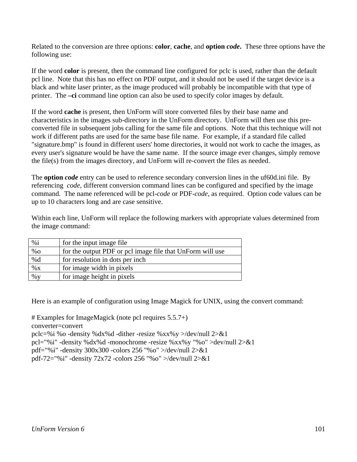Related to the conversion are three options: **color**, **cache**, and **option** *code***.** These three options have the following use:

If the word **color** is present, then the command line configured for pclc is used, rather than the default pcl line. Note that this has no effect on PDF output, and it should not be used if the target device is a black and white laser printer, as the image produced will probably be incompatible with that type of printer. The **–ci** command line option can also be used to specify color images by default.

If the word **cache** is present, then UnForm will store converted files by their base name and characteristics in the images sub-directory in the UnForm directory. UnForm will then use this preconverted file in subsequent jobs calling for the same file and options. Note that this technique will not work if different paths are used for the same base file name. For example, if a standard file called "signature.bmp" is found in different users' home directories, it would not work to cache the images, as every user's signature would be have the same name. If the source image ever changes, simply remove the file(s) from the images directory, and UnForm will re-convert the files as needed.

The **option** *code* entry can be used to reference secondary conversion lines in the uf60d.ini file. By referencing *code*, different conversion command lines can be configured and specified by the image command. The name referenced will be pcl-*code* or PDF-*code*, as required. Option code values can be up to 10 characters long and are case sensitive.

Within each line, UnForm will replace the following markers with appropriate values determined from the image command:

| %i     | for the input image file.                                 |
|--------|-----------------------------------------------------------|
| $\%$ O | for the output PDF or pcl image file that UnForm will use |
| %d     | for resolution in dots per inch                           |
| $\% X$ | for image width in pixels                                 |
| $\%$ y | for image height in pixels                                |

Here is an example of configuration using Image Magick for UNIX, using the convert command:

# Examples for ImageMagick (note pcl requires 5.5.7+) converter=convert pclc=%i %o -density %dx%d -dither -resize %xx%y >/dev/null 2>&1 pcl="%i" -density %dx%d -monochrome -resize %xx%y "%o" >dev/null 2>&1 pdf="%i" -density 300x300 -colors 256 "%o" >/dev/null 2>&1 pdf-72="%i" -density 72x72 -colors 256 "%o" >/dev/null 2>&1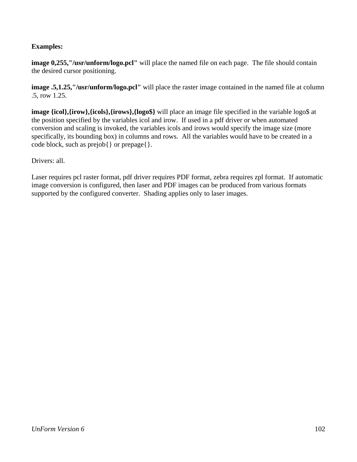## **Examples:**

**image 0,255,"/usr/unform/logo.pcl"** will place the named file on each page. The file should contain the desired cursor positioning.

**image .5,1.25,"/usr/unform/logo.pcl"** will place the raster image contained in the named file at column .5, row 1.25.

**image {icol}, {irow}, {icols}, {irows}, {logo\$}** will place an image file specified in the variable logo\$ at the position specified by the variables icol and irow. If used in a pdf driver or when automated conversion and scaling is invoked, the variables icols and irows would specify the image size (more specifically, its bounding box) in columns and rows. All the variables would have to be created in a code block, such as prejob{ } or prepage{ }.

Drivers: all.

Laser requires pcl raster format, pdf driver requires PDF format, zebra requires zpl format. If automatic image conversion is configured, then laser and PDF images can be produced from various formats supported by the configured converter. Shading applies only to laser images.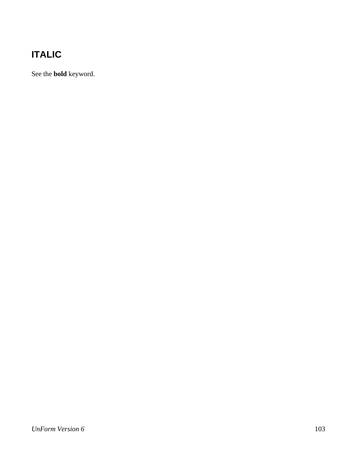# **ITALIC**

See the **bold** keyword.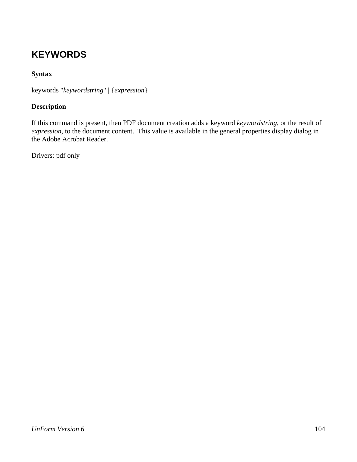## **KEYWORDS**

## **Syntax**

keywords "*keywordstring*" | {*expression*}

## **Description**

If this command is present, then PDF document creation adds a keyword *keywordstring*, or the result of *expression*, to the document content. This value is available in the general properties display dialog in the Adobe Acrobat Reader.

Drivers: pdf only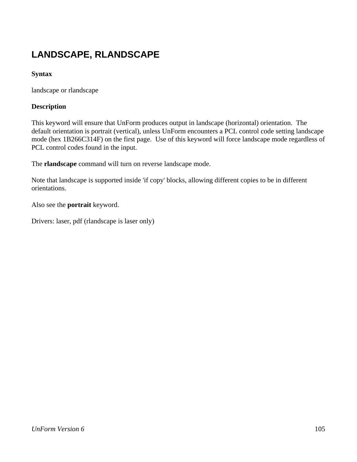# **LANDSCAPE, RLANDSCAPE**

## **Syntax**

landscape or rlandscape

### **Description**

This keyword will ensure that UnForm produces output in landscape (horizontal) orientation. The default orientation is portrait (vertical), unless UnForm encounters a PCL control code setting landscape mode (hex 1B266C314F) on the first page. Use of this keyword will force landscape mode regardless of PCL control codes found in the input.

The **rlandscape** command will turn on reverse landscape mode.

Note that landscape is supported inside 'if copy' blocks, allowing different copies to be in different orientations.

Also see the **portrait** keyword.

Drivers: laser, pdf (rlandscape is laser only)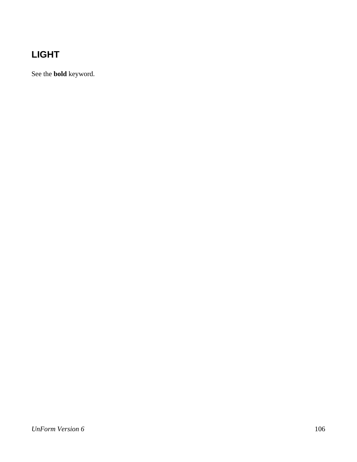# **LIGHT**

See the **bold** keyword.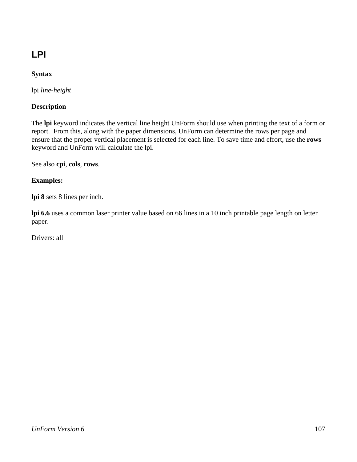# **LPI**

## **Syntax**

lpi *line-height*

### **Description**

The **lpi** keyword indicates the vertical line height UnForm should use when printing the text of a form or report. From this, along with the paper dimensions, UnForm can determine the rows per page and ensure that the proper vertical placement is selected for each line. To save time and effort, use the **rows**  keyword and UnForm will calculate the lpi.

See also **cpi**, **cols**, **rows**.

#### **Examples:**

**lpi 8** sets 8 lines per inch.

**lpi 6.6** uses a common laser printer value based on 66 lines in a 10 inch printable page length on letter paper.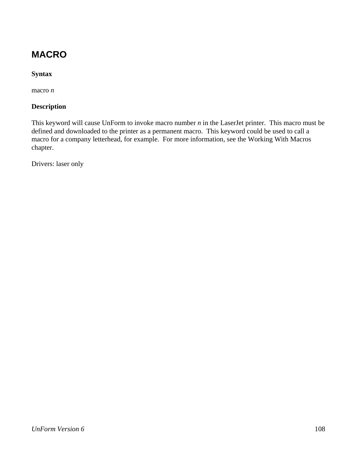## **MACRO**

## **Syntax**

macro *n*

### **Description**

This keyword will cause UnForm to invoke macro number *n* in the LaserJet printer. This macro must be defined and downloaded to the printer as a permanent macro. This keyword could be used to call a macro for a company letterhead, for example. For more information, see the Working With Macros chapter.

Drivers: laser only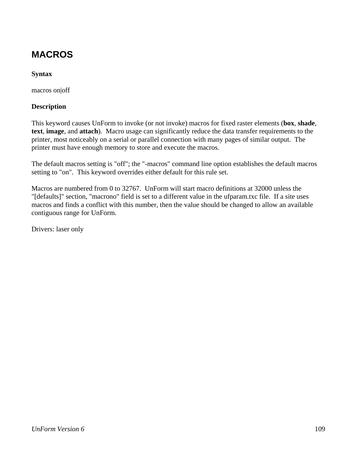# **MACROS**

### **Syntax**

macros on|off

#### **Description**

This keyword causes UnForm to invoke (or not invoke) macros for fixed raster elements (**box**, **shade**, **text**, **image**, and **attach**). Macro usage can significantly reduce the data transfer requirements to the printer, most noticeably on a serial or parallel connection with many pages of similar output. The printer must have enough memory to store and execute the macros.

The default macros setting is "off"; the "-macros" command line option establishes the default macros setting to "on". This keyword overrides either default for this rule set.

Macros are numbered from 0 to 32767. UnForm will start macro definitions at 32000 unless the "[defaults]" section, "macrono" field is set to a different value in the ufparam.txc file. If a site uses macros and finds a conflict with this number, then the value should be changed to allow an available contiguous range for UnForm.

Drivers: laser only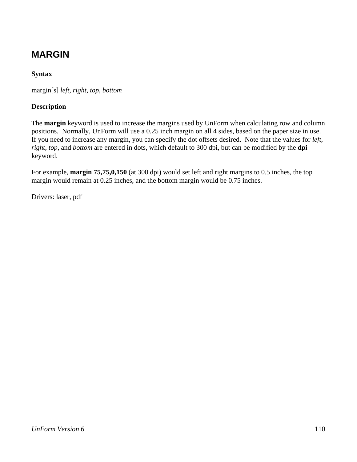# **MARGIN**

### **Syntax**

margin[s] *left*, *right*, *top*, *bottom*

#### **Description**

The **margin** keyword is used to increase the margins used by UnForm when calculating row and column positions. Normally, UnForm will use a 0.25 inch margin on all 4 sides, based on the paper size in use. If you need to increase any margin, you can specify the dot offsets desired. Note that the values for *left*, *right*, *top*, and *bottom* are entered in dots, which default to 300 dpi, but can be modified by the **dpi** keyword.

For example, **margin 75,75,0,150** (at 300 dpi) would set left and right margins to 0.5 inches, the top margin would remain at 0.25 inches, and the bottom margin would be 0.75 inches.

Drivers: laser, pdf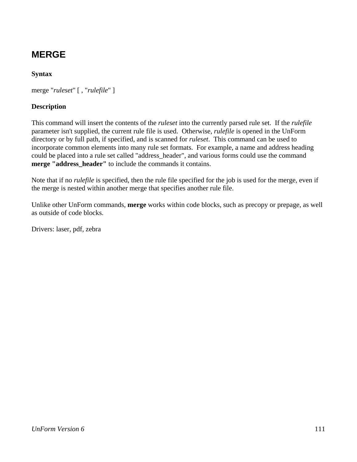# **MERGE**

### **Syntax**

merge "*ruleset*" [ , "*rulefile*" ]

#### **Description**

This command will insert the contents of the *ruleset* into the currently parsed rule set. If the *rulefile* parameter isn't supplied, the current rule file is used. Otherwise, *rulefile* is opened in the UnForm directory or by full path, if specified, and is scanned for *ruleset*. This command can be used to incorporate common elements into many rule set formats. For example, a name and address heading could be placed into a rule set called "address\_header", and various forms could use the command **merge "address header"** to include the commands it contains.

Note that if no *rulefile* is specified, then the rule file specified for the job is used for the merge, even if the merge is nested within another merge that specifies another rule file.

Unlike other UnForm commands, **merge** works within code blocks, such as precopy or prepage, as well as outside of code blocks.

Drivers: laser, pdf, zebra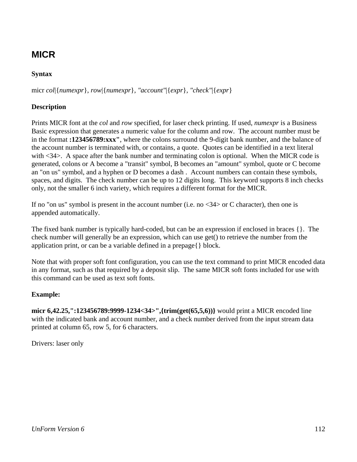# **MICR**

## **Syntax**

micr *col*|{*numexpr*}, *row*|{*numexpr*}*, "account"*|{*expr*}*, "check"*|{*expr*}

### **Description**

Prints MICR font at the *col* and *row* specified, for laser check printing. If used, *numexpr* is a Business Basic expression that generates a numeric value for the column and row. The account number must be in the format **:123456789:xxx"**, where the colons surround the 9-digit bank number, and the balance of the account number is terminated with, or contains, a quote. Quotes can be identified in a text literal with <34>. A space after the bank number and terminating colon is optional. When the MICR code is generated, colons or A become a "transit" symbol, B becomes an "amount" symbol, quote or C become an "on us" symbol, and a hyphen or D becomes a dash . Account numbers can contain these symbols, spaces, and digits. The check number can be up to 12 digits long. This keyword supports 8 inch checks only, not the smaller 6 inch variety, which requires a different format for the MICR.

If no "on us" symbol is present in the account number (i.e. no  $\langle 34 \rangle$  or C character), then one is appended automatically.

The fixed bank number is typically hard-coded, but can be an expression if enclosed in braces {}. The check number will generally be an expression, which can use get() to retrieve the number from the application print, or can be a variable defined in a prepage{} block.

Note that with proper soft font configuration, you can use the text command to print MICR encoded data in any format, such as that required by a deposit slip. The same MICR soft fonts included for use with this command can be used as text soft fonts.

#### **Example:**

**micr 6,42.25,":123456789:9999-1234<34>",{trim(get(65,5,6))}** would print a MICR encoded line with the indicated bank and account number, and a check number derived from the input stream data printed at column 65, row 5, for 6 characters.

Drivers: laser only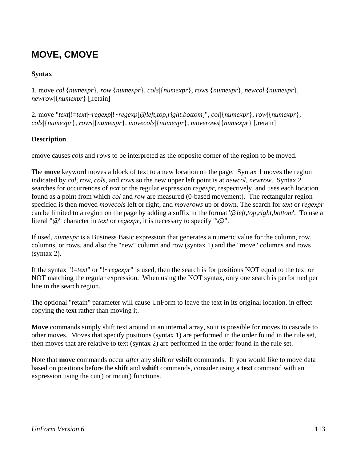# **MOVE, CMOVE**

### **Syntax**

1. move *col*|{*numexpr*}, *row*|{*numexpr*}, *cols*|{*numexpr*}, *rows*|{*numexpr*}*, newcol*|{*numexpr*}*, newrow*|{*numexpr*} [,retain]

2. move "*text*|!=*text*|~*regexp*|!~*regexp*[@*left,top,right.bottom*]", *col*|{*numexpr*}, *row*|{*numexpr*}, *cols*|{*numexpr*}, *rows*|{*numexpr*}*, movecols*|{*numexpr*}*, moverows*|{*numexpr*} [,retain]

#### **Description**

cmove causes *cols* and *rows* to be interpreted as the opposite corner of the region to be moved.

The **move** keyword moves a block of text to a new location on the page. Syntax 1 moves the region indicated by *col, row, cols,* and *rows* so the new upper left point is at *newcol, newrow*. Syntax 2 searches for occurrences of *text* or the regular expression *regexpr*, respectively, and uses each location found as a point from which *col* and *row* are measured (0-based movement). The rectangular region specified is then moved *movecols* left or right, and *moverows* up or down. The search for *text* or *regexpr* can be limited to a region on the page by adding a suffix in the format '@*left,top,right,bottom*'. To use a literal "@" character in *text* or *regexpr*, it is necessary to specify "\@".

If used, *numexpr* is a Business Basic expression that generates a numeric value for the column, row, columns, or rows, and also the "new" column and row (syntax 1) and the "move" columns and rows (syntax 2).

If the syntax "!=*text*" or "!~*regexpr*" is used, then the search is for positions NOT equal to the text or NOT matching the regular expression. When using the NOT syntax, only one search is performed per line in the search region.

The optional "retain" parameter will cause UnForm to leave the text in its original location, in effect copying the text rather than moving it.

**Move** commands simply shift text around in an internal array, so it is possible for moves to cascade to other moves. Moves that specify positions (syntax 1) are performed in the order found in the rule set, then moves that are relative to text (syntax 2) are performed in the order found in the rule set.

Note that **move** commands occur *after* any **shift** or **vshift** commands. If you would like to move data based on positions before the **shift** and **vshift** commands, consider using a **text** command with an expression using the cut() or mcut() functions.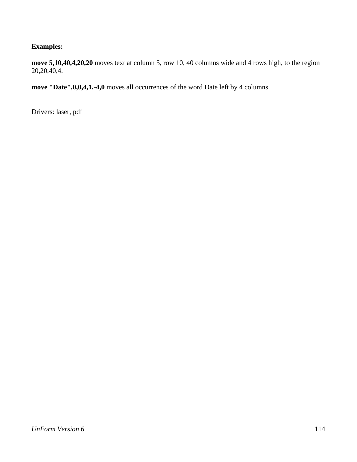### **Examples:**

**move 5,10,40,4,20,20** moves text at column 5, row 10, 40 columns wide and 4 rows high, to the region 20,20,40,4.

**move "Date",0,0,4,1,-4,0** moves all occurrences of the word Date left by 4 columns.

Drivers: laser, pdf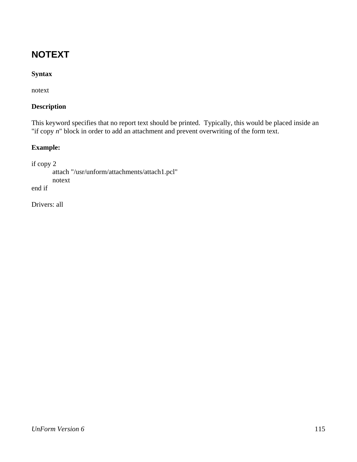# **NOTEXT**

### **Syntax**

notext

#### **Description**

This keyword specifies that no report text should be printed. Typically, this would be placed inside an "if copy *n*" block in order to add an attachment and prevent overwriting of the form text.

### **Example:**

```
if copy 2 
         attach "/usr/unform/attachments/attach1.pcl" 
         notext 
end if
```
Drivers: all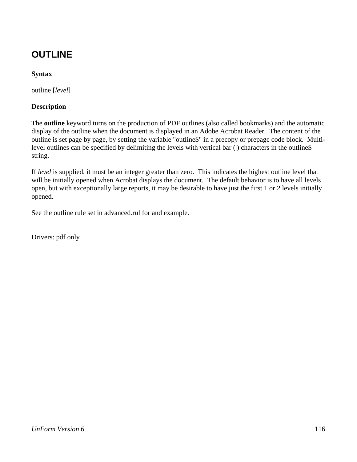# **OUTLINE**

### **Syntax**

outline [*level*]

#### **Description**

The **outline** keyword turns on the production of PDF outlines (also called bookmarks) and the automatic display of the outline when the document is displayed in an Adobe Acrobat Reader. The content of the outline is set page by page, by setting the variable "outline\$" in a precopy or prepage code block. Multilevel outlines can be specified by delimiting the levels with vertical bar (|) characters in the outline\$ string.

If *level* is supplied, it must be an integer greater than zero. This indicates the highest outline level that will be initially opened when Acrobat displays the document. The default behavior is to have all levels open, but with exceptionally large reports, it may be desirable to have just the first 1 or 2 levels initially opened.

See the outline rule set in advanced.rul for and example.

Drivers: pdf only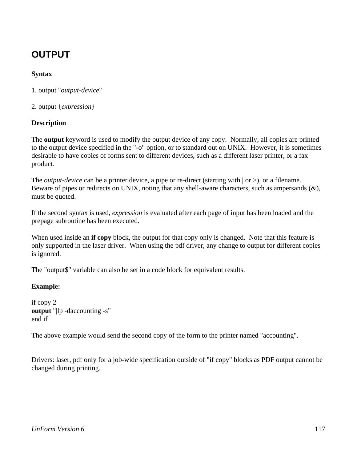# **OUTPUT**

### **Syntax**

1. output "*output-device*"

2. output {*expression*}

#### **Description**

The **output** keyword is used to modify the output device of any copy. Normally, all copies are printed to the output device specified in the "-o" option, or to standard out on UNIX. However, it is sometimes desirable to have copies of forms sent to different devices, such as a different laser printer, or a fax product.

The *output-device* can be a printer device, a pipe or re-direct (starting with  $|$  or  $>$ ), or a filename. Beware of pipes or redirects on UNIX, noting that any shell-aware characters, such as ampersands (&), must be quoted.

If the second syntax is used, *expression* is evaluated after each page of input has been loaded and the prepage subroutine has been executed.

When used inside an **if copy** block, the output for that copy only is changed. Note that this feature is only supported in the laser driver. When using the pdf driver, any change to output for different copies is ignored.

The "output\$" variable can also be set in a code block for equivalent results.

#### **Example:**

if copy 2 **output** "|lp -daccounting -s" end if

The above example would send the second copy of the form to the printer named "accounting".

Drivers: laser, pdf only for a job-wide specification outside of "if copy" blocks as PDF output cannot be changed during printing.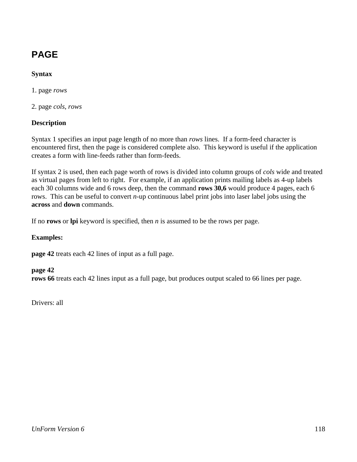# **PAGE**

### **Syntax**

1. page *rows* 

2. page *cols*, *rows*

#### **Description**

Syntax 1 specifies an input page length of no more than *rows* lines. If a form-feed character is encountered first, then the page is considered complete also. This keyword is useful if the application creates a form with line-feeds rather than form-feeds.

If syntax 2 is used, then each page worth of rows is divided into column groups of *cols* wide and treated as virtual pages from left to right. For example, if an application prints mailing labels as 4-up labels each 30 columns wide and 6 rows deep, then the command **rows 30,6** would produce 4 pages, each 6 rows. This can be useful to convert *n*-up continuous label print jobs into laser label jobs using the **across** and **down** commands.

If no **rows** or **lpi** keyword is specified, then *n* is assumed to be the rows per page.

#### **Examples:**

**page 42** treats each 42 lines of input as a full page.

#### **page 42**

**rows 66** treats each 42 lines input as a full page, but produces output scaled to 66 lines per page.

Drivers: all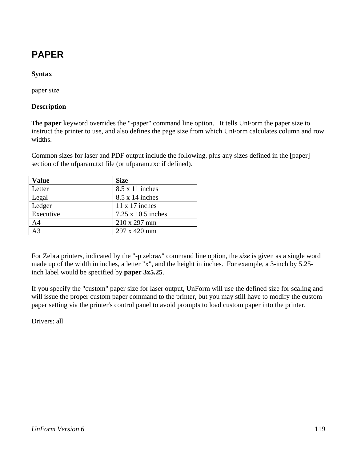# **PAPER**

### **Syntax**

paper *size*

#### **Description**

The **paper** keyword overrides the "-paper" command line option. It tells UnForm the paper size to instruct the printer to use, and also defines the page size from which UnForm calculates column and row widths.

Common sizes for laser and PDF output include the following, plus any sizes defined in the [paper] section of the ufparam.txt file (or ufparam.txc if defined).

| <b>Value</b>   | <b>Size</b>               |
|----------------|---------------------------|
| Letter         | $8.5 \times 11$ inches    |
| Legal          | $8.5 \times 14$ inches    |
| Ledger         | $11 \times 17$ inches     |
| Executive      | $7.25 \times 10.5$ inches |
| A <sub>4</sub> | 210 x 297 mm              |
| A <sub>3</sub> | 297 x 420 mm              |

For Zebra printers, indicated by the "-p zebra*n*" command line option, the *size* is given as a single word made up of the width in inches, a letter "x", and the height in inches. For example, a 3-inch by 5.25 inch label would be specified by **paper 3x5.25**.

If you specify the "custom" paper size for laser output, UnForm will use the defined size for scaling and will issue the proper custom paper command to the printer, but you may still have to modify the custom paper setting via the printer's control panel to avoid prompts to load custom paper into the printer.

Drivers: all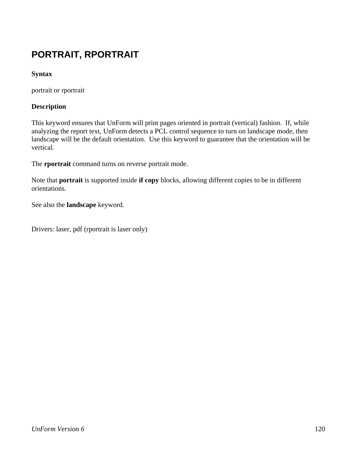# **PORTRAIT, RPORTRAIT**

### **Syntax**

portrait or rportrait

#### **Description**

This keyword ensures that UnForm will print pages oriented in portrait (vertical) fashion. If, while analyzing the report text, UnForm detects a PCL control sequence to turn on landscape mode, then landscape will be the default orientation. Use this keyword to guarantee that the orientation will be vertical.

The **rportrait** command turns on reverse portrait mode.

Note that **portrait** is supported inside **if copy** blocks, allowing different copies to be in different orientations.

See also the **landscape** keyword.

Drivers: laser, pdf (rportrait is laser only)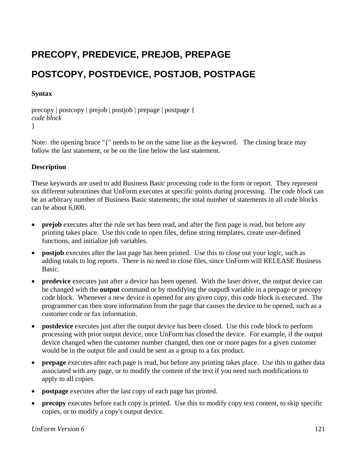# **PRECOPY, PREDEVICE, PREJOB, PREPAGE POSTCOPY, POSTDEVICE, POSTJOB, POSTPAGE**

#### **Syntax**

precopy | postcopy | prejob | postjob | prepage | postpage { *code block* }

Note: the opening brace "{" needs to be on the same line as the keyword. The closing brace may follow the last statement, or be on the line below the last statement.

#### **Description**

These keywords are used to add Business Basic processing code to the form or report. They represent six different subroutines that UnForm executes at specific points during processing. The *code block* can be an arbitrary number of Business Basic statements; the total number of statements in all code blocks can be about 6,000.

- **prejob** executes after the rule set has been read, and after the first page is read, but before any printing takes place. Use this code to open files, define string templates, create user-defined functions, and initialize job variables.
- **postjob** executes after the last page has been printed. Use this to close out your logic, such as adding totals to log reports. There is no need to close files, since UnForm will RELEASE Business Basic.
- **predevice** executes just after a device has been opened. With the laser driver, the output device can be changed with the **output** command or by modifying the output\$ variable in a prepage or precopy code block. Whenever a new device is opened for any given copy, this code block is executed. The programmer can then store information from the page that causes the device to be opened, such as a customer code or fax information.
- **postdevice** executes just after the output device has been closed. Use this code block to perform processing with prior output device, once UnForm has closed the device. For example, if the output device changed when the customer number changed, then one or more pages for a given customer would be in the output file and could be sent as a group to a fax product.
- **prepage** executes after each page is read, but before any printing takes place. Use this to gather data associated with any page, or to modify the content of the text if you need such modifications to apply to all copies.
- **postpage** executes after the last copy of each page has printed.
- **precopy** executes before each copy is printed. Use this to modify copy text content, to skip specific copies, or to modify a copy's output device.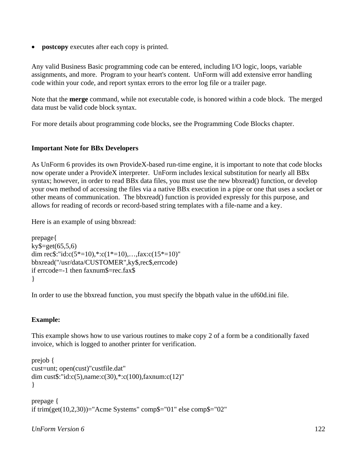**postcopy** executes after each copy is printed.

Any valid Business Basic programming code can be entered, including I/O logic, loops, variable assignments, and more. Program to your heart's content. UnForm will add extensive error handling code within your code, and report syntax errors to the error log file or a trailer page.

Note that the **merge** command, while not executable code, is honored within a code block. The merged data must be valid code block syntax.

For more details about programming code blocks, see the Programming Code Blocks chapter.

#### **Important Note for BBx Developers**

As UnForm 6 provides its own ProvideX-based run-time engine, it is important to note that code blocks now operate under a ProvideX interpreter. UnForm includes lexical substitution for nearly all BBx syntax; however, in order to read BBx data files, you must use the new bbxread() function, or develop your own method of accessing the files via a native BBx execution in a pipe or one that uses a socket or other means of communication. The bbxread() function is provided expressly for this purpose, and allows for reading of records or record-based string templates with a file-name and a key.

Here is an example of using bbxread:

```
prepage{ 
ky\=get(65,5,6)
dim rec$:"id:c(5*=10),*:c(1*=10),...,fax:c(15*=10)"
bbxread("/usr/data/CUSTOMER",ky$,rec$,errcode) 
if errcode=-1 then faxnum$=rec.fax$ 
}
```
In order to use the bbxread function, you must specify the bbpath value in the uf60d.ini file.

#### **Example:**

This example shows how to use various routines to make copy 2 of a form be a conditionally faxed invoice, which is logged to another printer for verification.

```
prejob { 
cust=unt; open(cust)"custfile.dat" 
dim cust$:"id:c(5),name:c(30),*:c(100),faxnum:c(12)" 
} 
prepage { 
if trim(get(10,2,30))="Acme Systems" comp$="01" else comp$="02"
```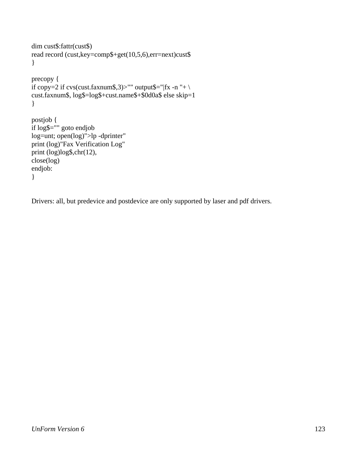```
dim cust$:fattr(cust$) 
read record (cust,key=comp$+get(10,5,6),err=next)cust$
} 
precopy { 
if copy=2 if cvs(cust.faxnum$,3)>"" output$="|fx -n "+ \
cust.faxnum$, log$=log$+cust.name$+$0d0a$ else skip=1 
} 
postjob { 
if log$="" goto endjob 
log=unt; open(log)">lp -dprinter" 
print (log)"Fax Verification Log" 
print (log)log$,chr(12), 
close(log) 
endjob: 
}
```
Drivers: all, but predevice and postdevice are only supported by laser and pdf drivers.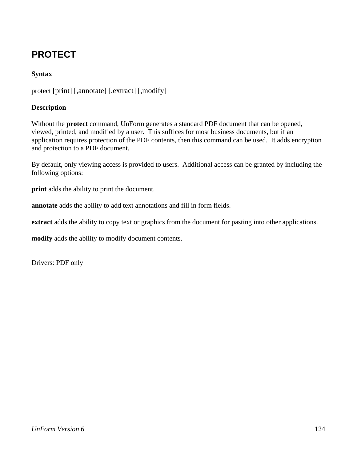# **PROTECT**

### **Syntax**

protect [print] [,annotate] [,extract] [,modify]

#### **Description**

Without the **protect** command, UnForm generates a standard PDF document that can be opened, viewed, printed, and modified by a user. This suffices for most business documents, but if an application requires protection of the PDF contents, then this command can be used. It adds encryption and protection to a PDF document.

By default, only viewing access is provided to users. Additional access can be granted by including the following options:

**print** adds the ability to print the document.

**annotate** adds the ability to add text annotations and fill in form fields.

**extract** adds the ability to copy text or graphics from the document for pasting into other applications.

**modify** adds the ability to modify document contents.

Drivers: PDF only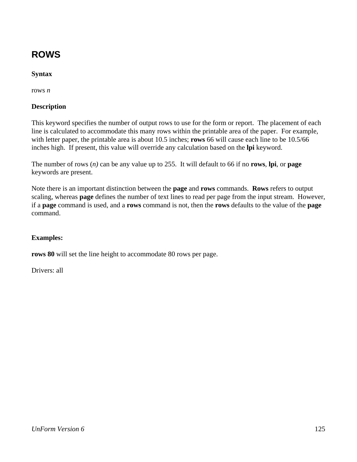# **ROWS**

### **Syntax**

rows *n*

#### **Description**

This keyword specifies the number of output rows to use for the form or report. The placement of each line is calculated to accommodate this many rows within the printable area of the paper. For example, with letter paper, the printable area is about 10.5 inches; **rows** 66 will cause each line to be 10.5/66 inches high. If present, this value will override any calculation based on the **lpi** keyword.

The number of rows (*n)* can be any value up to 255. It will default to 66 if no **rows**, **lpi**, or **page** keywords are present.

Note there is an important distinction between the **page** and **rows** commands. **Rows** refers to output scaling, whereas **page** defines the number of text lines to read per page from the input stream. However, if a **page** command is used, and a **rows** command is not, then the **rows** defaults to the value of the **page** command.

#### **Examples:**

**rows 80** will set the line height to accommodate 80 rows per page.

Drivers: all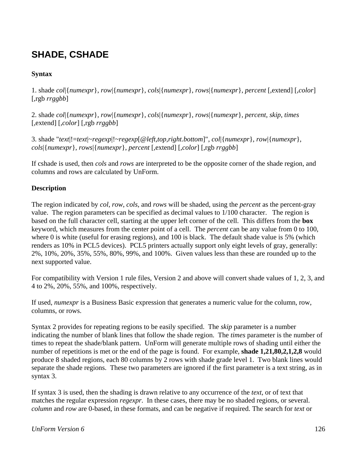# **SHADE, CSHADE**

### **Syntax**

1. shade *col*|{*numexpr*}, *row*|{*numexpr*}, *cols*|{*numexpr*}, *rows*|{*numexpr*}, *percent* [,extend] [,*color*] [,rgb *rrggbb*]

2. shade *col*|{*numexpr*}, *row*|{*numexpr*}, *cols*|{*numexpr*}, *rows*|{*numexpr*}, *percent*, *skip*, *times* [,extend] [,*color*] [,rgb *rrggbb*]

3. shade "*text*|!=*text*|~*regexp*|!~*regexp*[@*left,top,right.bottom*]", *col*|{*numexpr*}, *row*|{*numexpr*}, *cols*|{*numexpr*}, *rows*|{*numexpr*}, *percent* [,extend] [,*color*] [,rgb *rrggbb*]

If cshade is used, then *cols* and *rows* are interpreted to be the opposite corner of the shade region, and columns and rows are calculated by UnForm.

#### **Description**

The region indicated by *col*, *row*, *cols*, and *rows* will be shaded, using the *percent* as the percent-gray value. The region parameters can be specified as decimal values to 1/100 character. The region is based on the full character cell, starting at the upper left corner of the cell. This differs from the **box** keyword, which measures from the center point of a cell. The *percent* can be any value from 0 to 100, where 0 is white (useful for erasing regions), and 100 is black. The default shade value is 5% (which renders as 10% in PCL5 devices). PCL5 printers actually support only eight levels of gray, generally: 2%, 10%, 20%, 35%, 55%, 80%, 99%, and 100%. Given values less than these are rounded up to the next supported value.

For compatibility with Version 1 rule files, Version 2 and above will convert shade values of 1, 2, 3, and 4 to 2%, 20%, 55%, and 100%, respectively.

If used, *numexpr* is a Business Basic expression that generates a numeric value for the column, row, columns, or rows.

Syntax 2 provides for repeating regions to be easily specified. The *skip* parameter is a number indicating the number of blank lines that follow the shade region. The *times* parameter is the number of times to repeat the shade/blank pattern. UnForm will generate multiple rows of shading until either the number of repetitions is met or the end of the page is found. For example, **shade 1,21,80,2,1,2,8** would produce 8 shaded regions, each 80 columns by 2 rows with shade grade level 1. Two blank lines would separate the shade regions. These two parameters are ignored if the first parameter is a text string, as in syntax 3.

If syntax 3 is used, then the shading is drawn relative to any occurrence of the *text*, or of text that matches the regular expression *regexpr*. In these cases, there may be no shaded regions, or several. *column* and *row* are 0-based, in these formats, and can be negative if required. The search for *text* or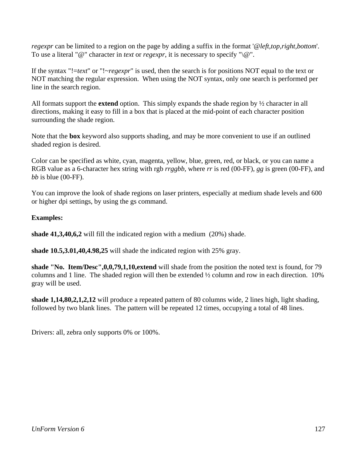*regexpr* can be limited to a region on the page by adding a suffix in the format '@*left,top,right,bottom*'. To use a literal "@" character in *text* or *regexpr*, it is necessary to specify "\@".

If the syntax "!=*text*" or "!~*regexpr*" is used, then the search is for positions NOT equal to the text or NOT matching the regular expression. When using the NOT syntax, only one search is performed per line in the search region.

All formats support the **extend** option. This simply expands the shade region by ½ character in all directions, making it easy to fill in a box that is placed at the mid-point of each character position surrounding the shade region.

Note that the **box** keyword also supports shading, and may be more convenient to use if an outlined shaded region is desired.

Color can be specified as white, cyan, magenta, yellow, blue, green, red, or black, or you can name a RGB value as a 6-character hex string with rgb *rrggbb*, where *rr* is red (00-FF), *gg* is green (00-FF), and *bb* is blue (00-FF).

You can improve the look of shade regions on laser printers, especially at medium shade levels and 600 or higher dpi settings, by using the gs command.

#### **Examples:**

**shade 41,3,40,6,2** will fill the indicated region with a medium (20%) shade.

**shade 10.5,3.01,40,4.98,25** will shade the indicated region with 25% gray.

**shade "No. Item/Desc",0,0,79,1,10,extend** will shade from the position the noted text is found, for 79 columns and 1 line. The shaded region will then be extended ½ column and row in each direction. 10% gray will be used.

**shade 1,14,80,2,1,2,12** will produce a repeated pattern of 80 columns wide, 2 lines high, light shading, followed by two blank lines. The pattern will be repeated 12 times, occupying a total of 48 lines.

Drivers: all, zebra only supports 0% or 100%.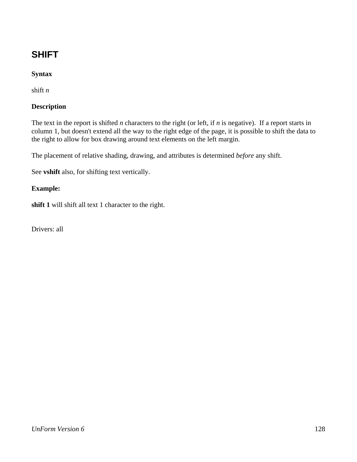# **SHIFT**

### **Syntax**

shift *n*

#### **Description**

The text in the report is shifted *n* characters to the right (or left, if *n* is negative). If a report starts in column 1, but doesn't extend all the way to the right edge of the page, it is possible to shift the data to the right to allow for box drawing around text elements on the left margin.

The placement of relative shading, drawing, and attributes is determined *before* any shift.

See **vshift** also, for shifting text vertically.

#### **Example:**

**shift 1** will shift all text 1 character to the right.

Drivers: all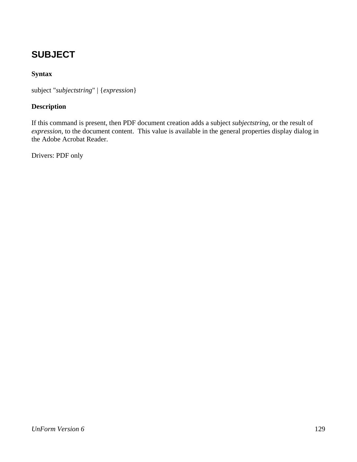# **SUBJECT**

### **Syntax**

subject "*subjectstring*" | {*expression*}

#### **Description**

If this command is present, then PDF document creation adds a subject *subjectstring*, or the result of *expression*, to the document content. This value is available in the general properties display dialog in the Adobe Acrobat Reader.

Drivers: PDF only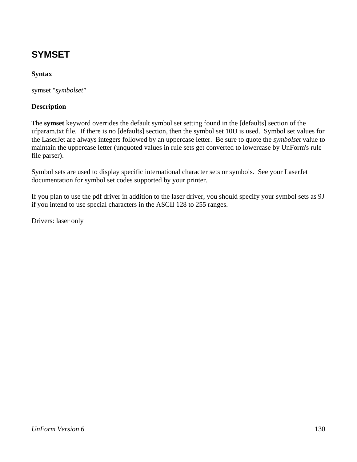# **SYMSET**

### **Syntax**

symset "*symbolset"*

#### **Description**

The **symset** keyword overrides the default symbol set setting found in the [defaults] section of the ufparam.txt file. If there is no [defaults] section, then the symbol set 10U is used. Symbol set values for the LaserJet are always integers followed by an uppercase letter. Be sure to quote the *symbolset* value to maintain the uppercase letter (unquoted values in rule sets get converted to lowercase by UnForm's rule file parser).

Symbol sets are used to display specific international character sets or symbols. See your LaserJet documentation for symbol set codes supported by your printer.

If you plan to use the pdf driver in addition to the laser driver, you should specify your symbol sets as 9J if you intend to use special characters in the ASCII 128 to 255 ranges.

Drivers: laser only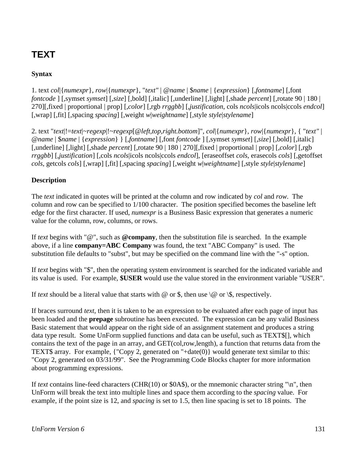# **TEXT**

### **Syntax**

1. text *col*|{*numexpr*}, *row*|{*numexpr*}, "*text"* | @*name* | \$*name* | {*expression*} [*,fontname*] [,font *fontcode* ] [*,*symset *symset*] [*,size*] [*,*bold] [,italic] [,underline] [,light] [,shade *percent*] [,rotate 90 | 180 | 270][,fixed | proportional | prop] [,*color*] [,rgb *rrggbb*] [,*justification*, cols *ncols*|icols ncols|ccols *endcol*] [,wrap] [,fit] [,spacing *spacing*] [,weight *w*|*weightname*] [,style *style*|*stylename*]

2. text "*text*|!=*text*|~*regexp*|!~*regexp*[@*left,top,right.bottom*]", *col*|{*numexpr*}, *row*|{*numexpr*}, { "*text"* | @*name* | \$*name* | {*expression*} } [*,fontname*] [,font *fontcode* ] [*,*symset *symset*] [*,size*] [*,*bold] [,italic] [,underline] [,light] [,shade *percent*] [,rotate 90 | 180 | 270][,fixed | proportional | prop] [,*color*] [,rgb *rrggbb*] [,*justification*] [,cols *ncols*|icols ncols|ccols *endcol*], [eraseoffset *cols*, erasecols *cols*] [,getoffset *cols*, getcols *cols*] [,wrap] [,fit] [,spacing *spacing*] [,weight *w*|*weightname*] [,style *style*|*stylename*]

#### **Description**

The *text* indicated in quotes will be printed at the column and row indicated by *col* and *row*. The column and row can be specified to 1/100 character. The position specified becomes the baseline left edge for the first character. If used, *numexpr* is a Business Basic expression that generates a numeric value for the column, row, columns, or rows.

If *text* begins with "@", such as **@company**, then the substitution file is searched. In the example above, if a line **company=ABC Company** was found, the text "ABC Company" is used. The substitution file defaults to "subst", but may be specified on the command line with the "-s" option.

If *text* begins with "\$", then the operating system environment is searched for the indicated variable and its value is used. For example, **\$USER** would use the value stored in the environment variable "USER".

If *text* should be a literal value that starts with  $\omega$  or \$, then use  $\langle \omega \rangle$  or  $\langle \xi \rangle$ , respectively.

If braces surround *text*, then it is taken to be an expression to be evaluated after each page of input has been loaded and the **prepage** subroutine has been executed. The expression can be any valid Business Basic statement that would appear on the right side of an assignment statement and produces a string data type result. Some UnForm supplied functions and data can be useful, such as TEXT\$[], which contains the text of the page in an array, and GET(col,row,length), a function that returns data from the TEXT\$ array. For example, {"Copy 2, generated on "+date(0)} would generate text similar to this: "Copy 2, generated on 03/31/99". See the Programming Code Blocks chapter for more information about programming expressions.

If *text* contains line-feed characters (CHR(10) or \$0A\$), or the mnemonic character string "\n", then UnForm will break the text into multiple lines and space them according to the *spacing* value. For example, if the point size is 12, and *spacing* is set to 1.5, then line spacing is set to 18 points. The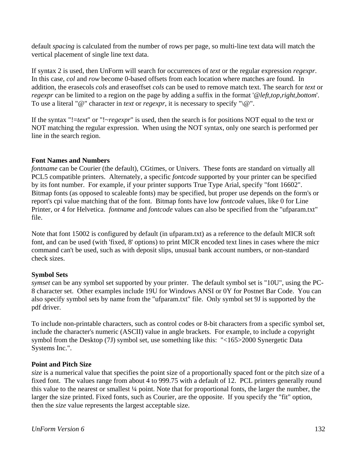default *spacing* is calculated from the number of rows per page, so multi-line text data will match the vertical placement of single line text data.

If syntax 2 is used, then UnForm will search for occurrences of *text* or the regular expression *regexpr*. In this case, *col* and *row* become 0-based offsets from each location where matches are found. In addition, the erasecols *cols* and eraseoffset *cols* can be used to remove match text. The search for *text* or *regexpr* can be limited to a region on the page by adding a suffix in the format '@*left,top,right,bottom*'. To use a literal "@" character in *text* or *regexpr*, it is necessary to specify "\@".

If the syntax "!=*text*" or "!~*regexpr*" is used, then the search is for positions NOT equal to the text or NOT matching the regular expression. When using the NOT syntax, only one search is performed per line in the search region.

#### **Font Names and Numbers**

*fontname* can be Courier (the default), CGtimes, or Univers. These fonts are standard on virtually all PCL5 compatible printers. Alternately, a specific *fontcode* supported by your printer can be specified by its font number. For example, if your printer supports True Type Arial, specify "font 16602". Bitmap fonts (as opposed to scaleable fonts) may be specified, but proper use depends on the form's or report's cpi value matching that of the font. Bitmap fonts have low *fontcode* values, like 0 for Line Printer, or 4 for Helvetica. *fontname* and *fontcode* values can also be specified from the "ufparam.txt" file.

Note that font 15002 is configured by default (in ufparam.txt) as a reference to the default MICR soft font, and can be used (with 'fixed, 8' options) to print MICR encoded text lines in cases where the micr command can't be used, such as with deposit slips, unusual bank account numbers, or non-standard check sizes.

#### **Symbol Sets**

*symset* can be any symbol set supported by your printer. The default symbol set is "10U", using the PC-8 character set. Other examples include 19U for Windows ANSI or 0Y for Postnet Bar Code. You can also specify symbol sets by name from the "ufparam.txt" file. Only symbol set 9J is supported by the pdf driver.

To include non-printable characters, such as control codes or 8-bit characters from a specific symbol set, include the character's numeric (ASCII) value in angle brackets. For example, to include a copyright symbol from the Desktop (7J) symbol set, use something like this: "<165>2000 Synergetic Data Systems Inc.".

#### **Point and Pitch Size**

*size* is a numerical value that specifies the point size of a proportionally spaced font or the pitch size of a fixed font. The values range from about 4 to 999.75 with a default of 12. PCL printers generally round this value to the nearest or smallest ¼ point. Note that for proportional fonts, the larger the number, the larger the size printed. Fixed fonts, such as Courier, are the opposite. If you specify the "fit" option, then the *size* value represents the largest acceptable size.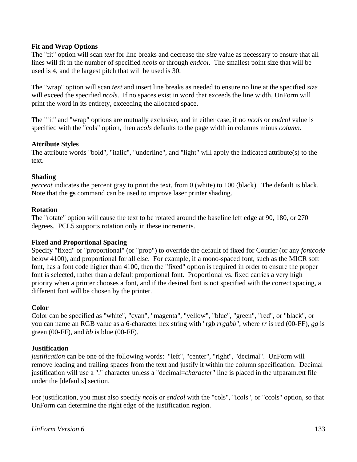#### **Fit and Wrap Options**

The "fit" option will scan *text* for line breaks and decrease the *size* value as necessary to ensure that all lines will fit in the number of specified *ncols* or through *endcol*. The smallest point size that will be used is 4, and the largest pitch that will be used is 30.

The "wrap" option will scan *text* and insert line breaks as needed to ensure no line at the specified *size* will exceed the specified *ncols*. If no spaces exist in word that exceeds the line width, UnForm will print the word in its entirety, exceeding the allocated space.

The "fit" and "wrap" options are mutually exclusive, and in either case, if no *ncols* or *endcol* value is specified with the "cols" option, then *ncols* defaults to the page width in columns minus *column*.

#### **Attribute Styles**

The attribute words "bold", "italic", "underline", and "light" will apply the indicated attribute(s) to the text.

#### **Shading**

*percent* indicates the percent gray to print the text, from 0 (white) to 100 (black). The default is black. Note that the **gs** command can be used to improve laser printer shading.

#### **Rotation**

The "rotate" option will cause the text to be rotated around the baseline left edge at 90, 180, or 270 degrees. PCL5 supports rotation only in these increments.

#### **Fixed and Proportional Spacing**

Specify "fixed" or "proportional" (or "prop") to override the default of fixed for Courier (or any *fontcode* below 4100), and proportional for all else. For example, if a mono-spaced font, such as the MICR soft font, has a font code higher than 4100, then the "fixed" option is required in order to ensure the proper font is selected, rather than a default proportional font. Proportional vs. fixed carries a very high priority when a printer chooses a font, and if the desired font is not specified with the correct spacing, a different font will be chosen by the printer.

#### **Color**

Color can be specified as "white", "cyan", "magenta", "yellow", "blue", "green", "red", or "black", or you can name an RGB value as a 6-character hex string with "rgb *rrggbb*", where *rr* is red (00-FF), *gg* is green (00-FF), and *bb* is blue (00-FF).

#### **Justification**

*justification* can be one of the following words: "left", "center", "right", "decimal". UnForm will remove leading and trailing spaces from the text and justify it within the column specification. Decimal justification will use a "." character unless a "decimal=*character*" line is placed in the ufparam.txt file under the [defaults] section.

For justification, you must also specify *ncols* or *endcol* with the "cols", "icols", or "ccols" option, so that UnForm can determine the right edge of the justification region.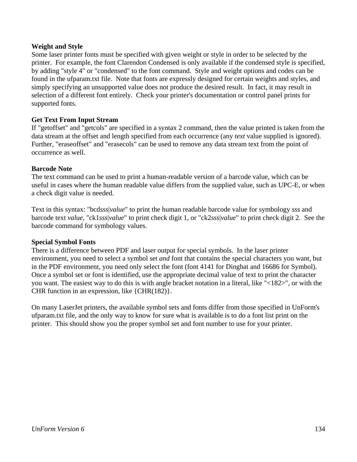#### **Weight and Style**

Some laser printer fonts must be specified with given weight or style in order to be selected by the printer. For example, the font Clarendon Condensed is only available if the condensed style is specified, by adding "style 4" or "condensed" to the font command. Style and weight options and codes can be found in the ufparam.txt file. Note that fonts are expressly designed for certain weights and styles, and simply specifying an unsupported value does not produce the desired result. In fact, it may result in selection of a different font entirely. Check your printer's documentation or control panel prints for supported fonts.

#### **Get Text From Input Stream**

If "getoffset" and "getcols" are specified in a syntax 2 command, then the value printed is taken from the data stream at the offset and length specified from each occurrence (any *text* value supplied is ignored). Further, "eraseoffset" and "erasecols" can be used to remove any data stream text from the point of occurrence as well.

#### **Barcode Note**

The text command can be used to print a human-readable version of a barcode value, which can be useful in cases where the human readable value differs from the supplied value, such as UPC-E, or when a check digit value is needed.

Text in this syntax: "bcd*sss*|*value*" to print the human readable barcode value for symbology *sss* and barcode text *value*, "ck1*sss*|*value*" to print check digit 1, or "ck2*sss*|*value*" to print check digit 2. See the barcode command for symbology values.

#### **Special Symbol Fonts**

There is a difference between PDF and laser output for special symbols. In the laser printer environment, you need to select a symbol set *and* font that contains the special characters you want, but in the PDF environment, you need only select the font (font 4141 for Dingbat and 16686 for Symbol). Once a symbol set or font is identified, use the appropriate decimal value of text to print the character you want. The easiest way to do this is with angle bracket notation in a literal, like "<182>", or with the CHR function in an expression, like {CHR(182)}.

On many LaserJet printers, the available symbol sets and fonts differ from those specified in UnForm's ufparam.txt file, and the only way to know for sure what is available is to do a font list print on the printer. This should show you the proper symbol set and font number to use for your printer.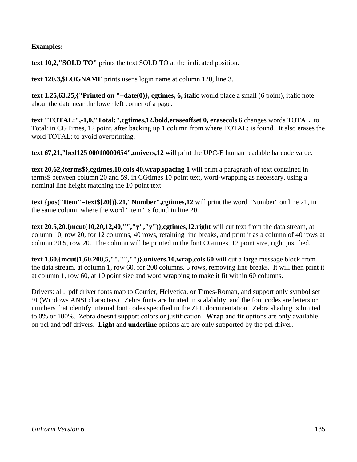#### **Examples:**

**text 10,2,"SOLD TO"** prints the text SOLD TO at the indicated position.

**text 120,3,\$LOGNAME** prints user's login name at column 120, line 3.

**text 1.25,63.25,{"Printed on "+date(0)}, cgtimes, 6, italic** would place a small (6 point), italic note about the date near the lower left corner of a page.

**text "TOTAL:",-1,0,"Total:",cgtimes,12,bold,eraseoffset 0, erasecols 6** changes words TOTAL: to Total: in CGTimes, 12 point, after backing up 1 column from where TOTAL: is found. It also erases the word TOTAL: to avoid overprinting.

**text 67,21,"bcd125|00010000654",univers,12** will print the UPC-E human readable barcode value.

**text 20,62,{terms\$},cgtimes,10,cols 40,wrap,spacing 1** will print a paragraph of text contained in terms\$ between column 20 and 59, in CGtimes 10 point text, word-wrapping as necessary, using a nominal line height matching the 10 point text.

**text {pos("Item"=text\$[20])},21,"Number",cgtimes,12** will print the word "Number" on line 21, in the same column where the word "Item" is found in line 20.

**text 20.5,20,{mcut(10,20,12,40,"","y","y")},cgtimes,12,right** will cut text from the data stream, at column 10, row 20, for 12 columns, 40 rows, retaining line breaks, and print it as a column of 40 rows at column 20.5, row 20. The column will be printed in the font CGtimes, 12 point size, right justified.

**text 1,60,{mcut(1,60,200,5,"","","")},univers,10,wrap,cols 60** will cut a large message block from the data stream, at column 1, row 60, for 200 columns, 5 rows, removing line breaks. It will then print it at column 1, row 60, at 10 point size and word wrapping to make it fit within 60 columns.

Drivers: all. pdf driver fonts map to Courier, Helvetica, or Times-Roman, and support only symbol set 9J (Windows ANSI characters). Zebra fonts are limited in scalability, and the font codes are letters or numbers that identify internal font codes specified in the ZPL documentation. Zebra shading is limited to 0% or 100%. Zebra doesn't support colors or justification. **Wrap** and **fit** options are only available on pcl and pdf drivers. **Light** and **underline** options are are only supported by the pcl driver.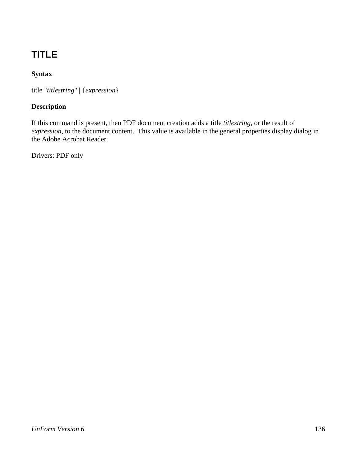# **TITLE**

### **Syntax**

title "*titlestring*" | {*expression*}

### **Description**

If this command is present, then PDF document creation adds a title *titlestring*, or the result of *expression*, to the document content. This value is available in the general properties display dialog in the Adobe Acrobat Reader.

Drivers: PDF only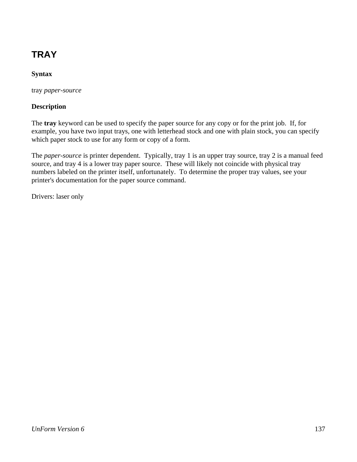# **TRAY**

### **Syntax**

tray *paper-source*

#### **Description**

The **tray** keyword can be used to specify the paper source for any copy or for the print job. If, for example, you have two input trays, one with letterhead stock and one with plain stock, you can specify which paper stock to use for any form or copy of a form.

The *paper-source* is printer dependent. Typically, tray 1 is an upper tray source, tray 2 is a manual feed source, and tray 4 is a lower tray paper source. These will likely not coincide with physical tray numbers labeled on the printer itself, unfortunately. To determine the proper tray values, see your printer's documentation for the paper source command.

Drivers: laser only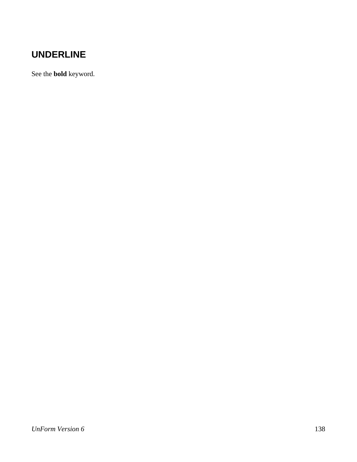## **UNDERLINE**

See the **bold** keyword.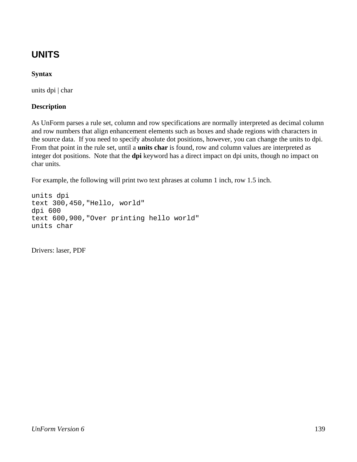# **UNITS**

### **Syntax**

units dpi | char

### **Description**

As UnForm parses a rule set, column and row specifications are normally interpreted as decimal column and row numbers that align enhancement elements such as boxes and shade regions with characters in the source data. If you need to specify absolute dot positions, however, you can change the units to dpi. From that point in the rule set, until a **units char** is found, row and column values are interpreted as integer dot positions. Note that the **dpi** keyword has a direct impact on dpi units, though no impact on char units.

For example, the following will print two text phrases at column 1 inch, row 1.5 inch.

```
units dpi 
text 300,450,"Hello, world" 
dpi 600 
text 600,900,"Over printing hello world" 
units char
```
Drivers: laser, PDF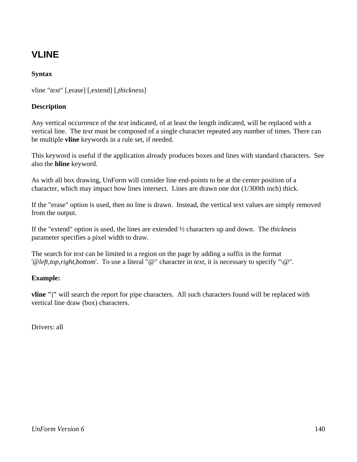## **VLINE**

### **Syntax**

vline "*text*" [,erase] [,extend] [,*thickness*]

#### **Description**

Any vertical occurrence of the *text* indicated, of at least the length indicated, will be replaced with a vertical line. The *text* must be composed of a single character repeated any number of times. There can be multiple **vline** keywords in a rule set, if needed.

This keyword is useful if the application already produces boxes and lines with standard characters. See also the **hline** keyword.

As with all box drawing, UnForm will consider line end-points to be at the center position of a character, which may impact how lines intersect. Lines are drawn one dot (1/300th inch) thick.

If the "erase" option is used, then no line is drawn. Instead, the vertical text values are simply removed from the output.

If the "extend" option is used, the lines are extended ½ characters up and down. The *thickness* parameter specifies a pixel width to draw.

The search for *text* can be limited to a region on the page by adding a suffix in the format '@*left,top,right,bottom*'. To use a literal "@" character in *text*, it is necessary to specify "\@".

#### **Example:**

**vline "|"** will search the report for pipe characters. All such characters found will be replaced with vertical line draw (box) characters.

Drivers: all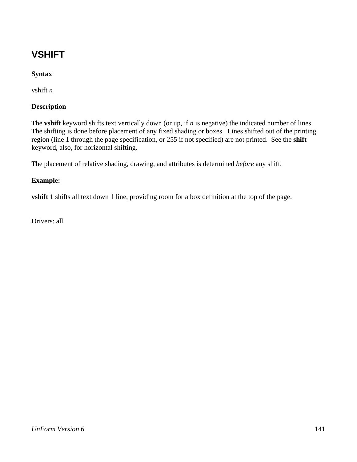# **VSHIFT**

### **Syntax**

vshift *n*

#### **Description**

The **vshift** keyword shifts text vertically down (or up, if *n* is negative) the indicated number of lines. The shifting is done before placement of any fixed shading or boxes. Lines shifted out of the printing region (line 1 through the page specification, or 255 if not specified) are not printed. See the **shift** keyword, also, for horizontal shifting.

The placement of relative shading, drawing, and attributes is determined *before* any shift.

#### **Example:**

**vshift 1** shifts all text down 1 line, providing room for a box definition at the top of the page.

Drivers: all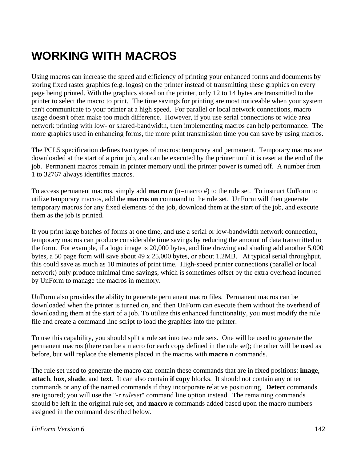# **WORKING WITH MACROS**

Using macros can increase the speed and efficiency of printing your enhanced forms and documents by storing fixed raster graphics (e.g. logos) on the printer instead of transmitting these graphics on every page being printed. With the graphics stored on the printer, only 12 to 14 bytes are transmitted to the printer to select the macro to print. The time savings for printing are most noticeable when your system can't communicate to your printer at a high speed. For parallel or local network connections, macro usage doesn't often make too much difference. However, if you use serial connections or wide area network printing with low- or shared-bandwidth, then implementing macros can help performance. The more graphics used in enhancing forms, the more print transmission time you can save by using macros.

The PCL5 specification defines two types of macros: temporary and permanent. Temporary macros are downloaded at the start of a print job, and can be executed by the printer until it is reset at the end of the job. Permanent macros remain in printer memory until the printer power is turned off. A number from 1 to 32767 always identifies macros.

To access permanent macros, simply add **macro** *n* (n=macro #) to the rule set. To instruct UnForm to utilize temporary macros, add the **macros on** command to the rule set. UnForm will then generate temporary macros for any fixed elements of the job, download them at the start of the job, and execute them as the job is printed.

If you print large batches of forms at one time, and use a serial or low-bandwidth network connection, temporary macros can produce considerable time savings by reducing the amount of data transmitted to the form. For example, if a logo image is 20,000 bytes, and line drawing and shading add another 5,000 bytes, a 50 page form will save about 49 x 25,000 bytes, or about 1.2MB. At typical serial throughput, this could save as much as 10 minutes of print time. High-speed printer connections (parallel or local network) only produce minimal time savings, which is sometimes offset by the extra overhead incurred by UnForm to manage the macros in memory.

UnForm also provides the ability to generate permanent macro files. Permanent macros can be downloaded when the printer is turned on, and then UnForm can execute them without the overhead of downloading them at the start of a job. To utilize this enhanced functionality, you must modify the rule file and create a command line script to load the graphics into the printer.

To use this capability, you should split a rule set into two rule sets. One will be used to generate the permanent macros (there can be a macro for each copy defined in the rule set); the other will be used as before, but will replace the elements placed in the macros with **macro** *n* commands.

The rule set used to generate the macro can contain these commands that are in fixed positions: **image**, **attach**, **box**, **shade**, and **text**. It can also contain **if copy** blocks. It should not contain any other commands or any of the named commands if they incorporate relative positioning. **Detect** commands are ignored; you will use the "-r *ruleset*" command line option instead. The remaining commands should be left in the original rule set, and **macro** *n* commands added based upon the macro numbers assigned in the command described below.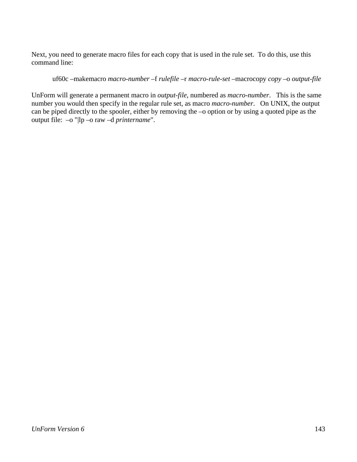Next, you need to generate macro files for each copy that is used in the rule set. To do this, use this command line:

#### uf60c –makemacro *macro-number* –f *rulefile* –r *macro-rule-set* –macrocopy *copy* –o *output-file*

UnForm will generate a permanent macro in *output-file*, numbered as *macro-number*. This is the same number you would then specify in the regular rule set, as macro *macro-number*. On UNIX, the output can be piped directly to the spooler, either by removing the –o option or by using a quoted pipe as the output file: –o "|lp –o raw –d *printername*".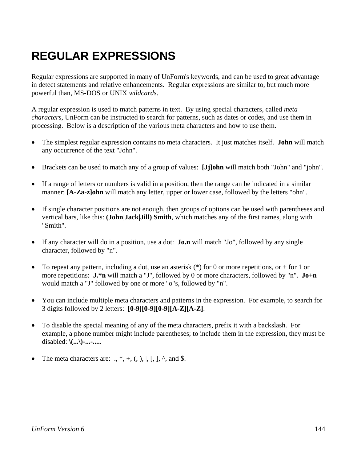# **REGULAR EXPRESSIONS**

Regular expressions are supported in many of UnForm's keywords, and can be used to great advantage in detect statements and relative enhancements. Regular expressions are similar to, but much more powerful than, MS-DOS or UNIX *wildcards*.

A regular expression is used to match patterns in text. By using special characters, called *meta characters*, UnForm can be instructed to search for patterns, such as dates or codes, and use them in processing. Below is a description of the various meta characters and how to use them.

- The simplest regular expression contains no meta characters. It just matches itself. **John** will match any occurrence of the text "John".
- Brackets can be used to match any of a group of values: **[Jj]ohn** will match both "John" and "john".
- If a range of letters or numbers is valid in a position, then the range can be indicated in a similar manner: **[A-Za-z]ohn** will match any letter, upper or lower case, followed by the letters "ohn".
- If single character positions are not enough, then groups of options can be used with parentheses and vertical bars, like this: **(John|Jack|Jill) Smith**, which matches any of the first names, along with "Smith".
- If any character will do in a position, use a dot: **Jo.n** will match "Jo", followed by any single character, followed by "n".
- To repeat any pattern, including a dot, use an asterisk  $(*)$  for 0 or more repetitions, or  $+$  for 1 or more repetitions: **J.\*n** will match a "J", followed by 0 or more characters, followed by "n". **Jo+n** would match a "J" followed by one or more "o"s, followed by "n".
- You can include multiple meta characters and patterns in the expression. For example, to search for 3 digits followed by 2 letters: **[0-9][0-9][0-9][A-Z][A-Z]**.
- To disable the special meaning of any of the meta characters, prefix it with a backslash. For example, a phone number might include parentheses; to include them in the expression, they must be disabled: **\(...\)-...-....**.
- The meta characters are: .,  $*, +$ , (, ), |, [, ],  $\land$ , and \$.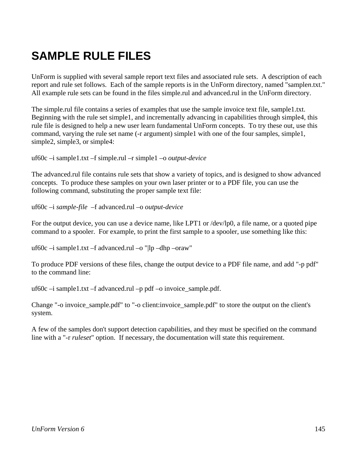# **SAMPLE RULE FILES**

UnForm is supplied with several sample report text files and associated rule sets. A description of each report and rule set follows. Each of the sample reports is in the UnForm directory, named "sample*n*.txt." All example rule sets can be found in the files simple.rul and advanced.rul in the UnForm directory.

The simple.rul file contains a series of examples that use the sample invoice text file, sample1.txt. Beginning with the rule set simple1, and incrementally advancing in capabilities through simple4, this rule file is designed to help a new user learn fundamental UnForm concepts. To try these out, use this command, varying the rule set name (-r argument) simple1 with one of the four samples, simple1, simple2, simple3, or simple4:

uf60c –i sample1.txt –f simple.rul –r simple1 –o *output-device*

The advanced.rul file contains rule sets that show a variety of topics, and is designed to show advanced concepts. To produce these samples on your own laser printer or to a PDF file, you can use the following command, substituting the proper sample text file:

uf60c –i *sample-file* –f advanced.rul –o *output-device*

For the output device, you can use a device name, like LPT1 or /dev/lp0, a file name, or a quoted pipe command to a spooler. For example, to print the first sample to a spooler, use something like this:

uf60c –i sample1.txt –f advanced.rul –o "|lp –dhp –oraw"

To produce PDF versions of these files, change the output device to a PDF file name, and add "-p pdf" to the command line:

uf60c –i sample1.txt –f advanced.rul –p pdf –o invoice\_sample.pdf.

Change "-o invoice\_sample.pdf" to "-o client:invoice\_sample.pdf" to store the output on the client's system.

A few of the samples don't support detection capabilities, and they must be specified on the command line with a "-r *ruleset*" option. If necessary, the documentation will state this requirement.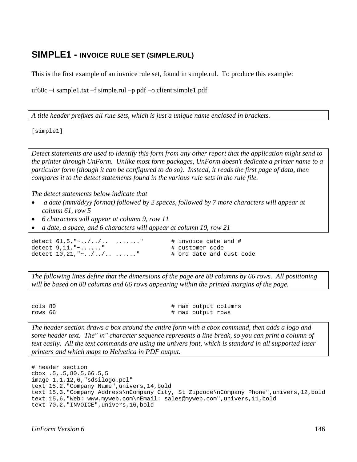#### **SIMPLE1 - INVOICE RULE SET (SIMPLE.RUL)**

This is the first example of an invoice rule set, found in simple.rul. To produce this example:

uf60c –i sample1.txt –f simple.rul –p pdf –o client:simple1.pdf

*A title header prefixes all rule sets, which is just a unique name enclosed in brackets.*

[simple1]

*Detect statements are used to identify this form from any other report that the application might send to the printer through UnForm. Unlike most form packages, UnForm doesn't dedicate a printer name to a particular form (though it can be configured to do so). Instead, it reads the first page of data, then compares it to the detect statements found in the various rule sets in the rule file.* 

*The detect statements below indicate that* 

- • *a date (mm/dd/yy format) followed by 2 spaces, followed by 7 more characters will appear at column 61, row 5*
- *6 characters will appear at column 9, row 11*
- *a date, a space, and 6 characters will appear at column 10, row 21*

detect  $61.5, " \sim ./../. . . . . . . . . "$  # invoice date and # detect  $9, 11, " \sim \ldots$ ..." # customer code detect  $10, 21, "~././. . . . . . . . "$  # ord date and cust code

*The following lines define that the dimensions of the page are 80 columns by 66 rows. All positioning will be based on 80 columns and 66 rows appearing within the printed margins of the page.* 

cols 80  $\#$  max output columns rows 66  $\qquad$  # max output rows

*The header section draws a box around the entire form with a cbox command, then adds a logo and some header text. The" \n" character sequence represents a line break, so you can print a column of text easily. All the text commands are using the univers font, which is standard in all supported laser printers and which maps to Helvetica in PDF output.*

```
# header section 
cbox .5,.5,80.5,66.5,5 
image 1,1,12,6,"sdsilogo.pcl" 
text 15,2,"Company Name",univers,14,bold 
text 15,3,"Company Address\nCompany City, St Zipcode\nCompany Phone",univers,12,bold 
text 15,6,"Web: www.myweb.com\nEmail: sales@myweb.com",univers,11,bold 
text 70,2,"INVOICE",univers,16,bold
```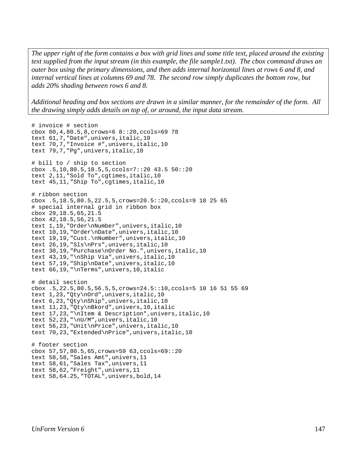*The upper right of the form contains a box with grid lines and some title text, placed around the existing text supplied from the input stream (in this example, the file sample1.txt). The cbox command draws an outer box using the primary dimensions, and then adds internal horizontal lines at rows 6 and 8, and internal vertical lines at columns 69 and 78. The second row simply duplicates the bottom row, but adds 20% shading between rows 6 and 8.* 

*Additional heading and box sections are drawn in a similar manner, for the remainder of the form. All the drawing simply adds details on top of, or around, the input data stream.*

```
# invoice # section 
cbox 60,4,80.5,8,crows=6 8::20,ccols=69 78 
text 61,7,"Date",univers,italic,10 
text 70,7,"Invoice #",univers,italic,10 
text 79,7,"Pg",univers,italic,10 
# bill to / ship to section 
cbox .5,10,80.5,18.5,5,ccols=7::20 43.5 50::20 
text 2,11,"Sold To",cgtimes,italic,10 
text 45,11,"Ship To",cgtimes,italic,10 
# ribbon section 
cbox .5,18.5,80.5,22.5,5,crows=20.5::20,ccols=9 18 25 65 
# special internal grid in ribbon box 
cbox 29,18.5,65,21.5 
cbox 42,18.5,56,21.5 
text 1,19,"Order\nNumber",univers,italic,10 
text 10,19,"Order\nDate",univers,italic,10 
text 19,19,"Cust.\nNumber",univers,italic,10 
text 26,19,"Sls\nPrs",univers,italic,10 
text 30,19,"Purchase\nOrder No.",univers,italic,10 
text 43,19,"\nShip Via",univers,italic,10 
text 57,19,"Ship\nDate",univers,italic,10 
text 66,19,"\nTerms",univers,10,italic 
# detail section 
cbox .5,22.5,80.5,56.5,5,crows=24.5::10,ccols=5 10 16 51 55 69 
text 1,23,"Qty\nOrd",univers,italic,10 
text 6,23,"Qty\nShip",univers,italic,10 
text 11,23,"Qty\nBkord",univers,10,italic 
text 17,23,"\nItem & Description",univers,italic,10 
text 52,23,"\nU/M",univers,italic,10 
text 56,23,"Unit\nPrice",univers,italic,10 
text 70,23,"Extended\nPrice",univers,italic,10 
# footer section 
cbox 57,57,80.5,65,crows=59 63,ccols=69::20 
text 58,58,"Sales Amt",univers,11 
text 58,61,"Sales Tax",univers,11 
text 58,62,"Freight",univers,11 
text 58,64.25,"TOTAL",univers,bold,14
```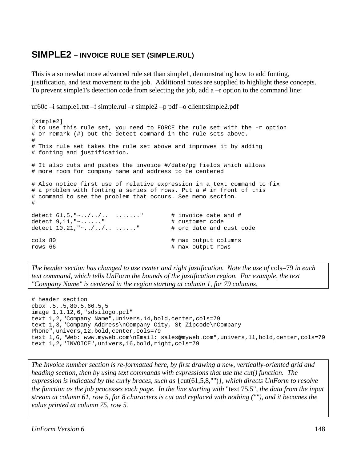#### **SIMPLE2 – INVOICE RULE SET (SIMPLE.RUL)**

This is a somewhat more advanced rule set than simple1, demonstrating how to add fonting, justification, and text movement to the job. Additional notes are supplied to highlight these concepts. To prevent simple1's detection code from selecting the job, add  $a - r$  option to the command line:

uf60c –i sample1.txt –f simple.rul –r simple2 –p pdf –o client:simple2.pdf

```
[simple2] 
# to use this rule set, you need to FORCE the rule set with the -r option 
# or remark (#) out the detect command in the rule sets above. 
# 
# This rule set takes the rule set above and improves it by adding 
# fonting and justification. 
# It also cuts and pastes the invoice #/date/pg fields which allows 
# more room for company name and address to be centered 
# Also notice first use of relative expression in a text command to fix 
# a problem with fonting a series of rows. Put a # in front of this 
# command to see the problem that occurs. See memo section. 
# 
detect 61,5, " \sim . / ../.. ......." # invoice date and #
detect 9, 11, " \sim \ldots \cdot \cdot \cdot" # customer code<br>detect 10, 21, " \sim \ldots \cdot \cdot \cdot \cdot \cdot \cdot \cdot \cdot " # ord date and cust code
detect 10, 21, "2.../...........
cols 80 \qquad \qquad \qquad \qquad \qquad \qquad \qquad \qquad \qquad \qquad \qquad \qquad \qquad \qquad \qquad \qquad \qquad \qquad \qquad \qquad \qquad \qquad \qquad \qquad \qquad \qquad \qquad \qquad \qquad \qquad \qquad \qquad \qquad \qquad \qquad \qquad# max output rows
```
*The header section has changed to use center and right justification. Note the use of* cols=79 *in each text command, which tells UnForm the bounds of the justification region. For example, the text "Company Name" is centered in the region starting at column 1, for 79 columns.*

```
# header section 
cbox .5,.5,80.5,66.5,5 
image 1,1,12,6,"sdsilogo.pcl" 
text 1,2,"Company Name",univers,14,bold,center,cols=79 
text 1,3,"Company Address\nCompany City, St Zipcode\nCompany 
Phone", univers, 12, bold, center, cols=79
text 1,6,"Web: www.myweb.com\nEmail: sales@myweb.com",univers,11,bold,center,cols=79 
text 1,2,"INVOICE",univers,16,bold,right,cols=79
```
*The Invoice number section is re-formatted here, by first drawing a new, vertically-oriented grid and heading section, then by using text commands with expressions that use the cut() function. The expression is indicated by the curly braces, such as* {cut(61,5,8,"")}*, which directs UnForm to resolve the function as the job processes each page. In the line starting with* "text 75,5"*, the data from the input stream at column 61, row 5, for 8 characters is cut and replaced with nothing (""), and it becomes the value printed at column 75, row 5.*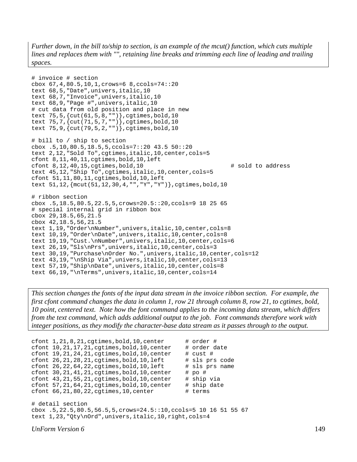*Further down, in the bill to/ship to section, is an example of the mcut() function, which cuts multiple lines and replaces them with "", retaining line breaks and trimming each line of leading and trailing spaces.*

```
# invoice # section 
cbox 67,4,80.5,10,1,crows=6 8,ccols=74::20 
text 68,5,"Date",univers,italic,10 
text 68,7,"Invoice",univers,italic,10 
text 68,9,"Page #",univers,italic,10 
# cut data from old position and place in new 
text 75,5,{cut(61,5,8,"")},cgtimes,bold,10 
text 75, 7, \{cut(71, 5, 7, "")\}, cgtimes, bold, 10
text 75,9,{cut(79,5,2,"")},cgtimes,bold,10 
# bill to / ship to section 
cbox .5,10,80.5,18.5,5,ccols=7::20 43.5 50::20 
text 2,12,"Sold To",cgtimes,italic,10,center,cols=5 
cfont 8,11,40,11,cgtimes,bold,10,left 
cfont 8,12,40,15,cgtimes,bold,10 # sold to address 
text 45,12,"Ship To",cgtimes,italic,10,center,cols=5 
cfont 51,11,80,11,cgtimes,bold,10,left 
text 51,12,{mcut(51,12,30,4,"","Y","Y")},cgtimes,bold,10 
# ribbon section 
cbox .5,18.5,80.5,22.5,5,crows=20.5::20,ccols=9 18 25 65 
# special internal grid in ribbon box 
cbox 29,18.5,65,21.5 
cbox 42,18.5,56,21.5 
text 1,19, "Order\nNumber", univers, italic, 10, center, cols=8
text 10,19,"Order\nDate",univers,italic,10,center,cols=8 
text 19,19,"Cust.\nNumber",univers,italic,10,center,cols=6 
text 26,19,"Sls\nPrs",univers,italic,10,center,cols=3 
text 30,19,"Purchase\nOrder No.",univers,italic,10,center,cols=12 
text 43,19,"\nShip Via",univers,italic,10,center,cols=13 
text 57,19,"Ship\nDate",univers,italic,10,center,cols=8 
text 66,19,"\nTerms",univers,italic,10,center,cols=14
```
*This section changes the fonts of the input data stream in the invoice ribbon section. For example, the first cfont command changes the data in column 1, row 21 through column 8, row 21, to cgtimes, bold, 10 point, centered text. Note how the font command applies to the incoming data stream, which differs from the text command, which adds additional output to the job. Font commands therefore work with integer positions, as they modify the character-base data stream as it passes through to the output.*

```
cfont 1, 21, 8, 21, cgtimes, bold, 10, center \# order \#cfont 10, 21, 17, 21, cgtimes, bold, 10, center \# order date
cfont 19, 21, 24, 21, cgtimes, bold, 10, center # cust #
cfont 26, 21, 28, 21, cgtimes, bold, 10, left # sls prs code
cfont 26,22,64,22, cgtimes, bold, 10, left # sls prs name
cfont 30, 21, 41, 21, cgtimes, bold, 10, center # po #
cfont 43, 21, 55, 21, cgtimes, bold, 10, center # ship via
cfont 57, 21, 64, 21, cgtimes, bold, 10, center # ship date
cfont 66, 21, 80, 22, cgtimes, 10, center \# terms
# detail section 
cbox .5,22.5,80.5,56.5,5,crows=24.5::10,ccols=5 10 16 51 55 67 
text 1,23,"Qty\nOrd",univers,italic,10,right,cols=4
```
*UnForm Version 6* 149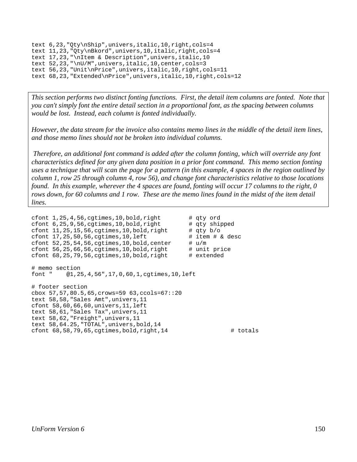```
text 6,23,"Qty\nShip",univers,italic,10,right,cols=4 
text 11,23,"Qty\nBkord",univers,10,italic,right,cols=4 
text 17,23,"\nItem & Description",univers,italic,10 
text 52,23,"\nU/M",univers,italic,10,center,cols=3 
text 56,23,"Unit\nPrice",univers,italic,10,right,cols=11 
text 68,23,"Extended\nPrice",univers,italic,10,right,cols=12
```
*This section performs two distinct fonting functions. First, the detail item columns are fonted. Note that you can't simply font the entire detail section in a proportional font, as the spacing between columns would be lost. Instead, each column is fonted individually.* 

*However, the data stream for the invoice also contains memo lines in the middle of the detail item lines, and those memo lines should not be broken into individual columns.* 

 *Therefore, an additional font command is added after the column fonting, which will override any font characteristics defined for any given data position in a prior font command. This memo section fonting uses a technique that will scan the page for a pattern (in this example, 4 spaces in the region outlined by column 1, row 25 through column 4, row 56), and change font characteristics relative to those locations found. In this example, wherever the 4 spaces are found, fonting will occur 17 columns to the right, 0 rows down, for 60 columns and 1 row. These are the memo lines found in the midst of the item detail lines.* 

```
cfont 1,25,4,56, cgtimes, 10, bold, right # qty ord
cfont 6, 25, 9, 56, cgtimes, 10, bold, right # qty shipped
cfont 11,25,15,56, cgtimes, 10, bold, right # qty b/o
cfont 17, 25, 50, 56, cgtimes, 10, left # item # & desc
cfont 52,25,54,56, cgtimes, 10, bold, center \qquad # u/m<br>cfont 56,25,66,56, cqtimes, 10, bold, right \qquad # unit price
cfont 56,25,66,56, egtimes, 10, bold, right
cfont 68, 25, 79, 56, cqtimes, 10, bold, right \# extended
# memo section 
font " @1,25,4,56",17,0,60,1,cgtimes,10,left 
# footer section 
cbox 57,57,80.5,65,crows=59 63,ccols=67::20 
text 58,58,"Sales Amt",univers,11 
cfont 58,60,66,60,univers,11,left 
text 58,61,"Sales Tax",univers,11 
text 58,62,"Freight",univers,11 
text 58,64.25,"TOTAL",univers,bold,14 
cfont 68,58,79,65, cgtimes, bold, right, 14 \qquad # totals
```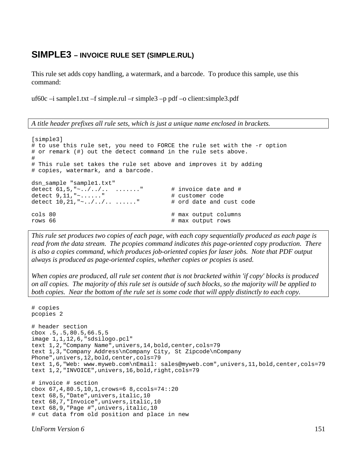#### **SIMPLE3 – INVOICE RULE SET (SIMPLE.RUL)**

This rule set adds copy handling, a watermark, and a barcode. To produce this sample, use this command:

uf60c –i sample1.txt –f simple.rul –r simple3 –p pdf –o client:simple3.pdf

*A title header prefixes all rule sets, which is just a unique name enclosed in brackets.*

```
[simple3] 
# to use this rule set, you need to FORCE the rule set with the -r option 
# or remark (#) out the detect command in the rule sets above. 
# 
# This rule set takes the rule set above and improves it by adding 
# copies, watermark, and a barcode. 
dsn sample "sample1.txt"
detect 61,5, " \sim ./-./.. ......." # invoice date and #<br>detect 9.11, " \sim . . . . . . " # customer code
detect 9, 11, " ~ . . . . . . "
detect 10, 21, " \cdots ........" \qquad \qquad # ord date and cust code
cols 80 \qquad \qquad \qquad \qquad \qquad \qquad \qquad \qquad \qquad \qquad \qquad \qquad \qquad \qquad \qquad \qquad \qquad \qquad \qquad \qquad \qquad \qquad \qquad \qquad \qquad \qquad \qquad \qquad \qquad \qquad \qquad \qquad \qquad \qquad \qquad \qquad# max output rows
```
*This rule set produces two copies of each page, with each copy sequentially produced as each page is read from the data stream. The pcopies command indicates this page-oriented copy production. There is also a copies command, which produces job-oriented copies for laser jobs. Note that PDF output always is produced as page-oriented copies, whether copies or pcopies is used.* 

*When copies are produced, all rule set content that is not bracketed within 'if copy' blocks is produced on all copies. The majority of this rule set is outside of such blocks, so the majority will be applied to both copies. Near the bottom of the rule set is some code that will apply distinctly to each copy.*

```
# copies 
pcopies 2 
# header section 
cbox .5,.5,80.5,66.5,5 
image 1,1,12,6,"sdsilogo.pcl" 
text 1,2,"Company Name",univers,14,bold,center,cols=79 
text 1,3,"Company Address\nCompany City, St Zipcode\nCompany 
Phone", univers, 12, bold, center, cols=79
text 1,6,"Web: www.myweb.com\nEmail: sales@myweb.com",univers,11,bold,center,cols=79 
text 1,2,"INVOICE",univers,16,bold,right,cols=79 
# invoice # section 
cbox 67,4,80.5,10,1,crows=6 8,ccols=74::20 
text 68,5,"Date",univers,italic,10 
text 68,7,"Invoice",univers,italic,10 
text 68,9,"Page #",univers,italic,10 
# cut data from old position and place in new
```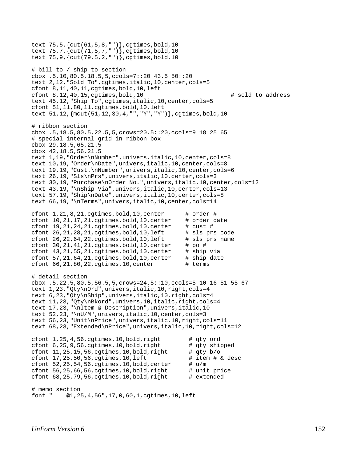```
text 75,5,{cut(61,5,8,"")},cgtimes,bold,10 
text 75,7,{cut(71,5,7,"")},cgtimes,bold,10 
text 75,9,{cut(79,5,2,"")},cgtimes,bold,10 
# bill to / ship to section 
cbox .5,10,80.5,18.5,5,ccols=7::20 43.5 50::20 
text 2,12,"Sold To",cgtimes,italic,10,center,cols=5 
cfont 8,11,40,11,cgtimes,bold,10,left 
cfont 8,12,40,15,cgtimes,bold,10 # sold to address 
text 45,12,"Ship To",cgtimes,italic,10,center,cols=5 
cfont 51,11,80,11,cgtimes,bold,10,left 
text 51,12,{mcut(51,12,30,4,"","Y","Y")},cgtimes,bold,10 
# ribbon section 
cbox .5,18.5,80.5,22.5,5,crows=20.5::20,ccols=9 18 25 65 
# special internal grid in ribbon box 
cbox 29,18.5,65,21.5 
cbox 42,18.5,56,21.5 
text 1,19,"Order\nNumber",univers,italic,10,center,cols=8 
text 10,19,"Order\nDate",univers,italic,10,center,cols=8 
text 19,19,"Cust.\nNumber",univers,italic,10,center,cols=6 
text 26,19,"Sls\nPrs",univers,italic,10,center,cols=3 
text 30,19,"Purchase\nOrder No.",univers,italic,10,center,cols=12 
text 43,19,"\nShip Via",univers,italic,10,center,cols=13 
text 57,19,"Ship\nDate",univers,italic,10,center,cols=8 
text 66,19,"\nTerms",univers,italic,10,center,cols=14 
cfont 1, 21, 8, 21, cqtimes, bold, 10, center \# order \#cfont 10, 21, 17, 21, cgtimes, bold, 10, center \# order date
cfont 19, 21, 24, 21, cqtimes, bold, 10, center \# cust \#cfont 26, 21, 28, 21, cgtimes, bold, 10, left # sls prs code
cfont 26, 22, 64, 22, cgtimes, bold, 10, left # sls prs name
cfont 30, 21, 41, 21, cgtimes, bold, 10, center # po #
cfont 43, 21, 55, 21, cgtimes, bold, 10, center \# ship via
cfont 57, 21, 64, 21, cgtimes, bold, 10, center \# ship date
cfont 66, 21, 80, 22, cqtimes, 10, center \# terms
# detail section 
cbox .5,22.5,80.5,56.5,5,crows=24.5::10,ccols=5 10 16 51 55 67 
text 1,23,"Qty\nOrd",univers,italic,10,right,cols=4 
text 6,23,"Qty\nShip",univers,italic,10,right,cols=4 
text 11,23, "Qty\nBkord", univers, 10, italic, right, cols=4
text 17,23,"\nItem & Description",univers,italic,10 
text 52,23,"\nU/M",univers,italic,10,center,cols=3 
text 56,23,"Unit\nPrice",univers,italic,10,right,cols=11 
text 68,23,"Extended\nPrice",univers,italic,10,right,cols=12 
cfont 1, 25, 4, 56, cgtimes, 10, bold, right # qty ord
cfont 6, 25, 9, 56, cgtimes, 10, bold, right # qty shipped cfont 11, 25, 15, 56, cgtimes, 10, bold, right # qty b/o
cfont 11,25,15,56, cgtimes, 10, bold, right
cfont 17,25,50,56, cgtimes, 10, left \qquad # item \# & desc
cfont 52, 25, 54, 56, cgtimes, 10, bold, center \# u/mcfont 56, 25, 66, 56, cgtimes, 10, bold, right # unit price
cfont 68, 25, 79, 56, cgtimes, 10, bold, right \# extended
# memo section 
font " @1,25,4,56",17,0,60,1,cgtimes,10,left
```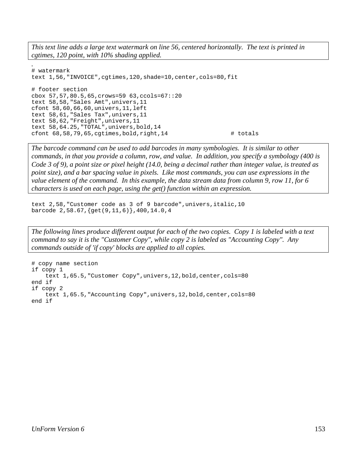*This text line adds a large text watermark on line 56, centered horizontally. The text is printed in cgtimes, 120 point, with 10% shading applied.*

```
. 
# watermark 
text 1,56,"INVOICE",cgtimes,120,shade=10,center,cols=80,fit 
# footer section 
cbox 57,57,80.5,65,crows=59 63,ccols=67::20 
text 58,58,"Sales Amt",univers,11 
cfont 58,60,66,60,univers,11,left 
text 58,61,"Sales Tax",univers,11 
text 58,62,"Freight",univers,11 
text 58,64.25,"TOTAL",univers,bold,14 
cfont 68,58,79,65, cgtimes, bold, right, 14 \qquad # totals
```
*The barcode command can be used to add barcodes in many symbologies. It is similar to other commands, in that you provide a column, row, and value. In addition, you specify a symbology (400 is Code 3 of 9), a point size or pixel height (14.0, being a decimal rather than integer value, is treated as point size), and a bar spacing value in pixels. Like most commands, you can use expressions in the value element of the command. In this example, the data stream data from column 9, row 11, for 6 characters is used on each page, using the get() function within an expression.*

text 2,58,"Customer code as 3 of 9 barcode",univers,italic,10 barcode 2,58.67,{get(9,11,6)},400,14.0,4

*The following lines produce different output for each of the two copies. Copy 1 is labeled with a text command to say it is the "Customer Copy", while copy 2 is labeled as "Accounting Copy". Any commands outside of 'if copy' blocks are applied to all copies.*

```
# copy name section 
if copy 1 
     text 1,65.5,"Customer Copy",univers,12,bold,center,cols=80 
end if 
if copy 2 
     text 1,65.5,"Accounting Copy",univers,12,bold,center,cols=80 
end if
```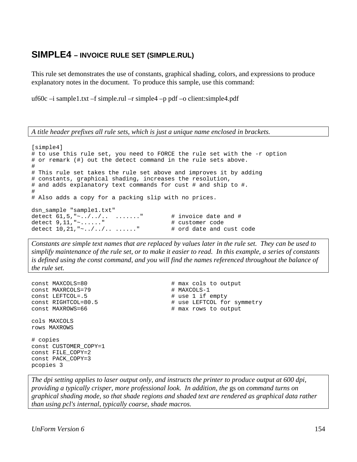#### **SIMPLE4 – INVOICE RULE SET (SIMPLE.RUL)**

This rule set demonstrates the use of constants, graphical shading, colors, and expressions to produce explanatory notes in the document. To produce this sample, use this command:

uf60c –i sample1.txt –f simple.rul –r simple4 –p pdf –o client:simple4.pdf

*A title header prefixes all rule sets, which is just a unique name enclosed in brackets.*

| [simple4]                                                                 |                          |
|---------------------------------------------------------------------------|--------------------------|
| # to use this rule set, you need to FORCE the rule set with the -r option |                          |
| # or remark (#) out the detect command in the rule sets above.            |                          |
| #                                                                         |                          |
| # This rule set takes the rule set above and improves it by adding        |                          |
| # constants, graphical shading, increases the resolution,                 |                          |
| $\#$ and adds explanatory text commands for cust $\#$ and ship to $\#$ .  |                          |
| #                                                                         |                          |
| # Also adds a copy for a packing slip with no prices.                     |                          |
|                                                                           |                          |
| dsn sample "sample1.txt"                                                  |                          |
| detect $61, 5, "//  "$                                                    | # invoice date and #     |
| detect $9, 11, "$ "                                                       | # customer code          |
| detect $10, 21, "// ".$                                                   | # ord date and cust code |

*Constants are simple text names that are replaced by values later in the rule set. They can be used to simplify maintenance of the rule set, or to make it easier to read. In this example, a series of constants is defined using the const command, and you will find the names referenced throughout the balance of the rule set.*

```
const MAXRCOLS=79 # MAXCOLS-1 
const LEFTCOL=.5 <br>
const RIGHTCOL=80.5 <br>
# use LEFTCOL for
const MAXROWS=66 \qquad # max rows to output
cols MAXCOLS 
rows MAXROWS 
# copies 
const CUSTOMER_COPY=1 
const FILE_COPY=2 
const PACK_COPY=3 
pcopies 3
```
const MAXCOLS=80 # max cols to output # use LEFTCOL for symmetry

*The dpi setting applies to laser output only, and instructs the printer to produce output at 600 dpi, providing a typically crisper, more professional look. In addition, the* gs on *command turns on graphical shading mode, so that shade regions and shaded text are rendered as graphical data rather than using pcl's internal, typically coarse, shade macros.*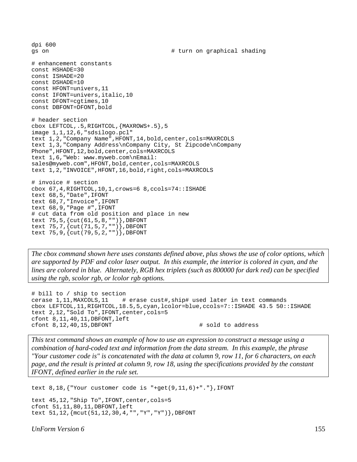dpi 600 gs on  $\qquad$   $\qquad$   $\qquad$   $\qquad$   $\qquad$   $\qquad$   $\qquad$   $\qquad$   $\qquad$   $\qquad$   $\qquad$   $\qquad$   $\qquad$   $\qquad$   $\qquad$   $\qquad$   $\qquad$   $\qquad$   $\qquad$   $\qquad$   $\qquad$   $\qquad$   $\qquad$   $\qquad$   $\qquad$   $\qquad$   $\qquad$   $\qquad$   $\qquad$   $\qquad$   $\qquad$   $\qquad$   $\qquad$   $\qquad$   $\qquad$   $\qquad$  # enhancement constants const HSHADE=30 const ISHADE=20 const DSHADE=10 const HFONT=univers,11 const IFONT=univers,italic,10 const DFONT=cgtimes,10 const DBFONT=DFONT, bold # header section cbox LEFTCOL,.5,RIGHTCOL,{MAXROWS+.5},5 image 1,1,12,6,"sdsilogo.pcl" text 1,2,"Company Name",HFONT,14,bold,center,cols=MAXRCOLS text 1,3,"Company Address\nCompany City, St Zipcode\nCompany Phone", HFONT, 12, bold, center, cols=MAXRCOLS text 1,6,"Web: www.myweb.com\nEmail: sales@myweb.com",HFONT,bold,center,cols=MAXRCOLS text 1,2,"INVOICE",HFONT,16,bold,right,cols=MAXRCOLS # invoice # section cbox 67,4,RIGHTCOL,10,1,crows=6 8,ccols=74::ISHADE text 68,5,"Date",IFONT text 68,7,"Invoice",IFONT text 68,9,"Page #",IFONT # cut data from old position and place in new text 75,5,{cut(61,5,8,"")},DBFONT text 75,7,{cut(71,5,7,"")},DBFONT text 75,9,{cut(79,5,2,"")},DBFONT

*The cbox command shown here uses constants defined above, plus shows the use of color options, which are supported by PDF and color laser output. In this example, the interior is colored in cyan, and the lines are colored in blue. Alternately, RGB hex triplets (such as 800000 for dark red) can be specified using the rgb, scolor rgb, or lcolor rgb options.*

```
# bill to / ship to section 
cerase 1,11,MAXCOLS,11 # erase cust#,ship# used later in text commands 
cbox LEFTCOL,11,RIGHTCOL,18.5,5,cyan,lcolor=blue,ccols=7::ISHADE 43.5 50::ISHADE 
text 2,12,"Sold To",IFONT,center,cols=5 
cfont 8,11,40,11,DBFONT,left 
cfont 8,12,40,15, DBFONT \qquad \qquad \qquad \qquad \qquad sold to address
```
*This text command shows an example of how to use an expression to construct a message using a combination of hard-coded text and information from the data stream. In this example, the phrase "Your customer code is" is concatenated with the data at column 9, row 11, for 6 characters, on each page, and the result is printed at column 9, row 18, using the specifications provided by the constant IFONT, defined earlier in the rule set.*

text 8,18,{"Your customer code is "+get(9,11,6)+"."},IFONT

```
text 45,12,"Ship To",IFONT,center,cols=5 
cfont 51,11,80,11,DBFONT,left 
text 51,12,{mcut(51,12,30,4,"","Y","Y")},DBFONT
```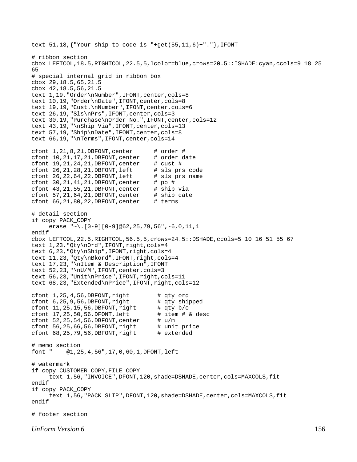```
text 51,18,{"Your ship to code is "+get(55,11,6)+"."},IFONT 
# ribbon section 
cbox LEFTCOL,18.5,RIGHTCOL,22.5,5,lcolor=blue,crows=20.5::ISHADE:cyan,ccols=9 18 25 
65 
# special internal grid in ribbon box 
cbox 29,18.5,65,21.5 
cbox 42,18.5,56,21.5 
text 1,19,"Order\nNumber",IFONT,center,cols=8 
text 10,19,"Order\nDate",IFONT,center,cols=8 
text 19,19,"Cust.\nNumber",IFONT,center,cols=6 
text 26,19,"Sls\nPrs",IFONT,center,cols=3 
text 30,19,"Purchase\nOrder No.",IFONT,center,cols=12 
text 43,19,"\nShip Via",IFONT,center,cols=13 
text 57,19,"Ship\nDate",IFONT,center,cols=8 
text 66,19,"\nTerms",IFONT,center,cols=14 
cfont 1, 21, 8, 21, DBFONT, center \# order \# cfont 10, 21, 17, 21, DBFONT, center \# order date
cfont 10, 21, 17, 21,DBFONT, center
cfont 19, 21, 24, 21, DBFONT, center \# cust \# cfont 26, 21, 28, 21, DBFONT, left \# sls prs code
cfont 26, 21, 28, 21, DBFONT, left \# sls prs code<br>cfont 26, 22, 64, 22, DBFONT, left \# sls prs name
cfont 26,22,64,22, DBFONT, left
cfont 30, 21, 41, 21, DBFONT, center # po #
cfont 43, 21, 55, 21, DBFONT, center # ship via
cfont 57, 21, 64, 21, DBFONT, center # ship date
cfont 66, 21, 80, 22, DBFONT, center # terms
# detail section 
if copy PACK_COPY 
     erase "\sim\}. [0-9][0-9]@62,25,79,56", -6,0,11,1endif 
cbox LEFTCOL,22.5,RIGHTCOL,56.5,5,crows=24.5::DSHADE,ccols=5 10 16 51 55 67 
text 1,23,"Qty\nOrd",IFONT,right,cols=4 
text 6,23,"Qty\nShip",IFONT,right,cols=4 
text 11,23,"Qty\nBkord",IFONT,right,cols=4 
text 17,23,"\nItem & Description",IFONT 
text 52,23,"\nU/M",IFONT,center,cols=3 
text 56,23,"Unit\nPrice",IFONT,right,cols=11 
text 68,23,"Extended\nPrice",IFONT,right,cols=12 
cfont 1,25,4,56, DBFONT, right # qty ord
cfont 6, 25, 9, 56, DBFORM, right # qty shipped
cfont 11, 25, 15, 56, DBFONT, right # qty b/o
cfont 17, 25, 50, 56, DFONT, left # item # & desc
cfont 52, 25, 54, 56, DBFONT, center # u/mcfont 56,25,66,56,DBFONT, right # unit price<br>cfont 68,25,79,56,DBFONT, right # extended
cfont 68,25,79,56, DBFONT, right
# memo section 
font " @1,25,4,56",17,0,60,1,DFONT,left 
# watermark 
if copy CUSTOMER_COPY,FILE_COPY 
      text 1,56,"INVOICE",DFONT,120,shade=DSHADE,center,cols=MAXCOLS,fit 
endif 
if copy PACK_COPY 
      text 1,56,"PACK SLIP",DFONT,120,shade=DSHADE,center,cols=MAXCOLS,fit 
endif 
# footer section
```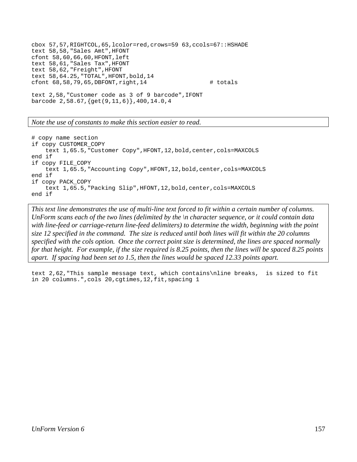```
cbox 57,57,RIGHTCOL,65,lcolor=red,crows=59 63,ccols=67::HSHADE 
text 58,58,"Sales Amt",HFONT 
cfont 58,60,66,60,HFONT,left 
text 58,61,"Sales Tax",HFONT 
text 58,62,"Freight",HFONT 
text 58,64.25,"TOTAL",HFONT,bold,14 
cfont 68,58,79,65, DBFONT, right, 14 \qquad # totals
text 2,58,"Customer code as 3 of 9 barcode",IFONT 
barcode 2,58.67,{get(9,11,6)},400,14.0,4
```
*Note the use of constants to make this section easier to read.*

```
# copy name section 
if copy CUSTOMER_COPY 
     text 1,65.5,"Customer Copy",HFONT,12,bold,center,cols=MAXCOLS 
end if 
if copy FILE_COPY 
    text 1,65.5, "Accounting Copy", HFONT, 12, bold, center, cols=MAXCOLS
end if 
if copy PACK_COPY 
     text 1,65.5,"Packing Slip",HFONT,12,bold,center,cols=MAXCOLS 
end if
```
*This text line demonstrates the use of multi-line text forced to fit within a certain number of columns. UnForm scans each of the two lines (delimited by the \n character sequence, or it could contain data with line-feed or carriage-return line-feed delimiters) to determine the width, beginning with the point size 12 specified in the command. The size is reduced until both lines will fit within the 20 columns specified with the cols option. Once the correct point size is determined, the lines are spaced normally for that height. For example, if the size required is 8.25 points, then the lines will be spaced 8.25 points apart. If spacing had been set to 1.5, then the lines would be spaced 12.33 points apart.*

text 2,62,"This sample message text, which contains\nline breaks, is sized to fit in 20 columns.",cols 20,cgtimes,12,fit,spacing 1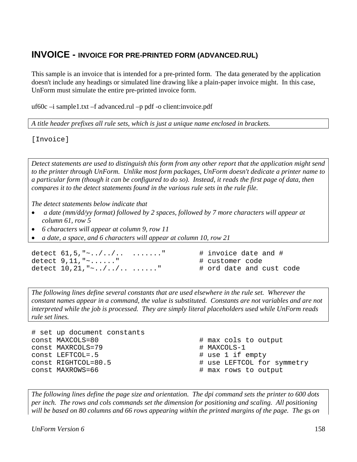### **INVOICE - INVOICE FOR PRE-PRINTED FORM (ADVANCED.RUL)**

This sample is an invoice that is intended for a pre-printed form. The data generated by the application doesn't include any headings or simulated line drawing like a plain-paper invoice might. In this case, UnForm must simulate the entire pre-printed invoice form.

uf60c –i sample1.txt –f advanced.rul –p pdf -o client:invoice.pdf

*A title header prefixes all rule sets, which is just a unique name enclosed in brackets.*

[Invoice]

*Detect statements are used to distinguish this form from any other report that the application might send to the printer through UnForm. Unlike most form packages, UnForm doesn't dedicate a printer name to a particular form (though it can be configured to do so). Instead, it reads the first page of data, then compares it to the detect statements found in the various rule sets in the rule file.* 

*The detect statements below indicate that* 

- • *a date (mm/dd/yy format) followed by 2 spaces, followed by 7 more characters will appear at column 61, row 5*
- *6 characters will appear at column 9, row 11*
- *a date, a space, and 6 characters will appear at column 10, row 21*

detect  $61,5, "~.../~...~...$  ......." # invoice date and # detect  $9, 11, " \sim \ldots \cdot \cdot \cdot"$  # customer code<br>detect  $10.21, " \sim \ldots \cdot \cdot \cdot \cdot \cdot \cdot \cdot \cdot "$  # ord date and cust code detect  $10, 21, "2.../...$ ........

*The following lines define several constants that are used elsewhere in the rule set. Wherever the constant names appear in a command, the value is substituted. Constants are not variables and are not interpreted while the job is processed. They are simply literal placeholders used while UnForm reads rule set lines.* 

```
# set up document constants 
const MAXCOLS=80 # max cols to output 
const MAXRCOLS=79
const LEFTCOL=.5 # use 1 if empty 
const RIGHTCOL=80.5 # use LEFTCOL for symmetry 
const MAXROWS=66 \qquad # max rows to output
```
*The following lines define the page size and orientation. The dpi command sets the printer to 600 dots per inch. The rows and cols commands set the dimension for positioning and scaling. All positioning will be based on 80 columns and 66 rows appearing within the printed margins of the page. The* gs *on*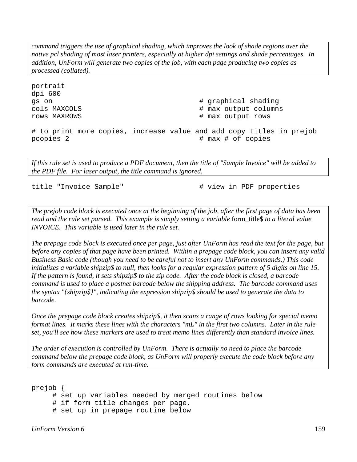*command triggers the use of graphical shading, which improves the look of shade regions over the native pcl shading of most laser printers, especially at higher dpi settings and shade percentages. In addition, UnForm will generate two copies of the job, with each page producing two copies as processed (collated).* 

portrait dpi 600 gs on  $\#$  graphical shading cols MAXCOLS  $\qquad$   $\qquad$   $\qquad$   $\qquad$   $\qquad$   $\qquad$   $\qquad$   $\qquad$   $\qquad$   $\qquad$   $\qquad$   $\qquad$   $\qquad$   $\qquad$   $\qquad$   $\qquad$   $\qquad$   $\qquad$   $\qquad$   $\qquad$   $\qquad$   $\qquad$   $\qquad$   $\qquad$   $\qquad$   $\qquad$   $\qquad$   $\qquad$   $\qquad$   $\qquad$   $\qquad$   $\qquad$   $\qquad$   $\qquad$   $\qquad$ rows MAXROWS  $\qquad$   $\qquad$   $\qquad$   $\qquad$   $\qquad$   $\qquad$   $\qquad$   $\qquad$   $\qquad$   $\qquad$   $\qquad$   $\qquad$   $\qquad$   $\qquad$   $\qquad$   $\qquad$   $\qquad$   $\qquad$   $\qquad$   $\qquad$   $\qquad$   $\qquad$   $\qquad$   $\qquad$   $\qquad$   $\qquad$   $\qquad$   $\qquad$   $\qquad$   $\qquad$   $\qquad$   $\qquad$   $\qquad$   $\qquad$   $\qquad$ # to print more copies, increase value and add copy titles in prejob pcopies 2  $\qquad$  # max # of copies

*If this rule set is used to produce a PDF document, then the title of "Sample Invoice" will be added to the PDF file. For laser output, the title command is ignored.* 

title "Invoice Sample"  $\qquad$  # view in PDF properties

*The prejob code block is executed once at the beginning of the job, after the first page of data has been read and the rule set parsed. This example is simply setting a variable* form\_title\$ *to a literal value INVOICE. This variable is used later in the rule set.* 

*The prepage code block is executed once per page, just after UnForm has read the text for the page, but before any copies of that page have been printed. Within a prepage code block, you can insert any valid Business Basic code (though you need to be careful not to insert any UnForm commands.) This code initializes a variable shipzip\$ to null, then looks for a regular expression pattern of 5 digits on line 15. If the pattern is found, it sets shipzip\$ to the zip code. After the code block is closed, a barcode command is used to place a postnet barcode below the shipping address. The barcode command uses the syntax "{shipzip\$}", indicating the expression shipzip\$ should be used to generate the data to barcode.* 

*Once the prepage code block creates shipzip\$, it then scans a range of rows looking for special memo format lines. It marks these lines with the characters "mL" in the first two columns. Later in the rule set, you'll see how these markers are used to treat memo lines differently than standard invoice lines.* 

*The order of execution is controlled by UnForm. There is actually no need to place the barcode command below the prepage code block, as UnForm will properly execute the code block before any form commands are executed at run-time.*

```
prejob { 
      # set up variables needed by merged routines below 
      # if form title changes per page, 
      # set up in prepage routine below
```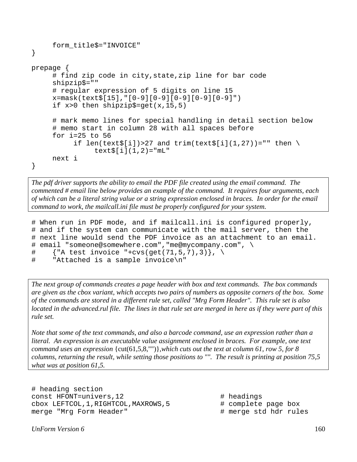```
 form_title$="INVOICE" 
} 
prepage { 
      # find zip code in city,state,zip line for bar code 
      shipzip$="" 
      # regular expression of 5 digits on line 15 
      x=mask(text$[15],"[0-9][0-9][0-9][0-9][0-9]") 
      if x>0 then shipzip$=get(x,15,5) 
      # mark memo lines for special handling in detail section below 
      # memo start in column 28 with all spaces before 
      for i=25 to 56 
           if len(text$[i])>27 and trim(text$[i](1,27))="" then \setminustext{[i]}(1,2) = "mL" next i 
}
```
*The pdf driver supports the ability to email the PDF file created using the email command. The commented # email line below provides an example of the command. It requires four arguments, each of which can be a literal string value or a string expression enclosed in braces. In order for the email command to work, the mailcall.ini file must be properly configured for your system.* 

```
# When run in PDF mode, and if mailcall.ini is configured properly, 
# and if the system can communicate with the mail server, then the 
# next line would send the PDF invoice as an attachment to an email. 
# email "someone@somewhere.com","me@mycompany.com", \ 
# {"A test invoice "+cvs(get(71,5,7),3)}, \ 
# "Attached is a sample invoice\n"
```
*The next group of commands creates a page header with box and text commands. The box commands are given as the cbox variant, which accepts two pairs of numbers as opposite corners of the box. Some of the commands are stored in a different rule set, called "Mrg Form Header". This rule set is also located in the advanced.rul file. The lines in that rule set are merged in here as if they were part of this rule set.* 

*Note that some of the text commands, and also a barcode command, use an expression rather than a literal. An expression is an executable value assignment enclosed in braces. For example, one text command uses an expression* {cut(61,5,8,"")}*,which cuts out the text at column 61, row 5, for 8 columns, returning the result, while setting those positions to "". The result is printing at position 75,5 what was at position 61,5.* 

```
# heading section 
const HFONT=univers, 12 # headings
cbox LEFTCOL,1,RIGHTCOL,MAXROWS,5 # complete page box 
merge "Mrg Form Header" # merge std hdr rules
```
- 
- 
-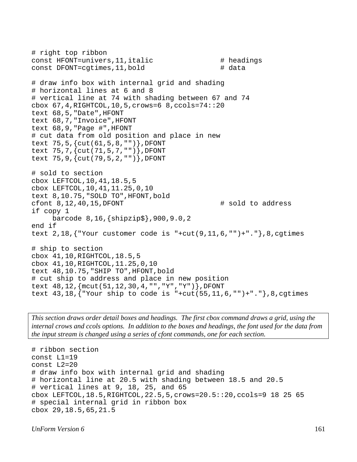```
# right top ribbon 
const HFONT=univers, 11, italic \qquad # headings
const DFONT=cqtimes, 11, bold \qquad # data
# draw info box with internal grid and shading 
# horizontal lines at 6 and 8 
# vertical line at 74 with shading between 67 and 74 
cbox 67,4,RIGHTCOL,10,5,crows=6 8,ccols=74::20 
text 68,5,"Date",HFONT 
text 68,7,"Invoice",HFONT 
text 68,9,"Page #",HFONT 
# cut data from old position and place in new 
text 75,5,{cut(61,5,8,"")},DFONT 
text 75,7,{cut(71,5,7,"")},DFONT 
text 75,9,{cut(79,5,2,"")},DFONT 
# sold to section 
cbox LEFTCOL,10,41,18.5,5 
cbox LEFTCOL,10,41,11.25,0,10 
text 8,10.75,"SOLD TO",HFONT,bold 
cfont 8,12,40,15,DFONT \qquad # sold to address
if copy 1 
      barcode 8,16,{shipzip$},900,9.0,2 
end if 
text 2,18, \{ "Your customer code is "+cut(9,11,6,"")+"."},8,cgtimes
# ship to section 
cbox 41,10,RIGHTCOL,18.5,5 
cbox 41,10,RIGHTCOL,11.25,0,10 
text 48,10.75,"SHIP TO",HFONT,bold 
# cut ship to address and place in new position 
text 48,12,{mcut(51,12,30,4,"","Y","Y")},DFONT 
text 43,18,{"Your ship to code is "+cut(55,11,6,"")+"."},8,cgtimes
```
*This section draws order detail boxes and headings. The first cbox command draws a grid, using the internal crows and ccols options. In addition to the boxes and headings, the font used for the data from the input stream is changed using a series of cfont commands, one for each section.* 

```
# ribbon section 
const L1=19 
const L2=20 
# draw info box with internal grid and shading 
# horizontal line at 20.5 with shading between 18.5 and 20.5 
# vertical lines at 9, 18, 25, and 65 
cbox LEFTCOL,18.5,RIGHTCOL,22.5,5,crows=20.5::20,ccols=9 18 25 65 
# special internal grid in ribbon box 
cbox 29,18.5,65,21.5
```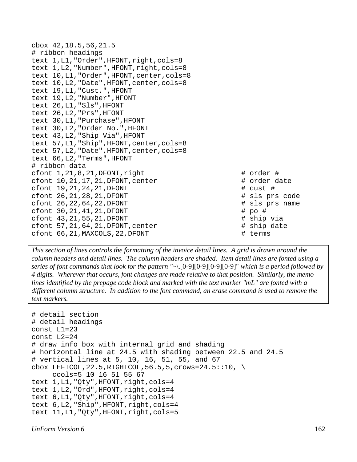cbox 42,18.5,56,21.5 # ribbon headings text 1, L1, "Order", HFONT, right, cols=8 text 1, L2, "Number", HFONT, right, cols=8 text 10,L1,"Order",HFONT,center,cols=8 text 10,L2,"Date",HFONT,center,cols=8 text 19,L1,"Cust.",HFONT text 19,L2,"Number",HFONT text 26,L1,"Sls",HFONT text 26,L2,"Prs",HFONT text 30,L1,"Purchase",HFONT text 30,L2,"Order No.",HFONT text 43,L2,"Ship Via",HFONT text 57,L1,"Ship",HFONT,center,cols=8 text 57,L2,"Date",HFONT,center,cols=8 text 66,L2,"Terms",HFONT # ribbon data cfont  $1, 21, 8, 21,$  DFONT, right  $\qquad$   $\qquad$   $\qquad$   $\qquad$   $\qquad$   $\qquad$   $\qquad$   $\qquad$   $\qquad$   $\qquad$   $\qquad$   $\qquad$   $\qquad$   $\qquad$   $\qquad$   $\qquad$   $\qquad$   $\qquad$   $\qquad$   $\qquad$   $\qquad$   $\qquad$   $\qquad$   $\qquad$   $\qquad$   $\qquad$   $\qquad$   $\qquad$   $\qquad$   $\qquad$   $\qquad$  cfont  $10, 21, 17, 21$ , DFONT, center  $\qquad$  # order date cfont  $19, 21, 24, 21,$  DFONT  $\#$  cust  $\#$ cfont 26,21,28,21,DFONT # sls prs code cfont 26,22,64,22,DFONT # sls prs name cfont 30, 21, 41, 21, DFONT # po # cfont  $43, 21, 55, 21,$  DFONT  $\qquad$   $\qquad$   $\qquad$   $\qquad$   $\qquad$   $\qquad$   $\qquad$   $\qquad$   $\qquad$   $\qquad$   $\qquad$   $\qquad$   $\qquad$   $\qquad$   $\qquad$   $\qquad$   $\qquad$   $\qquad$   $\qquad$   $\qquad$   $\qquad$   $\qquad$   $\qquad$   $\qquad$   $\qquad$   $\qquad$   $\qquad$   $\qquad$   $\qquad$   $\qquad$   $\qquad$   $\qquad$ cfont  $57, 21, 64, 21,$ DFONT, center  $\qquad$  # ship date cfont 66, 21, MAXCOLS, 22, DFONT # terms

*This section of lines controls the formatting of the invoice detail lines. A grid is drawn around the column headers and detail lines. The column headers are shaded. Item detail lines are fonted using a series of font commands that look for the pattern "*~\.[0-9][0-9][0-9][0-9]" *which is a period followed by 4 digits. Wherever that occurs, font changes are made relative to that position. Similarly, the memo lines identified by the prepage code block and marked with the text marker "mL" are fonted with a different column structure. In addition to the font command, an erase command is used to remove the text markers.* 

```
# detail section 
# detail headings 
const L1=23 
const L2=24 
# draw info box with internal grid and shading 
# horizontal line at 24.5 with shading between 22.5 and 24.5 
# vertical lines at 5, 10, 16, 51, 55, and 67 
cbox LEFTCOL, 22.5, RIGHTCOL, 56.5, 5, crows=24.5::10, \setminus ccols=5 10 16 51 55 67 
text 1, L1, "Qty", HFONT, right, cols=4
text 1,L2,"Ord",HFONT,right,cols=4 
text 6,L1,"Qty",HFONT,right,cols=4 
text 6,L2,"Ship",HFONT,right,cols=4 
text 11, L1, "Qty", HFONT, right, cols=5
```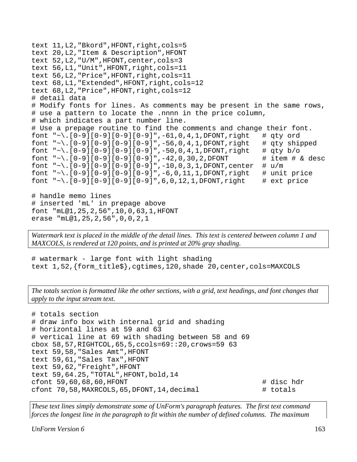```
text 11,L2,"Bkord",HFONT,right,cols=5 
text 20,L2,"Item & Description",HFONT 
text 52,L2,"U/M",HFONT,center,cols=3 
text 56,L1,"Unit",HFONT,right,cols=11 
text 56,L2,"Price",HFONT,right,cols=11 
text 68,L1,"Extended",HFONT,right,cols=12 
text 68,L2,"Price",HFONT,right,cols=12 
# detail data 
# Modify fonts for lines. As comments may be present in the same rows, 
# use a pattern to locate the .nnnn in the price column, 
# which indicates a part number line. 
# Use a prepage routine to find the comments and change their font. 
font "~\.[0-9][0-9][0-9][0-9]",-61,0,4,1,DFONT,right # qty ord
font "~\.[0-9][0-9][0-9][0-9]",-56,0,4,1,DFONT,right # qty shipped
font "~\.[0-9][0-9][0-9][0-9]",-50,0,4,1,DFONT,right # qty b/o
font "~\.[0-9][0-9][0-9][0-9]",-42,0,30,2,DFONT # item # & desc
font "\sim\}. [0-9][0-9][0-9][0-9]',-10,0,3,1,DFONT,center # u/m
font "~\.[0-9][0-9][0-9][0-9]', -6,0,11,1,DFONT,right # unit price
font "~\.[0-9][0-9][0-9][0-9]",6,0,12,1,DFONT,right # ext price
# handle memo lines 
# inserted 'mL' in prepage above 
font "mL@1,25,2,56",10,0,63,1,HFONT 
erase "mL@1,25,2,56",0,0,2,1
```
*Watermark text is placed in the middle of the detail lines. This text is centered between column 1 and MAXCOLS, is rendered at 120 points, and is printed at 20% gray shading.*

# watermark - large font with light shading text 1,52,{form\_title\$},cgtimes,120,shade 20,center,cols=MAXCOLS

*The totals section is formatted like the other sections, with a grid, text headings, and font changes that apply to the input stream text.*

```
# totals section 
# draw info box with internal grid and shading 
# horizontal lines at 59 and 63 
# vertical line at 69 with shading between 58 and 69 
cbox 58,57,RIGHTCOL,65,5,ccols=69::20,crows=59 63 
text 59,58,"Sales Amt",HFONT 
text 59,61,"Sales Tax",HFONT 
text 59,62,"Freight",HFONT 
text 59,64.25,"TOTAL",HFONT,bold,14 
cfont 59,60,68,60, HFONT # disc hdr
cfont 70,58,MAXRCOLS,65,DFONT,14,decimal # totals
```
*These text lines simply demonstrate some of UnForm's paragraph features. The first text command forces the longest line in the paragraph to fit within the number of defined columns. The maximum* 

*UnForm Version 6* 163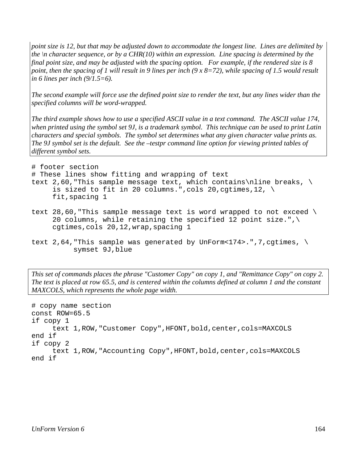*point size is 12, but that may be adjusted down to accommodate the longest line. Lines are delimited by the \n character sequence, or by a CHR(10) within an expression. Line spacing is determined by the final point size, and may be adjusted with the spacing option. For example, if the rendered size is 8 point, then the spacing of 1 will result in 9 lines per inch (9 x 8=72), while spacing of 1.5 would result in 6 lines per inch (9/1.5=6).* 

*The second example will force use the defined point size to render the text, but any lines wider than the specified columns will be word-wrapped.* 

*The third example shows how to use a specified ASCII value in a text command. The ASCII value 174, when printed using the symbol set 9J, is a trademark symbol. This technique can be used to print Latin characters and special symbols. The symbol set determines what any given character value prints as. The 9J symbol set is the default. See the –testpr command line option for viewing printed tables of different symbol sets.*

```
# footer section 
# These lines show fitting and wrapping of text 
text 2,60, "This sample message text, which contains\nline breaks, \
     is sized to fit in 20 columns.", cols 20, cgtimes, 12, \setminus fit,spacing 1 
text 28,60, "This sample message text is word wrapped to not exceed \setminus20 columns, while retaining the specified 12 point size.", \setminus cgtimes,cols 20,12,wrap,spacing 1 
text 2,64, "This sample was generated by UnForm<174>.",7,cgtimes, \setminus symset 9J,blue
```
*This set of commands places the phrase "Customer Copy" on copy 1, and "Remittance Copy" on copy 2. The text is placed at row 65.5, and is centered within the columns defined at column 1 and the constant* 

```
# copy name section 
const ROW=65.5 
if copy 1 
      text 1,ROW,"Customer Copy",HFONT,bold,center,cols=MAXCOLS 
end if 
if copy 2 
     text 1, ROW, "Accounting Copy", HFONT, bold, center, cols=MAXCOLS
end if
```
*MAXCOLS, which represents the whole page width.*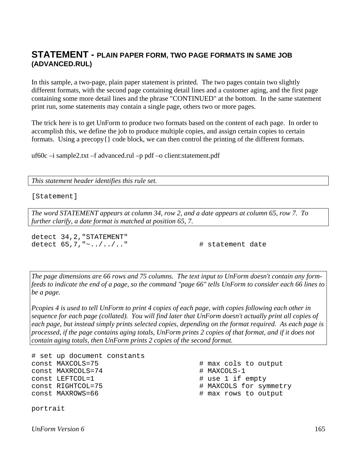#### **STATEMENT - PLAIN PAPER FORM, TWO PAGE FORMATS IN SAME JOB (ADVANCED.RUL)**

In this sample, a two-page, plain paper statement is printed. The two pages contain two slightly different formats, with the second page containing detail lines and a customer aging, and the first page containing some more detail lines and the phrase "CONTINUED" at the bottom. In the same statement print run, some statements may contain a single page, others two or more pages.

The trick here is to get UnForm to produce two formats based on the content of each page. In order to accomplish this, we define the job to produce multiple copies, and assign certain copies to certain formats. Using a precopy $\{\}$  code block, we can then control the printing of the different formats.

uf60c –i sample2.txt –f advanced.rul –p pdf –o client:statement.pdf

*This statement header identifies this rule set.*

[Statement]

*The word STATEMENT appears at column 34, row 2, and a date appears at column 65, row 7. To further clarify, a date format is matched at position 65, 7.* 

detect 34,2,"STATEMENT" detect 65,7,"~../../.." # statement date

*The page dimensions are 66 rows and 75 columns. The text input to UnForm doesn't contain any formfeeds to indicate the end of a page, so the command "page 66" tells UnForm to consider each 66 lines to be a page.* 

*Pcopies 4 is used to tell UnForm to print 4 copies of each page, with copies following each other in sequence for each page (collated). You will find later that UnForm doesn't actually print all copies of each page, but instead simply prints selected copies, depending on the format required. As each page is processed, if the page contains aging totals, UnForm prints 2 copies of that format, and if it does not contain aging totals, then UnForm prints 2 copies of the second format.* 

```
# set up document constants 
const MAXCOLS=75 \qquad # max cols to output
const MAXRCOLS=74 # MAXCOLS-1 
const LEFTCOL=1 \qquad # use 1 if empty
const RIGHTCOL=75 # MAXCOLS for symmetry 
const MAXROWS=66 \qquad # max rows to output
portrait
```
*UnForm Version 6* 165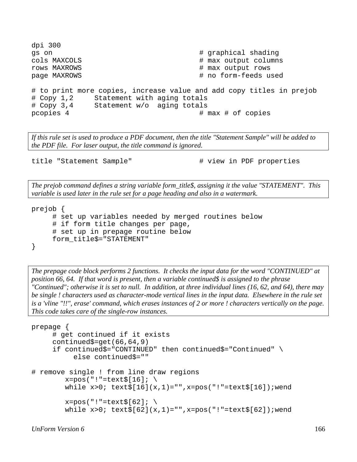```
dpi 300 
gs on \qquad \qquad \qquad \qquad \qquad \qquad \qquad \qquad \qquad \qquad \qquad \qquad \qquad \qquad \qquad \qquad \qquad \qquad \qquad \qquad \qquad \qquad \qquad \qquad \qquad \qquad \qquad \qquad \qquad \qquad \qquad \qquad \qquad \qquad \qquad \qquad 
cols MAXCOLS \qquad \qquad \qquad \qquad \qquad \qquad \qquad \qquad \qquad \qquad \qquad \qquad \qquad \qquad \qquad \qquad \qquad \qquad \qquad \qquad \qquad \qquad \qquad \qquad \qquad \qquad \qquad \qquad \qquad \qquad \qquad \qquad \qquad \qquad \qquadrows MAXROWS \qquad \qquad \qquad \qquad \qquad \qquad \qquad \qquad \qquad \qquad \qquad \qquad \qquad \qquad \qquad \qquad \qquad \qquad \qquad \qquad \qquad \qquad \qquad \qquad \qquad \qquad \qquad \qquad \qquad \qquad \qquad \qquad \qquad \qquad \qquadpage MAXROWS \qquad \qquad \qquad \qquad \qquad \qquad \qquad \qquad \qquad \qquad \text{no form-feeds used}# to print more copies, increase value and add copy titles in prejob 
# Copy 1,2 Statement with aging totals 
# Copy 3,4 Statement w/o aging totals 
pcopies 4 \# max \# of copies
```
*If this rule set is used to produce a PDF document, then the title "Statement Sample" will be added to the PDF file. For laser output, the title command is ignored.* 

title "Statement Sample"  $\qquad$  # view in PDF properties

*The prejob command defines a string variable form\_title\$, assigning it the value "STATEMENT". This variable is used later in the rule set for a page heading and also in a watermark.* 

```
prejob { 
      # set up variables needed by merged routines below 
      # if form title changes per page, 
      # set up in prepage routine below 
      form_title$="STATEMENT" 
}
```
*The prepage code block performs 2 functions. It checks the input data for the word "CONTINUED" at position 66, 64. If that word is present, then a variable continued\$ is assigned to the phrase "Continued"; otherwise it is set to null. In addition, at three individual lines (16, 62, and 64), there may be single ! characters used as character-mode vertical lines in the input data. Elsewhere in the rule set is a 'vline "!!", erase' command, which erases instances of 2 or more ! characters vertically on the page. This code takes care of the single-row instances.* 

```
prepage { 
      # get continued if it exists 
      continued$=get(66,64,9) 
      if continued$="CONTINUED" then continued$="Continued" \ 
            else continued$="" 
# remove single ! from line draw regions 
         x = pos("!"=text$\S[16];\ \setminuswhile x>0; text{f[16]}(x,1)=", x=pos("1"=text{f[16]}); wend
         x = pos("!" = text$[62]; \ \ \ \ \while x>0; text{f[62]}(x,1)="",x=pos("!!"=\text{text[62]}; wend
```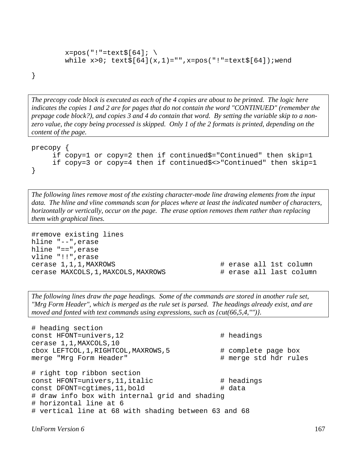```
x = pos("!"=text$\S[64]:while x>0; text{Text}(64)(x,1)="",x=pos("!"=text{Text}(64]); wend
```
}

*The precopy code block is executed as each of the 4 copies are about to be printed. The logic here indicates the copies 1 and 2 are for pages that do not contain the word "CONTINUED" (remember the prepage code block?), and copies 3 and 4 do contain that word. By setting the variable skip to a nonzero value, the copy being processed is skipped. Only 1 of the 2 formats is printed, depending on the content of the page.* 

```
precopy { 
      if copy=1 or copy=2 then if continued$="Continued" then skip=1 
      if copy=3 or copy=4 then if continued$<>"Continued" then skip=1 
}
```
*The following lines remove most of the existing character-mode line drawing elements from the input data. The hline and vline commands scan for places where at least the indicated number of characters, horizontally or vertically, occur on the page. The erase option removes them rather than replacing them with graphical lines.* 

#remove existing lines hline "--",erase hline "==",erase vline "!!",erase cerase 1,1,1,MAXROWS # erase all 1st column cerase MAXCOLS,1, MAXCOLS, MAXROWS  $\qquad$  # erase all last column

*The following lines draw the page headings. Some of the commands are stored in another rule set, "Mrg Form Header", which is merged as the rule set is parsed. The headings already exist, and are moved and fonted with text commands using expressions, such as {cut(66,5,4,"")}.* 

```
# heading section 
const HFONT=univers, 12 \qquad # headings
cerase 1,1,MAXCOLS,10 
cbox LEFTCOL,1,RIGHTCOL,MAXROWS,5 # complete page box 
merge "Mrg Form Header" # merge std hdr rules 
# right top ribbon section 
const HFONT=univers, 11, italic \# headings
const DFONT=cgtimes, 11, bold \# data
# draw info box with internal grid and shading 
# horizontal line at 6 
# vertical line at 68 with shading between 63 and 68
```
*UnForm Version 6* 167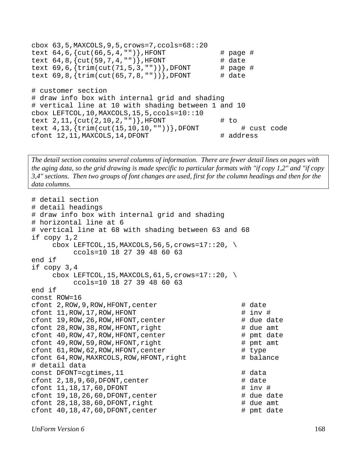```
cbox 63,5,MAXCOLS,9,5,crows=7,ccols=68::20 
text 64, 6, \{cut(66, 5, 4, "")\}, HFONT # page #
text 64, 8, \{cut(59, 7, 4, "")\}, HFONT # date
text 69, 6, { \text{trim}(\text{cut}(71, 5, 3, \text{""})) }, DFONT # page #
text 69, 8, { \{ \text{trim}(\text{cut}(65, 7, 8, \text{""})) \} }, DFONT # date
# customer section 
# draw info box with internal grid and shading 
# vertical line at 10 with shading between 1 and 10 
cbox LEFTCOL,10,MAXCOLS,15,5,ccols=10::10 
text 2, 11, \{cut(2, 10, 2, \mathbb{I}^r)\}, HFONT # to
text 4,13,{trim(cut(15,10,10,""))},DFONT # cust code 
cfont 12, 11, MAXCOLS, 14, DFONT \qquad # address
```
*The detail section contains several columns of information. There are fewer detail lines on pages with the aging data, so the grid drawing is made specific to particular formats with "if copy 1,2" and "if copy 3,4" sections. Then two groups of font changes are used, first for the column headings and then for the data columns.* 

```
# detail section 
# detail headings 
# draw info box with internal grid and shading 
# horizontal line at 6 
# vertical line at 68 with shading between 63 and 68 
if copy 1,2 
        cbox LEFTCOL, 15, MAXCOLS, 56, 5, crows=17::20,
                ccols=10 18 27 39 48 60 63 
end if 
if copy 3,4 
        cbox LEFTCOL, 15, MAXCOLS, 61, 5, crows=17::20, \setminus ccols=10 18 27 39 48 60 63 
end if 
const ROW=16 
cfont 2, ROW, 9, ROW, HFONT, center \qquad # date
cfont 11, ROW, 17, ROW, HFONT \qquad \qquad \qquad \qquad \qquad \qquad \qquad \qquad \qquad \qquad \qquad \qquad \qquad \qquad \qquad \qquad \qquad \qquad \qquad \qquad \qquad \qquad \qquad \qquad \qquad \qquad \qquad \qquad \qquad \qquad \qquad cfont 19, ROW, 26, ROW, HFONT, center \qquad # due date
cfont 28, ROW, 38, ROW, HFONT, right \qquad \qquad \qquad \qquad \qquad \qquad \qquad \qquad \qquad \qquad \qquad \qquad \qquad \qquad \qquad \qquad \qquad \qquad \qquad \qquad \qquad \qquad \qquad \qquad \qquad \qquad \qquad \qquad \qquad \qquad 
cfont 40, ROW, 47, ROW, HFONT, center \qquad # pmt date
cfont 49, ROW,59, ROW, HFONT, right \# pmt amt
cfont 61, ROW, 62, ROW, HFONT, center \qquad # type
cfont 64, ROW, MAXRCOLS, ROW, HFONT, right \# balance
# detail data 
const DFONT=cgtimes, 11 # data
cfont 2,18,9,60, DFONT, center \qquad # date
cfont 11, 18, 17, 60, DFONT \qquad \qquad \qquad \qquad \qquad \qquad \qquad \qquad \qquad \qquad \qquad \qquad \qquad \qquad \qquad \qquad \qquad \qquad \qquad \qquad \qquad \qquad \qquad \qquad \qquad \qquad \qquad \qquad \qquad \qquad \qquad \qquadcfont 19, 18, 26, 60, DFONT, center \qquad # due date
cfont 28,18,38,60, DFONT, right \qquad # due amt
cfont 40, 18, 47, 60, DFONT, center \qquad \qquad \qquad \qquad \qquad \qquad \qquad \qquad \qquad \qquad \qquad \qquad \qquad \qquad \qquad \qquad \qquad \qquad \qquad \qquad \qquad \qquad \qquad \qquad \qquad \qquad \qquad \qquad \qquad \qquad \q
```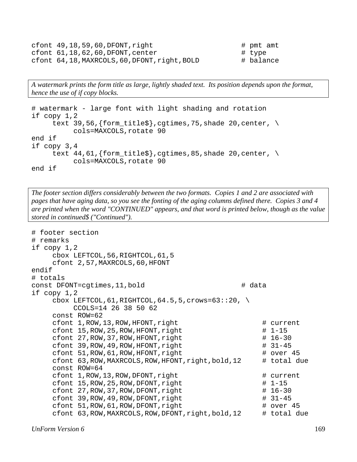```
cfont 49,18,59,60, DFONT, right \qquad \qquad \qquad \qquad \qquad \qquad \qquad \qquad \qquad \qquad \qquad \qquad \qquad \qquad \qquad \qquad \qquad \qquad \qquad \qquad \qquad \qquad \qquad \qquad \qquad \qquad \qquad \qquad \qquad \qquad \qquad cfont 61, 18, 62, 60, DFONT, center \qquad # type
cfont 64,18, MAXRCOLS, 60, DFONT, right, BOLD # balance
```
*A watermark prints the form title as large, lightly shaded text. Its position depends upon the format, hence the use of if copy blocks.* 

```
# watermark - large font with light shading and rotation 
if copy 1,2 
     text 39,56, {form_title$}, cgtimes, 75, shade 20, center, \setminus cols=MAXCOLS,rotate 90 
end if 
if copy 3,4 
      text 44,61,{form_title$},cgtimes,85,shade 20,center, \ 
            cols=MAXCOLS,rotate 90 
end if
```
*The footer section differs considerably between the two formats. Copies 1 and 2 are associated with pages that have aging data, so you see the fonting of the aging columns defined there. Copies 3 and 4 are printed when the word "CONTINUED" appears, and that word is printed below, though as the value stored in continued\$ ("Continued").* 

```
# footer section 
# remarks 
if copy 1,2 
     cbox LEFTCOL,56,RIGHTCOL,61,5 
     cfont 2,57,MAXRCOLS,60,HFONT 
endif 
# totals 
const DFONT=cgtimes, 11, bold \qquad # data
if copy 1,2 
    cbox LEFTCOL, 61, RIGHTCOL, 64.5, 5, crows=63::20,
          CCOLS=14 26 38 50 62 
     const ROW=62 
    cfont 1, ROW, 13, ROW, HFONT, right \# current
    cfont 15, ROW, 25, ROW, HFONT, right \qquad 1 - 15cfont 27, ROW, 37, ROW, HFONT, right \qquad 16-30cfont 39, ROW, 49, ROW, HFONT, right \qquad 43cfont 51, ROW, 61, ROW, HFONT, right \# over 45
     cfont 63,ROW,MAXRCOLS,ROW,HFONT,right,bold,12 # total due 
     const ROW=64 
    cfont 1, ROW, 13, ROW, DFONT, right \# current
    cfont 15,ROW,25,ROW,DFONT,right # 1-15<br>cfont 27,ROW,37,ROW,DFONT,right # 16-30
    cfont 27, ROW, 37, ROW, DFONT, right
    cfont 39, ROW, 49, ROW, DFONT, right \qquad 43cfont 51, ROW, 61, ROW, DFONT, right \# over 45
     cfont 63,ROW,MAXRCOLS,ROW,DFONT,right,bold,12 # total due
```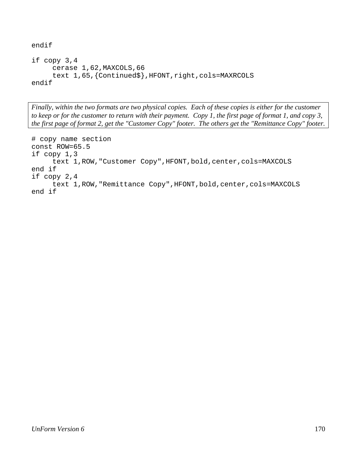```
endif 
if copy 3,4 
      cerase 1,62,MAXCOLS,66 
     text 1,65, {Continued$}, HFONT, right, cols=MAXRCOLS
endif
```
*Finally, within the two formats are two physical copies. Each of these copies is either for the customer to keep or for the customer to return with their payment. Copy 1, the first page of format 1, and copy 3, the first page of format 2, get the "Customer Copy" footer. The others get the "Remittance Copy" footer.* 

```
# copy name section 
const ROW=65.5 
if copy 1,3 
      text 1,ROW,"Customer Copy",HFONT,bold,center,cols=MAXCOLS 
end if 
if copy 2,4 
     text 1, ROW, "Remittance Copy", HFONT, bold, center, cols=MAXCOLS
end if
```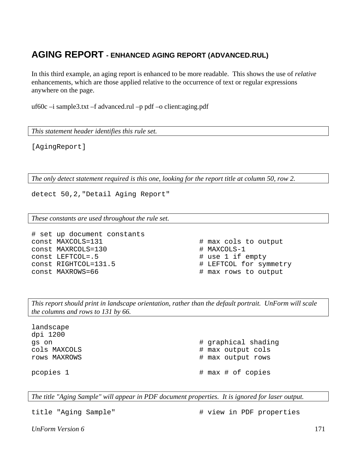# **AGING REPORT - ENHANCED AGING REPORT (ADVANCED.RUL)**

In this third example, an aging report is enhanced to be more readable. This shows the use of *relative* enhancements, which are those applied relative to the occurrence of text or regular expressions anywhere on the page.

uf60c –i sample3.txt –f advanced.rul –p pdf –o client:aging.pdf

*This statement header identifies this rule set.*

[AgingReport]

*The only detect statement required is this one, looking for the report title at column 50, row 2.* 

detect 50,2,"Detail Aging Report"

*These constants are used throughout the rule set.* 

```
# set up document constants 
const MAXCOLS=131 \qquad # max cols to output
const MAXRCOLS=130 # MAXCOLS-1 
const LEFTCOL=.5 # use 1 if empty 
const RIGHTCOL=131.5 <br>
const MAXROWS=66 <br>
# max rows to output
```
# max rows to output

*This report should print in landscape orientation, rather than the default portrait. UnForm will scale the columns and rows to 131 by 66.* 

landscape dpi 1200

gs on  $#$  graphical shading cols MAXCOLS  $\qquad$  # max output cols rows MAXROWS  $\qquad$   $\qquad$   $\qquad$   $\qquad$   $\qquad$   $\qquad$   $\qquad$   $\qquad$   $\qquad$   $\qquad$   $\qquad$   $\qquad$   $\qquad$   $\qquad$   $\qquad$   $\qquad$   $\qquad$   $\qquad$   $\qquad$   $\qquad$   $\qquad$   $\qquad$   $\qquad$   $\qquad$   $\qquad$   $\qquad$   $\qquad$   $\qquad$   $\qquad$   $\qquad$   $\qquad$   $\qquad$   $\qquad$   $\qquad$   $\qquad$ pcopies 1  $\#$  max  $\#$  of copies

*The title "Aging Sample" will appear in PDF document properties. It is ignored for laser output.* 

title "Aging Sample"  $\qquad$  # view in PDF properties

*UnForm Version 6* 171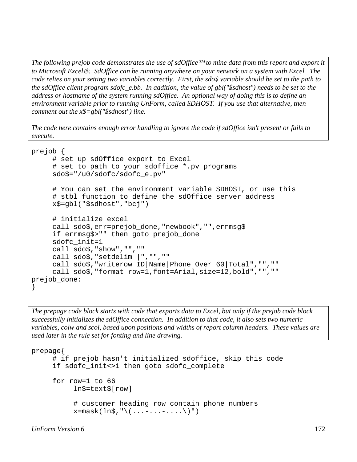*The following prejob code demonstrates the use of sdOffice*™ *to mine data from this report and export it to Microsoft Excel*®*. SdOffice can be running anywhere on your network on a system with Excel. The code relies on your setting two variables correctly. First, the sdo\$ variable should be set to the path to the sdOffice client program sdofc\_e.bb. In addition, the value of gbl("\$sdhost") needs to be set to the address or hostname of the system running sdOffice. An optional way of doing this is to define an environment variable prior to running UnForm, called SDHOST. If you use that alternative, then comment out the x\$=gbl("\$sdhost") line.* 

*The code here contains enough error handling to ignore the code if sdOffice isn't present or fails to execute.*

```
prejob { 
      # set up sdOffice export to Excel 
      # set to path to your sdoffice *.pv programs 
      sdo$="/u0/sdofc/sdofc_e.pv" 
      # You can set the environment variable SDHOST, or use this 
      # stbl function to define the sdOffice server address 
      x$=gbl("$sdhost","bcj") 
      # initialize excel 
      call sdo$,err=prejob_done,"newbook","",errmsg$ 
      if errmsg$>"" then goto prejob_done 
      sdofc_init=1 
      call sdo$,"show","","" 
      call sdo$,"setdelim |","","" 
      call sdo$,"writerow ID|Name|Phone|Over 60|Total","","" 
      call sdo$,"format row=1,font=Arial,size=12,bold","","" 
prejob_done: 
}
```
*The prepage code block starts with code that exports data to Excel, but only if the prejob code block successfully initializes the sdOffice connection. In addition to that code, it also sets two numeric variables, colw and scol, based upon positions and widths of report column headers. These values are used later in the rule set for fonting and line drawing.* 

```
prepage{ 
      # if prejob hasn't initialized sdoffice, skip this code 
      if sdofc_init<>1 then goto sdofc_complete 
      for row=1 to 66 
            ln$=text$[row] 
            # customer heading row contain phone numbers 
           x = mask(\ln\zeta, "\( \dots - \dots - \dots )")
```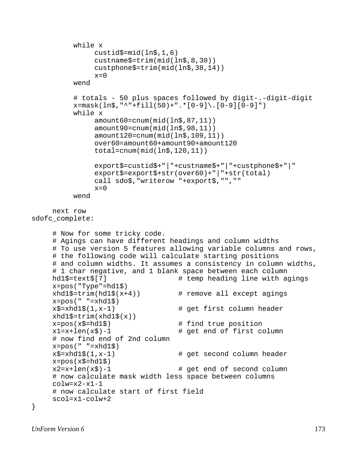```
 while x 
                custid$=mid(ln$,1,6) 
                custname$=trim(mid(ln$,8,30)) 
                custphone$=trim(mid(ln$,38,14)) 
               x=0 wend 
           # totals - 50 plus spaces followed by digit-.-digit-digit 
          x = mask(ln$, "^*+fill(50) + ".*[0-9] \ .[0-9][0-9]") while x 
                amount60=cnum(mid(ln$,87,11)) 
                amount90=cnum(mid(ln$,98,11)) 
                amount120=cnum(mid(ln$,109,11)) 
                over60=amount60+amount90+amount120 
                total=cnum(mid(ln$,120,11)) 
                export$=custid$+"|"+custname$+"|"+custphone$+"|" 
                export$=export$+str(over60)+"|"+str(total) 
                call sdo$,"writerow "+export$,"","" 
               x=0 wend 
     next row 
sdofc_complete: 
      # Now for some tricky code. 
      # Agings can have different headings and column widths 
      # To use version 5 features allowing variable columns and rows, 
      # the following code will calculate starting positions 
      # and column widths. It assumes a consistency in column widths, 
      # 1 char negative, and 1 blank space between each column 
    hd1$=text$[7] \qquad # temp heading line with agings
     x = pos("Type" = hd1$)<br>xhd1$=trim(hd1$(x+4))# remove all except agings
     x = pos(" "=xhd1$") x$=xhd1$(1,x-1) # get first column header 
    xhd1\=trim(xhd1\(x))<br>x = pos(x\= hd1\# find true position
    x1=x+len(x\) -1 # get end of first column
      # now find end of 2nd column 
    x = pos(" "=xhd1\x\text{S}=\text{xhdl}\text{S}(1,x-1) # get second column header
     x = pos(x\ = hd1\
     x2=x+len(x\zeta)-1 # get end of second column
      # now calculate mask width less space between columns 
      colw=x2-x1-1 
      # now calculate start of first field 
     scol=x1-colw+2}
```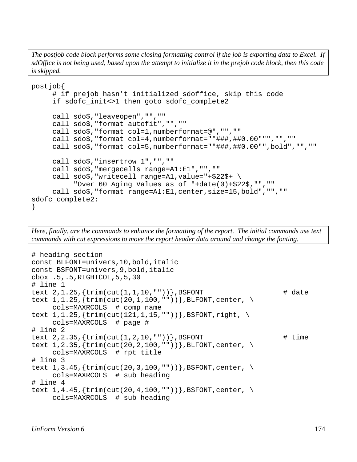*The postjob code block performs some closing formatting control if the job is exporting data to Excel. If sdOffice is not being used, based upon the attempt to initialize it in the prejob code block, then this code is skipped.* 

```
postjob{ 
      # if prejob hasn't initialized sdoffice, skip this code 
      if sdofc_init<>1 then goto sdofc_complete2 
      call sdo$,"leaveopen","","" 
      call sdo$,"format autofit","","" 
      call sdo$,"format col=1,numberformat=@","","" 
      call sdo$,"format col=4,numberformat=""###,##0.00""","","" 
      call sdo$,"format col=5,numberformat=""###,##0.00"",bold","","" 
      call sdo$,"insertrow 1","","" 
      call sdo$,"mergecells range=A1:E1","","" 
      call sdo$,"writecell range=A1,value="+$22$+ \ 
           "Over 60 Aging Values as of "+date(0)+$22$,"","" 
      call sdo$,"format range=A1:E1,center,size=15,bold","","" 
sdofc_complete2: 
}
```
*Here, finally, are the commands to enhance the formatting of the report. The initial commands use text commands with cut expressions to move the report header data around and change the fonting.* 

```
# heading section 
const BLFONT=univers,10,bold,italic 
const BSFONT=univers,9,bold,italic 
cbox .5,.5,RIGHTCOL,5,5,30 
# line 1 
text 2, 1.25, {\text{trim}(\text{cut}(1,1,10, ""))}, BSFONT # date
text 1, 1.25, {trim(cut(20,1,100,""))}, BLFONT, center, \
      cols=MAXRCOLS # comp name 
text 1, 1.25, {trim(cut(121,1,15,""))}, BSFONT, right, \
      cols=MAXRCOLS # page # 
# line 2 
text 2, 2.35, \{ \text{trim}(\text{cut}(1, 2, 10, "")) \}, BSFONT # time
text 1, 2.35, {trim(cut(20, 2, 100, ""))}, BLFONT, center, \setminus cols=MAXRCOLS # rpt title 
# line 3 
text 1, 3.45, \{ \text{trim}(\text{cut}(20, 3, 100, \text{""})) \}, BSFONT, center, \setminus cols=MAXRCOLS # sub heading 
# line 4 
text 1, 4.45, \{trim(cut(20, 4, 100, ""))\}, BSFONT, center, \setminus cols=MAXRCOLS # sub heading
```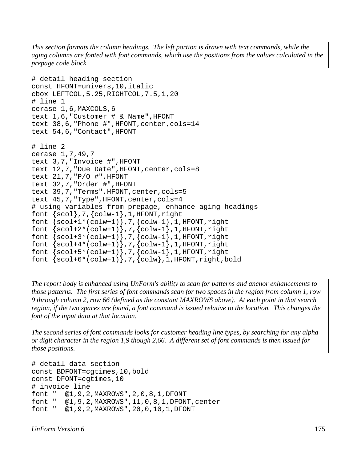*This section formats the column headings. The left portion is drawn with text commands, while the aging columns are fonted with font commands, which use the positions from the values calculated in the prepage code block.* 

```
# detail heading section 
const HFONT=univers,10,italic 
cbox LEFTCOL,5.25,RIGHTCOL,7.5,1,20 
# line 1 
cerase 1,6,MAXCOLS,6 
text 1,6,"Customer # & Name",HFONT 
text 38,6,"Phone #",HFONT,center,cols=14 
text 54,6,"Contact",HFONT 
# line 2 
cerase 1,7,49,7 
text 3,7,"Invoice #",HFONT 
text 12,7,"Due Date",HFONT,center,cols=8 
text 21,7,"P/O #",HFONT 
text 32,7,"Order #",HFONT 
text 39,7,"Terms",HFONT,center,cols=5 
text 45,7,"Type",HFONT,center,cols=4 
# using variables from prepage, enhance aging headings 
font \{scol\}, 7, \{colw-1\}, 1, HFONT, right
font \{scol+1*(colw+1)\}, 7, \{colw-1\}, 1, HFONT, right)font \{scol+2*(colw+1)\}, 7, \{colw-1\}, 1, HFONT, right\}font \{scol+3*(colw+1), 7, \{colw-1\}, 1, HFONT, right\}font \{scol+4*(colw+1)\}, 7, \{colw-1\}, 1, HFONT, right)font \{scol+5*(colw+1)\}, 7, \{colw-1\}, 1, HFONT, rightfont \{scol+6*(colw+1)\}, 7, \{colw\}, 1, HFONT, right, bold
```
*The report body is enhanced using UnForm's ability to scan for patterns and anchor enhancements to those patterns. The first series of font commands scan for two spaces in the region from column 1, row 9 through column 2, row 66 (defined as the constant MAXROWS above). At each point in that search region, if the two spaces are found, a font command is issued relative to the location. This changes the font of the input data at that location.* 

*The second series of font commands looks for customer heading line types, by searching for any alpha or digit character in the region 1,9 though 2,66. A different set of font commands is then issued for those positions.*

```
# detail data section 
const BDFONT=cgtimes,10,bold 
const DFONT=cgtimes,10 
# invoice line 
font " @1,9,2,MAXROWS",2,0,8,1,DFONT 
font " @1,9,2,MAXROWS",11,0,8,1,DFONT,center 
font " @1,9,2,MAXROWS",20,0,10,1,DFONT
```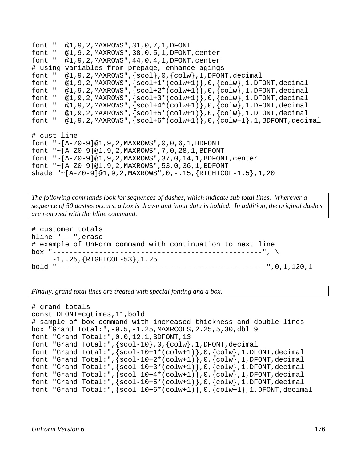```
font " @1,9,2,MAXROWS",31,0,7,1,DFONT 
font " @1,9,2, MAXROWS", 38, 0, 5, 1, DFONT, center<br>font " @1,9,2, MAXROWS", 44, 0, 4, 1, DFONT, center
          @1,9,2,MAXROWS",44,0,4,1,DFONT,center
# using variables from prepage, enhance agings 
font " @1,9,2,MAXRows", {scol}, 0, {colw}, 1, DFONT, decimal<br>font " @1,9,2,MAXRows", {scol+1*(colw+1)}, 0, {colw}, 1, DF
          @1,9,2,MAXROWS",{gcd+1*(colw+1)},0,{colw},1,DFONT,decimalfont " @1,9,2, MAXROWS", {scol+2*(colw+1)}, 0, {colw}, 1, DFONT, decimal font " @1,9,2, MAXROWS", {scol+3*(colw+1)}, 0, {colw}, 1, DFONT, decimal
         @1,9,2,MAXROWS",\{scol+3*(colw+1)\},0,\{colw\},1,DFONT,decimal
font " @1,9,2,MAXRows", {scol+4*(colw+1)},0, {colw},1,DFONT, decimalfont " @1,9,2, MAXROWS", {scol+5*(colw+1)}, 0, {colw}, 1, DFONT, decimal
font " @1,9,2,MAXROWS",{scol+6*(colw+1)},0,{colw+1},1,BDFONT,decimal 
# cust line 
font "~[A-Z0-9]@1,9,2,MAXROWS",0,0,6,1,BDFONT 
font "~[A-Z0-9]@1,9,2,MAXROWS",7,0,28,1,BDFONT 
font " ~ [A-Z0-9]@1,9,2,MAXRows", 37, 0, 14, 1, BDFONT, center
font "~[A-Z0-9]@1,9,2,MAXROWS",53,0,36,1,BDFONT 
shade "~[A-Z0-9]@1,9,2,MAXROWS",0,-.15,{RIGHTCOL-1.5},1,20
```
*The following commands look for sequences of dashes, which indicate sub total lines. Wherever a sequence of 50 dashes occurs, a box is drawn and input data is bolded. In addition, the original dashes are removed with the hline command.* 

```
# customer totals 
hline "---",erase 
# example of UnForm command with continuation to next line 
box "--------------------------------------------------", \ 
      -1,.25,{RIGHTCOL-53},1.25 
bold "--------------------------------------------------",0,1,120,1
```
*Finally, grand total lines are treated with special fonting and a box.* 

```
# grand totals 
const DFONT=cgtimes,11,bold 
# sample of box command with increased thickness and double lines 
box "Grand Total:",-9.5,-1.25,MAXRCOLS,2.25,5,30,dbl 9 
font "Grand Total:",0,0,12,1,BDFONT,13 
font "Grand Total:",{scol-10},0,{colw},1,DFONT,decimal 
font "Grand Total:",\{scol-10+1*(colw+1)\},0, \{colw\},1,DFONT, decimalfont "Grand Total:",\{scol-10+2*(colw+1)\},0,\{colw\},1,DFONT,decimalfont "Grand Total:",\{scol-10+3*(colw+1)\},0,\{colw\},1,DFONT,decimalfont "Grand Total:",\{scol-10+4*(colw+1)\},0,\{colw\},1,DFONT,decimalfont "Grand Total:", \{scol-10+5*(colw+1)\},0,\{colw}\}, 1, DFONT, decimal
font "Grand Total:",\{scol-10+6*(colw+1)\},0,\{colw+1\},1, DFONT, decimal
```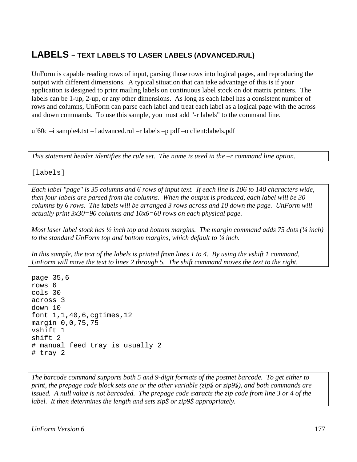# **LABELS – TEXT LABELS TO LASER LABELS (ADVANCED.RUL)**

UnForm is capable reading rows of input, parsing those rows into logical pages, and reproducing the output with different dimensions. A typical situation that can take advantage of this is if your application is designed to print mailing labels on continuous label stock on dot matrix printers. The labels can be 1-up, 2-up, or any other dimensions. As long as each label has a consistent number of rows and columns, UnForm can parse each label and treat each label as a logical page with the across and down commands. To use this sample, you must add "-r labels" to the command line.

uf60c –i sample4.txt –f advanced.rul –r labels –p pdf –o client:labels.pdf

*This statement header identifies the rule set. The name is used in the –r command line option.*

[labels]

*Each label "page" is 35 columns and 6 rows of input text. If each line is 106 to 140 characters wide, then four labels are parsed from the columns. When the output is produced, each label will be 30 columns by 6 rows. The labels will be arranged 3 rows across and 10 down the page. UnForm will actually print 3x30=90 columns and 10x6=60 rows on each physical page.* 

*Most laser label stock has*  $\frac{1}{2}$  *inch top and bottom margins. The margin command adds 75 dots (* $\frac{1}{4}$  *inch) to the standard UnForm top and bottom margins, which default to ¼ inch.* 

*In this sample, the text of the labels is printed from lines 1 to 4. By using the vshift 1 command, UnForm will move the text to lines 2 through 5. The shift command moves the text to the right.*

page 35,6 rows 6 cols 30 across 3 down 10 font 1,1,40,6,cgtimes,12 margin 0,0,75,75 vshift 1 shift 2 # manual feed tray is usually 2 # tray 2

*The barcode command supports both 5 and 9-digit formats of the postnet barcode. To get either to print, the prepage code block sets one or the other variable (zip\$ or zip9\$), and both commands are issued. A null value is not barcoded. The prepage code extracts the zip code from line 3 or 4 of the label. It then determines the length and sets zip\$ or zip9\$ appropriately.*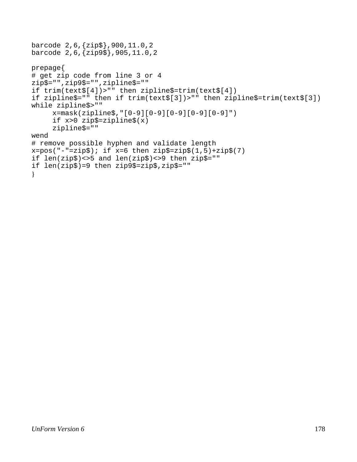```
barcode 2,6,{zip$},900,11.0,2 
barcode 2,6,{zip9$},905,11.0,2 
prepage{ 
# get zip code from line 3 or 4 
zip$="",zip9$="",zipline$="" 
if trim(text$[4])>"" then zipline$=trim(text$[4]) 
if zipline$="" then if trim(text$[3])>"" then zipline$=trim(text$[3]) 
while zipline$>"" 
      x=mask(zipline$,"[0-9][0-9][0-9][0-9][0-9]") 
      if x>0 zip$=zipline$(x) 
      zipline$="" 
wend 
# remove possible hyphen and validate length 
x = pos("--" = zip$); if x=6 then zip$ = zip$(1,5) + zip$(7)if len(zip$)<>5 and len(zip$)<>9 then zip$="" 
if len(zip$)=9 then zip9$=zip$,zip$="" 
}
```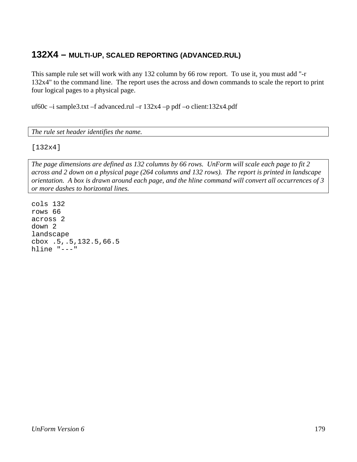## **132X4 – MULTI-UP, SCALED REPORTING (ADVANCED.RUL)**

This sample rule set will work with any 132 column by 66 row report. To use it, you must add "-r 132x4" to the command line. The report uses the across and down commands to scale the report to print four logical pages to a physical page.

uf60c –i sample3.txt –f advanced.rul –r 132x4 –p pdf –o client:132x4.pdf

*The rule set header identifies the name.* 

[132x4]

*The page dimensions are defined as 132 columns by 66 rows. UnForm will scale each page to fit 2 across and 2 down on a physical page (264 columns and 132 rows). The report is printed in landscape orientation. A box is drawn around each page, and the hline command will convert all occurrences of 3 or more dashes to horizontal lines.* 

cols 132 rows 66 across 2 down 2 landscape cbox .5,.5,132.5,66.5 hline "---"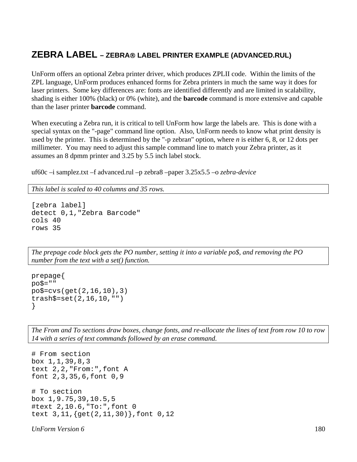## **ZEBRA LABEL – ZEBRA**® **LABEL PRINTER EXAMPLE (ADVANCED.RUL)**

UnForm offers an optional Zebra printer driver, which produces ZPLII code. Within the limits of the ZPL language, UnForm produces enhanced forms for Zebra printers in much the same way it does for laser printers. Some key differences are: fonts are identified differently and are limited in scalability, shading is either 100% (black) or 0% (white), and the **barcode** command is more extensive and capable than the laser printer **barcode** command.

When executing a Zebra run, it is critical to tell UnForm how large the labels are. This is done with a special syntax on the "-page" command line option. Also, UnForm needs to know what print density is used by the printer. This is determined by the "-p zebra*n*" option, where *n* is either 6, 8, or 12 dots per millimeter. You may need to adjust this sample command line to match your Zebra printer, as it assumes an 8 dpmm printer and 3.25 by 5.5 inch label stock.

uf60c –i samplez.txt –f advanced.rul –p zebra8 –paper 3.25x5.5 –o *zebra-device* 

*This label is scaled to 40 columns and 35 rows.* 

```
[zebra label] 
detect 0,1,"Zebra Barcode" 
cols 40 
rows 35
```
*The prepage code block gets the PO number, setting it into a variable po\$, and removing the PO number from the text with a set() function.* 

```
prepage{ 
poS = "po$=cvs(get(2,16,10),3) 
trash$=set(2,16,10,"") 
}
```
*The From and To sections draw boxes, change fonts, and re-allocate the lines of text from row 10 to row 14 with a series of text commands followed by an erase command.* 

```
# From section 
box 1,1,39,8,3 
text 2,2,"From:",font A 
font 2,3,35,6,font 0,9 
# To section 
box 1,9.75,39,10.5,5 
#text 2,10.6,"To:",font 0 
text 3,11,{get(2,11,30)},font 0,12
```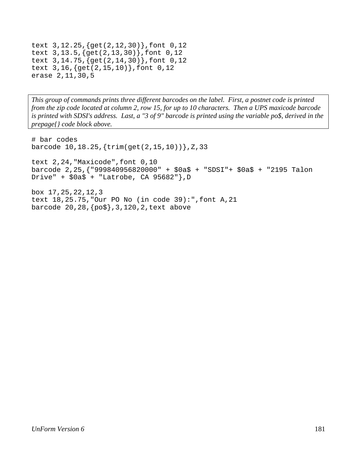```
text 3,12.25,{get(2,12,30)},font 0,12 
text 3,13.5,{get(2,13,30)},font 0,12 
text 3,14.75,{get(2,14,30)},font 0,12 
text 3,16,{get(2,15,10)},font 0,12 
erase 2,11,30,5
```
*This group of commands prints three different barcodes on the label. First, a postnet code is printed from the zip code located at column 2, row 15, for up to 10 characters. Then a UPS maxicode barcode is printed with SDSI's address. Last, a "3 of 9" barcode is printed using the variable po\$, derived in the prepage{} code block above.* 

```
# bar codes 
barcode 10,18.25,{trim(get(2,15,10))},Z,33 
text 2,24,"Maxicode",font 0,10 
barcode 2,25,{"999840956820000" + $0a$ + "SDSI"+ $0a$ + "2195 Talon 
Drive" + $0a$ + "Latrobe, CA 95682", D
box 17,25,22,12,3 
text 18,25.75,"Our PO No (in code 39):",font A,21 
barcode 20,28,{po$},3,120,2,text above
```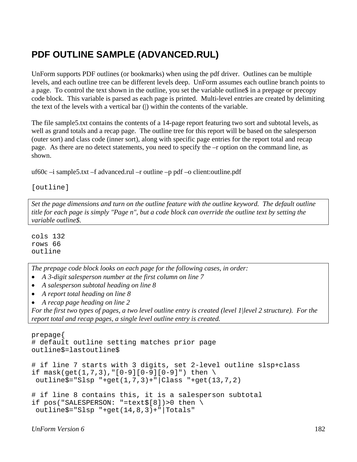# **PDF OUTLINE SAMPLE (ADVANCED.RUL)**

UnForm supports PDF outlines (or bookmarks) when using the pdf driver. Outlines can be multiple levels, and each outline tree can be different levels deep. UnForm assumes each outline branch points to a page. To control the text shown in the outline, you set the variable outline\$ in a prepage or precopy code block. This variable is parsed as each page is printed. Multi-level entries are created by delimiting the text of the levels with a vertical bar (|) within the contents of the variable.

The file sample5.txt contains the contents of a 14-page report featuring two sort and subtotal levels, as well as grand totals and a recap page. The outline tree for this report will be based on the salesperson (outer sort) and class code (inner sort), along with specific page entries for the report total and recap page. As there are no detect statements, you need to specify the –r option on the command line, as shown.

uf60c –i sample5.txt –f advanced.rul –r outline –p pdf –o client:outline.pdf

[outline]

*Set the page dimensions and turn on the outline feature with the outline keyword. The default outline title for each page is simply "Page n", but a code block can override the outline text by setting the variable outline\$.* 

cols 132 rows 66 outline

*The prepage code block looks on each page for the following cases, in order:* 

- *A 3-digit salesperson number at the first column on line 7*
- *A salesperson subtotal heading on line 8*
- *A report total heading on line 8*
- *A recap page heading on line 2*

*For the first two types of pages, a two level outline entry is created (level 1|level 2 structure). For the report total and recap pages, a single level outline entry is created.*

```
prepage{ 
# default outline setting matches prior page 
outline$=lastoutline$ 
# if line 7 starts with 3 digits, set 2-level outline slsp+class 
if mask(get(1,7,3),"[0-9][0-9][0-9]") then \
  outline$="Slsp "+get(1,7,3)+"|Class "+get(13,7,2) 
# if line 8 contains this, it is a salesperson subtotal 
if pos("SALESPERSON: "=text$[8])>0 then \ 
  outline$="Slsp "+get(14,8,3)+"|Totals"
```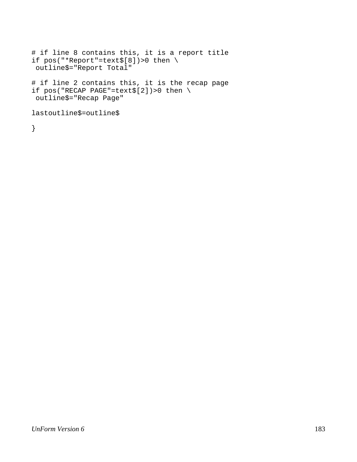```
# if line 8 contains this, it is a report title 
if pos("*Report"=text$[8])>0 then \ 
 outline$="Report Total" 
# if line 2 contains this, it is the recap page 
if pos("RECAP PAGE"=text$[2])>0 then \setminus outline$="Recap Page" 
lastoutline$=outline$
```
}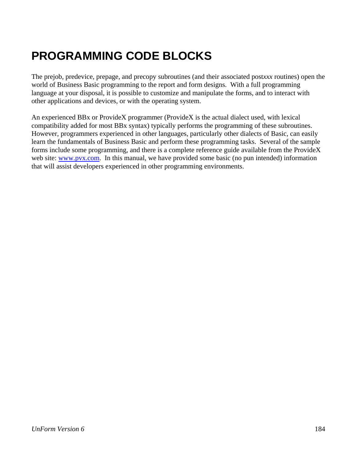# **PROGRAMMING CODE BLOCKS**

The prejob, predevice, prepage, and precopy subroutines (and their associated post*xxx* routines) open the world of Business Basic programming to the report and form designs. With a full programming language at your disposal, it is possible to customize and manipulate the forms, and to interact with other applications and devices, or with the operating system.

An experienced BBx or ProvideX programmer (ProvideX is the actual dialect used, with lexical compatibility added for most BBx syntax) typically performs the programming of these subroutines. However, programmers experienced in other languages, particularly other dialects of Basic, can easily learn the fundamentals of Business Basic and perform these programming tasks. Several of the sample forms include some programming, and there is a complete reference guide available from the ProvideX web site: www.pvx.com. In this manual, we have provided some basic (no pun intended) information that will assist developers experienced in other programming environments.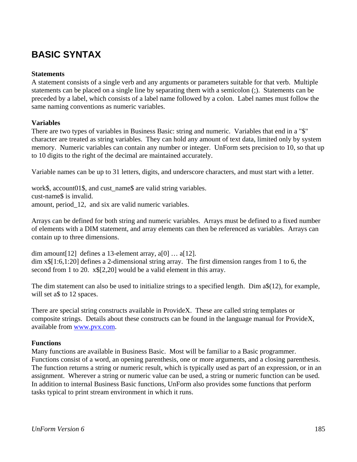# **BASIC SYNTAX**

## **Statements**

A statement consists of a single verb and any arguments or parameters suitable for that verb. Multiple statements can be placed on a single line by separating them with a semicolon (;). Statements can be preceded by a label, which consists of a label name followed by a colon. Label names must follow the same naming conventions as numeric variables.

# **Variables**

There are two types of variables in Business Basic: string and numeric. Variables that end in a "\$" character are treated as string variables. They can hold any amount of text data, limited only by system memory. Numeric variables can contain any number or integer. UnForm sets precision to 10, so that up to 10 digits to the right of the decimal are maintained accurately.

Variable names can be up to 31 letters, digits, and underscore characters, and must start with a letter.

work\$, account01\$, and cust\_name\$ are valid string variables. cust-name\$ is invalid. amount, period\_12, and six are valid numeric variables.

Arrays can be defined for both string and numeric variables. Arrays must be defined to a fixed number of elements with a DIM statement, and array elements can then be referenced as variables. Arrays can contain up to three dimensions.

dim amount [12] defines a 13-element array,  $a[0] \dots a[12]$ . dim x\$[1:6,1:20] defines a 2-dimensional string array. The first dimension ranges from 1 to 6, the second from 1 to 20.  $x$[2,20]$  would be a valid element in this array.

The dim statement can also be used to initialize strings to a specified length. Dim a\$(12), for example, will set a\$ to 12 spaces.

There are special string constructs available in ProvideX. These are called string templates or composite strings. Details about these constructs can be found in the language manual for ProvideX, available from www.pvx.com.

# **Functions**

Many functions are available in Business Basic. Most will be familiar to a Basic programmer. Functions consist of a word, an opening parenthesis, one or more arguments, and a closing parenthesis. The function returns a string or numeric result, which is typically used as part of an expression, or in an assignment. Wherever a string or numeric value can be used, a string or numeric function can be used. In addition to internal Business Basic functions, UnForm also provides some functions that perform tasks typical to print stream environment in which it runs.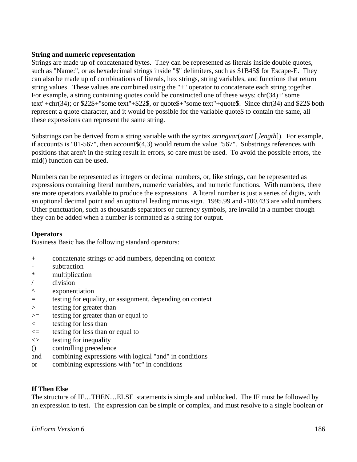## **String and numeric representation**

Strings are made up of concatenated bytes. They can be represented as literals inside double quotes, such as "Name:", or as hexadecimal strings inside "\$" delimiters, such as \$1B45\$ for Escape-E. They can also be made up of combinations of literals, hex strings, string variables, and functions that return string values. These values are combined using the "+" operator to concatenate each string together. For example, a string containing quotes could be constructed one of these ways:  $chr(34)$ + "some text"+chr(34); or \$22\$+"some text"+\$22\$, or quote\$+"some text"+quote\$. Since chr(34) and \$22\$ both represent a quote character, and it would be possible for the variable quote\$ to contain the same, all these expressions can represent the same string.

Substrings can be derived from a string variable with the syntax *stringvar*(*start* [,*length*]). For example, if account\$ is "01-567", then account $$(4,3)$  would return the value "567". Substrings references with positions that aren't in the string result in errors, so care must be used. To avoid the possible errors, the mid() function can be used.

Numbers can be represented as integers or decimal numbers, or, like strings, can be represented as expressions containing literal numbers, numeric variables, and numeric functions. With numbers, there are more operators available to produce the expressions. A literal number is just a series of digits, with an optional decimal point and an optional leading minus sign. 1995.99 and -100.433 are valid numbers. Other punctuation, such as thousands separators or currency symbols, are invalid in a number though they can be added when a number is formatted as a string for output.

# **Operators**

Business Basic has the following standard operators:

- + concatenate strings or add numbers, depending on context
- subtraction
- \* multiplication
- / division
- ^ exponentiation
- = testing for equality, or assignment, depending on context
- > testing for greater than
- >= testing for greater than or equal to
- < testing for less than
- $\leq$  testing for less than or equal to
- $\iff$  testing for inequality
- () controlling precedence
- and combining expressions with logical "and" in conditions
- or combining expressions with "or" in conditions

### **If Then Else**

The structure of IF…THEN…ELSE statements is simple and unblocked. The IF must be followed by an expression to test. The expression can be simple or complex, and must resolve to a single boolean or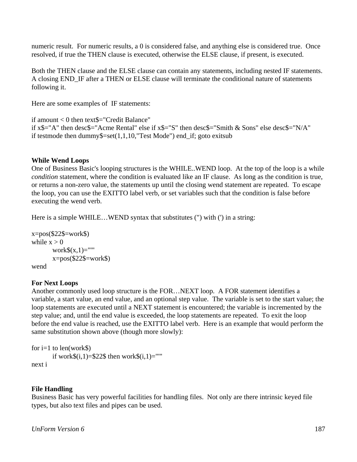numeric result. For numeric results, a 0 is considered false, and anything else is considered true. Once resolved, if true the THEN clause is executed, otherwise the ELSE clause, if present, is executed.

Both the THEN clause and the ELSE clause can contain any statements, including nested IF statements. A closing END\_IF after a THEN or ELSE clause will terminate the conditional nature of statements following it.

Here are some examples of IF statements:

if amount < 0 then text\$="Credit Balance" if  $x\$ ="A" then desc $\$ ="Acme Rental" else if  $x\$ ="S" then desc $\$ ="Smith & Sons" else desc $\$ ="N/A" if testmode then dummy\$=set(1,1,10,"Test Mode") end\_if; goto exitsub

# **While Wend Loops**

One of Business Basic's looping structures is the WHILE..WEND loop. At the top of the loop is a while *condition* statement, where the condition is evaluated like an IF clause. As long as the condition is true, or returns a non-zero value, the statements up until the closing wend statement are repeated. To escape the loop, you can use the EXITTO label verb, or set variables such that the condition is false before executing the wend verb.

Here is a simple WHILE...WEND syntax that substitutes (") with (') in a string:

```
x = pos(<math>222</math> = work)while x > 0work\$(x,1)="'''x = pos(<math>222 = work</math>)wend
```
# **For Next Loops**

Another commonly used loop structure is the FOR…NEXT loop. A FOR statement identifies a variable, a start value, an end value, and an optional step value. The variable is set to the start value; the loop statements are executed until a NEXT statement is encountered; the variable is incremented by the step value; and, until the end value is exceeded, the loop statements are repeated. To exit the loop before the end value is reached, use the EXITTO label verb. Here is an example that would perform the same substitution shown above (though more slowly):

```
for i=1 to len(work$)
       if work\$(i,1)=222$ then work\$(i,1)=""
next i
```
# **File Handling**

Business Basic has very powerful facilities for handling files. Not only are there intrinsic keyed file types, but also text files and pipes can be used.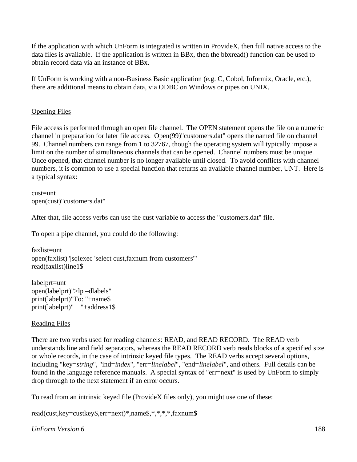If the application with which UnForm is integrated is written in ProvideX, then full native access to the data files is available. If the application is written in BBx, then the bbxread() function can be used to obtain record data via an instance of BBx.

If UnForm is working with a non-Business Basic application (e.g. C, Cobol, Informix, Oracle, etc.), there are additional means to obtain data, via ODBC on Windows or pipes on UNIX.

# Opening Files

File access is performed through an open file channel. The OPEN statement opens the file on a numeric channel in preparation for later file access. Open(99)"customers.dat" opens the named file on channel 99. Channel numbers can range from 1 to 32767, though the operating system will typically impose a limit on the number of simultaneous channels that can be opened. Channel numbers must be unique. Once opened, that channel number is no longer available until closed. To avoid conflicts with channel numbers, it is common to use a special function that returns an available channel number, UNT. Here is a typical syntax:

cust=unt open(cust)"customers.dat"

After that, file access verbs can use the cust variable to access the "customers.dat" file.

To open a pipe channel, you could do the following:

faxlist=unt open(faxlist)"|sqlexec 'select cust,faxnum from customers'" read(faxlist)line1\$

labelprt=unt open(labelprt)">lp –dlabels" print(labelprt)"To: "+name\$ print(labelprt)" "+address1\$

# Reading Files

There are two verbs used for reading channels: READ, and READ RECORD. The READ verb understands line and field separators, whereas the READ RECORD verb reads blocks of a specified size or whole records, in the case of intrinsic keyed file types. The READ verbs accept several options, including "key=*string*", "ind=*index*", "err=*linelabel*", "end=*linelabel*", and others. Full details can be found in the language reference manuals. A special syntax of "err=next" is used by UnForm to simply drop through to the next statement if an error occurs.

To read from an intrinsic keyed file (ProvideX files only), you might use one of these:

read(cust,key=custkey\$,err=next)\*,name\$,\*,\*,\*,\*,faxnum\$

# *UnForm Version 6* 188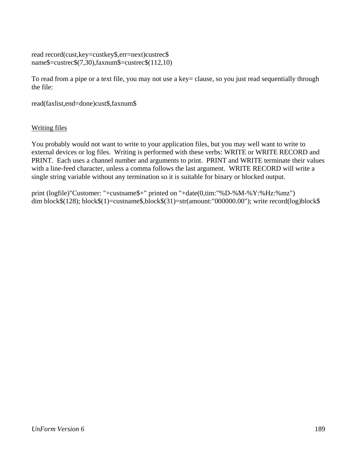read record(cust,key=custkey\$,err=next)custrec\$ name\$=custrec\$(7,30),faxnum\$=custrec\$(112,10)

To read from a pipe or a text file, you may not use a key= clause, so you just read sequentially through the file:

read(faxlist,end=done)cust\$,faxnum\$

# Writing files

You probably would not want to write to your application files, but you may well want to write to external devices or log files. Writing is performed with these verbs: WRITE or WRITE RECORD and PRINT. Each uses a channel number and arguments to print. PRINT and WRITE terminate their values with a line-feed character, unless a comma follows the last argument. WRITE RECORD will write a single string variable without any termination so it is suitable for binary or blocked output.

print (logfile)"Customer: "+custname\$+" printed on "+date(0,tim:"%D-%M-%Y:%Hz:%mz") dim block\$(128); block\$(1)=custname\$,block\$(31)=str(amount:"000000.00"); write record(log)block\$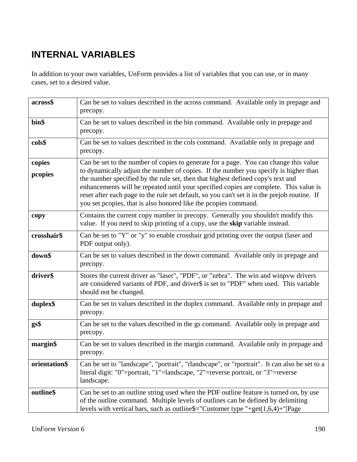# **INTERNAL VARIABLES**

In addition to your own variables, UnForm provides a list of variables that you can use, or in many cases, set to a desired value.

| across\$          | Can be set to values described in the across command. Available only in prepage and<br>precopy.                                                                                                                                                                                                                                                                                                                                                                                                                             |
|-------------------|-----------------------------------------------------------------------------------------------------------------------------------------------------------------------------------------------------------------------------------------------------------------------------------------------------------------------------------------------------------------------------------------------------------------------------------------------------------------------------------------------------------------------------|
| bin\$             | Can be set to values described in the bin command. Available only in prepage and<br>precopy.                                                                                                                                                                                                                                                                                                                                                                                                                                |
| cols\$            | Can be set to values described in the cols command. Available only in prepage and<br>precopy.                                                                                                                                                                                                                                                                                                                                                                                                                               |
| copies<br>pcopies | Can be set to the number of copies to generate for a page. You can change this value<br>to dynamically adjust the number of copies. If the number you specify is higher than<br>the number specified by the rule set, then that highest defined copy's text and<br>enhancements will be repeated until your specified copies are complete. This value is<br>reset after each page to the rule set default, so you can't set it in the prejob routine. If<br>you set pcopies, that is also honored like the pcopies command. |
| copy              | Contains the current copy number in precopy. Generally you shouldn't modify this<br>value. If you need to skip printing of a copy, use the skip variable instead.                                                                                                                                                                                                                                                                                                                                                           |
| crosshair\$       | Can be set to "Y" or "y" to enable crosshair grid printing over the output (laser and<br>PDF output only).                                                                                                                                                                                                                                                                                                                                                                                                                  |
| down\$            | Can be set to values described in the down command. Available only in prepage and<br>precopy.                                                                                                                                                                                                                                                                                                                                                                                                                               |
| driver\$          | Stores the current driver as "laser", "PDF", or "zebra". The win and winpvw drivers<br>are considered variants of PDF, and driver\$ is set to "PDF" when used. This variable<br>should not be changed.                                                                                                                                                                                                                                                                                                                      |
| duplex\$          | Can be set to values described in the duplex command. Available only in prepage and<br>precopy.                                                                                                                                                                                                                                                                                                                                                                                                                             |
| gs\$              | Can be set to the values described in the gs command. Available only in prepage and<br>precopy.                                                                                                                                                                                                                                                                                                                                                                                                                             |
| margin\$          | Can be set to values described in the margin command. Available only in prepage and<br>precopy.                                                                                                                                                                                                                                                                                                                                                                                                                             |
| orientation\$     | Can be set to "landscape", "portrait", "rlandscape", or "rportrait". It can also be set to a<br>literal digit: "0"=portrait, "1"=landscape, "2"=reverse portrait, or "3"=reverse<br>landscape.                                                                                                                                                                                                                                                                                                                              |
| outline\$         | Can be set to an outline string used when the PDF outline feature is turned on, by use<br>of the outline command. Multiple levels of outlines can be defined by delimiting<br>levels with vertical bars, such as outline\$="Customer type "+get $(1,6,4)$ +" Page                                                                                                                                                                                                                                                           |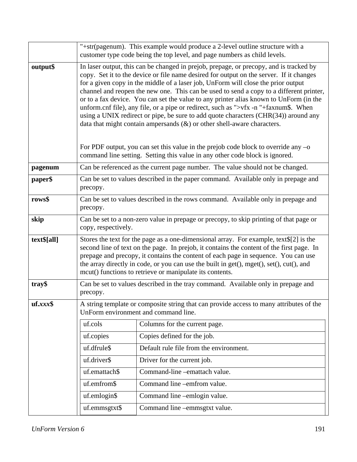|             | "+str(pagenum). This example would produce a 2-level outline structure with a<br>customer type code being the top level, and page numbers as child levels.                                                                                                                                                                                                                                                                                                                                                                                                                                                                                                                                                                                                                                                                                                                                            |                                         |
|-------------|-------------------------------------------------------------------------------------------------------------------------------------------------------------------------------------------------------------------------------------------------------------------------------------------------------------------------------------------------------------------------------------------------------------------------------------------------------------------------------------------------------------------------------------------------------------------------------------------------------------------------------------------------------------------------------------------------------------------------------------------------------------------------------------------------------------------------------------------------------------------------------------------------------|-----------------------------------------|
| output\$    | In laser output, this can be changed in prejob, prepage, or precopy, and is tracked by<br>copy. Set it to the device or file name desired for output on the server. If it changes<br>for a given copy in the middle of a laser job, UnForm will close the prior output<br>channel and reopen the new one. This can be used to send a copy to a different printer,<br>or to a fax device. You can set the value to any printer alias known to UnForm (in the<br>unform.cnf file), any file, or a pipe or redirect, such as ">vfx -n "+faxnum\$. When<br>using a UNIX redirect or pipe, be sure to add quote characters (CHR(34)) around any<br>data that might contain ampersands $(\&)$ or other shell-aware characters.<br>For PDF output, you can set this value in the prejob code block to override any $-\sigma$<br>command line setting. Setting this value in any other code block is ignored. |                                         |
| pagenum     | Can be referenced as the current page number. The value should not be changed.                                                                                                                                                                                                                                                                                                                                                                                                                                                                                                                                                                                                                                                                                                                                                                                                                        |                                         |
| paper\$     | Can be set to values described in the paper command. Available only in prepage and<br>precopy.                                                                                                                                                                                                                                                                                                                                                                                                                                                                                                                                                                                                                                                                                                                                                                                                        |                                         |
| rows\$      | Can be set to values described in the rows command. Available only in prepage and<br>precopy.                                                                                                                                                                                                                                                                                                                                                                                                                                                                                                                                                                                                                                                                                                                                                                                                         |                                         |
| skip        | Can be set to a non-zero value in prepage or precopy, to skip printing of that page or<br>copy, respectively.                                                                                                                                                                                                                                                                                                                                                                                                                                                                                                                                                                                                                                                                                                                                                                                         |                                         |
| text\$[all] | Stores the text for the page as a one-dimensional array. For example, text $\S[2]$ is the<br>second line of text on the page. In prejob, it contains the content of the first page. In<br>prepage and precopy, it contains the content of each page in sequence. You can use<br>the array directly in code, or you can use the built in get(), mget(), set(), cut(), and<br>mcut() functions to retrieve or manipulate its contents.                                                                                                                                                                                                                                                                                                                                                                                                                                                                  |                                         |
| tray\$      | Can be set to values described in the tray command. Available only in prepage and<br>precopy.                                                                                                                                                                                                                                                                                                                                                                                                                                                                                                                                                                                                                                                                                                                                                                                                         |                                         |
| $uf.xxx$ \$ | A string template or composite string that can provide access to many attributes of the<br>UnForm environment and command line.                                                                                                                                                                                                                                                                                                                                                                                                                                                                                                                                                                                                                                                                                                                                                                       |                                         |
|             | uf.cols                                                                                                                                                                                                                                                                                                                                                                                                                                                                                                                                                                                                                                                                                                                                                                                                                                                                                               | Columns for the current page.           |
|             | uf.copies                                                                                                                                                                                                                                                                                                                                                                                                                                                                                                                                                                                                                                                                                                                                                                                                                                                                                             | Copies defined for the job.             |
|             | uf.dfrule\$                                                                                                                                                                                                                                                                                                                                                                                                                                                                                                                                                                                                                                                                                                                                                                                                                                                                                           | Default rule file from the environment. |
|             | uf.driver\$                                                                                                                                                                                                                                                                                                                                                                                                                                                                                                                                                                                                                                                                                                                                                                                                                                                                                           | Driver for the current job.             |
|             | uf.emattach\$                                                                                                                                                                                                                                                                                                                                                                                                                                                                                                                                                                                                                                                                                                                                                                                                                                                                                         | Command-line -emattach value.           |
|             | uf.emfrom\$                                                                                                                                                                                                                                                                                                                                                                                                                                                                                                                                                                                                                                                                                                                                                                                                                                                                                           | Command line -emfrom value.             |
|             | $uf.$ em $login$ \$                                                                                                                                                                                                                                                                                                                                                                                                                                                                                                                                                                                                                                                                                                                                                                                                                                                                                   | Command line -emlogin value.            |
|             | uf.emmsgtxt\$                                                                                                                                                                                                                                                                                                                                                                                                                                                                                                                                                                                                                                                                                                                                                                                                                                                                                         | Command line -emmsgtxt value.           |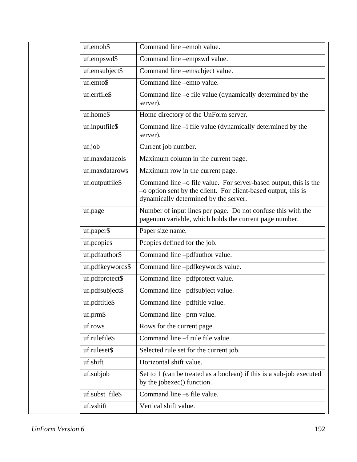| uf.emoh\$        | Command line -emoh value.                                                                                                                                                   |
|------------------|-----------------------------------------------------------------------------------------------------------------------------------------------------------------------------|
| uf.empswd\$      | Command line -empswd value.                                                                                                                                                 |
| uf.emsubject\$   | Command line -emsubject value.                                                                                                                                              |
| uf.emto\$        | Command line -emto value.                                                                                                                                                   |
| uf.errfile\$     | Command line –e file value (dynamically determined by the<br>server).                                                                                                       |
| uf.home\$        | Home directory of the UnForm server.                                                                                                                                        |
| uf.inputfile\$   | Command line -i file value (dynamically determined by the<br>server).                                                                                                       |
| uf.job           | Current job number.                                                                                                                                                         |
| uf.maxdatacols   | Maximum column in the current page.                                                                                                                                         |
| uf.maxdatarows   | Maximum row in the current page.                                                                                                                                            |
| uf.outputfile\$  | Command line –o file value. For server-based output, this is the<br>-o option sent by the client. For client-based output, this is<br>dynamically determined by the server. |
| uf.page          | Number of input lines per page. Do not confuse this with the<br>pagenum variable, which holds the current page number.                                                      |
| uf.paper\$       | Paper size name.                                                                                                                                                            |
| uf.pcopies       | Pcopies defined for the job.                                                                                                                                                |
| uf.pdfauthor\$   | Command line -pdfauthor value.                                                                                                                                              |
| uf.pdfkeywords\$ | Command line -pdfkeywords value.                                                                                                                                            |
| uf.pdfprotect\$  | Command line -pdfprotect value.                                                                                                                                             |
| uf.pdfsubject\$  | Command line -pdfsubject value.                                                                                                                                             |
| uf.pdftitle\$    | Command line -pdftitle value.                                                                                                                                               |
| uf.prm\$         | Command line -prm value.                                                                                                                                                    |
| uf.rows          | Rows for the current page.                                                                                                                                                  |
| uf.rulefile\$    | Command line –f rule file value.                                                                                                                                            |
| uf.ruleset\$     | Selected rule set for the current job.                                                                                                                                      |
| uf.shift         | Horizontal shift value.                                                                                                                                                     |
| uf.subjob        | Set to 1 (can be treated as a boolean) if this is a sub-job executed<br>by the jobexec() function.                                                                          |
| uf.subst_file\$  | Command line -s file value.                                                                                                                                                 |
| uf.vshift        | Vertical shift value.                                                                                                                                                       |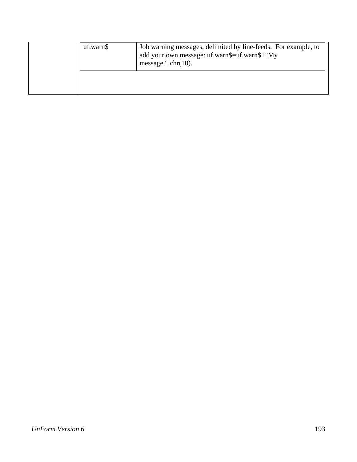| uf.warn\$ | Job warning messages, delimited by line-feeds. For example, to<br>add your own message: uf.warn\$=uf.warn\$+"My<br>message"+ $chr(10)$ . |
|-----------|------------------------------------------------------------------------------------------------------------------------------------------|
|           |                                                                                                                                          |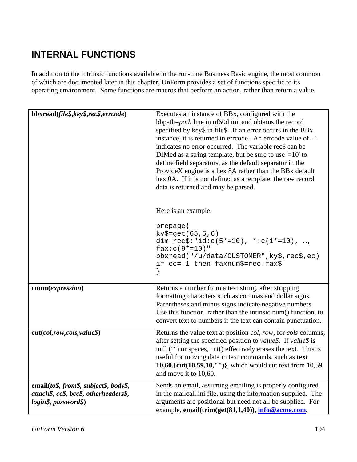# **INTERNAL FUNCTIONS**

In addition to the intrinsic functions available in the run-time Business Basic engine, the most common of which are documented later in this chapter, UnForm provides a set of functions specific to its operating environment. Some functions are macros that perform an action, rather than return a value.

| bbxread(file\$,key\$,rec\$,errcode)                                                                      | Executes an instance of BBx, configured with the<br>bbpath=path line in uf60d.ini, and obtains the record<br>specified by key\$ in file\$. If an error occurs in the BBx<br>instance, it is returned in errcode. An errcode value of $-1$<br>indicates no error occurred. The variable rec\$ can be<br>DIMed as a string template, but be sure to use $=10$ to<br>define field separators, as the default separator in the<br>ProvideX engine is a hex 8A rather than the BBx default<br>hex 0A. If it is not defined as a template, the raw record<br>data is returned and may be parsed.<br>Here is an example:<br>prepage{<br>$ky$ = get(65, 5, 6)$<br>dim $rec$ \$:"id: $c(5*-10)$ , *: $c(1*-10)$ , ,<br>$fax: c(9*-10)$ "<br>bbxread("/u/data/CUSTOMER", ky\$, rec\$, ec)<br>if ec = -1 then faxnum\$ = rec.fax\$<br>} |
|----------------------------------------------------------------------------------------------------------|------------------------------------------------------------------------------------------------------------------------------------------------------------------------------------------------------------------------------------------------------------------------------------------------------------------------------------------------------------------------------------------------------------------------------------------------------------------------------------------------------------------------------------------------------------------------------------------------------------------------------------------------------------------------------------------------------------------------------------------------------------------------------------------------------------------------------|
| cnum(expression)                                                                                         | Returns a number from a text string, after stripping<br>formatting characters such as commas and dollar signs.<br>Parentheses and minus signs indicate negative numbers.<br>Use this function, rather than the intinsic num() function, to<br>convert text to numbers if the text can contain punctuation.                                                                                                                                                                                                                                                                                                                                                                                                                                                                                                                   |
| cut(col, row, cols, value                                                                                | Returns the value text at position <i>col, row</i> , for <i>cols</i> columns,<br>after setting the specified position to value\$. If value\$ is<br>null ("") or spaces, cut() effectively erases the text. This is<br>useful for moving data in text commands, such as text<br>10,60, { $cut(10,59,10,'''')$ }, which would cut text from 10,59<br>and move it to 10,60.                                                                                                                                                                                                                                                                                                                                                                                                                                                     |
| email(to\$, from\$, subject\$, body\$,<br>attach\$, cc\$, bcc\$, otherheaders\$,<br>login\$, password\$) | Sends an email, assuming emailing is properly configured<br>in the mailcall.ini file, using the information supplied. The<br>arguments are positional but need not all be supplied. For<br>example, email(trim(get(81,1,40)), info@acme.com,                                                                                                                                                                                                                                                                                                                                                                                                                                                                                                                                                                                 |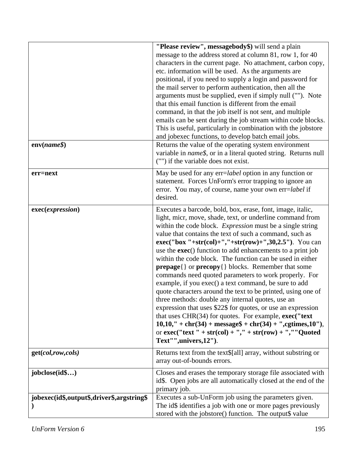|                                            | "Please review", messagebody\$) will send a plain<br>message to the address stored at column 81, row 1, for 40<br>characters in the current page. No attachment, carbon copy,<br>etc. information will be used. As the arguments are<br>positional, if you need to supply a login and password for<br>the mail server to perform authentication, then all the<br>arguments must be supplied, even if simply null (""). Note<br>that this email function is different from the email<br>command, in that the job itself is not sent, and multiple<br>emails can be sent during the job stream within code blocks.<br>This is useful, particularly in combination with the jobstore<br>and jobexec functions, to develop batch email jobs.                                                                                                                                                                                                                                                                                                        |
|--------------------------------------------|-------------------------------------------------------------------------------------------------------------------------------------------------------------------------------------------------------------------------------------------------------------------------------------------------------------------------------------------------------------------------------------------------------------------------------------------------------------------------------------------------------------------------------------------------------------------------------------------------------------------------------------------------------------------------------------------------------------------------------------------------------------------------------------------------------------------------------------------------------------------------------------------------------------------------------------------------------------------------------------------------------------------------------------------------|
| $env(name\$                                | Returns the value of the operating system environment<br>variable in <i>name\$</i> , or in a literal quoted string. Returns null<br>("") if the variable does not exist.                                                                                                                                                                                                                                                                                                                                                                                                                                                                                                                                                                                                                                                                                                                                                                                                                                                                        |
| err=next                                   | May be used for any err= <i>label</i> option in any function or<br>statement. Forces UnForm's error trapping to ignore an<br>error. You may, of course, name your own err=label if<br>desired.                                                                                                                                                                                                                                                                                                                                                                                                                                                                                                                                                                                                                                                                                                                                                                                                                                                  |
| exec(expression)                           | Executes a barcode, bold, box, erase, font, image, italic,<br>light, micr, move, shade, text, or underline command from<br>within the code block. Expression must be a single string<br>value that contains the text of such a command, such as<br>$exec("box "+str,col)+", "+str(row)+", 30, 2.5").$ You can<br>use the <b>exec</b> () function to add enhancements to a print job<br>within the code block. The function can be used in either<br><b>prepage</b> { } or <b>precopy</b> { } blocks. Remember that some<br>commands need quoted parameters to work properly. For<br>example, if you exec() a text command, be sure to add<br>quote characters around the text to be printed, using one of<br>three methods: double any internal quotes, use an<br>expression that uses \$22\$ for quotes, or use an expression<br>that uses CHR $(34)$ for quotes. For example, exec("text<br>$10,10,''+chr(34) + message$ + chr(34) +'',egtimes,10''),$<br>or $exec("text " + str,col) + ", " + str(row) + ", "Quoted$<br>Text"",univers,12"). |
| get(col,row,cols)                          | Returns text from the text\$[all] array, without substring or<br>array out-of-bounds errors.                                                                                                                                                                                                                                                                                                                                                                                                                                                                                                                                                                                                                                                                                                                                                                                                                                                                                                                                                    |
| jobclose(id\$)                             | Closes and erases the temporary storage file associated with<br>id\$. Open jobs are all automatically closed at the end of the<br>primary job.                                                                                                                                                                                                                                                                                                                                                                                                                                                                                                                                                                                                                                                                                                                                                                                                                                                                                                  |
| jobexec(id\$,output\$,driver\$,argstring\$ | Executes a sub-UnForm job using the parameters given.<br>The id\$ identifies a job with one or more pages previously<br>stored with the jobstore() function. The output\$ value                                                                                                                                                                                                                                                                                                                                                                                                                                                                                                                                                                                                                                                                                                                                                                                                                                                                 |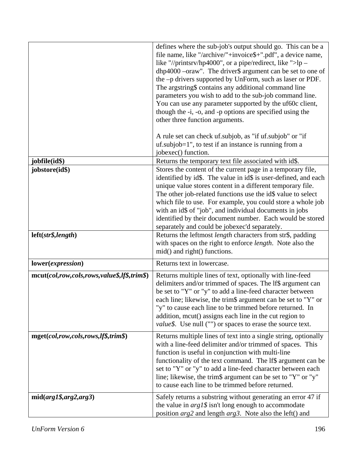|                                             | defines where the sub-job's output should go. This can be a<br>file name, like "/archive/"+invoice\$+".pdf", a device name,<br>like "//printsrv/hp4000", or a pipe/redirect, like ">lp –<br>dhp4000 - oraw". The driver\$ argument can be set to one of<br>the -p drivers supported by UnForm, such as laser or PDF.<br>The argstring\$ contains any additional command line<br>parameters you wish to add to the sub-job command line.<br>You can use any parameter supported by the uf60c client,  |
|---------------------------------------------|------------------------------------------------------------------------------------------------------------------------------------------------------------------------------------------------------------------------------------------------------------------------------------------------------------------------------------------------------------------------------------------------------------------------------------------------------------------------------------------------------|
|                                             | though the -i, -o, and -p options are specified using the<br>other three function arguments.                                                                                                                                                                                                                                                                                                                                                                                                         |
|                                             | A rule set can check uf subjob, as "if uf subjob" or "if<br>uf.subjob=1", to test if an instance is running from a<br>jobexec() function.                                                                                                                                                                                                                                                                                                                                                            |
| jobfile(id\$)                               | Returns the temporary text file associated with id\$.                                                                                                                                                                                                                                                                                                                                                                                                                                                |
| jobstore(id\$)                              | Stores the content of the current page in a temporary file,<br>identified by id\$. The value in id\$ is user-defined, and each<br>unique value stores content in a different temporary file.<br>The other job-related functions use the id\$ value to select<br>which file to use. For example, you could store a whole job<br>with an id\$ of "job", and individual documents in jobs<br>identified by their document number. Each would be stored<br>separately and could be jobexec'd separately. |
| left(str\$, length)                         | Returns the leftmost <i>length</i> characters from str\$, padding<br>with spaces on the right to enforce length. Note also the<br>mid() and right() functions.                                                                                                                                                                                                                                                                                                                                       |
| lower(expression)                           | Returns text in lowercase.                                                                                                                                                                                                                                                                                                                                                                                                                                                                           |
| mcut(col,row,cols,rows,value\$,lf\$,trim\$) | Returns multiple lines of text, optionally with line-feed<br>delimiters and/or trimmed of spaces. The lf\$ argument can<br>be set to "Y" or "y" to add a line-feed character between<br>each line; likewise, the trim\$ argument can be set to "Y" or<br>"y" to cause each line to be trimmed before returned. In<br>addition, mcut() assigns each line in the cut region to<br>value\$. Use null ("") or spaces to erase the source text.                                                           |
| mget(col,row,cols,rows,lf\$,trim\$)         | Returns multiple lines of text into a single string, optionally<br>with a line-feed delimiter and/or trimmed of spaces. This<br>function is useful in conjunction with multi-line<br>functionality of the text command. The lf\$ argument can be<br>set to "Y" or "y" to add a line-feed character between each<br>line; likewise, the trim\$ argument can be set to "Y" or "y"<br>to cause each line to be trimmed before returned.                                                                 |
| $mid(arg1\$, arg2, arg3)$                   | Safely returns a substring without generating an error 47 if<br>the value in $arg 1\$ isn't long enough to accommodate<br>position arg2 and length arg3. Note also the left() and                                                                                                                                                                                                                                                                                                                    |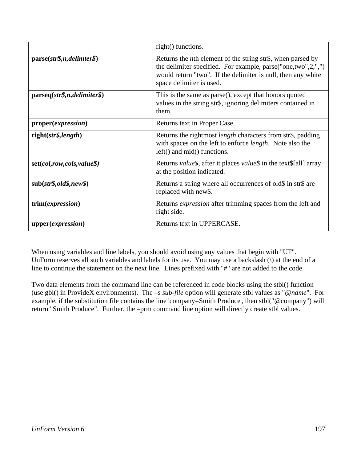|                                      | right() functions.                                                                                                                                                                                                              |
|--------------------------------------|---------------------------------------------------------------------------------------------------------------------------------------------------------------------------------------------------------------------------------|
| $parse(str\$, n, delimter\$,$        | Returns the <i>n</i> th element of the string str\$, when parsed by<br>the delimiter specified. For example, parse("one,two",2,",")<br>would return "two". If the delimiter is null, then any white<br>space delimiter is used. |
| parseq(str\$,n,delimiter\$)          | This is the same as parse(), except that honors quoted<br>values in the string str\$, ignoring delimiters contained in<br>them.                                                                                                 |
| proper( <i>expression</i> )          | Returns text in Proper Case.                                                                                                                                                                                                    |
| $right(str\$ {, length})             | Returns the rightmost length characters from str\$, padding<br>with spaces on the left to enforce <i>length</i> . Note also the<br>left() and mid() functions.                                                                  |
| $set(col, row, cols, value \$ )      | Returns <i>value\$</i> , after it places <i>value\$</i> in the text\$[all] array<br>at the position indicated.                                                                                                                  |
| $sub(str\$ {std\ <sub>new</sub> $\)$ | Returns a string where all occurrences of old\$ in str\$ are<br>replaced with new\$.                                                                                                                                            |
| trim(expression)                     | Returns <i>expression</i> after trimming spaces from the left and<br>right side.                                                                                                                                                |
| upper(expression)                    | Returns text in UPPERCASE.                                                                                                                                                                                                      |

When using variables and line labels, you should avoid using any values that begin with "UF". UnForm reserves all such variables and labels for its use. You may use a backslash (\) at the end of a line to continue the statement on the next line. Lines prefixed with "#" are not added to the code.

Two data elements from the command line can be referenced in code blocks using the stbl() function (use gbl() in ProvideX environments). The –s *sub-file* option will generate stbl values as "@*name*". For example, if the substitution file contains the line 'company=Smith Produce', then stbl("@company") will return "Smith Produce". Further, the –prm command line option will directly create stbl values.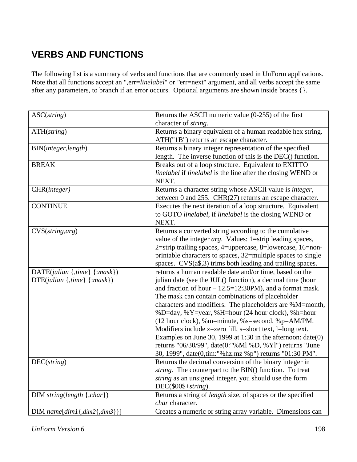# **VERBS AND FUNCTIONS**

The following list is a summary of verbs and functions that are commonly used in UnForm applications. Note that all functions accept an ",err=*linelabel*" or *"*err=next" argument, and all verbs accept the same after any parameters, to branch if an error occurs. Optional arguments are shown inside braces {}.

| ASC(string)                                 | Returns the ASCII numeric value $(0-255)$ of the first                                                                |
|---------------------------------------------|-----------------------------------------------------------------------------------------------------------------------|
|                                             | character of string.                                                                                                  |
| ATH(string)                                 | Returns a binary equivalent of a human readable hex string.                                                           |
|                                             | ATH("1B") returns an escape character.                                                                                |
| BIN(integer, length)                        | Returns a binary integer representation of the specified                                                              |
|                                             | length. The inverse function of this is the DEC() function.                                                           |
| <b>BREAK</b>                                | Breaks out of a loop structure. Equivalent to EXITTO                                                                  |
|                                             | linelabel if linelabel is the line after the closing WEND or                                                          |
|                                             | NEXT.                                                                                                                 |
| CHR(integer)                                | Returns a character string whose ASCII value is integer,                                                              |
|                                             | between 0 and 255. CHR(27) returns an escape character.                                                               |
| <b>CONTINUE</b>                             | Executes the next iteration of a loop structure. Equivalent                                                           |
|                                             | to GOTO linelabel, if linelabel is the closing WEND or                                                                |
|                                             | NEXT.                                                                                                                 |
| $CVS(\text{string}, \text{arg})$            | Returns a converted string according to the cumulative                                                                |
|                                             | value of the integer <i>arg</i> . Values: 1=strip leading spaces,                                                     |
|                                             | 2=strip trailing spaces, 4=uppercase, 8=lowercase, 16=non-                                                            |
|                                             | printable characters to spaces, 32=multiple spaces to single                                                          |
|                                             | spaces. CVS(a\$,3) trims both leading and trailing spaces.                                                            |
| $\text{DATE}(julian \{, time\} \{ :mask\})$ | returns a human readable date and/or time, based on the<br>julian date (see the JUL() function), a decimal time (hour |
| $DTE(julian \{, time\} \{:mask\})$          | and fraction of hour $-12.5=12:30PM$ , and a format mask.                                                             |
|                                             | The mask can contain combinations of placeholder                                                                      |
|                                             | characters and modifiers. The placeholders are %M=month,                                                              |
|                                             | %D=day, %Y=year, %H=hour (24 hour clock), %h=hour                                                                     |
|                                             | (12 hour clock), %m=minute, %s=second, %p=AM/PM.                                                                      |
|                                             | Modifiers include z=zero fill, s=short text, l=long text.                                                             |
|                                             | Examples on June 30, 1999 at 1:30 in the afternoon: $date(0)$                                                         |
|                                             | returns "06/30/99", date(0:"%Ml %D, %Yl") returns "June                                                               |
|                                             | 30, 1999", date(0,tim:"%hz:mz %p") returns "01:30 PM".                                                                |
| $DEC(\text{string})$                        | Returns the decimal conversion of the binary integer in                                                               |
|                                             | string. The counterpart to the BIN() function. To treat                                                               |
|                                             | string as an unsigned integer, you should use the form                                                                |
|                                             | DEC(\$00\$+string).                                                                                                   |
| $DIM string(length \{, char\})$             | Returns a string of length size, of spaces or the specified                                                           |
|                                             | char character.                                                                                                       |
| $DIM name[dim1\{, dim2\{, dim3\}\}]$        | Creates a numeric or string array variable. Dimensions can                                                            |

*UnForm Version 6* 198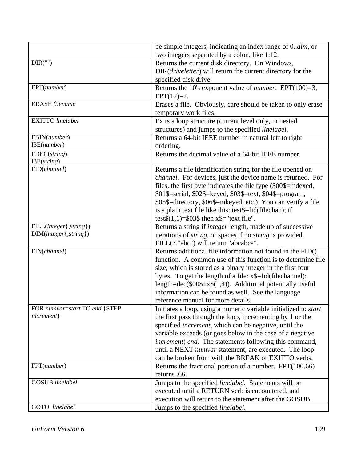|                               | be simple integers, indicating an index range of 0dim, or                |
|-------------------------------|--------------------------------------------------------------------------|
|                               | two integers separated by a colon, like 1:12.                            |
| DIR("")                       | Returns the current disk directory. On Windows,                          |
|                               | DIR( <i>driveletter</i> ) will return the current directory for the      |
|                               | specified disk drive.                                                    |
| EPT(number)                   | Returns the 10's exponent value of <i>number</i> . EPT(100)=3,           |
|                               | $EPT(12)=2.$                                                             |
| ERASE filename                | Erases a file. Obviously, care should be taken to only erase             |
|                               | temporary work files.                                                    |
| <b>EXITTO</b> linelabel       | Exits a loop structure (current level only, in nested                    |
|                               | structures) and jumps to the specified linelabel.                        |
| FBIN(number)                  | Returns a 64-bit IEEE number in natural left to right                    |
| I3E(number)                   | ordering.                                                                |
| $FDEC(\text{string})$         | Returns the decimal value of a 64-bit IEEE number.                       |
| I3E(string)                   |                                                                          |
| FID(channel)                  | Returns a file identification string for the file opened on              |
|                               | <i>channel</i> . For devices, just the device name is returned. For      |
|                               | files, the first byte indicates the file type (\$00\$=indexed,           |
|                               | \$01\$=serial, \$02\$=keyed, \$03\$=text, \$04\$=program,                |
|                               | \$05\$=directory, \$06\$=mkeyed, etc.) You can verify a file             |
|                               | is a plain text file like this: test\$=fid(filechan); if                 |
|                               | test $(1,1)$ =\$03\$ then x\$="text file".                               |
| FILL(integer{,string})        | Returns a string if <i>integer</i> length, made up of successive         |
| $DIM(integer\{, string\})$    | iterations of <i>string</i> , or spaces if no <i>string</i> is provided. |
|                               | FILL(7,"abc") will return "abcabca".                                     |
| FIN(channel)                  | Returns additional file information not found in the FID()               |
|                               | function. A common use of this function is to determine file             |
|                               | size, which is stored as a binary integer in the first four              |
|                               | bytes. To get the length of a file: x\$=fid(filechannel);                |
|                               | length= $dec(\$00\$+x$(1,4))$ . Additional potentially useful            |
|                               | information can be found as well. See the language                       |
|                               | reference manual for more details.                                       |
| FOR numvar=start TO end {STEP | Initiates a loop, using a numeric variable initialized to <i>start</i>   |
| increment}                    | the first pass through the loop, incrementing by 1 or the                |
|                               | specified <i>increment</i> , which can be negative, until the            |
|                               | variable exceeds (or goes below in the case of a negative                |
|                               | increment) end. The statements following this command,                   |
|                               | until a NEXT <i>numvar</i> statement, are executed. The loop             |
|                               | can be broken from with the BREAK or EXITTO verbs.                       |
| FPT(number)                   | Returns the fractional portion of a number. $FPT(100.66)$                |
|                               | returns .66.                                                             |
| <b>GOSUB</b> linelabel        | Jumps to the specified linelabel. Statements will be                     |
|                               | executed until a RETURN verb is encountered, and                         |
|                               | execution will return to the statement after the GOSUB.                  |
| GOTO linelabel                | Jumps to the specified linelabel.                                        |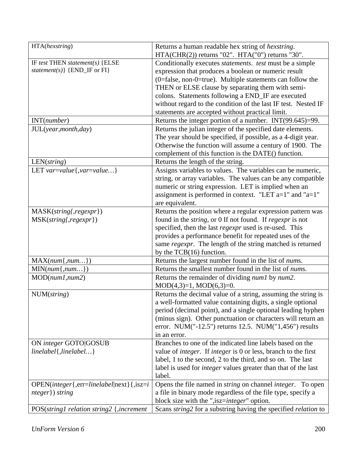| HTA(hexstring)                                 | Returns a human readable hex string of <i>hexstring</i> .                     |
|------------------------------------------------|-------------------------------------------------------------------------------|
|                                                | HTA(CHR(2)) returns "02". HTA("0") returns "30".                              |
| IF test THEN statement(s) $\{E LSE$            | Conditionally executes statements. test must be a simple                      |
| $statement(s) \}$ {END_IF or FI}               | expression that produces a boolean or numeric result                          |
|                                                | $(0 = false, non-0 = true)$ . Multiple statements can follow the              |
|                                                | THEN or ELSE clause by separating them with semi-                             |
|                                                | colons. Statements following a END_IF are executed                            |
|                                                | without regard to the condition of the last IF test. Nested IF                |
|                                                | statements are accepted without practical limit.                              |
| INT(number)                                    | Returns the integer portion of a number. INT(99.645)=99.                      |
| JUL(year, month, day)                          | Returns the julian integer of the specified date elements.                    |
|                                                | The year should be specified, if possible, as a 4-digit year.                 |
|                                                | Otherwise the function will assume a century of 1900. The                     |
|                                                | complement of this function is the DATE() function.                           |
| $LEN(\text{string})$                           | Returns the length of the string.                                             |
| LET $var = value\{var = value\}$               | Assigns variables to values. The variables can be numeric,                    |
|                                                | string, or array variables. The values can be any compatible                  |
|                                                | numeric or string expression. LET is implied when an                          |
|                                                | assignment is performed in context. "LET $a=1$ " and " $a=1$ "                |
|                                                | are equivalent.                                                               |
| MASK(string{,regexpr})                         | Returns the position where a regular expression pattern was                   |
| MSK(string{,regexpr})                          | found in the <i>string</i> , or 0 If not found. If <i>regexpr</i> is not      |
|                                                | specified, then the last regexpr used is re-used. This                        |
|                                                | provides a performance benefit for repeated uses of the                       |
|                                                | same regexpr. The length of the string matched is returned                    |
|                                                | by the $TCB(16)$ function.                                                    |
| $MAX(num\{num})$                               | Returns the largest number found in the list of nums.                         |
| $MIN(num\{num\})$                              | Returns the smallest number found in the list of <i>nums</i> .                |
| MOD(num1, num2)                                | Returns the remainder of dividing <i>numl</i> by <i>num2</i> .                |
|                                                | $MOD(4,3)=1, MOD(6,3)=0.$                                                     |
| NUM(string)                                    | Returns the decimal value of a string, assuming the string is                 |
|                                                | a well-formatted value containing digits, a single optional                   |
|                                                | period (decimal point), and a single optional leading hyphen                  |
|                                                | (minus sign). Other punctuation or characters will return an                  |
|                                                | error. NUM("-12.5") returns 12.5. NUM("1,456") results                        |
|                                                | in an error.                                                                  |
| ON integer GOTO GOSUB                          | Branches to one of the indicated line labels based on the                     |
| $linelabel\{, linelabell \}$                   | value of <i>integer</i> . If <i>integer</i> is 0 or less, branch to the first |
|                                                | label, 1 to the second, 2 to the third, and so on. The last                   |
|                                                | label is used for <i>integer</i> values greater than that of the last         |
|                                                | label.                                                                        |
| $OPEN(integer{, err=linelabel next}{, isz=i})$ | Opens the file named in <i>string</i> on channel <i>integer</i> . To open     |
| nteger}) string                                | a file in binary mode regardless of the file type, specify a                  |
|                                                | block size with the ",isz= <i>integer</i> " option.                           |
| POS(string1 relation string2 {,increment       | Scans string2 for a substring having the specified relation to                |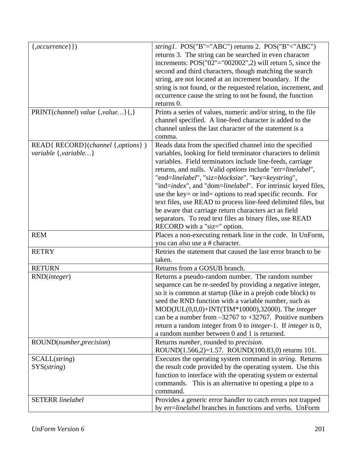| $\{, occurrence\}\})$                 | string1. $POS("B"='ABC")$ returns 2. $POS("B" < "ABC")$                      |
|---------------------------------------|------------------------------------------------------------------------------|
|                                       | returns 3. The string can be searched in even character                      |
|                                       | increments: $POS("02"='002002", 2)$ will return 5, since the                 |
|                                       | second and third characters, though matching the search                      |
|                                       | string, are not located at an increment boundary. If the                     |
|                                       |                                                                              |
|                                       | string is not found, or the requested relation, increment, and               |
|                                       | occurrence cause the string to not be found, the function                    |
|                                       | returns 0.                                                                   |
| $PRINT(channel)$ value $\{value\}\$ , | Prints a series of values, numeric and/or string, to the file                |
|                                       | channel specified. A line-feed character is added to the                     |
|                                       | channel unless the last character of the statement is a                      |
|                                       | comma.                                                                       |
| READ{ RECORD}(channel {,options})     | Reads data from the specified channel into the specified                     |
| variable $\{$ , variable}             | variables, looking for field terminator characters to delimit                |
|                                       | variables. Field terminators include line-feeds, carriage                    |
|                                       |                                                                              |
|                                       | returns, and nulls. Valid options include "err=linelabel",                   |
|                                       | "end=linelabel", "siz=blocksize". "key=keystring",                           |
|                                       | "ind=index", and "dom=linelabel". For intrinsic keyed files,                 |
|                                       | use the key= or ind= options to read specific records. For                   |
|                                       | text files, use READ to process line-feed delimited files, but               |
|                                       | be aware that carriage return characters act as field                        |
|                                       | separators. To read text files as binary files, use READ                     |
|                                       | RECORD with a "siz=" option.                                                 |
| <b>REM</b>                            | Places a non-executing remark line in the code. In UnForm,                   |
|                                       | you can also use a # character.                                              |
| <b>RETRY</b>                          | Retries the statement that caused the last error branch to be                |
|                                       | taken.                                                                       |
| <b>RETURN</b>                         | Returns from a GOSUB branch.                                                 |
|                                       |                                                                              |
| RND( <i>integer</i> )                 | Returns a pseudo-random number. The random number                            |
|                                       | sequence can be re-seeded by providing a negative integer,                   |
|                                       | so it is common at startup (like in a prejob code block) to                  |
|                                       | seed the RND function with a variable number, such as                        |
|                                       | MOD(JUL(0,0,0)+INT(TIM*10000),32000). The integer                            |
|                                       | can be a number from $-32767$ to $+32767$ . Positive numbers                 |
|                                       | return a random integer from 0 to <i>integer</i> -1. If <i>integer</i> is 0, |
|                                       | a random number between 0 and 1 is returned.                                 |
| ROUND(number, precision)              | Returns number, rounded to precision.                                        |
|                                       | ROUND(1.566,2)=1.57. ROUND(100.83,0) returns 101.                            |
|                                       |                                                                              |
| SCALL(string)                         | Executes the operating system command in <i>string</i> . Returns             |
| SYS(string)                           | the result code provided by the operating system. Use this                   |
|                                       | function to interface with the operating system or external                  |
|                                       | commands. This is an alternative to opening a pipe to a                      |
|                                       | command.                                                                     |
| <b>SETERR</b> linelabel               | Provides a generic error handler to catch errors not trapped                 |
|                                       | by err=linelabel branches in functions and verbs. UnForm                     |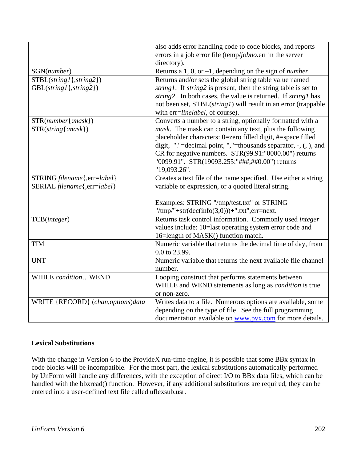|                                   | also adds error handling code to code blocks, and reports                      |
|-----------------------------------|--------------------------------------------------------------------------------|
|                                   | errors in a job error file (temp/jobno.err in the server                       |
|                                   | directory).                                                                    |
| SGN(number)                       | Returns a 1, 0, or $-1$ , depending on the sign of <i>number</i> .             |
| $STBL(suring1\{, string2\})$      | Returns and/or sets the global string table value named                        |
| GBL(string1{,string2})            | <i>string1</i> . If <i>string2</i> is present, then the string table is set to |
|                                   | string2. In both cases, the value is returned. If string1 has                  |
|                                   | not been set, STBL(string1) will result in an error (trappable                 |
|                                   | with err=linelabel, of course).                                                |
| $STR(number{:mask})$              | Converts a number to a string, optionally formatted with a                     |
| $STR(string\{ : mask\})$          | mask. The mask can contain any text, plus the following                        |
|                                   | placeholder characters: 0=zero filled digit, #=space filled                    |
|                                   | digit, "."=decimal point, ","=thousands separator, $-$ , $($ , $)$ , and       |
|                                   | CR for negative numbers. STR(99.91:"0000.00") returns                          |
|                                   | "0099.91". STR(19093.255:"###,##0.00") returns                                 |
|                                   | "19,093.26".                                                                   |
| STRING filename{, err=label}      | Creates a text file of the name specified. Use either a string                 |
| SERIAL filename{,err=label}       | variable or expression, or a quoted literal string.                            |
|                                   |                                                                                |
|                                   | Examples: STRING "/tmp/test.txt" or STRING                                     |
|                                   | "/tmp/"+str(dec(info(3,0)))+".txt",err=next.                                   |
| TCB(integer)                      | Returns task control information. Commonly used integer                        |
|                                   | values include: 10=last operating system error code and                        |
|                                   | 16=length of MASK() function match.                                            |
| <b>TIM</b>                        | Numeric variable that returns the decimal time of day, from                    |
|                                   | 0.0 to 23.99.                                                                  |
| <b>UNT</b>                        | Numeric variable that returns the next available file channel                  |
|                                   | number.                                                                        |
| WHILE conditionWEND               | Looping construct that performs statements between                             |
|                                   | WHILE and WEND statements as long as <i>condition</i> is true                  |
|                                   | or non-zero.                                                                   |
| WRITE {RECORD} (chan,options)data | Writes data to a file. Numerous options are available, some                    |
|                                   | depending on the type of file. See the full programming                        |
|                                   | documentation available on www.pvx.com for more details.                       |

# **Lexical Substitutions**

With the change in Version 6 to the ProvideX run-time engine, it is possible that some BBx syntax in code blocks will be incompatible. For the most part, the lexical substitutions automatically performed by UnForm will handle any differences, with the exception of direct I/O to BBx data files, which can be handled with the bbxread() function. However, if any additional substitutions are required, they can be entered into a user-defined text file called uflexsub.usr.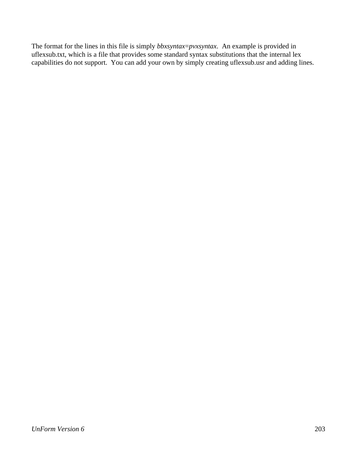The format for the lines in this file is simply *bbxsyntax*=*pvxsyntax*. An example is provided in uflexsub.txt, which is a file that provides some standard syntax substitutions that the internal lex capabilities do not support. You can add your own by simply creating uflexsub.usr and adding lines.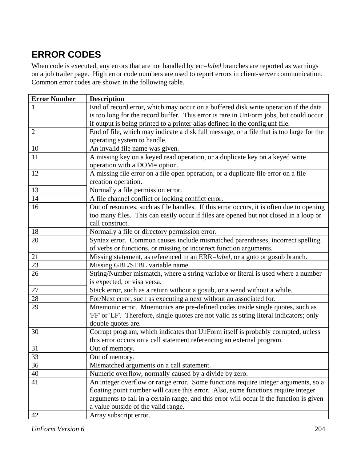# **ERROR CODES**

When code is executed, any errors that are not handled by err=*label* branches are reported as warnings on a job trailer page. High error code numbers are used to report errors in client-server communication. Common error codes are shown in the following table.

| <b>Error Number</b> | <b>Description</b>                                                                       |
|---------------------|------------------------------------------------------------------------------------------|
|                     | End of record error, which may occur on a buffered disk write operation if the data      |
|                     | is too long for the record buffer. This error is rare in UnForm jobs, but could occur    |
|                     | if output is being printed to a printer alias defined in the config.unf file.            |
| $\overline{2}$      | End of file, which may indicate a disk full message, or a file that is too large for the |
|                     | operating system to handle.                                                              |
| 10                  | An invalid file name was given.                                                          |
| 11                  | A missing key on a keyed read operation, or a duplicate key on a keyed write             |
|                     | operation with a DOM= option.                                                            |
| 12                  | A missing file error on a file open operation, or a duplicate file error on a file       |
|                     | creation operation.                                                                      |
| 13                  | Normally a file permission error.                                                        |
| 14                  | A file channel conflict or locking conflict error.                                       |
| 16                  | Out of resources, such as file handles. If this error occurs, it is often due to opening |
|                     | too many files. This can easily occur if files are opened but not closed in a loop or    |
|                     | call construct.                                                                          |
| 18                  | Normally a file or directory permission error.                                           |
| 20                  | Syntax error. Common causes include mismatched parentheses, incorrect spelling           |
|                     | of verbs or functions, or missing or incorrect function arguments.                       |
| 21                  | Missing statement, as referenced in an ERR=label, or a goto or gosub branch.             |
| 23                  | Missing GBL/STBL variable name.                                                          |
| 26                  | String/Number mismatch, where a string variable or literal is used where a number        |
|                     | is expected, or visa versa.                                                              |
| $27\,$              | Stack error, such as a return without a gosub, or a wend without a while.                |
| 28                  | For/Next error, such as executing a next without an associated for.                      |
| 29                  | Mnemonic error. Mnemonics are pre-defined codes inside single quotes, such as            |
|                     | 'FF' or 'LF'. Therefore, single quotes are not valid as string literal indicators; only  |
|                     | double quotes are.                                                                       |
| 30                  | Corrupt program, which indicates that UnForm itself is probably corrupted, unless        |
|                     | this error occurs on a call statement referencing an external program.                   |
| 31                  | Out of memory.                                                                           |
| 33                  | Out of memory.                                                                           |
| 36                  | Mismatched arguments on a call statement.                                                |
| 40                  | Numeric overflow, normally caused by a divide by zero.                                   |
| 41                  | An integer overflow or range error. Some functions require integer arguments, so a       |
|                     | floating point number will cause this error. Also, some functions require integer        |
|                     | arguments to fall in a certain range, and this error will occur if the function is given |
|                     | a value outside of the valid range.                                                      |
| 42                  | Array subscript error.                                                                   |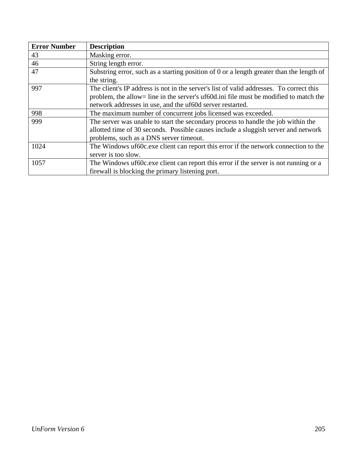| <b>Error Number</b> | <b>Description</b>                                                                       |
|---------------------|------------------------------------------------------------------------------------------|
| 43                  | Masking error.                                                                           |
| 46                  | String length error.                                                                     |
| 47                  | Substring error, such as a starting position of 0 or a length greater than the length of |
|                     | the string.                                                                              |
| 997                 | The client's IP address is not in the server's list of valid addresses. To correct this  |
|                     | problem, the allow= line in the server's uf60d.ini file must be modified to match the    |
|                     | network addresses in use, and the uf60d server restarted.                                |
| 998                 | The maximum number of concurrent jobs licensed was exceeded.                             |
| 999                 | The server was unable to start the secondary process to handle the job within the        |
|                     | allotted time of 30 seconds. Possible causes include a sluggish server and network       |
|                     | problems, such as a DNS server timeout.                                                  |
| 1024                | The Windows uf60c.exe client can report this error if the network connection to the      |
|                     | server is too slow.                                                                      |
| 1057                | The Windows uf60c.exe client can report this error if the server is not running or a     |
|                     | firewall is blocking the primary listening port.                                         |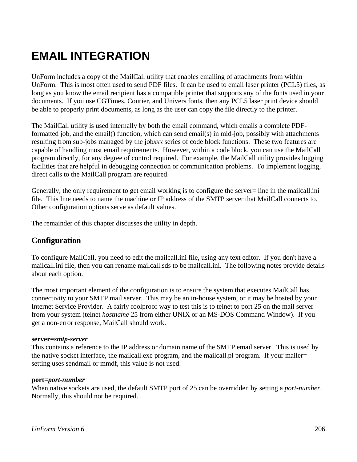# **EMAIL INTEGRATION**

UnForm includes a copy of the MailCall utility that enables emailing of attachments from within UnForm. This is most often used to send PDF files. It can be used to email laser printer (PCL5) files, as long as you know the email recipient has a compatible printer that supports any of the fonts used in your documents. If you use CGTimes, Courier, and Univers fonts, then any PCL5 laser print device should be able to properly print documents, as long as the user can copy the file directly to the printer.

The MailCall utility is used internally by both the email command, which emails a complete PDFformatted job, and the email() function, which can send email(s) in mid-job, possibly with attachments resulting from sub-jobs managed by the job*xxx* series of code block functions. These two features are capable of handling most email requirements. However, within a code block, you can use the MailCall program directly, for any degree of control required. For example, the MailCall utility provides logging facilities that are helpful in debugging connection or communication problems. To implement logging, direct calls to the MailCall program are required.

Generally, the only requirement to get email working is to configure the server= line in the mailcall.ini file. This line needs to name the machine or IP address of the SMTP server that MailCall connects to. Other configuration options serve as default values.

The remainder of this chapter discusses the utility in depth.

# **Configuration**

To configure MailCall, you need to edit the mailcall.ini file, using any text editor. If you don't have a mailcall.ini file, then you can rename mailcall.sds to be mailcall.ini. The following notes provide details about each option.

The most important element of the configuration is to ensure the system that executes MailCall has connectivity to your SMTP mail server. This may be an in-house system, or it may be hosted by your Internet Service Provider. A fairly foolproof way to test this is to telnet to port 25 on the mail server from your system (telnet *hostname* 25 from either UNIX or an MS-DOS Command Window). If you get a non-error response, MailCall should work.

### **server=***smtp-server*

This contains a reference to the IP address or domain name of the SMTP email server. This is used by the native socket interface, the mailcall.exe program, and the mailcall.pl program. If your mailer= setting uses sendmail or mmdf, this value is not used.

### **port=***port-number*

When native sockets are used, the default SMTP port of 25 can be overridden by setting a *port-number*. Normally, this should not be required.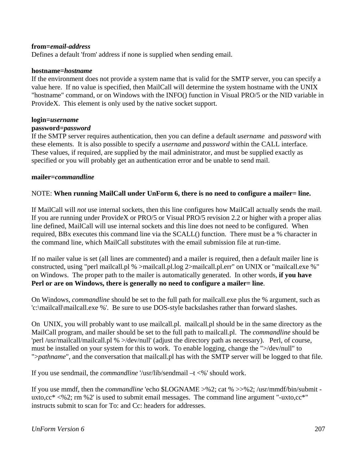### **from=***email-address*

Defines a default 'from' address if none is supplied when sending email.

#### **hostname=***hostname*

If the environment does not provide a system name that is valid for the SMTP server, you can specify a value here. If no value is specified, then MailCall will determine the system hostname with the UNIX "hostname" command, or on Windows with the INFO() function in Visual PRO/5 or the NID variable in ProvideX. This element is only used by the native socket support.

#### **login=***username*

#### **password=***password*

If the SMTP server requires authentication, then you can define a default *username* and *password* with these elements. It is also possible to specify a *username* and *password* within the CALL interface. These values, if required, are supplied by the mail administrator, and must be supplied exactly as specified or you will probably get an authentication error and be unable to send mail.

#### **mailer=***commandline*

### NOTE: **When running MailCall under UnForm 6, there is no need to configure a mailer= line.**

If MailCall will *not* use internal sockets, then this line configures how MailCall actually sends the mail. If you are running under ProvideX or PRO/5 or Visual PRO/5 revision 2.2 or higher with a proper alias line defined, MailCall will use internal sockets and this line does not need to be configured. When required, BBx executes this command line via the SCALL() function. There must be a % character in the command line, which MailCall substitutes with the email submission file at run-time.

If no mailer value is set (all lines are commented) and a mailer is required, then a default mailer line is constructed, using "perl mailcall.pl % >mailcall.pl.log 2>mailcall.pl.err" on UNIX or "mailcall.exe %" on Windows. The proper path to the mailer is automatically generated. In other words, **if you have Perl or are on Windows, there is generally no need to configure a mailer= line**.

On Windows, *commandline* should be set to the full path for mailcall.exe plus the % argument, such as 'c:\mailcall\mailcall.exe %'. Be sure to use DOS-style backslashes rather than forward slashes.

On UNIX, you will probably want to use mailcall.pl. mailcall.pl should be in the same directory as the MailCall program, and mailer should be set to the full path to mailcall.pl. The *commandline* should be 'perl /usr/mailcall/mailcall.pl % >/dev/null' (adjust the directory path as necessary). Perl, of course, must be installed on your system for this to work. To enable logging, change the ">/dev/null" to ">*pathname*", and the conversation that mailcall.pl has with the SMTP server will be logged to that file.

If you use sendmail, the *commandline* '/usr/lib/sendmail –t <%' should work.

If you use mmdf, then the *commandline* 'echo \$LOGNAME >%2; cat % >>%2; /usr/mmdf/bin/submit uxto,cc\* <%2; rm %2' is used to submit email messages. The command line argument "-uxto,cc\*" instructs submit to scan for To: and Cc: headers for addresses.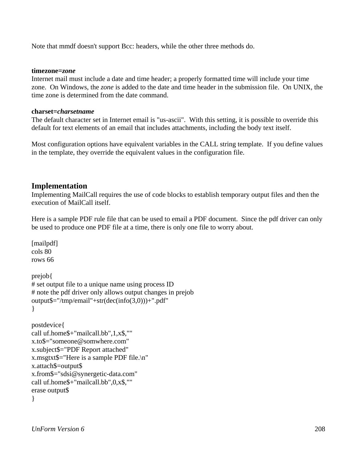Note that mmdf doesn't support Bcc: headers, while the other three methods do.

#### **timezone=***zone*

Internet mail must include a date and time header; a properly formatted time will include your time zone. On Windows, the *zone* is added to the date and time header in the submission file. On UNIX, the time zone is determined from the date command.

## **charset=***charsetname*

The default character set in Internet email is "us-ascii". With this setting, it is possible to override this default for text elements of an email that includes attachments, including the body text itself.

Most configuration options have equivalent variables in the CALL string template. If you define values in the template, they override the equivalent values in the configuration file.

# **Implementation**

Implementing MailCall requires the use of code blocks to establish temporary output files and then the execution of MailCall itself.

Here is a sample PDF rule file that can be used to email a PDF document. Since the pdf driver can only be used to produce one PDF file at a time, there is only one file to worry about.

```
[mailpdf]
cols 80 
rows 66 
prejob{ 
# set output file to a unique name using process ID 
# note the pdf driver only allows output changes in prejob 
output\frac{e}{e}"/tmp/email"+str(dec(info(3,0)))+".pdf"
} 
postdevice{ 
call uf.home$+"mailcall.bb",1,x$,"" 
x.to$="someone@somwhere.com" 
x.subject$="PDF Report attached" 
x.msgtxt$="Here is a sample PDF file.\n" 
x.attach$=output$ 
x.from$="sdsi@synergetic-data.com" 
call uf.home$+"mailcall.bb",0,x$,"" 
erase output$ 
}
```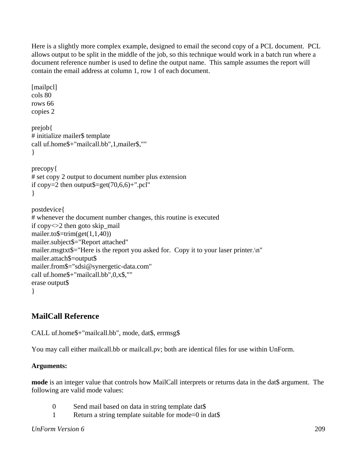Here is a slightly more complex example, designed to email the second copy of a PCL document. PCL allows output to be split in the middle of the job, so this technique would work in a batch run where a document reference number is used to define the output name. This sample assumes the report will contain the email address at column 1, row 1 of each document.

```
[mailpcl]
cols 80 
rows 66 
copies 2 
prejob{ 
# initialize mailer$ template 
call uf.home$+"mailcall.bb",1,mailer$,"" 
} 
precopy{ 
# set copy 2 output to document number plus extension 
if copy=2 then output\frac{e}{2}=get(70,6,6)+".pcl"
} 
postdevice{ 
# whenever the document number changes, this routine is executed 
if copy<>2 then goto skip_mail 
mailer.to\equivtrim(get(1,1,40))
mailer.subject$="Report attached" 
mailer.msgtxt$="Here is the report you asked for. Copy it to your laser printer.\n"
mailer.attach$=output$ 
mailer.from$="sdsi@synergetic-data.com" 
call uf.home$+"mailcall.bb",0,x$,"" 
erase output$ 
}
```
# **MailCall Reference**

CALL uf.home\$+"mailcall.bb", mode, dat\$, errmsg\$

You may call either mailcall.bb or mailcall.pv; both are identical files for use within UnForm.

# **Arguments:**

**mode** is an integer value that controls how MailCall interprets or returns data in the dat\$ argument. The following are valid mode values:

- 0 Send mail based on data in string template dat\$
- 1 Return a string template suitable for mode=0 in dat\$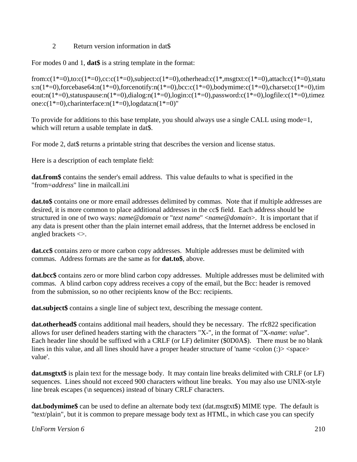# 2 Return version information in dat\$

For modes 0 and 1, **dat\$** is a string template in the format:

from:c(1\*=0),to:c(1\*=0),cc:c(1\*=0),subject:c(1\*=0),otherhead:c(1\*,msgtxt:c(1\*=0),attach:c(1\*=0),statu s:n(1\*=0),forcebase64:n(1\*=0),forcenotify:n(1\*=0),bcc:c(1\*=0),bodymime:c(1\*=0),charset:c(1\*=0),tim eout:n(1\*=0),statuspause:n(1\*=0),dialog:n(1\*=0),login:c(1\*=0),password:c(1\*=0),logfile:c(1\*=0),timez one: $c(1^*=0)$ ,charinterface:n( $1^*=0$ ),logdata:n( $1^*=0$ )"

To provide for additions to this base template, you should always use a single CALL using mode=1, which will return a usable template in dat\$.

For mode 2, dat\$ returns a printable string that describes the version and license status.

Here is a description of each template field:

**dat.from\$** contains the sender's email address. This value defaults to what is specified in the "from=*address*" line in mailcall.ini

**dat.to\$** contains one or more email addresses delimited by commas. Note that if multiple addresses are desired, it is more common to place additional addresses in the cc\$ field. Each address should be structured in one of two ways: *name*@*domain* or "*text name*" <*name*@*domain*>. It is important that if any data is present other than the plain internet email address, that the Internet address be enclosed in angled brackets <>.

**dat.cc\$** contains zero or more carbon copy addresses. Multiple addresses must be delimited with commas. Address formats are the same as for **dat.to\$**, above.

**dat.bcc\$** contains zero or more blind carbon copy addresses. Multiple addresses must be delimited with commas. A blind carbon copy address receives a copy of the email, but the Bcc: header is removed from the submission, so no other recipients know of the Bcc: recipients.

**dat.subject\$** contains a single line of subject text, describing the message content.

**dat.otherhead\$** contains additional mail headers, should they be necessary. The rfc822 specification allows for user defined headers starting with the characters "X-", in the format of "X-*name*: *value*". Each header line should be suffixed with a CRLF (or LF) delimiter (\$0D0A\$). There must be no blank lines in this value, and all lines should have a proper header structure of 'name <colon (:)> <space> value'.

**dat.msgtxt\$** is plain text for the message body. It may contain line breaks delimited with CRLF (or LF) sequences. Lines should not exceed 900 characters without line breaks. You may also use UNIX-style line break escapes (\n sequences) instead of binary CRLF characters.

**dat.bodymime\$** can be used to define an alternate body text (dat.msgtxt\$) MIME type. The default is "text/plain", but it is common to prepare message body text as HTML, in which case you can specify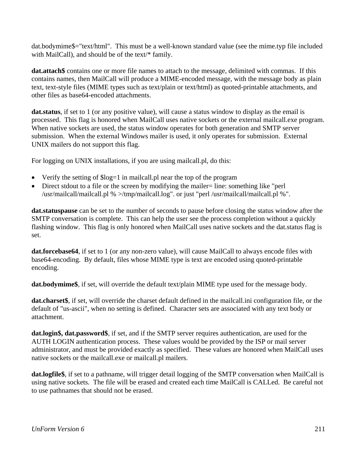dat.bodymime\$="text/html". This must be a well-known standard value (see the mime.typ file included with MailCall), and should be of the text/\* family.

**dat.attach\$** contains one or more file names to attach to the message, delimited with commas. If this contains names, then MailCall will produce a MIME-encoded message, with the message body as plain text, text-style files (MIME types such as text/plain or text/html) as quoted-printable attachments, and other files as base64-encoded attachments.

**dat.status**, if set to 1 (or any positive value), will cause a status window to display as the email is processed. This flag is honored when MailCall uses native sockets or the external mailcall.exe program. When native sockets are used, the status window operates for both generation and SMTP server submission. When the external Windows mailer is used, it only operates for submission. External UNIX mailers do not support this flag.

For logging on UNIX installations, if you are using mailcall.pl, do this:

- Verify the setting of  $\log=1$  in mailcall. pl near the top of the program
- Direct stdout to a file or the screen by modifying the mailer= line: something like "perl" /usr/mailcall/mailcall.pl % >/tmp/mailcall.log". or just "perl /usr/mailcall/mailcall.pl %".

**dat.statuspause** can be set to the number of seconds to pause before closing the status window after the SMTP conversation is complete. This can help the user see the process completion without a quickly flashing window. This flag is only honored when MailCall uses native sockets and the dat.status flag is set.

**dat.forcebase64**, if set to 1 (or any non-zero value), will cause MailCall to always encode files with base64-encoding. By default, files whose MIME type is text are encoded using quoted-printable encoding.

**dat.bodymime\$**, if set, will override the default text/plain MIME type used for the message body.

**dat.charset\$**, if set, will override the charset default defined in the mailcall.ini configuration file, or the default of "us-ascii", when no setting is defined. Character sets are associated with any text body or attachment.

**dat.login\$, dat.password\$**, if set, and if the SMTP server requires authentication, are used for the AUTH LOGIN authentication process. These values would be provided by the ISP or mail server administrator, and must be provided exactly as specified. These values are honored when MailCall uses native sockets or the mailcall.exe or mailcall.pl mailers.

**dat.logfile\$**, if set to a pathname, will trigger detail logging of the SMTP conversation when MailCall is using native sockets. The file will be erased and created each time MailCall is CALLed. Be careful not to use pathnames that should not be erased.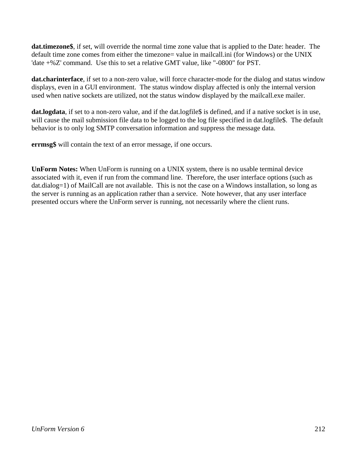**dat.timezone\$**, if set, will override the normal time zone value that is applied to the Date: header. The default time zone comes from either the timezone= value in mailcall.ini (for Windows) or the UNIX 'date +%Z' command. Use this to set a relative GMT value, like "-0800" for PST.

**dat.charinterface**, if set to a non-zero value, will force character-mode for the dialog and status window displays, even in a GUI environment. The status window display affected is only the internal version used when native sockets are utilized, not the status window displayed by the mailcall.exe mailer.

**dat.logdata**, if set to a non-zero value, and if the dat.logfile\$ is defined, and if a native socket is in use, will cause the mail submission file data to be logged to the log file specified in dat.logfile\$. The default behavior is to only log SMTP conversation information and suppress the message data.

**errmsg\$** will contain the text of an error message, if one occurs.

**UnForm Notes:** When UnForm is running on a UNIX system, there is no usable terminal device associated with it, even if run from the command line. Therefore, the user interface options (such as dat.dialog=1) of MailCall are not available. This is not the case on a Windows installation, so long as the server is running as an application rather than a service. Note however, that any user interface presented occurs where the UnForm server is running, not necessarily where the client runs.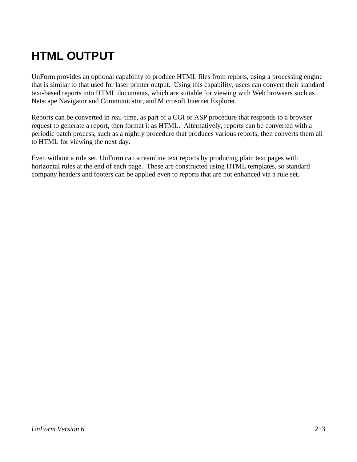# **HTML OUTPUT**

UnForm provides an optional capability to produce HTML files from reports, using a processing engine that is similar to that used for laser printer output. Using this capability, users can convert their standard text-based reports into HTML documents, which are suitable for viewing with Web browsers such as Netscape Navigator and Communicator, and Microsoft Internet Explorer.

Reports can be converted in real-time, as part of a CGI or ASP procedure that responds to a browser request to generate a report, then format it as HTML. Alternatively, reports can be converted with a periodic batch process, such as a nightly procedure that produces various reports, then converts them all to HTML for viewing the next day.

Even without a rule set, UnForm can streamline text reports by producing plain text pages with horizontal rules at the end of each page. These are constructed using HTML templates, so standard company headers and footers can be applied even to reports that are not enhanced via a rule set.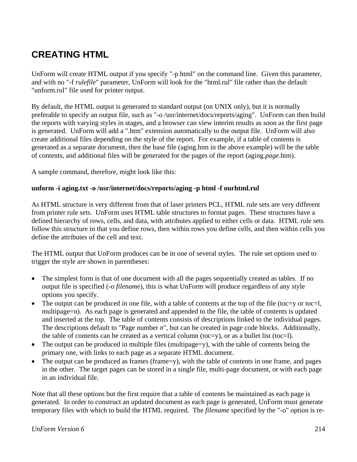# **CREATING HTML**

UnForm will create HTML output if you specify "-p html" on the command line. Given this parameter, and with no "-f *rulefile*" parameter, UnForm will look for the "html.rul" file rather than the default "unform.rul" file used for printer output.

By default, the HTML output is generated to standard output (on UNIX only), but it is normally preferable to specify an output file, such as "-o /usr/internet/docs/reports/aging". UnForm can then build the reports with varying styles in stages, and a browser can view interim results as soon as the first page is generated. UnForm will add a ".htm" extension automatically to the output file. UnForm will also create additional files depending on the style of the report. For example, if a table of contents is generated as a separate document, then the base file (aging.htm in the above example) will be the table of contents, and additional files will be generated for the pages of the report (aging.*page*.htm).

A sample command, therefore, might look like this:

# **unform -i aging.txt -o /usr/internet/docs/reports/aging -p html -f ourhtml.rul**

As HTML structure is very different from that of laser printers PCL, HTML rule sets are very different from printer rule sets. UnForm uses HTML table structures to format pages. These structures have a defined hierarchy of rows, cells, and data, with attributes applied to either cells or data. HTML rule sets follow this structure in that you define rows, then within rows you define cells, and then within cells you define the attributes of the cell and text.

The HTML output that UnForm produces can be in one of several styles. The rule set options used to trigger the style are shown in parentheses:

- The simplest form is that of one document with all the pages sequentially created as tables. If no output file is specified (-o *filename*), this is what UnForm will produce regardless of any style options you specify.
- The output can be produced in one file, with a table of contents at the top of the file (toc=y or toc=l, multipage=n). As each page is generated and appended to the file, the table of contents is updated and inserted at the top. The table of contents consists of descriptions linked to the individual pages. The descriptions default to "Page number *n*", but can be created in page code blocks. Additionally, the table of contents can be created as a vertical column (toc=y), or as a bullet list (toc=l).
- The output can be produced in multiple files (multipage=y), with the table of contents being the primary one, with links to each page as a separate HTML document.
- The output can be produced as frames (frame=y), with the table of contents in one frame, and pages in the other. The target pages can be stored in a single file, multi-page document, or with each page in an individual file.

Note that all these options but the first require that a table of contents be maintained as each page is generated. In order to construct an updated document as each page is generated, UnForm must generate temporary files with which to build the HTML required. The *filename* specified by the "-o" option is re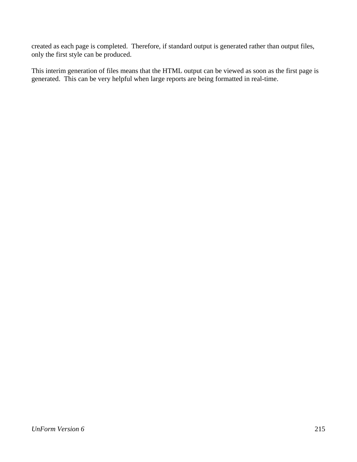created as each page is completed. Therefore, if standard output is generated rather than output files, only the first style can be produced.

This interim generation of files means that the HTML output can be viewed as soon as the first page is generated. This can be very helpful when large reports are being formatted in real-time.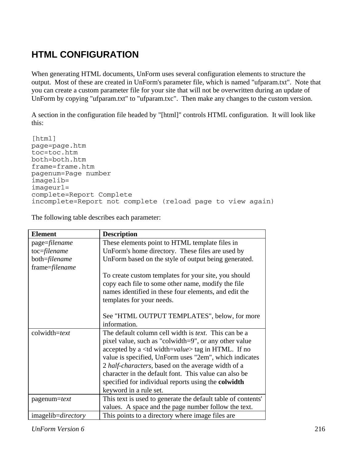# **HTML CONFIGURATION**

When generating HTML documents, UnForm uses several configuration elements to structure the output. Most of these are created in UnForm's parameter file, which is named "ufparam.txt". Note that you can create a custom parameter file for your site that will not be overwritten during an update of UnForm by copying "ufparam.txt" to "ufparam.txc". Then make any changes to the custom version.

A section in the configuration file headed by "[html]" controls HTML configuration. It will look like this:

[html] page=page.htm toc=toc.htm both=both.htm frame=frame.htm pagenum=Page number imagelib= imageurl= complete=Report Complete incomplete=Report not complete (reload page to view again)

The following table describes each parameter:

| <b>Element</b>             | <b>Description</b>                                              |
|----------------------------|-----------------------------------------------------------------|
| page=filename              | These elements point to HTML template files in                  |
| toc=filename               | UnForm's home directory. These files are used by                |
| both=filename              | UnForm based on the style of output being generated.            |
| frame=filename             |                                                                 |
|                            | To create custom templates for your site, you should            |
|                            | copy each file to some other name, modify the file              |
|                            | names identified in these four elements, and edit the           |
|                            | templates for your needs.                                       |
|                            |                                                                 |
|                            | See "HTML OUTPUT TEMPLATES", below, for more                    |
|                            | information.                                                    |
| colwidth=text              | The default column cell width is <i>text</i> . This can be a    |
|                            | pixel value, such as "colwidth=9", or any other value           |
|                            | accepted by a $\lt$ td width= <i>value</i> > tag in HTML. If no |
|                            | value is specified, UnForm uses "2em", which indicates          |
|                            | 2 half-characters, based on the average width of a              |
|                            | character in the default font. This value can also be           |
|                            | specified for individual reports using the <b>colwidth</b>      |
|                            | keyword in a rule set.                                          |
| pagenum=text               | This text is used to generate the default table of contents'    |
|                            | values. A space and the page number follow the text.            |
| imagelib= <i>directory</i> | This points to a directory where image files are                |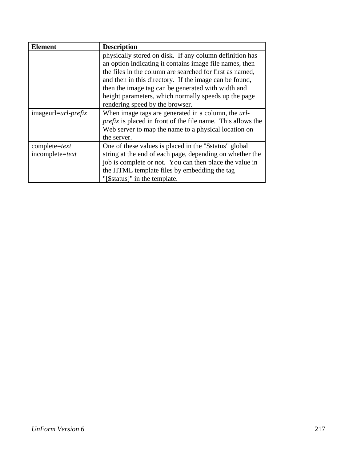| <b>Element</b>          | <b>Description</b>                                                 |
|-------------------------|--------------------------------------------------------------------|
|                         | physically stored on disk. If any column definition has            |
|                         | an option indicating it contains image file names, then            |
|                         | the files in the column are searched for first as named,           |
|                         | and then in this directory. If the image can be found,             |
|                         | then the image tag can be generated with width and                 |
|                         | height parameters, which normally speeds up the page               |
|                         | rendering speed by the browser.                                    |
| $imageur1 = url-perfix$ | When image tags are generated in a column, the url-                |
|                         | <i>prefix</i> is placed in front of the file name. This allows the |
|                         | Web server to map the name to a physical location on               |
|                         | the server.                                                        |
| $complete = text$       | One of these values is placed in the "\$status" global             |
| $incomplete=text$       | string at the end of each page, depending on whether the           |
|                         | job is complete or not. You can then place the value in            |
|                         | the HTML template files by embedding the tag                       |
|                         | "[\$status]" in the template.                                      |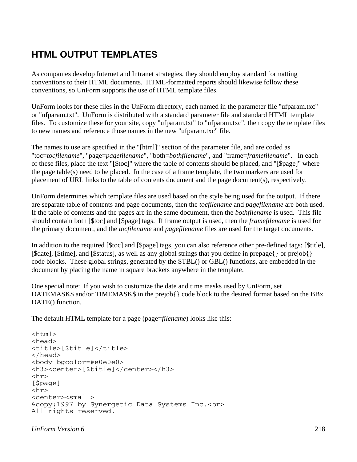# **HTML OUTPUT TEMPLATES**

As companies develop Internet and Intranet strategies, they should employ standard formatting conventions to their HTML documents. HTML-formatted reports should likewise follow these conventions, so UnForm supports the use of HTML template files.

UnForm looks for these files in the UnForm directory, each named in the parameter file "ufparam.txc" or "ufparam.txt". UnForm is distributed with a standard parameter file and standard HTML template files. To customize these for your site, copy "ufparam.txt" to "ufparam.txc", then copy the template files to new names and reference those names in the new "ufparam.txc" file.

The names to use are specified in the "[html]" section of the parameter file, and are coded as "toc=*tocfilename*", "page=*pagefilename*", "both=*bothfilename*", and "frame=*framefilename*". In each of these files, place the text "[\$toc]" where the table of contents should be placed, and "[\$page]" where the page table(s) need to be placed. In the case of a frame template, the two markers are used for placement of URL links to the table of contents document and the page document(s), respectively.

UnForm determines which template files are used based on the style being used for the output. If there are separate table of contents and page documents, then the *tocfilename* and *pagefilename* are both used. If the table of contents and the pages are in the same document, then the *bothfilename* is used. This file should contain both [\$toc] and [\$page] tags. If frame output is used, then the *framefilename* is used for the primary document, and the *tocfilename* and *pagefilename* files are used for the target documents.

In addition to the required [\$toc] and [\$page] tags, you can also reference other pre-defined tags: [\$title], [\$date], [\$time], and [\$status], as well as any global strings that you define in prepage{} or prejob{} code blocks. These global strings, generated by the STBL() or GBL() functions, are embedded in the document by placing the name in square brackets anywhere in the template.

One special note: If you wish to customize the date and time masks used by UnForm, set DATEMASK\$ and/or TIMEMASK\$ in the prejob{} code block to the desired format based on the BBx DATE() function.

The default HTML template for a page (page=*filename*) looks like this:

```
<html> 
<head> 
<title>[$title]</title> 
</head> 
<body bgcolor=#e0e0e0> 
<h3><center>[$title]</center></h3> 
<hr> 
[$page] 
\langlehr><center><small> 
&copy;1997 by Synergetic Data Systems Inc.<br> 
All rights reserved.
```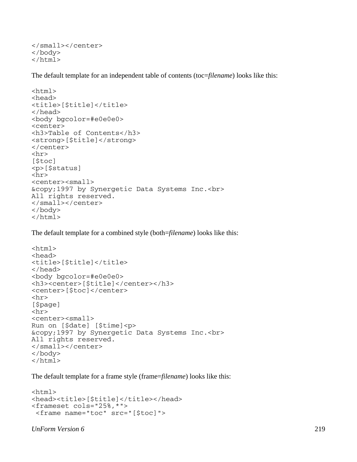```
</small></center> 
</body> 
</html>
```
The default template for an independent table of contents (toc=*filename*) looks like this:

```
<html><head> 
<title>[$title]</title> 
</head> 
<body bgcolor=#e0e0e0> 
<center> 
<h3>Table of Contents</h3> 
<strong>[$title]</strong> 
</center> 
\langlehr>[$toc]
<p>[$status] 
\langlehr><center><small>
&copy;1997 by Synergetic Data Systems Inc.<br> 
All rights reserved. 
</small></center> 
</body> 
\langle/html>
```
The default template for a combined style (both=*filename*) looks like this:

```
<html> 
<head> 
<title>[$title]</title> 
</head> 
<body bgcolor=#e0e0e0> 
<h3><center>[$title]</center></h3> 
<center>[$toc]</center> 
<hr> 
[$page] 
<hr> 
<center><small> 
Run on [$date] [$time]<p> 
&copy;1997 by Synergetic Data Systems Inc.<br> 
All rights reserved. 
</small></center> 
</body> 
</html>
```
The default template for a frame style (frame=*filename*) looks like this:

```
<html> 
<head><title>[$title]</title></head>
<frameset cols="25%,*"> 
  <frame name="toc" src="[$toc]">
```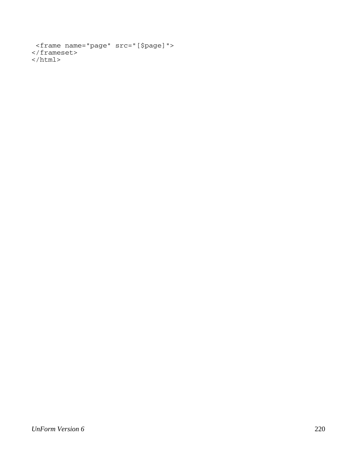```
 <frame name="page" src="[$page]"> 
</frameset> 
\langle/html>
```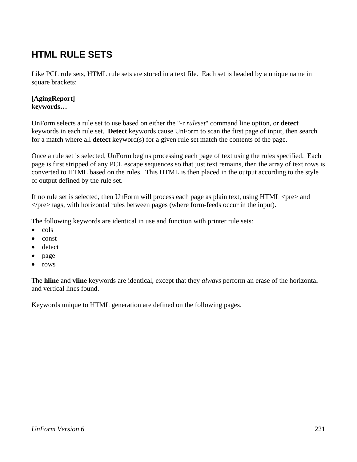# **HTML RULE SETS**

Like PCL rule sets, HTML rule sets are stored in a text file. Each set is headed by a unique name in square brackets:

#### **[AgingReport] keywords…**

UnForm selects a rule set to use based on either the "-r *ruleset*" command line option, or **detect** keywords in each rule set. **Detect** keywords cause UnForm to scan the first page of input, then search for a match where all **detect** keyword(s) for a given rule set match the contents of the page.

Once a rule set is selected, UnForm begins processing each page of text using the rules specified. Each page is first stripped of any PCL escape sequences so that just text remains, then the array of text rows is converted to HTML based on the rules. This HTML is then placed in the output according to the style of output defined by the rule set.

If no rule set is selected, then UnForm will process each page as plain text, using HTML <pre> and  $\langle$  pre $>$  tags, with horizontal rules between pages (where form-feeds occur in the input).

The following keywords are identical in use and function with printer rule sets:

- cols
- const
- detect
- page
- rows

The **hline** and **vline** keywords are identical, except that they *always* perform an erase of the horizontal and vertical lines found.

Keywords unique to HTML generation are defined on the following pages.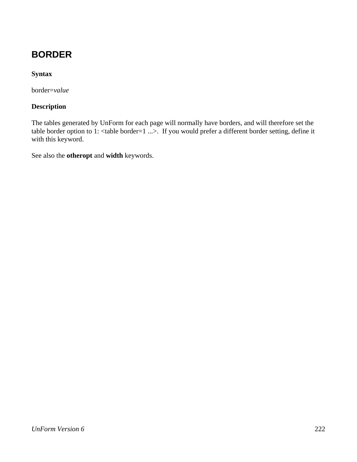# **BORDER**

### **Syntax**

border=*value*

#### **Description**

The tables generated by UnForm for each page will normally have borders, and will therefore set the table border option to 1: <table border=1 ...>. If you would prefer a different border setting, define it with this keyword.

See also the **otheropt** and **width** keywords.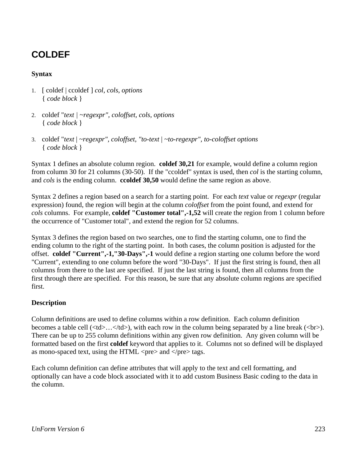# **COLDEF**

### **Syntax**

- 1. [ coldef | ccoldef ] *col*, *cols*, *options*  { *code block* }
- 2. coldef "*text | ~regexpr", coloffset, cols, options*  { *code block* }
- 3. coldef "*text* | *~regexpr", coloffset, "to-text* | *~to-regexpr", to-coloffset options*  { *code block* }

Syntax 1 defines an absolute column region. **coldef 30,21** for example, would define a column region from column 30 for 21 columns (30-50). If the "ccoldef" syntax is used, then *col* is the starting column, and *cols* is the ending column. **ccoldef 30,50** would define the same region as above.

Syntax 2 defines a region based on a search for a starting point. For each *text* value or *regexpr* (regular expression) found, the region will begin at the column *coloffset* from the point found, and extend for *cols* columns. For example, **coldef "Customer total",-1,52** will create the region from 1 column before the occurrence of "Customer total", and extend the region for 52 columns.

Syntax 3 defines the region based on two searches, one to find the starting column, one to find the ending column to the right of the starting point. In both cases, the column position is adjusted for the offset. **coldef "Current",-1,"30-Days",-1** would define a region starting one column before the word "Current", extending to one column before the word "30-Days". If just the first string is found, then all columns from there to the last are specified. If just the last string is found, then all columns from the first through there are specified. For this reason, be sure that any absolute column regions are specified first.

#### **Description**

Column definitions are used to define columns within a row definition. Each column definition becomes a table cell  $(\langle td \rangle, \langle td \rangle)$ , with each row in the column being separated by a line break  $(\langle br \rangle)$ . There can be up to 255 column definitions within any given row definition. Any given column will be formatted based on the first **coldef** keyword that applies to it. Columns not so defined will be displayed as mono-spaced text, using the HTML  $\langle$ pre $\rangle$  and  $\langle$ /pre $\rangle$  tags.

Each column definition can define attributes that will apply to the text and cell formatting, and optionally can have a code block associated with it to add custom Business Basic coding to the data in the column.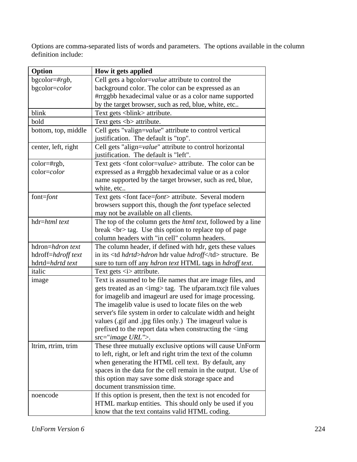Options are comma-separated lists of words and parameters. The options available in the column definition include:

| Option              | How it gets applied                                                            |                                     |
|---------------------|--------------------------------------------------------------------------------|-------------------------------------|
| bgcolor=# $rgb$ ,   | Cell gets a bgcolor=value attribute to control the                             |                                     |
| bgcolor=color       | background color. The color can be expressed as an                             |                                     |
|                     | #rrggbb hexadecimal value or as a color name supported                         |                                     |
|                     | by the target browser, such as red, blue, white, etc                           |                                     |
| blink               | Text gets <blink> attribute.</blink>                                           |                                     |
| bold                | Text gets $5$ attribute.                                                       |                                     |
| bottom, top, middle | Cell gets "valign=value" attribute to control vertical                         |                                     |
|                     | justification. The default is "top".                                           |                                     |
| center, left, right | Cell gets "align=value" attribute to control horizontal                        |                                     |
|                     | justification. The default is "left".                                          |                                     |
| $color=$ #rgb,      | Text gets <font color="value"> attribute. The color can be</font>              |                                     |
| color=color         | expressed as a #rrggbb hexadecimal value or as a color                         |                                     |
|                     | name supported by the target browser, such as red, blue,                       |                                     |
|                     | white, etc                                                                     |                                     |
| font=font           | Text gets <font face="font"> attribute. Several modern</font>                  |                                     |
|                     | browsers support this, though the <i>font</i> typeface selected                |                                     |
|                     | may not be available on all clients.                                           |                                     |
| hdr=html text       | The top of the column gets the <i>html text</i> , followed by a line           |                                     |
|                     | break<br>> tag. Use this option to replace top of page                         |                                     |
|                     | column headers with "in cell" column headers.                                  |                                     |
| hdron=hdron text    | The column header, if defined with hdr, gets these values                      |                                     |
| hdroff=hdroff text  | in its <td <i="">hdrtd&gt;hdron hdr value <i>hdroff</i></td> structure. Be     | hdrtd>hdron hdr value <i>hdroff</i> |
| hdrtd=hdrtd text    | sure to turn off any <i>hdron text</i> HTML tags in <i>hdroff text</i> .       |                                     |
| italic              | Text gets <i> attribute.</i>                                                   |                                     |
| image               | Text is assumed to be file names that are image files, and                     |                                     |
|                     | gets treated as an <img/> tag. The ufparam.txc t file values                   |                                     |
|                     | for imagelib and imageurl are used for image processing.                       |                                     |
|                     | The imagelib value is used to locate files on the web                          |                                     |
|                     | server's file system in order to calculate width and height                    |                                     |
|                     | values (gif and .jpg files only.) The imageurl value is                        |                                     |
|                     | prefixed to the report data when constructing the $\langle \text{img} \rangle$ |                                     |
|                     | src="image URL">.                                                              |                                     |
| ltrim, rtrim, trim  | These three mutually exclusive options will cause UnForm                       |                                     |
|                     | to left, right, or left and right trim the text of the column                  |                                     |
|                     | when generating the HTML cell text. By default, any                            |                                     |
|                     | spaces in the data for the cell remain in the output. Use of                   |                                     |
|                     | this option may save some disk storage space and                               |                                     |
|                     | document transmission time.                                                    |                                     |
| noencode            | If this option is present, then the text is not encoded for                    |                                     |
|                     | HTML markup entities. This should only be used if you                          |                                     |
|                     | know that the text contains valid HTML coding.                                 |                                     |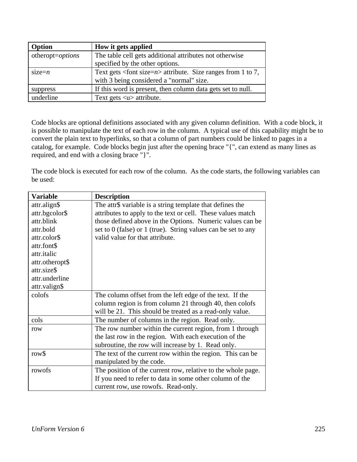| Option           | How it gets applied                                                           |
|------------------|-------------------------------------------------------------------------------|
| otheropt=options | The table cell gets additional attributes not otherwise                       |
|                  | specified by the other options.                                               |
| $size=n$         | Text gets $\langle$ font size= <i>n</i> > attribute. Size ranges from 1 to 7, |
|                  | with 3 being considered a "normal" size.                                      |
| suppress         | If this word is present, then column data gets set to null.                   |
| underline        | Text gets $\langle u \rangle$ attribute.                                      |

Code blocks are optional definitions associated with any given column definition. With a code block, it is possible to manipulate the text of each row in the column. A typical use of this capability might be to convert the plain text to hyperlinks, so that a column of part numbers could be linked to pages in a catalog, for example. Code blocks begin just after the opening brace "{", can extend as many lines as required, and end with a closing brace "}".

The code block is executed for each row of the column. As the code starts, the following variables can be used:

| <b>Variable</b> | <b>Description</b>                                                |
|-----------------|-------------------------------------------------------------------|
| attr.align\$    | The attr\$ variable is a string template that defines the         |
| attr.bgcolor\$  | attributes to apply to the text or cell. These values match       |
| attr.blink      | those defined above in the Options. Numeric values can be         |
| attr.bold       | set to $0$ (false) or $1$ (true). String values can be set to any |
| attr.color\$    | valid value for that attribute.                                   |
| attr.font\$     |                                                                   |
| attr.italic     |                                                                   |
| attr.otheropt\$ |                                                                   |
| attr.size\$     |                                                                   |
| attr.underline  |                                                                   |
| attr.valign\$   |                                                                   |
| colofs          | The column offset from the left edge of the text. If the          |
|                 | column region is from column 21 through 40, then colofs           |
|                 | will be 21. This should be treated as a read-only value.          |
| cols            | The number of columns in the region. Read only.                   |
| row             | The row number within the current region, from 1 through          |
|                 | the last row in the region. With each execution of the            |
|                 | subroutine, the row will increase by 1. Read only.                |
| row\$           | The text of the current row within the region. This can be        |
|                 | manipulated by the code.                                          |
| rowofs          | The position of the current row, relative to the whole page.      |
|                 | If you need to refer to data in some other column of the          |
|                 | current row, use rowofs. Read-only.                               |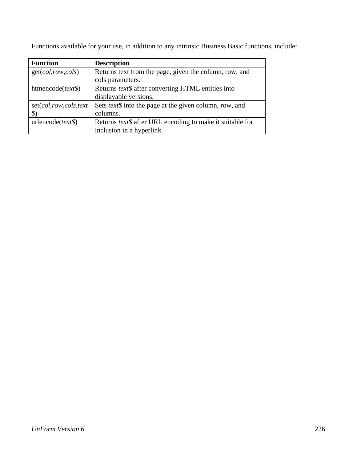| <b>Function</b>       | <b>Description</b>                                                |
|-----------------------|-------------------------------------------------------------------|
| get(col, row, cols)   | Returns text from the page, given the column, row, and            |
|                       | cols parameters.                                                  |
| htmencode $(text \$   | Returns text\$ after converting HTML entities into                |
|                       | displayable versions.                                             |
| set(col,row,cols,text | Sets <i>text</i> \$ into the page at the given column, row, and   |
|                       | columns.                                                          |
| urlencode(text)       | Returns <i>text</i> \$ after URL encoding to make it suitable for |
|                       | inclusion in a hyperlink.                                         |

Functions available for your use, in addition to any intrinsic Business Basic functions, include: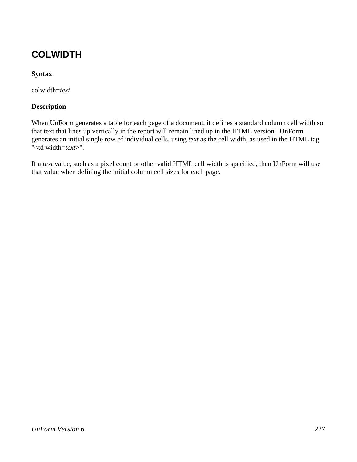# **COLWIDTH**

### **Syntax**

colwidth=*text*

#### **Description**

When UnForm generates a table for each page of a document, it defines a standard column cell width so that text that lines up vertically in the report will remain lined up in the HTML version. UnForm generates an initial single row of individual cells, using *text* as the cell width, as used in the HTML tag "<td width=*text*>".

If a *text* value, such as a pixel count or other valid HTML cell width is specified, then UnForm will use that value when defining the initial column cell sizes for each page.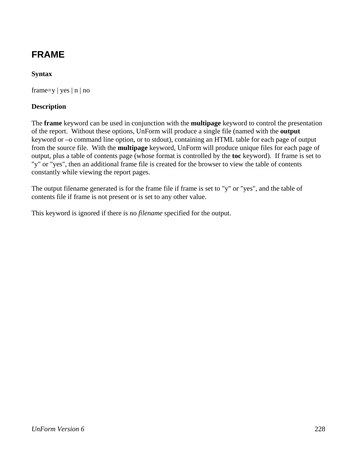# **FRAME**

### **Syntax**

frame=y | yes  $|n|$  no

#### **Description**

The **frame** keyword can be used in conjunction with the **multipage** keyword to control the presentation of the report. Without these options, UnForm will produce a single file (named with the **output** keyword or –o command line option, or to stdout), containing an HTML table for each page of output from the source file. With the **multipage** keyword, UnForm will produce unique files for each page of output, plus a table of contents page (whose format is controlled by the **toc** keyword). If frame is set to "y" or "yes", then an additional frame file is created for the browser to view the table of contents constantly while viewing the report pages.

The output filename generated is for the frame file if frame is set to "y" or "yes", and the table of contents file if frame is not present or is set to any other value.

This keyword is ignored if there is no *filename* specified for the output.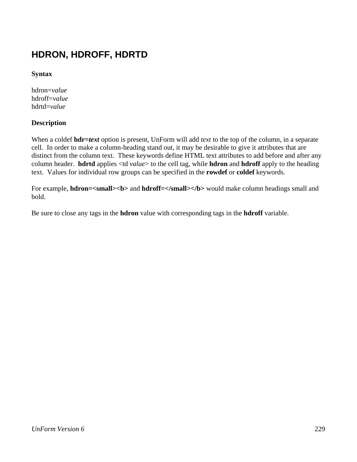# **HDRON, HDROFF, HDRTD**

**Syntax**

hdron=*value* hdroff=*value* hdrtd=*value*

#### **Description**

When a coldef **hdr=***text* option is present, UnForm will add *text* to the top of the column, in a separate cell. In order to make a column-heading stand out, it may be desirable to give it attributes that are distinct from the column text. These keywords define HTML text attributes to add before and after any column header. **hdrtd** applies <td *value*> to the cell tag, while **hdron** and **hdroff** apply to the heading text. Values for individual row groups can be specified in the **rowdef** or **coldef** keywords.

For example, **hdron=<small><br/>b>** and **hdroff=</small></b>** would make column headings small and bold.

Be sure to close any tags in the **hdron** value with corresponding tags in the **hdroff** variable.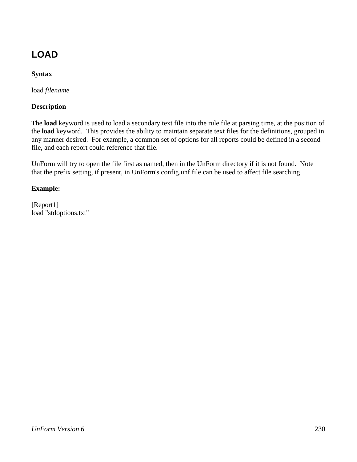# **LOAD**

### **Syntax**

load *filename*

### **Description**

The **load** keyword is used to load a secondary text file into the rule file at parsing time, at the position of the **load** keyword. This provides the ability to maintain separate text files for the definitions, grouped in any manner desired. For example, a common set of options for all reports could be defined in a second file, and each report could reference that file.

UnForm will try to open the file first as named, then in the UnForm directory if it is not found. Note that the prefix setting, if present, in UnForm's config.unf file can be used to affect file searching.

### **Example:**

[Report1] load "stdoptions.txt"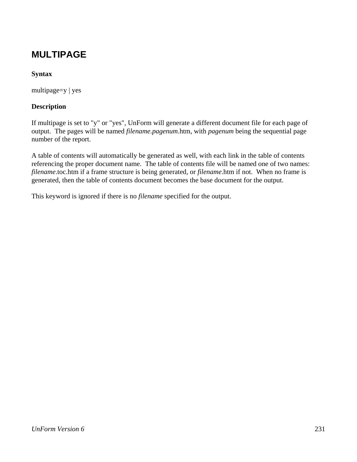## **MULTIPAGE**

### **Syntax**

multipage=y | yes

#### **Description**

If multipage is set to "y" or "yes", UnForm will generate a different document file for each page of output. The pages will be named *filename.pagenum*.htm, with *pagenum* being the sequential page number of the report.

A table of contents will automatically be generated as well, with each link in the table of contents referencing the proper document name. The table of contents file will be named one of two names: *filename*.toc.htm if a frame structure is being generated, or *filename*.htm if not. When no frame is generated, then the table of contents document becomes the base document for the output.

This keyword is ignored if there is no *filename* specified for the output.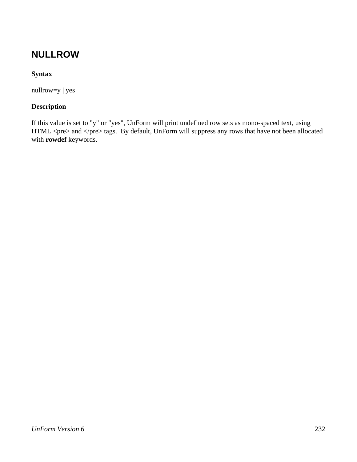### **NULLROW**

### **Syntax**

nullrow=y | yes

### **Description**

If this value is set to "y" or "yes", UnForm will print undefined row sets as mono-spaced text, using HTML <pre> and </pre> tags. By default, UnForm will suppress any rows that have not been allocated with **rowdef** keywords.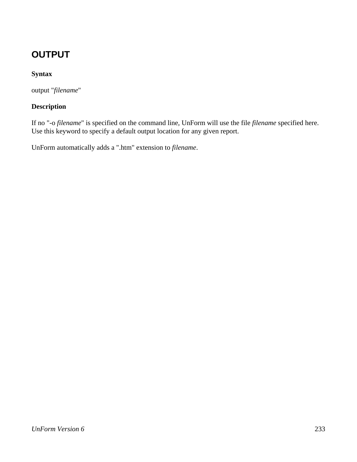# **OUTPUT**

### **Syntax**

output "*filename*"

### **Description**

If no "-o *filename*" is specified on the command line, UnForm will use the file *filename* specified here. Use this keyword to specify a default output location for any given report.

UnForm automatically adds a ".htm" extension to *filename*.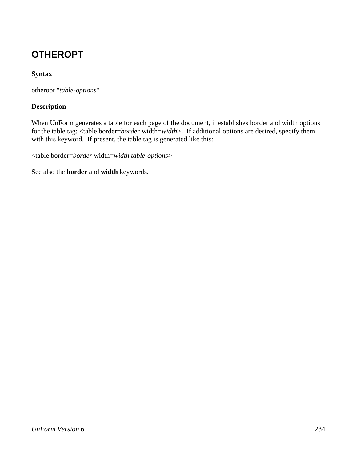# **OTHEROPT**

### **Syntax**

otheropt "*table-options*"

### **Description**

When UnForm generates a table for each page of the document, it establishes border and width options for the table tag: <table border=*border* width=*width*>. If additional options are desired, specify them with this keyword. If present, the table tag is generated like this:

<table border=*border* width=*width table-options*>

See also the **border** and **width** keywords.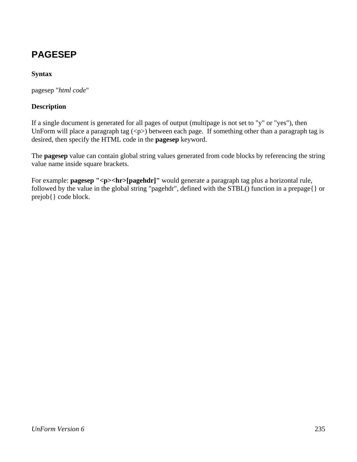# **PAGESEP**

### **Syntax**

pagesep "*html code*"

#### **Description**

If a single document is generated for all pages of output (multipage is not set to "y" or "yes"), then UnForm will place a paragraph tag  $\langle p \rangle$  between each page. If something other than a paragraph tag is desired, then specify the HTML code in the **pagesep** keyword.

The **pagesep** value can contain global string values generated from code blocks by referencing the string value name inside square brackets.

For example: **pagesep "<p><hr>[pagehdr]"** would generate a paragraph tag plus a horizontal rule, followed by the value in the global string "pagehdr", defined with the STBL() function in a prepage{} or prejob{} code block.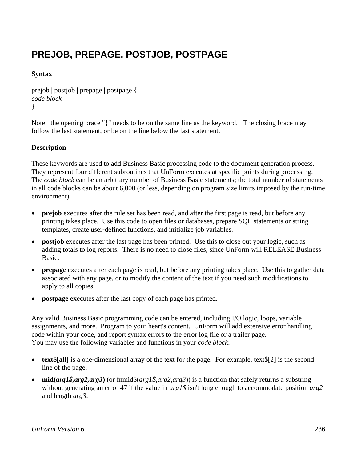# **PREJOB, PREPAGE, POSTJOB, POSTPAGE**

### **Syntax**

```
prejob | postjob | prepage | postpage { 
code block
}
```
Note: the opening brace "{" needs to be on the same line as the keyword. The closing brace may follow the last statement, or be on the line below the last statement.

### **Description**

These keywords are used to add Business Basic processing code to the document generation process. They represent four different subroutines that UnForm executes at specific points during processing. The *code block* can be an arbitrary number of Business Basic statements; the total number of statements in all code blocks can be about 6,000 (or less, depending on program size limits imposed by the run-time environment).

- **prejob** executes after the rule set has been read, and after the first page is read, but before any printing takes place. Use this code to open files or databases, prepare SQL statements or string templates, create user-defined functions, and initialize job variables.
- **postjob** executes after the last page has been printed. Use this to close out your logic, such as adding totals to log reports. There is no need to close files, since UnForm will RELEASE Business Basic.
- **prepage** executes after each page is read, but before any printing takes place. Use this to gather data associated with any page, or to modify the content of the text if you need such modifications to apply to all copies.
- **postpage** executes after the last copy of each page has printed.

Any valid Business Basic programming code can be entered, including I/O logic, loops, variable assignments, and more. Program to your heart's content. UnForm will add extensive error handling code within your code, and report syntax errors to the error log file or a trailer page. You may use the following variables and functions in your *code block*:

- **text** [2] is a one-dimensional array of the text for the page. For example, text  $[2]$  is the second line of the page.
- **mid(arg1\$,arg2,arg3)** (or finmid\$(arg1\$,arg2,arg3)) is a function that safely returns a substring without generating an error 47 if the value in *arg1\$* isn't long enough to accommodate position *arg2* and length *arg3*.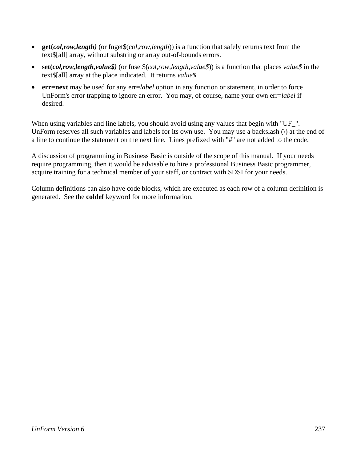- **get(***col,row,length)* (or fnget\$(*col,row,length*)) is a function that safely returns text from the text\$[all] array, without substring or array out-of-bounds errors.
- **set(***col,row,length,value\$)* (or fnset\$(*col,row,length,value\$*)) is a function that places *value\$* in the text\$[all] array at the place indicated. It returns *value\$*.
- **err=next** may be used for any err=*label* option in any function or statement, in order to force UnForm's error trapping to ignore an error. You may, of course, name your own err=*label* if desired.

When using variables and line labels, you should avoid using any values that begin with "UF\_". UnForm reserves all such variables and labels for its own use. You may use a backslash (\) at the end of a line to continue the statement on the next line. Lines prefixed with "#" are not added to the code.

A discussion of programming in Business Basic is outside of the scope of this manual. If your needs require programming, then it would be advisable to hire a professional Business Basic programmer, acquire training for a technical member of your staff, or contract with SDSI for your needs.

Column definitions can also have code blocks, which are executed as each row of a column definition is generated. See the **coldef** keyword for more information.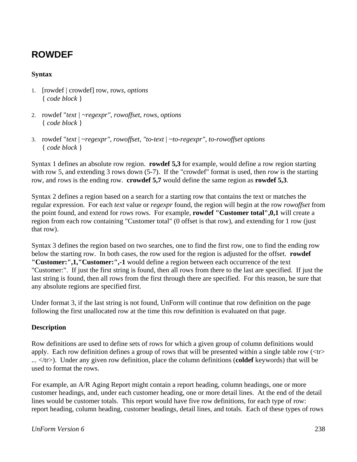## **ROWDEF**

#### **Syntax**

- 1. [rowdef | crowdef] row, row*s*, *options*  { *code block* }
- 2. rowdef "*text | ~regexpr", rowoffset, rows, options*  { *code block* }
- 3. rowdef "*text* | *~regexpr", rowoffset, "to-text* | *~to-regexpr", to-rowoffset options*  { *code block* }

Syntax 1 defines an absolute row region. **rowdef 5,3** for example, would define a row region starting with row 5, and extending 3 rows down (5-7). If the "crowdef" format is used, then *row* is the starting row, and *rows* is the ending row. **crowdef 5,7** would define the same region as **rowdef 5,3**.

Syntax 2 defines a region based on a search for a starting row that contains the text or matches the regular expression. For each *text* value or *regexpr* found, the region will begin at the row *rowoffset* from the point found, and extend for *rows* rows. For example, **rowdef "Customer total",0,1** will create a region from each row containing "Customer total" (0 offset is that row), and extending for 1 row (just that row).

Syntax 3 defines the region based on two searches, one to find the first row, one to find the ending row below the starting row. In both cases, the row used for the region is adjusted for the offset. **rowdef "Customer:",1,"Customer:",-1** would define a region between each occurrence of the text "Customer:". If just the first string is found, then all rows from there to the last are specified. If just the last string is found, then all rows from the first through there are specified. For this reason, be sure that any absolute regions are specified first.

Under format 3, if the last string is not found, UnForm will continue that row definition on the page following the first unallocated row at the time this row definition is evaluated on that page.

#### **Description**

Row definitions are used to define sets of rows for which a given group of column definitions would apply. Each row definition defines a group of rows that will be presented within a single table row  $\langle \langle tr \rangle$ ... </tr>). Under any given row definition, place the column definitions (**coldef** keywords) that will be used to format the rows.

For example, an A/R Aging Report might contain a report heading, column headings, one or more customer headings, and, under each customer heading, one or more detail lines. At the end of the detail lines would be customer totals. This report would have five row definitions, for each type of row: report heading, column heading, customer headings, detail lines, and totals. Each of these types of rows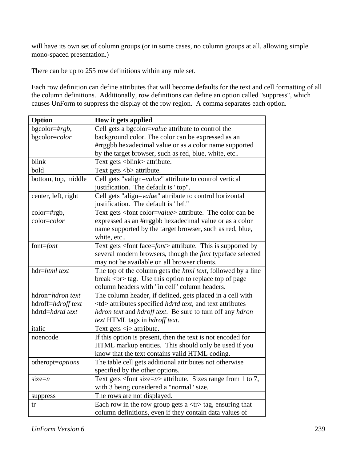will have its own set of column groups (or in some cases, no column groups at all, allowing simple mono-spaced presentation.)

There can be up to 255 row definitions within any rule set.

Each row definition can define attributes that will become defaults for the text and cell formatting of all the column definitions. Additionally, row definitions can define an option called "suppress", which causes UnForm to suppress the display of the row region. A comma separates each option.

| Option                                 | How it gets applied                                                                             |                                                              |
|----------------------------------------|-------------------------------------------------------------------------------------------------|--------------------------------------------------------------|
| bgcolor=# $rgb$ ,                      | Cell gets a bgcolor=value attribute to control the                                              |                                                              |
| bgcolor=color                          | background color. The color can be expressed as an                                              |                                                              |
|                                        | #rrggbb hexadecimal value or as a color name supported                                          |                                                              |
|                                        | by the target browser, such as red, blue, white, etc                                            |                                                              |
| blink                                  | Text gets <blink> attribute.</blink>                                                            |                                                              |
| bold                                   | Text gets <b> attribute.</b>                                                                    |                                                              |
| bottom, top, middle                    | Cell gets "valign=value" attribute to control vertical<br>justification. The default is "top".  |                                                              |
| center, left, right                    | Cell gets "align=value" attribute to control horizontal<br>justification. The default is "left" |                                                              |
| color=#rgb,                            | Text gets <font color="value"> attribute. The color can be</font>                               |                                                              |
| color=color                            | expressed as an #rrggbb hexadecimal value or as a color                                         |                                                              |
|                                        | name supported by the target browser, such as red, blue,                                        |                                                              |
|                                        | white, etc                                                                                      |                                                              |
| font=font                              | Text gets <font face="font"> attribute. This is supported by</font>                             |                                                              |
|                                        | several modern browsers, though the <i>font</i> typeface selected                               |                                                              |
|                                        | may not be available on all browser clients.                                                    |                                                              |
| hdr=html text                          | The top of the column gets the <i>html text</i> , followed by a line                            |                                                              |
|                                        | break<br><br>tag. Use this option to replace top of page                                        |                                                              |
|                                        | column headers with "in cell" column headers.                                                   |                                                              |
| hdron=hdron text                       | The column header, if defined, gets placed in a cell with                                       |                                                              |
| hdroff=hdroff text<br>hdrtd=hdrtd text | <td> attributes specified <i>hdrtd text</i>, and text attributes</td>                           | attributes specified <i>hdrtd text</i> , and text attributes |
|                                        | hdron text and hdroff text. Be sure to turn off any hdron<br>text HTML tags in hdroff text.     |                                                              |
| italic                                 | Text gets $\langle i \rangle$ attribute.                                                        |                                                              |
| noencode                               | If this option is present, then the text is not encoded for                                     |                                                              |
|                                        | HTML markup entities. This should only be used if you                                           |                                                              |
|                                        | know that the text contains valid HTML coding.                                                  |                                                              |
| otheropt=options                       | The table cell gets additional attributes not otherwise                                         |                                                              |
|                                        | specified by the other options.                                                                 |                                                              |
| $size=n$                               | Text gets <font size="&lt;math">n&gt; attribute. Sizes range from 1 to 7,</font>                |                                                              |
|                                        | with 3 being considered a "normal" size.                                                        |                                                              |
| suppress                               | The rows are not displayed.                                                                     |                                                              |
| tr                                     | Each row in the row group gets a <tr> tag, ensuring that</tr>                                   |                                                              |
|                                        |                                                                                                 |                                                              |
|                                        | column definitions, even if they contain data values of                                         |                                                              |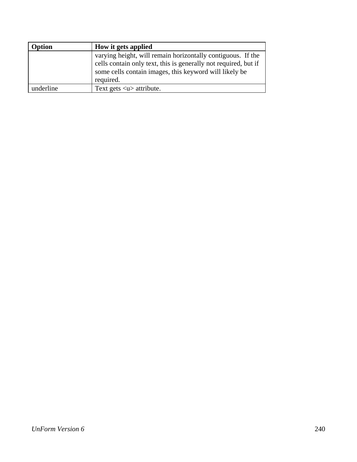| Option    | How it gets applied                                                                                                       |
|-----------|---------------------------------------------------------------------------------------------------------------------------|
|           | varying height, will remain horizontally contiguous. If the                                                               |
|           | cells contain only text, this is generally not required, but if<br>some cells contain images, this keyword will likely be |
|           | required.                                                                                                                 |
| underline | Text gets $\langle u \rangle$ attribute.                                                                                  |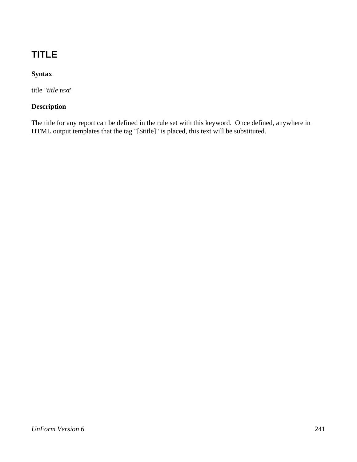# **TITLE**

### **Syntax**

title "*title text*"

### **Description**

The title for any report can be defined in the rule set with this keyword. Once defined, anywhere in HTML output templates that the tag "[\$title]" is placed, this text will be substituted.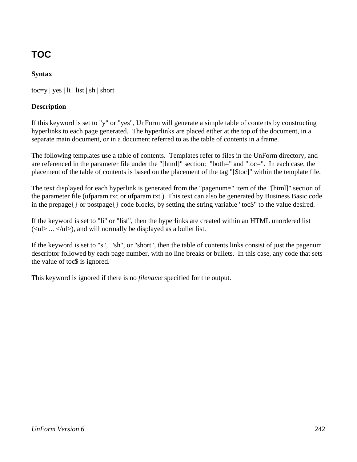# **TOC**

### **Syntax**

toc=y | yes | li | list | sh | short

#### **Description**

If this keyword is set to "y" or "yes", UnForm will generate a simple table of contents by constructing hyperlinks to each page generated. The hyperlinks are placed either at the top of the document, in a separate main document, or in a document referred to as the table of contents in a frame.

The following templates use a table of contents. Templates refer to files in the UnForm directory, and are referenced in the parameter file under the "[html]" section: "both=" and "toc=". In each case, the placement of the table of contents is based on the placement of the tag "[\$toc]" within the template file.

The text displayed for each hyperlink is generated from the "pagenum=" item of the "[html]" section of the parameter file (ufparam.txc or ufparam.txt.) This text can also be generated by Business Basic code in the prepage{} or postpage{} code blocks, by setting the string variable "toc\$" to the value desired.

If the keyword is set to "li" or "list", then the hyperlinks are created within an HTML unordered list  $(\langle ul \rangle ... \langle ul \rangle)$ , and will normally be displayed as a bullet list.

If the keyword is set to "s", "sh", or "short", then the table of contents links consist of just the pagenum descriptor followed by each page number, with no line breaks or bullets. In this case, any code that sets the value of toc\$ is ignored.

This keyword is ignored if there is no *filename* specified for the output.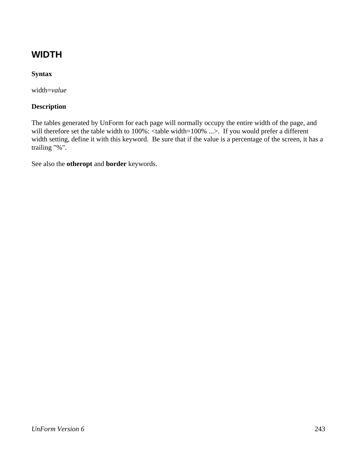# **WIDTH**

### **Syntax**

width=*value*

#### **Description**

The tables generated by UnForm for each page will normally occupy the entire width of the page, and will therefore set the table width to 100%: <table width=100% ...>. If you would prefer a different width setting, define it with this keyword. Be sure that if the value is a percentage of the screen, it has a trailing "%".

See also the **otheropt** and **border** keywords.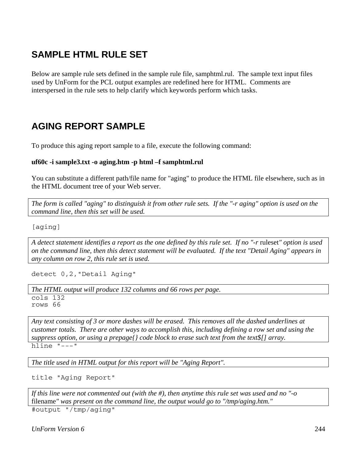## **SAMPLE HTML RULE SET**

Below are sample rule sets defined in the sample rule file, samphtml.rul. The sample text input files used by UnForm for the PCL output examples are redefined here for HTML. Comments are interspersed in the rule sets to help clarify which keywords perform which tasks.

### **AGING REPORT SAMPLE**

To produce this aging report sample to a file, execute the following command:

#### **uf60c -i sample3.txt -o aging.htm -p html –f samphtml.rul**

You can substitute a different path/file name for "aging" to produce the HTML file elsewhere, such as in the HTML document tree of your Web server.

*The form is called "aging" to distinguish it from other rule sets. If the "-r aging" option is used on the command line, then this set will be used.*

[aging]

*A detect statement identifies a report as the one defined by this rule set. If no "-r* ruleset*" option is used on the command line, then this detect statement will be evaluated. If the text "Detail Aging" appears in any column on row 2, this rule set is used.*

detect 0,2,"Detail Aging"

*The HTML output will produce 132 columns and 66 rows per page.*

cols 132 rows 66

*Any text consisting of 3 or more dashes will be erased. This removes all the dashed underlines at customer totals. There are other ways to accomplish this, including defining a row set and using the suppress option, or using a prepage{} code block to erase such text from the text\$[] array.* hline "---"

*The title used in HTML output for this report will be "Aging Report".*

title "Aging Report"

*If this line were not commented out (with the #), then anytime this rule set was used and no "-o*  filename*" was present on the command line, the output would go to "/tmp/aging.htm."*

#output "/tmp/aging"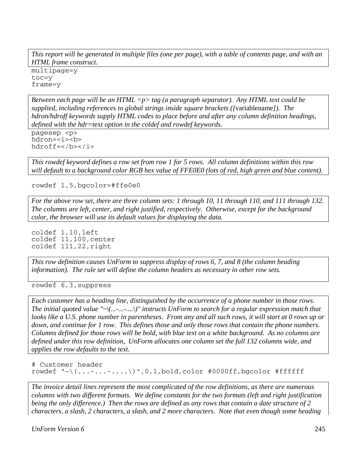*This report will be generated in multiple files (one per page), with a table of contents page, and with an HTML frame construct.*

multipage=y toc=y frame=y

*Between each page will be an HTML <p> tag (a paragraph separator). Any HTML text could be supplied, including references to global strings inside square brackets ([*variablename*]). The hdron/hdroff keywords supply HTML codes to place before and after any column definition headings, defined with the hdr=*text *option in the coldef and rowdef keywords.*

pagesep <p> hdron=<i><b hdroff=</b></i>

*This rowdef keyword defines a row set from row 1 for 5 rows. All column definitions within this row will default to a background color RGB hex value of FFE0E0 (lots of red, high green and blue content).* 

rowdef 1,5,bgcolor=#ffe0e0

*For the above row set, there are three column sets: 1 through 10, 11 through 110, and 111 through 132. The columns are left, center, and right justified, respectively. Otherwise, except for the background color, the browser will use its default values for displaying the data.*

coldef 1,10,left coldef 11,100,center coldef 111,22,right

*This row definition causes UnForm to suppress display of rows 6, 7, and 8 (the column heading information). The rule set will define the column headers as necessary in other row sets.*

rowdef 6,3,suppress

*Each customer has a heading line, distinguished by the occurrence of a phone number in those rows. The initial quoted value "~\(...-...-....\)" instructs UnForm to search for a regular expression match that looks like a U.S. phone number in parentheses. From any and all such rows, it will start at 0 rows up or down, and continue for 1 row. This defines those and only those rows that contain the phone numbers. Columns defined for those rows will be bold, with blue text on a white background. As no columns are defined under this row definition, UnForm allocates one column set the full 132 columns wide, and applies the row defaults to the text.*

# Customer header rowdef "~\ $(...-......*)$ ",0,1,bold,color #0000ff,bgcolor #ffffff

*The invoice detail lines represent the most complicated of the row definitions, as there are numerous columns with two different formats. We define constants for the two formats (left and right justification being the only difference.) Then the rows are defined as any rows that contain a date structure of 2 characters, a slash, 2 characters, a slash, and 2 more characters. Note that even though some heading*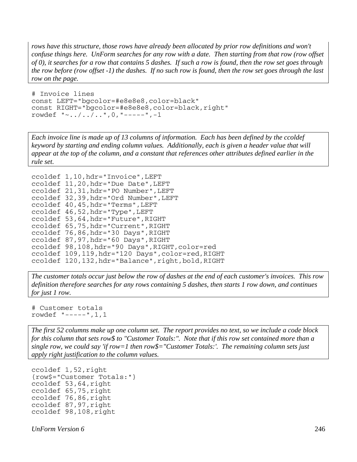*rows have this structure, those rows have already been allocated by prior row definitions and won't confuse things here. UnForm searches for any row with a date. Then starting from that row (row offset of 0), it searches for a row that contains 5 dashes. If such a row is found, then the row set goes through the row before (row offset -1) the dashes. If no such row is found, then the row set goes through the last row on the page.*

```
# Invoice lines 
const LEFT="bgcolor=#e8e8e8,color=black" 
const RIGHT="bgcolor=#e8e8e8,color=black,right" 
rowdef "~../../..",0,"-----",-1
```
*Each invoice line is made up of 13 columns of information. Each has been defined by the ccoldef keyword by starting and ending column values. Additionally, each is given a header value that will appear at the top of the column, and a constant that references other attributes defined earlier in the rule set.*

```
ccoldef 1,10,hdr="Invoice",LEFT 
ccoldef 11,20,hdr="Due Date",LEFT 
ccoldef 21,31,hdr="PO Number",LEFT 
ccoldef 32,39,hdr="Ord Number",LEFT 
ccoldef 40,45,hdr="Terms",LEFT 
ccoldef 46,52,hdr="Type",LEFT 
ccoldef 53,64,hdr="Future",RIGHT 
ccoldef 65,75,hdr="Current",RIGHT 
ccoldef 76,86,hdr="30 Days",RIGHT 
ccoldef 87,97,hdr="60 Days",RIGHT 
ccoldef 98,108,hdr="90 Days",RIGHT,color=red 
ccoldef 109,119,hdr="120 Days",color=red,RIGHT 
ccoldef 120,132,hdr="Balance",right,bold,RIGHT
```
*The customer totals occur just below the row of dashes at the end of each customer's invoices. This row definition therefore searches for any rows containing 5 dashes, then starts 1 row down, and continues for just 1 row.*

```
# Customer totals 
rowdef "-----",1,1
```
*The first 52 columns make up one column set. The report provides no text, so we include a code block for this column that sets row\$ to "Customer Totals:". Note that if this row set contained more than a single row, we could say 'if row=1 then row\$="Customer Totals:'. The remaining column sets just apply right justification to the column values.* 

```
ccoldef 1,52,right 
{row$="Customer Totals:"} 
ccoldef 53,64,right 
ccoldef 65,75,right 
ccoldef 76,86,right 
ccoldef 87,97,right 
ccoldef 98,108,right
```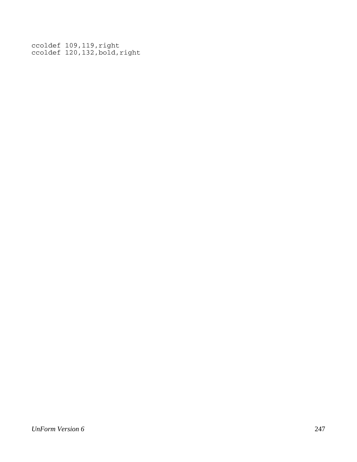ccoldef 109,119,right ccoldef 120,132,bold,right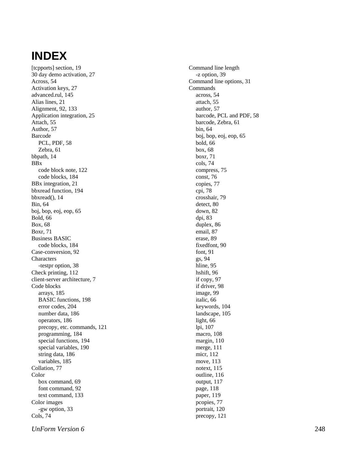# **INDEX**

[tcpports] section, 19 30 day demo activation, 27 Across, 54 Activation keys, 27 advanced.rul, 145 Alias lines, 21 Alignment, 92, 133 Application integration, 25 Attach, 55 Author, 57 Barcode PCL, PDF, 58 Zebra, 61 bbpath, 14 BBx code block note, 122 code blocks, 184 BBx integration, 21 bbxread function, 194 bbxread(), 14 Bin, 64 boj, bop, eoj, eop, 65 Bold, 66 Box, 68 Boxr, 71 Business BASIC code blocks, 184 Case-conversion, 92 **Characters** -testpr option, 38 Check printing, 112 client-server architecture, 7 Code blocks arrays, 185 BASIC functions, 198 error codes, 204 number data, 186 operators, 186 precopy, etc. commands, 121 programming, 184 special functions, 194 special variables, 190 string data, 186 variables, 185 Collation, 77 Color box command, 69 font command, 92 text command, 133 Color images -gw option, 33 Cols, 74

Command line length -z option, 39 Command line options, 31 Commands across, 54 attach, 55 author, 57 barcode, PCL and PDF, 58 barcode, Zebra, 61 bin, 64 boj, bop, eoj, eop, 65 bold, 66 box, 68 boxr, 71 cols, 74 compress, 75 const, 76 copies, 77 cpi, 78 crosshair, 79 detect, 80 down, 82 dpi, 83 duplex, 86 email, 87 erase, 89 fixedfont, 90 font, 91 gs, 94 hline, 95 hshift, 96 if copy, 97 if driver, 98 image, 99 italic, 66 keywords, 104 landscape, 105 light, 66 lpi, 107 macro, 108 margin, 110 merge, 111 micr, 112 move, 113 notext, 115 outline, 116 output, 117 page, 118 paper, 119 pcopies, 77 portrait, 120 precopy, 121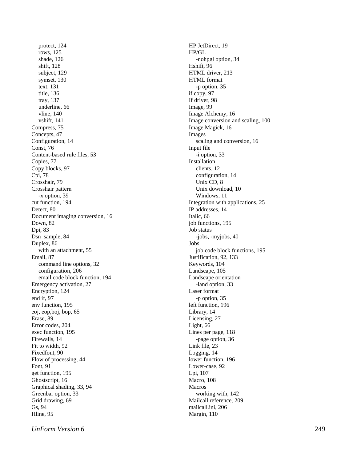protect, 124 rows, 125 shade, 126 shift, 128 subject, 129 symset, 130 text, 131 title, 136 tray, 137 underline, 66 vline, 140 vshift, 141 Compress, 75 Concepts, 47 Configuration, 14 Const, 76 Content-based rule files, 53 Copies, 77 Copy blocks, 97 Cpi, 78 Crosshair, 79 Crosshair pattern -x option, 39 cut function, 194 Detect, 80 Document imaging conversion, 16 Down, 82 Dpi, 83 Dsn\_sample, 84 Duplex, 86 with an attachment, 55 Email, 87 command line options, 32 configuration, 206 email code block function, 194 Emergency activation, 27 Encryption, 124 end if, 97 env function, 195 eoj, eop,boj, bop, 65 Erase, 89 Error codes, 204 exec function, 195 Firewalls, 14 Fit to width, 92 Fixedfont, 90 Flow of processing, 44 Font, 91 get function, 195 Ghostscript, 16 Graphical shading, 33, 94 Greenbar option, 33 Grid drawing, 69 Gs, 94 Hline, 95

HP JetDirect, 19 HP/GL -nohpgl option, 34 Hshift, 96 HTML driver, 213 HTML format -p option, 35 if copy, 97 If driver, 98 Image, 99 Image Alchemy, 16 Image conversion and scaling, 100 Image Magick, 16 Images scaling and conversion, 16 Input file -i option, 33 Installation clients, 12 configuration, 14 Unix CD, 8 Unix download, 10 Windows, 11 Integration with applications, 25 IP addresses, 14 Italic, 66 job functions, 195 Job status -jobs, -myjobs, 40 Jobs job code block functions, 195 Justification, 92, 133 Keywords, 104 Landscape, 105 Landscape orientation -land option, 33 Laser format -p option, 35 left function, 196 Library, 14 Licensing, 27 Light, 66 Lines per page, 118 -page option, 36 Link file, 23 Logging, 14 lower function, 196 Lower-case, 92 Lpi, 107 Macro, 108 Macros working with, 142 Mailcall reference, 209 mailcall.ini, 206

Margin, 110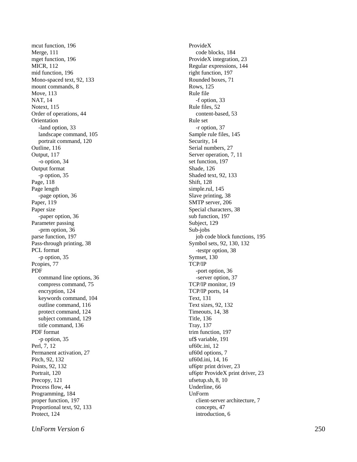mcut function, 196 Merge, 111 mget function, 196 MICR, 112 mid function, 196 Mono-spaced text, 92, 133 mount commands, 8 Move, 113 NAT, 14 Notext, 115 Order of operations, 44 Orientation -land option, 33 landscape command, 105 portrait command, 120 Outline, 116 Output, 117 -o option, 34 Output format -p option, 35 Page, 118 Page length -page option, 36 Paper, 119 Paper size -paper option, 36 Parameter passing -prm option, 36 parse function, 197 Pass-through printing, 38 PCL format -p option, 35 Pcopies, 77 PDF command line options, 36 compress command, 75 encryption, 124 keywords command, 104 outline command, 116 protect command, 124 subject command, 129 title command, 136 PDF format -p option, 35 Perl, 7, 12 Permanent activation, 27 Pitch, 92, 132 Points, 92, 132 Portrait, 120 Precopy, 121 Process flow, 44 Programming, 184 proper function, 197 Proportional text, 92, 133 Protect, 124

ProvideX code blocks, 184 ProvideX integration, 23 Regular expressions, 144 right function, 197 Rounded boxes, 71 Rows, 125 Rule file -f option, 33 Rule files, 52 content-based, 53 Rule set -r option, 37 Sample rule files, 145 Security, 14 Serial numbers, 27 Server operation, 7, 11 set function, 197 Shade, 126 Shaded text, 92, 133 Shift, 128 simple.rul, 145 Slave printing, 38 SMTP server, 206 Special characters, 38 sub function, 197 Subject, 129 Sub-jobs job code block functions, 195 Symbol sets, 92, 130, 132 -testpr option, 38 Symset, 130 TCP/IP -port option, 36 -server option, 37 TCP/IP monitor, 19 TCP/IP ports, 14 Text, 131 Text sizes, 92, 132 Timeouts, 14, 38 Title, 136 Tray, 137 trim function, 197 uf\$ variable, 191 uf60c.ini, 12 uf60d options, 7 uf60d.ini, 14, 16 uf6ptr print driver, 23 uf6ptr ProvideX print driver, 23 ufsetup.sh, 8, 10 Underline, 66 UnForm client-server architecture, 7 concepts, 47 introduction, 6